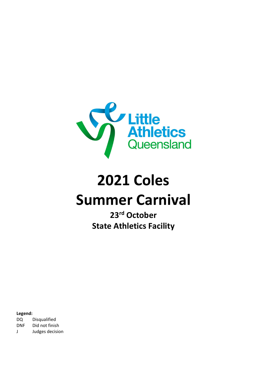

# **2021 Coles Summer Carnival**

**23rd October State Athletics Facility**

**Legend:** DQ Disqualified DNF Did not finish J Judges decision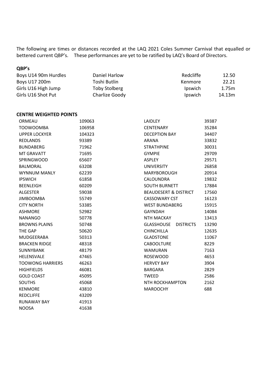The following are times or distances recorded at the LAQ 2021 Coles Summer Carnival that equalled or bettered current QBP's. These performances are yet to be ratified by LAQ's Board of Directors.

### **QBP's**

| Boys U14 90m Hurdles | Daniel Harlow  | Redcliffe      | 12.50  |
|----------------------|----------------|----------------|--------|
| Boys U17 200m        | Toshi Butlin   | Kenmore        | 22.21  |
| Girls U16 High Jump  | Toby Stolberg  | <i>lpswich</i> | 1.75m  |
| Girls U16 Shot Put   | Charlize Goody | <i>lpswich</i> | 14.13m |

#### **CENTRE WEIGHTED POINTS**

| ORMEAU                  | 109063 | <b>LAIDLEY</b>                        | 39387 |
|-------------------------|--------|---------------------------------------|-------|
| <b>TOOWOOMBA</b>        | 106958 | <b>CENTENARY</b>                      | 35284 |
| <b>UPPER LOCKYER</b>    | 104323 | <b>DECEPTION BAY</b>                  | 34407 |
| REDLANDS                | 93389  | <b>ARANA</b>                          | 33832 |
| <b>BUNDABERG</b>        | 71962  | <b>STRATHPINE</b>                     | 30031 |
| <b>MT GRAVATT</b>       | 71695  | <b>GYMPIE</b>                         | 29709 |
| <b>SPRINGWOOD</b>       | 65607  | <b>ASPLEY</b>                         | 29571 |
| <b>BALMORAL</b>         | 63208  | <b>UNIVERSITY</b>                     | 26858 |
| <b>WYNNUM MANLY</b>     | 62239  | <b>MARYBOROUGH</b>                    | 20914 |
| <b>IPSWICH</b>          | 61858  | CALOUNDRA                             | 19832 |
| <b>BEENLEIGH</b>        | 60209  | <b>SOUTH BURNETT</b>                  | 17884 |
| <b>ALGESTER</b>         | 59038  | <b>BEAUDESERT &amp; DISTRICT</b>      | 17560 |
| <b>JIMBOOMBA</b>        | 55749  | <b>CASSOWARY CST</b>                  | 16123 |
| <b>CITY NORTH</b>       | 53385  | <b>WEST BUNDABERG</b>                 | 15915 |
| <b>ASHMORE</b>          | 52982  | <b>GAYNDAH</b>                        | 14084 |
| <b>NANANGO</b>          | 50778  | <b>NTH MACKAY</b>                     | 13413 |
| <b>BROWNS PLAINS</b>    | 50748  | <b>GLASSHOUSE</b><br><b>DISTRICTS</b> | 13290 |
| THE GAP                 | 50620  | <b>CHINCHILLA</b>                     | 12635 |
| <b>MUDGEERABA</b>       | 50313  | <b>GLADSTONE</b>                      | 11067 |
| <b>BRACKEN RIDGE</b>    | 48318  | <b>CABOOLTURE</b>                     | 8229  |
| <b>SUNNYBANK</b>        | 48179  | <b>WAMURAN</b>                        | 7163  |
| HELENSVALE              | 47465  | <b>ROSEWOOD</b>                       | 4653  |
| <b>TOOWONG HARRIERS</b> | 46263  | <b>HERVEY BAY</b>                     | 3904  |
| <b>HIGHFIELDS</b>       | 46081  | <b>BARGARA</b>                        | 2829  |
| <b>GOLD COAST</b>       | 45095  | <b>TWEED</b>                          | 2586  |
| <b>SOUTHS</b>           | 45068  | <b>NTH ROCKHAMPTON</b>                | 2162  |
| <b>KENMORE</b>          | 43810  | <b>MAROOCHY</b>                       | 688   |
| <b>REDCLIFFE</b>        | 43209  |                                       |       |
| <b>RUNAWAY BAY</b>      | 41913  |                                       |       |
| <b>NOOSA</b>            | 41638  |                                       |       |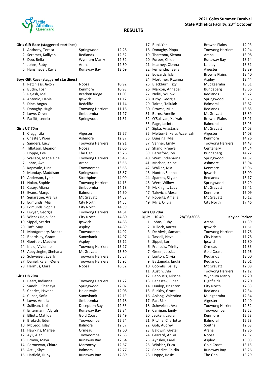

### **Girls Gift Race (staggered startlines)**

|              | Girls Gilt Race (staggered startlines)       |                         |                |
|--------------|----------------------------------------------|-------------------------|----------------|
|              | 1 Anthony, Teresa                            | Springwood              | 12.28          |
|              | 2 Seremet, Kalliyan                          | Redlands                | 12.52          |
| 3            | Doo, Bella                                   | Wynnum Manly            | 12.52          |
|              | 4 Johns, Ruby                                | Arana                   | 12.60          |
|              | 5 Hansmeyer, Kayla                           | Runaway Bay             | 12.69          |
|              |                                              |                         |                |
|              | <b>Boys Gift Race (staggered startlines)</b> |                         |                |
| 1            | Retchless, Jaxon                             | Noosa                   | 10.92          |
| 2            | Butlin, Toshi                                | Kenmore                 | 10.93          |
| 3            | Rajesh, Joel                                 | Bracken Ridge           | 11.03          |
|              | 4 Antonio, Daniel                            | Ipswich                 | 11.12          |
| 5.           | Dine, Angus                                  | Redcliffe               | 11.14          |
| 6            | Donaghy, Hugh                                | <b>Toowong Harriers</b> | 11.16          |
| 7            | Lowe, Oliver                                 | Jimboomba               | 11.27          |
| 8            | Parfitt, Lennix                              | Springwood              | 11.31          |
|              |                                              |                         |                |
|              | Girls U7 70m                                 |                         |                |
|              | 1 Cragg, Lila                                | Algester                | 12.57          |
| $\mathbf{2}$ | Chester, Piper                               | Ashmore                 | 12.87          |
|              | 3 Sanders, Lucy                              | <b>Toowong Harriers</b> | 12.91          |
|              | 4 Tillotson, Eleanor                         | Noosa                   | 13.06          |
| 5            | Hoppe, Eve                                   | The Gap                 | 13.26          |
| 6            | Wallace, Madeleine                           | <b>Toowong Harriers</b> | 13.46          |
| 7            | Johns, Ava                                   | Arana                   | 13.66          |
| 8            | Kapavale, Hina                               | Toowoomba               | 13.68          |
| 9            | Munday, Maddison                             | Springwood              | 13.87          |
| 10           | Anderson, Lydia                              | Strathpine              | 14.09          |
| 11           | Nolan, Sophie                                | <b>Toowong Harriers</b> | 14.15          |
| 12           | Casey, Aliana                                | Jimboomba               | 14.18          |
| 13           | Evans, Margo                                 | <b>Balmoral</b>         | 14.50          |
| 14           | Senaratne, Araliya                           | Mt Gravatt              | 14.53          |
| 15           | Edmunds, Mia                                 | City North              | 14.55          |
|              | Edmunds, Sophia                              | City North              | 14.59          |
| 16           |                                              |                         | 14.61          |
| 17           | Dwyer, Georgia                               | <b>Toowong Harriers</b> | 14.80          |
|              | 18 Wiecek Rojo, Zoe                          | City North              |                |
| 19           | Sippel, Scarlet                              | Ipswich                 | 14.88          |
|              | 20 Taft, May                                 | Aspley<br>Toowoomba     | 14.89          |
| 21           | Montgomery, Brooke                           |                         | 14.92          |
| 22           | Beardsley, Grace                             | Sunnybank               | 14.97          |
| 23           | Goettler, Madelyn                            | Aspley                  | 15.12          |
|              | 24 Ifield, Vivienne                          | <b>Toowong Harriers</b> | 15.27<br>15.50 |
|              | 25 Abeysinghe, Shehana                       | Mt Gravatt              |                |
| 26           | Schweizer, Everly                            | <b>Toowong Harriers</b> | 15.57          |
| 27           | Daniel, Kalani-Dene                          | <b>Toowong Harriers</b> | 15.95          |
| 28           | Hermus, Clara                                | Noosa                   | 16.52          |
|              |                                              |                         |                |
|              | Girls U8 70m                                 |                         |                |
|              | 1 Baart, Indianna                            | <b>Toowong Harriers</b> | 11.72          |
| 2            | Sandhu, Shanaya                              | Springwood              | 12.07          |
| 3            | Charles, Havana                              | Helensvale              | 12.08          |
| 4            | Cupac, Sofia                                 | Sunnybank               | 12.13          |
| 5.           | Lowe, Amelia                                 | Jimboomba               | 12.18          |
| 6            | Sullivan, Lexi                               | Deception Bay           | 12.33          |
| 7            | Entermann, Alyrah                            | Runaway Bay             | 12.34          |
| 8            | Elliott, Matilda                             | <b>Gold Coast</b>       | 12.49          |
| 9            | Broksch, Eden                                | Toowoomba               | 12.54          |
| 10           | McLeod, Islay                                | Balmoral                | 12.57          |
| 11           | Hawkins, Marlee                              | Ormeau                  | 12.60          |
| 12           | Ayii, Ajah                                   | Toowoomba               | 12.63          |
| 13           | Brown, Maya                                  | Runaway Bay             | 12.64          |
|              | 14 Permewan, Chiara                          | Maroochy                | 12.67          |
| 15           | Astill, Skye                                 | <b>Balmoral</b>         | 12.77          |
| 16           | Hatfield, Ruby                               | Runaway Bay             | 12.89          |

#### **RESULTS**

|    | 17 Buol, Yar             | <b>Browns Plains</b>    | 12.93 |
|----|--------------------------|-------------------------|-------|
| 18 | Donaghy, Pippa           | <b>Toowong Harriers</b> | 12.94 |
|    | 19 Tharenou, Sienna      | Arana                   | 13.08 |
| 20 | Furber, Chloe            | Runaway Bay             | 13.14 |
| 21 | Kearney, Cienna          | Laidley                 | 13.31 |
| 22 | Fernandez, Bella         | Algester                | 13.39 |
| 23 | Edwards, Isla            | <b>Browns Plains</b>    | 13.40 |
| 24 | Mortimer, Rizanna        | Aspley                  | 13.44 |
| 25 | Blackburn, Izzy          | Mudgeeraba              | 13.51 |
| 26 | Marcon, Annabel          | <b>Bundaberg</b>        | 13.56 |
| 27 | Nelisi, Willow           | Redlands                | 13.72 |
| 28 | Kirby, Georgie           | Springwood              | 13.76 |
| 29 | Tairea, Tallulah         | <b>Balmoral</b>         | 13.82 |
| 30 | Prowse, Mila             | Redlands                | 13.85 |
| 31 | Burns, Amelie            | Mt Gravatt              | 13.89 |
| 32 | O'Sullivan, Xaliyah      | <b>Browns Plains</b>    | 13.91 |
| 33 | Page, Jacinta            | Balmoral                | 13.93 |
| 34 | Sipka, Anastasia         | Mt Gravatt              | 14.03 |
| 35 | Melton-Enkera, Azaeliyah | Algester                | 14.08 |
| 36 | Duesing, Mia             | Kenmore                 | 14.26 |
| 37 | Vanner, Emily            | <b>Toowong Harriers</b> | 14.43 |
| 38 | Shand, Preeya            | Centenary               | 14.54 |
| 39 | Beresford, Ivy           | <b>Bundaberg</b>        | 14.72 |
| 40 | Wert, Indieharna         | Springwood              | 14.87 |
| 41 | Madsen, Khloe            | Ashmore                 | 15.04 |
| 42 | Walker, Mia              | Kenmore                 | 15.06 |
| 43 | Hunter, Sienna           | Ipswich                 | 15.09 |
| 44 | Sparkes, Skylar          | Redlands                | 15.17 |
| 45 | Wert, Willow             | Springwood              | 15.29 |
| 46 | McKnight, Lucy           | Mt Gravatt              | 15.41 |
| 47 | Talevich, Alexa          | Kenmore                 | 16.09 |
| 48 | Roberts, Amelia          | Mt Gravatt              | 16.12 |
| 49 | Mills, Olivia            | City North              | 17.46 |
|    |                          |                         |       |

#### **Girls U9 70m**

| QBP: | 10.40              | 28/03/2008 |                         | Kaylee Packer |
|------|--------------------|------------|-------------------------|---------------|
| 1    | Johns, Ruby        |            | Arana                   | 11.39         |
|      | 2 Tulloch, Karter  |            | Ipswich                 | 11.61         |
| 3    | De Alwis, Samara   |            | <b>Toowong Harriers</b> | 11.76         |
| 4    | Tassell, Neva      |            | City North              | 11.78         |
| 5    | Sippel, Lori       |            | Ipswich                 | 11.80         |
| 6    | Francois, Trinity  |            | Ormeau                  | 11.83         |
| 7    | Green, Jessica     |            | <b>Gold Coast</b>       | 11.96         |
| 8    | Lonton, Olivia     |            | Redlands                | 12.00         |
| 9    | Battagoda, Enuki   |            | Redlands                | 12.01         |
| 10   | Coombs, Bailey     |            | Mt Gravatt              | 12.08         |
| 11   | Austin, Lyla       |            | <b>Toowong Harriers</b> | 12.12         |
| 12   | Babousis, Mischa   |            | Wynnum Manly            | 12.20         |
| 13   | Banaszek, Piper    |            | Highfields              | 12.20         |
| 14   | Dunlop, Brighton   |            | City North              | 12.33         |
| 15   | Buckby, Grace      |            | Redlands                | 12.34         |
| 16   | Ablang, Valentina  |            | Mudgeeraba              | 12.34         |
| 17   | Par, Biak          |            | Algester                | 12.40         |
| 18   | Schweizer, Ava     |            | <b>Toowong Harriers</b> | 12.52         |
| 19   | Carrigan, Emily    |            | Toowoomba               | 12.52         |
| 20   | Jeuken, Laura      |            | Kenmore                 | 12.53         |
| 21   | Ritchie, Charlotte |            | <b>Balmoral</b>         | 12.53         |
| 22   | Goh, Audrey        |            | Souths                  | 12.63         |
| 23   | Baldwin, Gretel    |            | Arana                   | 12.86         |
| 24   | Gerrard, Anika     |            | Noosa                   | 12.97         |
| 25   | Aynsley, Karel     |            | Aspley                  | 13.03         |
| 26   | Winkler, Erica     |            | <b>Gold Coast</b>       | 13.15         |
| 27   | Benedict, Caitlin  |            | Runaway Bay             | 13.26         |
| 28   | Hoppe, Rosie       |            | The Gap                 | 13.29         |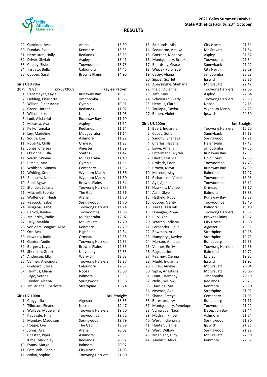

| 29 Gardiner, Ava    | Arana                | 13.30 |
|---------------------|----------------------|-------|
| 30 Dundas, Eve      | Kenmore              | 13.35 |
| 31 Hermiston, Holly | Redlands             | 13.39 |
| 32 Driver, Shylah   | Aspley               | 13.41 |
| 33 Copley, Elsie    | Toowoomba            | 13.73 |
| 34 Targato, Bella   | Caloundra            | 14.46 |
| 35 Cooper, Sarah    | <b>Browns Plains</b> | 14.90 |
|                     |                      |       |

#### **Girls U10 70m**

| QBP:           | 9.83                  | 27/03/2009                |                         | Kaylee Packer       |
|----------------|-----------------------|---------------------------|-------------------------|---------------------|
| $\mathbf{1}$   | Hansmeyer, Kayla      |                           | Runaway Bay             | 10.65               |
| $\overline{2}$ | Fielding, Charlotte   |                           | Jimboomba               | 10.66               |
|                | 3 Wilson, Piper Adair |                           | Gympie                  | 10.91               |
|                | 4 Greer, Harper       |                           | Redlands                | 11.02               |
| 5.             | Wilson, Kiko          |                           | Laidley                 | 11.06               |
| 6              | Ludi, Alicia zixi     |                           | Runaway Bay             | 11.10               |
|                | 7 Metassa, Ava        |                           | Aspley                  | 11.12               |
| 8              | Kelly, Tamaku         |                           | Redlands                | 11.14               |
|                | 9 Ley, Madeline       |                           | Mudgeeraba              | 11.14               |
|                | 10 South, Koa         |                           | Ashmore                 | 11.22               |
|                | 11 Roberts, Chilli    |                           | Ormeau                  | 11.23               |
| 12             | Jones, Chelsea        |                           | Algester                | 11.39               |
|                | 13 O'Donnell, Isla    |                           | Souths                  | 11.42               |
|                | 14 Walsh, Winnie      |                           | Mudgeeraba              | 11.49               |
|                | 15 Ritchie, Maci      |                           | Gympie                  | 11.51               |
|                | 16 Wohlsen, Minaya    |                           | Centenary               | 11.56               |
|                | 17 Whiting, Stephanie |                           | Wynnum Manly            | 11.56               |
| 18             | Babousis, Natalia     |                           | Wynnum Manly            | 11.60               |
|                | 19 Buol, Agaw         |                           | <b>Browns Plains</b>    | 11.64               |
|                | 20 Stander, Juliana   |                           | <b>Toowong Harriers</b> | 11.65               |
|                | 21 Mitchell, Sophie   |                           | The Gap                 | 11.66               |
|                | 22 Wolfenden, Heidi   |                           | Arana                   | 11.70               |
|                | 23 Peacock, Isabel    |                           | Springwood              | 11.70               |
| 24             | Mugaba, Isabel        |                           | <b>Toowong Harriers</b> | 11.74               |
|                | 25 Carroll, Kaylee    |                           | Toowoomba               | 11.98               |
|                | 26 McCarthy, Zadie    |                           | Mudgeeraba              | 12.02               |
|                | 27 Daly, Matilda      |                           | Mt Gravatt              | 12.20               |
|                |                       | 28 von dem Bongart, Alize | Kenmore                 | 12.29               |
| 29             | Orr, Ava              |                           | Highfields              | 12.34               |
| 30             | Hawkins, Indie        |                           | Ormeau                  | 12.38               |
|                | 31 Ganter, Andie      |                           | <b>Toowong Harriers</b> | 12.39               |
| 32             | Burgess, Layla        |                           | <b>Browns Plains</b>    | 12.55               |
| 33             | Sheridan, Gracie      |                           | University              | 12.56               |
|                | 34 Anderson, Ella     |                           | Warwick                 | 12.63               |
| 35             | Vanner, Alexandra     |                           | <b>Toowong Harriers</b> | 12.87               |
| 36             | Goddard, Stella       |                           | Caloundra               | 12.97               |
|                | 37 Hermus, Eliana     |                           | Noosa                   | 13.08               |
| 38             | Page, Serena          |                           | Balmoral                | 13.33               |
|                | 39 Leeder, Aleena     |                           | Springwood              | 13.38               |
| 40             |                       | McFarlane, Charlotte      | Strathpine              | 16.24               |
|                | Girls U7 100m         |                           |                         | <b>Bck Straight</b> |
|                | 1 Cragg, Lila         |                           | Algester                | 18.55               |
|                | 2 Tillotson, Eleanor  |                           | Noosa                   | 19.47               |
|                | 3 Wallace, Madeleine  |                           | <b>Toowong Harriers</b> | 19.60               |
|                | 4 Kapavale, Hina      |                           | Toowoomba               | 19.72               |
|                | 5 Munday, Maddison    |                           | Springwood              | 19.79               |
|                | 6 Hoppe, Eve          |                           | The Gap                 | 19.89               |
|                | 7 Johns, Ava          |                           | Arana                   | 20.02               |
|                | 8 Chester, Piper      |                           | Ashmore                 | 20.53               |
|                | 9 Kime, Mikkinley     |                           | Redlands                | 20.92               |
|                | 10 Evans, Margo       |                           | Balmoral                | 20.97               |
|                | 11 Edmunds, Sophia    |                           | City North              | 21.05               |
| 12             | Nolan, Sophie         |                           | <b>Toowong Harriers</b> | 21.60               |

|          | 13 Edmunds, Mia                   | City North              | 21.61               |
|----------|-----------------------------------|-------------------------|---------------------|
|          | 14 Senaratne, Araliya             | Mt Gravatt              | 21.64               |
|          | 15 Goettler, Madelyn              | Aspley                  | 21.82               |
|          | 16 Montgomery, Brooke             | Toowoomba               | 21.84               |
|          | 17 Beardsley, Grace               | Sunnybank               | 21.92               |
|          | 18 Wiecek Rojo, Zoe               | City North              | 22.09               |
|          | 19 Casey, Aliana                  | Jimboomba               | 22.23               |
|          | 20 Sippel, Scarlet                | Ipswich                 | 22.36               |
|          | 21 Abeysinghe, Shehana            | Mt Gravatt              | 22.42               |
|          | 22 Ifield, Vivienne               | <b>Toowong Harriers</b> | 22.66               |
|          | 23 Taft, May                      | Aspley                  | 22.84               |
|          | 24 Schweizer, Everly              | <b>Toowong Harriers</b> | 23.18               |
|          | 25 Hermus, Clara                  | Noosa                   | 24.16               |
|          | 26 Taulapiu, Taylor               | Wynnum Manly            | 24.28               |
|          | 27 Bohen, Violet                  | Ipswich                 | 24.60               |
|          | Girls U8 100m                     |                         | <b>Bck Straight</b> |
|          | 1 Baart, Indianna                 | <b>Toowong Harriers</b> | 16.60               |
|          | 2 Cupac, Sofia                    | Sunnybank               | 17.18               |
|          | 3 Sandhu, Shanaya                 | Springwood              | 17.21               |
|          | 4 Charles, Havana                 | Helensvale              | 17.48               |
| 5.       | Lowe, Amelia                      | Jimboomba               | 17.56               |
| 6        | Entermann, Alyrah                 | Runaway Bay             | 17.59               |
|          | 7 Elliott, Matilda                | <b>Gold Coast</b>       | 17.66               |
| 8        | Broksch, Eden                     | Toowoomba               | 17.78               |
|          | 9 Brown, Maya                     | Runaway Bay             | 17.90               |
| 10       | McLeod, Islay                     | <b>Balmoral</b>         | 17.97               |
|          | 11 Richardson, Violet             | Toowoomba               | 18.08               |
|          | 12 Ayii, Ajah                     | Toowoomba               | 18.11               |
|          | 13 Hawkins, Marlee                | Ormeau                  | 18.17               |
|          | 14 Astill, Skye                   | Balmoral                | 18.33               |
| 15       | Hatfield, Ruby                    | Runaway Bay             | 18.38               |
| 16       | Cooper, Verity                    | Toowoomba               | 18.40               |
| 16       | Tairea, Tallulah                  | <b>Balmoral</b>         | 18.40               |
| 18       | Donaghy, Pippa                    | <b>Toowong Harriers</b> | 18.57               |
|          | 19 Buol, Yar                      | <b>Browns Plains</b>    | 18.62               |
|          | 20 Warren, Indiana                | City North              | 18.80               |
|          | 21 Fernandez, Bella               | Algester                | 18.91               |
| 22       | Bowman, Aria                      | Strathpine              | 19.18               |
| 23       | Humphrys, Kaylee                  | Strathpine              | 19.23               |
| 24       | Marcon, Annabel                   | <b>Bundaberg</b>        | 19.33               |
| 25       | Vanner, Emily                     | <b>Toowong Harriers</b> | 19.36               |
| 26       | Page, Jacinta                     | Balmoral                | 19.72               |
| 27       | Kearney, Cienna                   | Laidley                 | 19.82               |
| 28       | Mudd, Indianna                    | Ipswich                 | 19.95               |
| 29       | Burns, Amelie                     | Mt Gravatt              | 20.04               |
| 30       | Sipka, Anastasia                  | Mt Gravatt              | 20.06               |
| 31       | Hunt, Harmony                     | Jimboomba               | 20.19               |
| 32       | Nelisi, Willow                    | Redlands                | 20.21               |
| 33       | Duesing, Mia                      | Kenmore                 | 20.90               |
| 34       | Newton, Ava                       | Strathpine              | 21.03               |
| 35       | Shand, Preeya                     | Centenary               | 21.06               |
| 36       | Beresford, Ivy                    | Bundaberg               | 21.11               |
| 37       | Montgomery, Penelope              | Toowoomba               | 21.22               |
| 38       | Vuniwaqa, Naomi                   | Deception Bay           | 21.44               |
| 39       | Madsen, Khloe                     | Ashmore                 | 21.64               |
| 40       | Wert, Indieharna                  | Springwood              | 21.80               |
| 41       | Hunter, Sienna                    | Ipswich                 | 21.91               |
| 42       | Wert, Willow                      | Springwood              | 21.92               |
| 43<br>44 | McKnight, Lucy<br>Talevich, Alexa | Mt Gravatt<br>Kenmore   | 22.00<br>22.67      |
|          |                                   |                         |                     |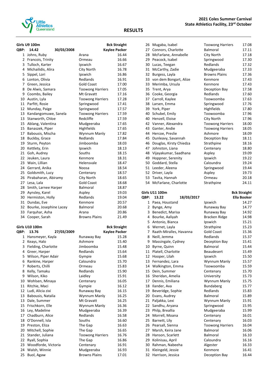

|              | Girls U9 100m           |            |                         | <b>Bck Straight</b>  |
|--------------|-------------------------|------------|-------------------------|----------------------|
| QBP:         | 14.42                   | 30/03/2008 |                         | <b>Kaylee Packer</b> |
| $\mathbf{1}$ | Johns, Ruby             |            | Arana                   | 16.44                |
|              | 2 Francois, Trinity     |            | Ormeau                  | 16.66                |
| 3            | Tulloch, Karter         |            | Ipswich                 | 16.67                |
|              | 4 Michailidis, Alira    |            | City North              | 16.78                |
| 5            | Sippel, Lori            |            | Ipswich                 | 16.86                |
| 6            | Lonton, Olivia          |            | Redlands                | 16.91                |
| 7            | Green, Jessica          |            | <b>Gold Coast</b>       | 17.00                |
| 8            | De Alwis, Samara        |            | <b>Toowong Harriers</b> | 17.05                |
| 9            | Coombs, Bailey          |            | Mt Gravatt              | 17.16                |
|              | 10 Austin, Lyla         |            | <b>Toowong Harriers</b> | 17.28                |
| 11           | Parfitt, Rosie          |            | Springwood              | 17.41                |
| 12           | Munday, Paige           |            | Springwood              | 17.57                |
| 13           | Kandangomuwe, Sanela    |            | <b>Toowong Harriers</b> | 17.59                |
| 13           | Stanworth, Chloe        |            | Redcliffe               | 17.59                |
|              | 15 Ablang, Valentina    |            | Mudgeeraba              | 17.65                |
| 15           | Banaszek, Piper         |            | Highfields              | 17.65                |
| 17           | Babousis, Mischa        |            | Wynnum Manly            | 17.82                |
| 18           | Buckby, Grace           |            | Redlands                | 17.84                |
| 19           | Sturm, Peyton           |            | Jimboomba               | 18.03                |
|              | 20 Kettlety, Erin       |            | Ipswich                 | 18.13                |
| 21           | Goh, Audrey             |            | Souths                  | 18.15                |
| 22           | Jeuken, Laura           |            | Kenmore                 | 18.31                |
| 23           | Wain, Lillian           |            | Helensvale              | 18.47                |
| 24           | Gerrard, Anika          |            | Noosa                   | 18.54                |
| 25           | Goldsmith, Lucy         |            | Centenary               | 18.57                |
|              | 26 Pirabaharan, Abiramy |            | City North              | 18.65                |
|              | 27 Lesa, Lala           |            | <b>Gold Coast</b>       | 18.68                |
| 28           | Smith, Larnee Harper    |            | <b>Balmoral</b>         | 18.87                |
|              | 29 Aynsley, Karel       |            | Aspley                  | 19.03                |
| 30           | Hermiston, Holly        |            | Redlands                | 19.04                |
| 31           | Dundas, Eve             |            | Kenmore                 | 20.57                |
| 32           | Bourke, Josephine Lacey |            | Balmoral                | 20.68                |
|              | 33 Farquhar, Asha       |            | Arana                   | 20.86                |
|              | 34 Cooper, Sarah        |            | <b>Browns Plains</b>    | 21.49                |
|              | Girls U10 100m          |            |                         | <b>Bck Straight</b>  |
| QBP:         | 13.76                   | 27/03/2009 |                         | <b>Kaylee Packer</b> |
|              | 1 Hansmeyer, Kayla      |            | Runaway Bay             | 15.28                |
|              | 2 Keays, Halo           |            | Ashmore                 | 15.40                |
| 3            | Fielding, Charlotte     |            | Jimboomba               | 15.48                |
| 4            | Greer, Harper           |            | Redlands                | 15.64                |
| 5            | Wilson, Piper Adair     |            | Gympie                  | 15.68                |
| 6            | Rankine, Harper         |            | Caloundra               | 15.70                |
| 7            | Roberts, Chilli         |            | Ormeau                  | 15.83                |
| 8            | Kelly, Tamaku           |            | Redlands                | 15.90                |
| 9            | Wilson, Kiko            |            | Laidley                 | 15.91                |
| 10           | Wohlsen, Minaya         |            | Centenary               | 16.05                |
| 11           | Ritchie, Maci           |            | Gympie                  | 16.12                |
| 12           | Ludi, Alicia zixi       |            | Runaway Bay             | 16.15                |
| 13           | Babousis, Natalia       |            | Wynnum Manly            | 16.25                |
| 13           | Dale, Summer            |            | Mt Gravatt              | 16.25                |
| 15           | Frischkorn, Elle        |            | Wynnum Manly            | 16.36                |
| 16           | Ley, Madeline           |            | Mudgeeraba              | 16.39                |
| 17           | Chadburn, Alice         |            | Redlands                | 16.58                |
| 18           | O'Donnell, Isla         |            | Souths                  | 16.60                |
| 19           | Preston, Eliza          |            | The Gap                 | 16.63                |
| 20           | Mitchell, Sophie        |            | The Gap                 | 16.65                |
| 21           | Stander, Juliana        |            | <b>Toowong Harriers</b> | 16.76                |
| 22           | Ryall, Sophia           |            | The Gap                 | 16.86                |
| 23           | Woodforde, Victoria     |            | Centenary               | 16.91                |
| 24           | Walsh, Winnie           |            | Mudgeeraba              | 16.93                |
| 25           | Buol, Agaw              |            | <b>Browns Plains</b>    | 17.01                |

| 26 | Mugaba, Isabel          | <b>Toowong Harriers</b> | 17.08 |
|----|-------------------------|-------------------------|-------|
| 27 | Connors, Charlotte      | Balmoral                | 17.11 |
| 28 | McFarlane, Annabelle    | City North              | 17.18 |
| 29 | Peacock, Isabel         | Springwood              | 17.30 |
| 30 | Lucas, Teegan           | Redlands                | 17.32 |
| 31 | McCarthy, Zadie         | Mudgeeraba              | 17.33 |
| 32 | Burgess, Layla          | <b>Browns Plains</b>    | 17.36 |
| 33 | von dem Bongart, Alize  | Kenmore                 | 17.43 |
| 33 | Merimba, Ursula         | Kenmore                 | 17.43 |
| 35 | Trent, Arya             | Deception Bay           | 17.58 |
| 36 | Cooke, Georgia          | Redlands                | 17.60 |
| 37 | Carroll, Kaylee         | Toowoomba               | 17.63 |
| 38 | Larsen, Emma            | Springwood              | 17.76 |
| 39 | York, Piper             | Highfields              | 17.80 |
| 40 | Schubel, Emily          | Toowoomba               | 17.96 |
| 40 | Henzell, Eloise         | City North              | 17.96 |
| 42 | Vanner, Alexandra       | <b>Toowong Harriers</b> | 18.00 |
| 43 | Ganter, Andie           | <b>Toowong Harriers</b> | 18.05 |
| 44 | Hercoe, Preslie         | Ashmore                 | 18.09 |
| 45 | Dunleavy, Savannah      | Deception Bay           | 18.11 |
| 46 | Douglas, Kirsty Chiedza | Strathpine              | 18.16 |
| 47 | Johnston, Liana         | Centenary               | 18.80 |
| 48 | Vijayakumar, Saadhana   | Aspley                  | 19.09 |
| 49 | Hoppner, Serenity       | Ipswich                 | 19.22 |
| 50 | Goddard, Stella         | Caloundra               | 19.24 |
| 51 | Leeder, Aleena          | Springwood              | 19.44 |
| 52 | Driver, Layla           | Aspley                  | 19.73 |
| 53 | Tavita, Hannah          | Ormeau                  | 20.18 |
| 54 | McFarlane, Charlotte    | Strathpine              | 24.11 |
|    |                         |                         |       |

#### **Girls U11 100m Bck Straight**

| QBP: | 13.22                   | 18/03/2017 |                         | <b>Ella Booker</b> |
|------|-------------------------|------------|-------------------------|--------------------|
| 1    | Paea, Houstand          |            | Ipswich                 | 14.27              |
| 2    | Bynge, Amy              |            | Runaway Bay             | 14.77              |
| 3    | Benedict, Marisa        |            | Runaway Bay             | 14.92              |
| 4    | Bourke, Aaliyah         |            | Bracken Ridge           | 14.98              |
| 5    | Antonio, Bianca         |            | Ipswich                 | 15.21              |
| 6    | Wernet, Layla           |            | Strathpine              | 15.23              |
| 7    | Raath-Miralles, Havanna |            | <b>Gold Coast</b>       | 15.36              |
| 8    | Neill, Jemma            |            | Redlands                | 15.37              |
| 9    | Massingale, Cydney      |            | Deception Bay           | 15.41              |
| 10   | Byrne, Quinn            |            | <b>Balmoral</b>         | 15.44              |
| 11   | Platell, Charlotte      |            | <b>Beaudesert</b>       | 15.49              |
| 12   | Hooper, Lilah           |            | Ipswich                 | 15.50              |
| 13   | Fernandez, Lara         |            | Wynnum Manly            | 15.57              |
| 14   | Walkington, Emma        |            | Toowoomba               | 15.59              |
| 15   | Dein, Summer            |            | Centenary               | 15.70              |
|      | 16 Sheridan, Amelia     |            | University              | 15.73              |
|      | 17 Dennis, Emiliana     |            | Wynnum Manly            | 15.75              |
| 18   | Ilander, Ava            |            | Bundaberg               | 15.77              |
| 19   | Beveridge, Sophie       |            | Redlands                | 15.83              |
| 20   | Evans, Audrey           |            | <b>Balmoral</b>         | 15.89              |
| 21   | Paljakka, Lexi          |            | Wynnum Manly            | 15.91              |
| 22   | Sandhu, Aryana          |            | Springwood              | 15.95              |
| 23   | Philp, Breallia         |            | Mudgeeraba              | 15.99              |
| 24   | Morrell, Moana          |            | Centenary               | 16.01              |
| 25   | Barnett, Lily           |            | Centenary               | 16.03              |
| 26   | Pearsall, Sienna        |            | <b>Toowong Harriers</b> | 16.04              |
| 27   | Marsh, Keira Jane       |            | Balmoral                | 16.06              |
| 28   | Hanson, Scarlett        |            | Balmoral                | 16.10              |
| 29   | Kolinisau, April        |            | Caloundra               | 16.16              |
| 30   | Rahman, Nabeeha         |            | Algester                | 16.33              |
| 31   | Kleingeld, Jessie       |            | Kenmore                 | 16.41              |
| 32   | Harrison, Jessica       |            | Deception Bay           | 16.44              |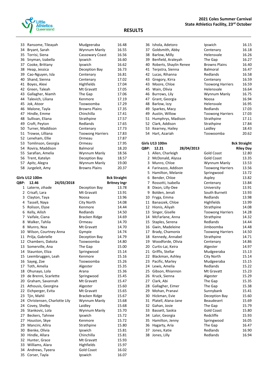

| 33   | Ransome, Tileayah     | Mudgeeraba              | 16.48               |
|------|-----------------------|-------------------------|---------------------|
| 34   | Bryant, Sarah         | Wynnum Manly            | 16.55               |
| 35   | Torrisi, Siena        | Cassowary Coast         | 16.56               |
|      | 36 Snyman, Izabella   | Ipswich                 | 16.60               |
| 37   | Cooke, Brittany       | Ipswich                 | 16.62               |
| 38   | Heap, Jessica         | Deception Bay           | 16.73               |
|      | 39 Cao-Nguyen, Isla   | Centenary               | 16.81               |
|      | 40 Shand, Sienna      | Centenary               | 17.02               |
| 41   | Boyes, Alexi          | Highfields              | 17.04               |
| 42   | Green, Taleah         | Mt Gravatt              | 17.05               |
| 43   | Gallagher, Niamh      | The Gap                 | 17.06               |
| 44   | Talevich, Liliana     | Kenmore                 | 17.19               |
| 45   | Jok, Atoor            | Toowoomba               | 17.29               |
|      | 46 Malone, Tayla      | <b>Browns Plains</b>    | 17.35               |
| 47   | Hindle, Emme          | Chinchilla              | 17.41               |
|      | 48 Sullivan, Eliana   | Strathpine              | 17.57               |
|      | 49 Croft, Peyton      | Redlands                | 17.65               |
|      | 50 Turner, Maddison   | Centenary               | 17.73               |
|      | 51 Trowse, Lilliana   | <b>Toowong Harriers</b> | 17.83               |
|      | 52 Leneham, Ellie     | Ormeau                  | 17.87               |
|      | 53 Tomlinson, Georgia | Ormeau                  | 17.95               |
|      | 54 Rovira, Maddison   | <b>Balmoral</b>         | 18.20               |
|      | 55 Sarafian, Amelia   | Wynnum Manly            | 18.56               |
|      | 56 Trent, Katelyn     | Deception Bay           | 18.57               |
| 57   | Apitz, Alegra         | Wynnum Manly            | 19.00               |
| 58   | Jurgeleit, Amy        | <b>Browns Plains</b>    | 20.37               |
|      |                       |                         |                     |
|      | Girls U12 100m        |                         | <b>Bck Straight</b> |
| QBP: | 12.46<br>24/03/2018   |                         | <b>Britney Ingr</b> |
|      | 1 Laterre, zihade     | Deception Bay           | 13.78               |
|      | 2 Crisafi, Lara       | Mt Gravatt              | 13.91               |
|      | 3 Clayton, Taya       | Noosa                   | 13.96               |
|      | 4 Tassell, Naya       | City North              | 14.08               |
|      | 5 Rolison, Elyse      | Kenmore                 | 14.44               |
|      | 6 Kelly, Ailish       | Redlands                | 14.50               |
|      | 7 Vaifale, Ciana      | Bracken Ridge           | 14.69               |
|      | 8 Walker, Tahlia      | Ormeau                  | 14.70               |
| 8    | Munro, Noa            | Mt Gravatt              | 14.70               |
|      |                       |                         |                     |

| ⊃  | ROIISON, EIVSE              | Refilitione       | 14.44 |
|----|-----------------------------|-------------------|-------|
| 6  | Kelly, Ailish               | Redlands          | 14.50 |
|    | 7 Vaifale, Ciana            | Bracken Ridge     | 14.69 |
| 8  | Walker, Tahlia              | Ormeau            | 14.70 |
| 8  | Munro, Noa                  | Mt Gravatt        | 14.70 |
| 10 | Wilson, Courtney Anna       | Gympie            | 14.74 |
| 11 | Prilja, Gabrielle           | Deception Bay     | 14.79 |
| 12 | Chambers, Dakota            | Toowoomba         | 14.80 |
| 13 | Somerville, Ana             | The Gap           | 15.00 |
| 14 | Staunton, Eliza             | Springwood        | 15.14 |
| 15 | Leembruggen, Leah           | Kenmore           | 15.16 |
| 16 | Sayeg, Zoe                  | Toowoomba         | 15.26 |
| 17 | Toth, Amelia                | Algester          | 15.35 |
| 18 | Ohunayo, Lola               | Arana             | 15.36 |
| 19 | de Brenni, Scarlette        | Springwood        | 15.45 |
| 20 | Graham, Savannah            | Mt Gravatt        | 15.47 |
| 21 | Athousis, Georgina          | Algester          | 15.60 |
| 22 | Eichperger, Evita           | Mt Gravatt        | 15.65 |
| 23 | Tjin, Mahli                 | Bracken Ridge     | 15.67 |
| 24 | Christensen, Charlotte Lily | Wynnum Manly      | 15.68 |
| 24 | Covey, Shelby               | Laidley           | 15.68 |
| 26 | Stankovic, Lola             | Wynnum Manly      | 15.70 |
| 27 | Beckers, Tahnee             | Ipswich           | 15.72 |
| 27 | Houston, Skye               | Kenmore           | 15.72 |
| 29 | Mancini, Allira             | Strathpine        | 15.80 |
| 30 | Bienke, Olivia              | Ipswich           | 15.81 |
| 30 | Hindle, Allara              | Chinchilla        | 15.81 |
| 32 | Hunter, Grace               | Mt Gravatt        | 15.93 |
| 33 | Williams, Alara             | Highfields        | 15.97 |
| 34 | Andrews, Tyeera             | <b>Gold Coast</b> | 16.02 |
| 35 | Corser, Tayla               | Ipswich           | 16.07 |

#### **2021 Coles Summer Carnival State Athletics Facility, 23rd October**

### **RESULTS**

| 36   | Ishola, Adetoro        | Ipswich                 | 16.15               |
|------|------------------------|-------------------------|---------------------|
| 37   | Goldsmith, Abby        | Centenary               | 16.18               |
| 38   | Barlow, Milly          | Helensvale              | 16.26               |
| 39   | Benfield, Araleyah     | The Gap                 | 16.27               |
| 40   | Roberts, Shaylin Renee | <b>Browns Plains</b>    | 16.40               |
| 41   | Terpstra, Sienna       | Balmoral                | 16.47               |
| 42   | Lucas, Rihanna         | Redlands                | 16.58               |
| 43   | Gregory, Kirra         | Centenary               | 16.59               |
| 43   | Moore, Chloe           | <b>Toowong Harriers</b> | 16.59               |
| 45   | Wain, Olivia           | Helensvale              | 16.64               |
|      | 46 Burrows, Lily       | Wynnum Manly            | 16.75               |
| 47   | Grant, Georgia         | Noosa                   | 16.94               |
| 48   | Barlow, Izzy           | Helensvale              | 16.95               |
| 49   | Sparkes, Macy          | Redlands                | 17.03               |
| 49   | Austin, Willow         | <b>Toowong Harriers</b> | 17.03               |
| 51   | Humphrys, Madison      | Strathpine              | 17.11               |
|      | 52 Clark, Addison      | Strathpine              | 17.84               |
| 53   | Kearney, Hailey        | Laidley                 | 18.43               |
| 54   | Hart, Azariah          | Toowoomba               | 20.62               |
|      | <b>Girls U13 100m</b>  |                         | <b>Bck Straight</b> |
| QBP: | 28/04/2013<br>12.21    |                         | <b>Riley Day</b>    |
|      | 1 Allan Charlaigh      | $C$ ald $C$ aast        | 13.OO               |

|                | 1 Allen, Charleigh  | <b>Gold Coast</b>       | 12.80 |
|----------------|---------------------|-------------------------|-------|
| $\overline{2}$ | McDonald, Alyssa    | <b>Gold Coast</b>       | 13.35 |
| 3              | Munro, Chloe        | Wynnum Manly            | 13.53 |
| 4              | Farinazzo, Addison  | <b>Toowong Harriers</b> | 13.56 |
| 5              | Hamilton, Melanie   | Springwood              | 13.72 |
| 6              | Bender, Chloe       | Aspley                  | 13.82 |
| 7              | Rossotti, Isabella  | Centenary               | 13.84 |
| 8              | Dixon, Lilly-Dee    | University              | 13.91 |
| 9              | Bolden, Jenali      | South Burnett           | 13.93 |
| 10             | Fryga, Emma         | Redlands                | 13.98 |
| 11             | Banaszek, Chloe     | Highfields              | 13.99 |
| 12             | Hionis, Aliyah      | Strathpine              | 14.08 |
| 13             | Singer, Giselle     | <b>Toowong Harriers</b> | 14.28 |
| 14             | McFarlane, Anna     | Strathpine              | 14.32 |
| 15             | Staples, Serena     | Redlands                | 14.44 |
| 16             | Gwin, Madeleine     | Jimboomba               | 14.48 |
| 17             | Brady, Chamonix     | <b>Toowong Harriers</b> | 14.50 |
| 18             | Kennedy, Annabel    | Strathpine              | 14.71 |
| 19             | Woodforde, Olivia   | Centenary               | 14.86 |
| 20             | Curtis-Lai, Keira   | Algester                | 14.97 |
| 21             | Griffis, Stellar    | Mudgeeraba              | 15.13 |
| 22             | Blackman, Ashley    | City North              | 15.14 |
| 23             | Pacific, Marley     | Mudgeeraba              | 15.15 |
| 24             | Lewis, Amelia       | Redlands                | 15.22 |
| 25             | Gibson, Rhiannon    | Mt Gravatt              | 15.23 |
| 26             | Kruck, Sienna       | Algester                | 15.29 |
| 27             | Clark, Abi          | The Gap                 | 15.35 |
| 28             | Gallagher, Eimer    | The Gap                 | 15.38 |
| 29             | Mohan, Pranavi      | Sunnybank               | 15.41 |
| 30             | Hickman, Evie       | Deception Bay           | 15.60 |
| 31             | Platell, Alana-Jane | <b>Beaudesert</b>       | 15.69 |
| 32             | Gahan, Josie        | The Gap                 | 15.79 |
| 33             | Bassett, Saskia     | <b>Gold Coast</b>       | 15.80 |
| 34             | Lalor, Georgia      | Redcliffe               | 15.93 |
| 35             | Hamilton, Jenny     | Springwood              | 16.05 |
| 36             | Hagarty, Aria       | The Gap                 | 16.47 |
| 37             | Jones, Katie        | Redlands                | 16.90 |
| 38             | Jones, Lilly        | Redlands                | 16.94 |

| 12.80 |
|-------|
| 13.35 |
| 13.53 |
| 13.56 |
| 13.72 |
| 13.82 |
| 13.84 |
| 13.91 |
| 13.93 |
| 13.98 |
| 13.99 |
| 14.08 |
| 14.28 |
| 14.32 |
| 14.44 |
| 14.48 |
| 14.50 |
| 14.71 |
| 14.86 |
| 14.97 |
| 15.13 |
| 15.14 |
| 15.15 |
| 15.22 |
| 15.23 |
| 15.29 |
| 15.35 |
| 15.38 |
| 15.41 |
| 15.60 |
| 15.69 |
| 15.79 |
| 15.80 |
| 15.93 |
| 16.05 |
| 16.47 |
| 16.90 |
| 16.94 |
|       |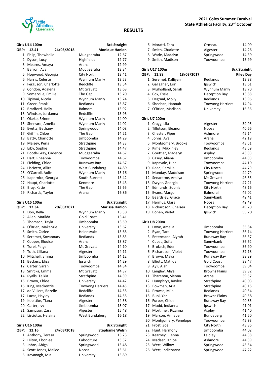

|          | Girls U14 100m         |                                      | <b>Bck Straight</b> |
|----------|------------------------|--------------------------------------|---------------------|
| QBP:     | 24/03/2018<br>12.41    | <b>Monique Hanlon</b>                |                     |
|          | 1 Philp, Thewbelle     | Mudgeeraba                           | 12.67               |
|          | 2 Dyson, Lucy          | Highfields                           | 12.77               |
|          | 3 Mearns, Amaya        | Arana                                | 12.99               |
|          | 4 Barron, Ava          | Mudgeeraba                           | 13.34               |
|          | 5 Hopwood, Georgia     | City North                           | 13.41               |
|          | 6 Harris, Celeste      | Wynnum Manly                         | 13.53               |
|          | 7 Ferguson, Charlotte  | Redcliffe                            | 13.54               |
|          | 8 Condon, Adalena      | Mt Gravatt                           | 13.68               |
|          | 9 Somerville, Emilie   | The Gap                              | 13.70               |
|          | 10 Tipiwai, Nicola     | Wynnum Manly                         | 13.74               |
|          | 11 Greer, Franki       | Redlands                             | 13.87               |
|          | 12 Bradford, Holly     | <b>Balmoral</b>                      | 13.92               |
|          | 13 Windsor, Jordanna   | Redcliffe                            | 13.96               |
|          | 14 Okeke, Ezinne       | Wynnum Manly                         | 14.00               |
|          | 15 Sherrard, Amelia    | Wynnum Manly                         | 14.02               |
|          | 16 Evetts, Bethany     | Springwood                           | 14.08               |
|          | 17 Griffin, Chloe      | The Gap                              | 14.21               |
|          | 18 Batty, Charlotte    | Jimboomba                            | 14.29               |
|          | 19 Maizey, Perla       | Strathpine                           | 14.33               |
|          | 20 Eiby, Sophie        | Strathpine                           | 14.47               |
|          | 21 Booth-Gray, Cadence | Mudgeeraba                           | 14.67               |
|          | 21 Hart, Rheanna       | Toowoomba                            | 14.67               |
|          | 21 Fielding, Chloe     | Runaway Bay                          | 14.67               |
|          | 24 Lisciotto, Allira   | West Bundaberg                       | 14.89               |
|          | 25 O'Carroll, Aoife    | Wynnum Manly                         | 15.16               |
|          | 26 Kapernick, Georgia  | South Burnett                        | 15.42               |
|          | 27 Haupt, Charlotte    | Kenmore                              | 15.43               |
| 28       |                        |                                      |                     |
| 29       | Bray, Katie            | The Gap                              | 15.65<br>16.86      |
|          | Richards, Taylor       | Arana                                |                     |
|          | Girls U15 100m         |                                      | <b>Bck Straight</b> |
| QBP:     | 12.34<br>20/03/2021    |                                      | Marissa Hanlon      |
|          | 1 Doo, Bella           | Wynnum Manly                         | 13.38               |
|          | 2 Allen, Matilda       | <b>Gold Coast</b>                    | 13.41               |
|          | 3 Thomson, Tayla       | Jimboomba                            | 13.59               |
|          | 4 O'Brien, Makenzie    | University                           | 13.62               |
|          | 5 Smith, Carlee        | Helensvale                           | 13.66               |
| 6        | Seremet, Sovannary     | Redlands                             | 13.83               |
|          | 7 Cooper, Elouise      | Arana                                | 13.87               |
| 8        | Turei, Paige           | Mt Gravatt                           | 14.10               |
| 9        | Toth, Lilliana         | Algester                             | 14.11               |
| 10       | Mitchell, Emma         | Jimboomba                            | 14.12               |
| 11       | Beckers, Eliza         | Ipswich                              | 14.29               |
|          | 12 Carter, Sarah       | Toowoomba                            | 14.34               |
| 13       | Smrcka, Emma           | Mt Gravatt                           | 14.37               |
| 14       | Ryalls, Teikia         | Strathpine                           | 14.39               |
| 15       | Brown, Chloe           | University                           | 14.42               |
|          | King, Mackenzie        |                                      |                     |
| 16       | de Villiers, Rozelle   | <b>Toowong Harriers</b><br>Redcliffe | 14.45               |
| 17<br>17 |                        | Redlands                             | 14.55               |
|          | Lucas, Hayley          |                                      | 14.55               |
| 19       | Kopittke, Tiana        | Algester                             | 14.58               |
| 20       | Carter, Ivy            | Jimboomba                            | 15.07               |
| 21       | Sampson, Zara          | Algester                             | 15.48               |
| 22       | Lisciotto, Helaina     | West Bundaberg                       | 16.18               |

Girls U16 100m **Bck Straight** 

| <b>OBP:</b> | 12.16                 | 24/03/2018 |            | <b>Stephanie Welsh</b> |       |
|-------------|-----------------------|------------|------------|------------------------|-------|
|             | 1 Anthony, Teresa     |            | Springwood |                        | 13.23 |
|             | 2 Hilton, Eboniee     |            | Caboolture |                        | 13.32 |
|             | 3 Johns, Abigail      |            | Springwood |                        | 13.48 |
|             | 4 Scott-Jones, Mailee |            | Noosa      |                        | 13.61 |
|             | 5 Kavanagh, Mia       |            | University |                        | 13.89 |

|                | 6 Moratti, Zara      | Ormeau                  | 14.09               |
|----------------|----------------------|-------------------------|---------------------|
|                | 7 Smith, Charlotte   | Algester                | 14.26               |
|                | 8 Wade, Madalyn      | Springwood              | 14.39               |
|                | 9 Smith, Madison     | Toowoomba               | 15.99               |
|                |                      |                         |                     |
|                | Girls U17 100m       |                         | <b>Bck Straight</b> |
| QBP:           | 18/03/2017<br>11.88  |                         | <b>Riley Day</b>    |
| $\mathbf{1}$   | Seremet, Kalliyan    | Redlands                | 13.38               |
| $\mathbf{2}$   | Gallagher, Erin      | Ipswich                 | 13.61               |
| 3              | Mulholland, Sarah    | Wynnum Manly            | 13.70               |
|                | 4 Cox, Essie         | Deception Bay           | 13.88               |
| 5.             | Degraaf, Molly       | Redlands                | 13.96               |
| 6              | Sheehan, Hannah      | <b>Toowong Harriers</b> | 14.94               |
|                | 7 O'Brien, Madison   | University              | 16.36               |
|                |                      |                         |                     |
|                | Girls U7 200m        |                         |                     |
|                | 1 Cragg, Lila        | Algester                | 39.95               |
|                | 2 Tillotson, Eleanor | Noosa                   | 40.66               |
| 3              | Chester, Piper       | Ashmore                 | 42.14               |
|                | 4 Johns, Ava         | Arana                   | 42.19               |
| 5              | Montgomery, Brooke   | Toowoomba               | 43.61               |
|                | 6 Kime, Mikkinley    | Redlands                | 43.69               |
| $\overline{7}$ | Goettler, Madelyn    | Aspley                  | 43.83               |
| 8              | Casey, Aliana        | Jimboomba               | 44.03               |
| 9              | Kapavale, Hina       | Toowoomba               | 44.10               |
|                | 10 Reed, Camilla     | City North              | 44.79               |
|                | 11 Munday, Maddison  | Springwood              | 44.79               |
| 12             | Senaratne, Araliya   | Mt Gravatt              | 46.55               |
| 13             | Dwyer, Georgia       | <b>Toowong Harriers</b> | 47.21               |
| 14             | Edmunds, Sophia      | City North              | 48.16               |
| 15             | Evans, Margo         | <b>Balmoral</b>         | 49.02               |
| 16             | Beardsley, Grace     | Sunnybank               | 49.41               |
| 17             | Hermus, Clara        | Noosa                   | 49.49               |
| 18             | Richardson, Chelsea  | Deception Bay           | 49.70               |
| 19             | Bohen, Violet        | Ipswich                 | 55.70               |
|                |                      |                         |                     |
|                | Girls U8 200m        |                         |                     |
|                | 1 Lowe, Amelia       | Jimboomba               | 35.84               |
|                | 2 Ryan, Tara         | <b>Toowong Harriers</b> | 36.14               |
|                | 3 Entermann, Alyrah  | Runaway Bay             | 36.37               |
|                | 4 Cupac, Sofia       | Sunnybank               | 36.62               |
| 5              | Broksch, Eden        | Toowoomba               | 36.90               |
| 6              | Richardson, Violet   | Toowoomba               | 37.18               |
| 7              | Brown, Maya          | Runaway Bay             | 38.39               |
| 8              | Elliott, Matilda     | <b>Gold Coast</b>       | 38.47               |
| 9              | Ayii, Ajah           | Toowoomba               | 39.04               |
| 10             | Langley, Aliya       | <b>Browns Plains</b>    | 39.32               |
| 11             | Tharenou, Sienna     | Arana                   | 39.57               |
| 12             | Humphrys, Kaylee     | Strathpine              | 40.03               |
| 13             | Bowman, Aria         | Strathpine              | 40.15               |
| 14             | Prowse, Mila         | Redlands                | 40.54               |
| 15             | Buol, Yar            | <b>Browns Plains</b>    | 40.58               |
| 16             | Furber, Chloe        | Runaway Bay             | 40.85               |
| 17             | Mudd, Indianna       | Ipswich                 | 41.01               |
| 18             | Mortimer, Rizanna    | Aspley                  | 41.40               |
| 19             | Marcon, Annabel      | Bundaberg               | 41.50               |
| 20             | Montgomery, Penelope | Toowoomba               | 42.93               |
| 21             | Frost, Zoe           | City North              | 43.36               |
| 22             | Hunt, Harmony        | Jimboomba               | 44.02               |
| 23             | Kearney, Cienna      | Laidley                 | 44.38               |
| 24             | Madsen, Khloe        | Ashmore                 | 44.39               |
| 25             | Wert, Willow         | Springwood              | 45.54               |
| 26             | Wert, Indieharna     | Springwood              | 47.22               |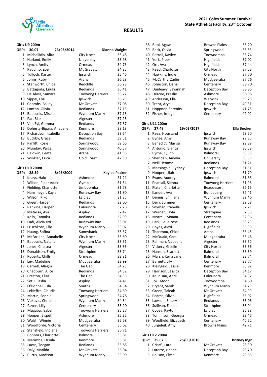

#### **Girls U9 200m**

| QBP: | 30.07<br>23/03/2014      |                         | Dianna Waight |
|------|--------------------------|-------------------------|---------------|
| 1    | Michailidis, Alira       | City North              | 33.48         |
| 2    |                          | University              | 33.98         |
|      | Harland, Emily           |                         |               |
| 3    | Lynch, Amity             | Ormeau                  | 34.73         |
| 4    | Raudino, Zoe             | Mt Gravatt              | 34.85         |
| 5.   | Tulloch, Karter          | Ipswich                 | 35.46         |
| 6    | Johns, Ruby              | Arana                   | 36.28         |
| 7    | Stanworth, Chloe         | Redcliffe               | 36.28         |
| 8    | Battagoda, Enuki         | Redlands                | 36.41         |
| 9    | De Alwis, Samara         | <b>Toowong Harriers</b> | 36.72         |
| 10   | Sippel, Lori             | Ipswich                 | 36.75         |
| 11   | Coombs, Bailey           | Mt Gravatt              | 37.08         |
| 12   | Lonton, Olivia           | Redlands                | 37.13         |
| 13   | Babousis, Mischa         | Wynnum Manly            | 37.16         |
| 14   | Par, Biak                | Algester                | 37.26         |
|      | 15 Van Zyl, Gemma        | Redlands                | 37.67         |
| 16   | Doherty-Bigara, Anabelle | Kenmore                 | 38.18         |
| 17   | Richardson, Isabella     | Deception Bay           | 38.64         |
| 18   | Buckby, Grace            | Redlands                | 39.51         |
| 19   | Parfitt, Rosie           | Springwood              | 39.66         |
| 20   | Munday, Paige            | Springwood              | 40.57         |
| 21   | Baldwin, Gretel          | Arana                   | 41.93         |
| 22   | Winkler, Erica           | <b>Gold Coast</b>       | 42.59         |

#### **Girls U10 200m**

| QBP:           | 28.59                 | 8/03/2009 |                         | Kaylee Packer |
|----------------|-----------------------|-----------|-------------------------|---------------|
| $\mathbf{1}$   | Keays, Halo           |           | Ashmore                 | 31.21         |
| $\overline{2}$ | Wilson, Piper Adair   |           | Gympie                  | 31.54         |
| 3              | Fielding, Charlotte   |           | Jimboomba               | 31.78         |
| 4              | Hansmeyer, Kayla      |           | Runaway Bay             | 31.80         |
| 5              | Wilson, Kiko          |           | Laidley                 | 31.85         |
| 6              | Greer, Harper         |           | Redlands                | 32.00         |
| $\overline{7}$ | Rankine, Harper       |           | Caloundra               | 32.26         |
| 8              | Metassa, Ava          |           | Aspley                  | 32.47         |
| 9              | Kelly, Tamaku         |           | Redlands                | 32.99         |
| 10             | Ludi, Alicia zixi     |           | Runaway Bay             | 33.01         |
| 11             | Frischkorn, Elle      |           | Wynnum Manly            | 33.02         |
| 12             | Huang, Sofina         |           | Sunnybank               | 33.37         |
| 13             | McFarlane, Annabelle  |           | City North              | 33.60         |
|                | 14 Babousis, Natalia  |           | Wynnum Manly            | 33.61         |
| 15             | Jones, Chelsea        |           | Algester                | 33.66         |
| 16             | Donaldson, Emily      |           | Strathpine              | 33.74         |
|                | 17 Roberts, Chilli    |           | Ormeau                  | 33.81         |
| 18             | Ley, Madeline         |           | Mudgeeraba              | 33.99         |
| 19             | Carnell, Allegra      |           | The Gap                 | 34.23         |
| 20             | Chadburn, Alice       |           | Redlands                | 34.32         |
| 21             | Preston, Eliza        |           | The Gap                 | 34.33         |
| 22             | Setu, Sasha           |           | Aspley                  | 34.41         |
|                | 23 O'Donnell, Isla    |           | Souths                  | 34.54         |
| 24             | Lekieffre, Claudia    |           | <b>Toowong Harriers</b> | 34.69         |
| 25             | Martin, Sophie        |           | Springwood              | 34.78         |
| 26             | Vukovic, Christina    |           | Wynnum Manly            | 34.84         |
| 27             | Payne, Lilly          |           | Centenary               | 35.20         |
| 28             | Mugaba, Isabel        |           | <b>Toowong Harriers</b> | 35.27         |
| 29             | Hooper, Elspeth       |           | Ashmore                 | 35.35         |
| 30             | Walsh, Winnie         |           | Mudgeeraba              | 35.58         |
| 31             | Woodforde, Victoria   |           | Centenary               | 35.62         |
| 32             | Stansfield, Indiana   |           | <b>Toowong Harriers</b> | 35.71         |
|                | 33 Connors, Charlotte |           | Balmoral                | 35.81         |
| 34             | Merimba, Ursula       |           | Kenmore                 | 35.81         |
| 35             | Lucas, Teegan         |           | Redlands                | 35.85         |
| 36             | Daly, Matilda         |           | Mt Gravatt              | 35.94         |
| 37             | Curtis, Madison       |           | Wynnum Manly            | 35.99         |

| 38 | Buol, Agaw         | <b>Browns Plains</b> | 36.20 |
|----|--------------------|----------------------|-------|
| 39 | Beck, Olivia       | Springwood           | 36.53 |
| 40 | Carroll, Kaylee    | Toowoomba            | 36.74 |
| 41 | York, Piper        | <b>Highfields</b>    | 37.02 |
|    | 42 Orr, Ava        | <b>Highfields</b>    | 37.44 |
| 43 | Reed, Charlotte    | City North           | 37.53 |
| 44 | Hawkins, Indie     | Ormeau               | 37.70 |
| 45 | McCarthy, Zadie    | Mudgeeraba           | 37.76 |
|    | 46 Johnston, Liana | Centenary            | 38.70 |
| 47 | Dunleavy, Savannah | Deception Bay        | 38.85 |
| 48 | Hercoe, Preslie    | Ashmore              | 38.95 |
| 49 | Anderson, Ella     | Warwick              | 39.28 |
| 50 | Trent, Arya        | Deception Bay        | 40.31 |
| 51 | Hoppner, Serenity  | Ipswich              | 41.75 |
| 52 | Fisher, Imogen     | Centenary            | 42.02 |

|             | <b>Girls U11 200m</b> |            |                         |             |
|-------------|-----------------------|------------|-------------------------|-------------|
| <b>OBP:</b> | 27.49                 | 19/03/2017 |                         | Ella Booker |
| 1           | Paea, Houstand        |            | Ipswich                 | 28.50       |
| 2           | Bynge, Amy            |            | Runaway Bay             | 29.85       |
| 3           | Benedict, Marisa      |            | Runaway Bay             | 29.89       |
| 4           | Antonio, Bianca       |            | Ipswich                 | 30.58       |
| 5           | Byrne, Quinn          |            | Balmoral                | 30.88       |
| 6           | Sheridan, Amelia      |            | University              | 30.89       |
| 7           | Neill, Jemma          |            | Redlands                | 31.21       |
| 8           | Massingale, Cydney    |            | Deception Bay           | 31.51       |
| 9           | Hooper, Lilah         |            | Ipswich                 | 31.70       |
| 10          | Evans, Audrey         |            | <b>Balmoral</b>         | 31.86       |
| 11          | Pearsall, Sienna      |            | <b>Toowong Harriers</b> | 31.96       |
| 12          | Platell, Charlotte    |            | <b>Beaudesert</b>       | 32.15       |
| 13          | Ilander, Ava          |            | <b>Bundaberg</b>        | 32.41       |
| 14          | Dennis, Emiliana      |            | Wynnum Manly            | 32.46       |
| 15          | Dein, Summer          |            | Centenary               | 32.58       |
| 16          | Snyman, Izabella      |            | Ipswich                 | 32.71       |
| 17          | Wernet, Layla         |            | Strathpine              | 32.83       |
| 18          | Morrell, Moana        |            | Centenary               | 32.96       |
| 19          | Park, Bella-rose      |            | Redlands                | 33.23       |
| 20          | Boyes, Alexi          |            | <b>Highfields</b>       | 33.33       |
| 21          | Tharenou, Chloe       |            | Arana                   | 33.45       |
| 22          | McQuaid, Cara         |            | Mudgeeraba              | 33.46       |
| 23          | Rahman, Nabeeha       |            | Algester                | 33.52       |
| 24          | Vickery, Giselle      |            | City North              | 33.56       |
| 25          | Hanson, Scarlett      |            | <b>Balmoral</b>         | 33.59       |
| 26          | Marsh, Keira Jane     |            | <b>Balmoral</b>         | 33.74       |
| 27          | Barnett, Lily         |            | Centenary               | 33.77       |
| 28          | Kleingeld, Jessie     |            | Kenmore                 | 33.92       |
| 29          | Harrison, Jessica     |            | Deception Bay           | 34.17       |
| 30          | Kolinisau, April      |            | Caloundra               | 34.37       |
| 31          | Jok, Atoor            |            | Toowoomba               | 34.60       |
| 32          | Bryant, Sarah         |            | Wynnum Manly            | 34.79       |
| 33          | Green, Taleah         |            | Mt Gravatt              | 34.99       |
| 34          | Pearce, Olivia        |            | Highfields              | 35.02       |
| 35          | Lawson, Emery         |            | Redlands                | 35.06       |
| 36          | Sullivan, Eliana      |            | Strathpine              | 36.04       |
| 37          | Covey, Payton         |            | Laidley                 | 36.38       |
| 38          | Tomlinson, Georgia    |            | Ormeau                  | 38.46       |
| 39          | Woolfield, Elizabeth  |            | Centenary               | 40.52       |
| 40          | Jurgeleit, Amy        |            | <b>Browns Plains</b>    | 42.71       |

#### **Girls U12 200m**

| OBP: 25.67        | 25/03/2018 |               | <b>Britney Ingr</b> |
|-------------------|------------|---------------|---------------------|
| 1 Crisafi, Lara   |            | Mt Gravatt    | 28.30               |
| 2 Laterre, zihade |            | Deception Bay | 28.70               |
| 3 Rolison, Elyse  |            | Kenmore       | 28.85               |

#### **RESULTS**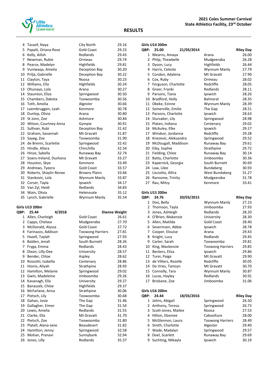

| 4    | Tassell, Naya                       | City North              | 29.16                |
|------|-------------------------------------|-------------------------|----------------------|
| 5    | Papalii, Oriana-Rose                | <b>Gold Coast</b>       | 29.23                |
| 6    | Kelly, Ailish                       | Redlands                | 29.43                |
| 7    | Newman, Rubie                       | Ormeau                  | 29.74                |
| 8    | Pearce, Madelyn                     | Highfields              | 29.81                |
| 9    | Vuniwaga, Amelia                    | Deception Bay           | 30.20                |
| 10   | Prilja, Gabrielle                   | Deception Bay           | 30.22                |
|      | 11 Clayton, Taya                    | Noosa                   | 30.23                |
|      | 12 Williams, Ella                   | Highfields              | 30.24                |
|      |                                     |                         | 30.27                |
| 13   | Ohunayo, Lola                       | Arana                   |                      |
| 14   | Staunton, Eliza                     | Springwood              | 30.50                |
|      | 15 Chambers, Dakota                 | Toowoomba               | 30.56                |
|      | 16 Toth, Amelia                     | Algester                | 30.66                |
| 17   | Leembruggen, Leah                   | Kenmore                 | 30.78                |
| 18   | Dunlop, Olivia                      | Arana                   | 30.80                |
| 19   | St Jonn, Zoe                        | Ashmore                 | 30.84                |
|      | 20 Wilson, Courtney Anna            | Gympie                  | 30.91                |
|      | 21 Sullivan, Rubi                   | Deception Bay           | 31.42                |
|      | 22 Graham, Savannah                 | Mt Gravatt              | 31.87                |
| 23   | Sayeg, Zoe                          | Toowoomba               | 31.90                |
|      | 24 de Brenni, Scarlette             | Springwood              | 32.42                |
| 25   | Hindle, Allara                      | Chinchilla              | 32.54                |
| 26   | Hinze, Sybella                      | Runaway Bay             | 32.74                |
| 27   | Soans-Ireland, Dushana              | Mt Gravatt              | 33.27                |
|      | 28 Houston, Skye                    | Kenmore                 | 33.49                |
| 29   | Andrews, Tyeera                     | <b>Gold Coast</b>       | 33.57                |
|      | 30 Roberts, Shaylin Renee           | <b>Browns Plains</b>    | 33.66                |
| 31   | Stankovic, Lola                     | Wynnum Manly            | 33.87                |
| 32   | Corser, Tayla                       | Ipswich                 | 34.17                |
|      | 33 Van Zyl, Heidi                   | Redlands                | 34.83                |
|      |                                     |                         |                      |
|      |                                     | Helensvale              | 35.12                |
| 35   | 34 Wain, Olivia<br>Lynch, Gabrielle | Wynnum Manly            | 35.54                |
|      |                                     |                         |                      |
|      | Girls U13 200m                      |                         |                      |
| QBP: | 25.44<br>4/2018                     |                         | <b>Dianne Waight</b> |
|      | 1 Allen, Charleigh                  | <b>Gold Coast</b>       | 26.61                |
| 2    | Capps, Chelsea                      | Mudgeeraba              | 27.70                |
| 3    | McDonald, Alyssa                    | <b>Gold Coast</b>       | 27.72                |
| 4    | Farinazzo, Addison                  | <b>Toowong Harriers</b> | 27.81                |
| 5    | Hazell, Taylah                      | Springwood              | 27.93                |
| 6    | Bolden, Jenali                      | South Burnett           | 28.26                |
| 7    | Fryga, Emma                         | Redlands                | 28.43                |
| 8    | Dixon, Lilly-Dee                    | University              | 28.57                |
| 9    | Bender, Chloe                       | Aspley                  | 28.62                |
| 10   | Rossotti, Isabella                  | Centenary               | 28.86                |
| 11   | Hionis, Aliyah                      | Strathpine              | 28.93                |
| 12   | Hamilton, Melanie                   | Springwood              | 29.02                |
| 13   | Gwin, Madeleine                     | Jimboomba               | 29.26                |
| 14   | Kavanagh, Ella                      | University              | 29.27                |
| 15   | Banaszek, Chloe                     | Highfields              | 29.37                |
| 16   | McFarlane, Anna                     | Strathpine              | 30.06                |
| 17   | Pietsch, Lily                       | Toowoomba               | 30.68                |
| 18   | Gahan, Josie                        | The Gap                 | 31.46                |
| 19   | Gallagher, Eimer                    | The Gap                 | 31.54                |
| 20   | Lewis, Amelia                       | Redlands                | 31.55                |
| 21   | Clarke, Ella                        | Mt Gravatt              | 31.70                |
| 22   | Pietsch, Zoe                        | Toowoomba               | 31.80                |
| 23   | Platell, Alana-Jane                 | <b>Beaudesert</b>       | 31.82                |
| 24   | Hamilton, Jenny                     | Springwood              | 32.58                |
| 25   | Mohan, Pranavi                      | Sunnybank               | 32.94                |

|                 | <b>Girls U14 200m</b> |            |                |                  |
|-----------------|-----------------------|------------|----------------|------------------|
| QBP:            | 25.00                 | 21/03/2014 |                | <b>Riley Day</b> |
| 1               | Mearns, Amaya         |            | Arana          | 26.00            |
| $\mathbf{2}$    | Philp, Thewbelle      |            | Mudgeeraba     | 26.28            |
| $\mathbf{3}$    | Dyson, Lucy           |            | Highfields     | 26.44            |
| 4               | Harris, Celeste       |            | Wynnum Manly   | 27.79            |
| 5.              | Condon, Adalena       |            | Mt Gravatt     | 27.90            |
| 6               | Cox, Ruby             |            | Ormeau         | 28.02            |
| 7               | Ferguson, Charlotte   |            | Redcliffe      | 28.05            |
|                 | 8 Greer, Franki       |            | Redlands       | 28.11            |
| 9               | Parsons, Tiana        |            | Ipswich        | 28.26            |
| 10              | Bradford, Holly       |            | Balmoral       | 28.35            |
|                 | 11 Okeke, Ezinne      |            | Wynnum Manly   | 28.39            |
|                 | 12 Somerville, Emilie |            | The Gap        | 28.51            |
|                 | 13 Parsons, Charlotte |            | Ipswich        | 28.63            |
| 14              | Sturzaker, Lily       |            | Springwood     | 28.98            |
| 15 <sup>1</sup> | Platen, Indiana       |            | Centenary      | 29.02            |
| 16              | McAuley, Elke         |            | Ipswich        | 29.17            |
|                 | 17 Windsor, Jordanna  |            | Redcliffe      | 29.28            |
| 18              | Knezevic, Aleksandra  |            | Springwood     | 29.52            |
| 19              | McDougall, Maddison   |            | Runaway Bay    | 29.61            |
|                 | 20 Eiby, Sophie       |            | Strathpine     | 29.72            |
| 21              | Fielding, Chloe       |            | Runaway Bay    | 30.14            |
|                 | 22 Batty, Charlotte   |            | Jimboomba      | 30.36            |
| 23              | Kapernick, Georgia    |            | South Burnett  | 30.69            |
|                 | 24 Law, Lilee         |            | Bundaberg      | 30.93            |
|                 | 25 Lisciotto, Allira  |            | West Bundaberg | 31.27            |
| 26              | Ransome, Trinity      |            | Mudgeeraba     | 31.78            |
| 27              | Rau, Mitzy            |            | Kenmore        | 33.41            |
|                 | Girle 1115 200m       |            |                |                  |

#### **Girls U15 200m**

| <b>OBP:</b> | 24.76                | 20/03/2015 |                         | <b>Riley Day</b> |
|-------------|----------------------|------------|-------------------------|------------------|
| 1           | Doo, Bella           |            | Wynnum Manly            | 27.23            |
| 2           | Thomson, Tayla       |            | Jimboomba               | 27.93            |
| 3           | Jones, Ashleigh      |            | Redlands                | 28.20            |
| 4           | O'Brien, Makenzie    |            | University              | 28.30            |
| 5           | Allen, Matilda       |            | Gold Coast              | 28.40            |
| 6           | Severinsen, Abbie    |            | Ipswich                 | 28.78            |
| 7           | Cooper, Elouise      |            | Arana                   | 29.43            |
| 8           | Knight, Lucy         |            | Redlands                | 29.45            |
| 9           | Carter, Sarah        |            | Toowoomba               | 29.81            |
| 10          | King, Mackenzie      |            | <b>Toowong Harriers</b> | 29.85            |
| 11          | Beckers, Eliza       |            | Ipswich                 | 29.86            |
| 12          | Turei, Paige         |            | Mt Gravatt              | 29.90            |
| 13          | de Villiers, Rozelle |            | Redcliffe               | 30.05            |
| 14          | De Vries, Tamsyn     |            | Mt Gravatt              | 30.70            |
| 15          | Connolly, Tara       |            | Wynnum Manly            | 30.87            |
| 16          | Lucas, Hayley        |            | Redlands                | 30.91            |
| 17          | Brisbane, Zoe        |            | Jimboomba               | 31.06            |
|             |                      |            |                         |                  |

|             | <b>Girls U16 200m</b> |            |                         |                  |
|-------------|-----------------------|------------|-------------------------|------------------|
| <b>QBP:</b> | 24.44                 | 18/03/2016 |                         | <b>Riley Day</b> |
| 1           | Johns, Abigail        |            | Springwood              | 26.50            |
|             | 2 Anthony, Teresa     |            | Springwood              | 26.73            |
|             | 3 Scott-Jones, Mailee |            | Noosa                   | 27.53            |
| 4           | Hilton, Eboniee       |            | Caboolture              | 28.00            |
|             | 5 McGlennon, Laura    |            | <b>Toowong Harriers</b> | 28.49            |
|             | 6 Smith, Charlotte    |            | Algester                | 29.40            |
|             | Wade, Madalyn         |            | Springwood              | 29.57            |
| 8           | Doel, Scarlett        |            | Runaway Bay             | 29.69            |
| 9           | Suchting, Mikayla     |            | Ipswich                 | 30.19            |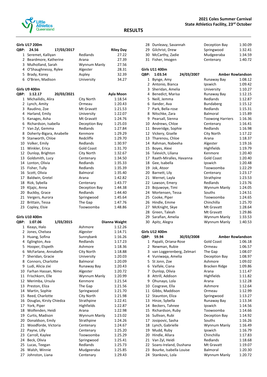

#### **Girls U17 200m**

| QBP:         | 24.56                    | 17/03/2017 |                   | <b>Riley Day</b> |
|--------------|--------------------------|------------|-------------------|------------------|
| 1            | Seremet, Kalliyan        |            | Redlands          | 27.22            |
| 2            | Beardmore, Katherine     |            | Arana             | 27.39            |
| 3            | Mulholland, Sarah        |            | Wynnum Manly      | 27.56            |
| 4            | O'Shaughnessy, Rylee     |            | Algester          | 28.31            |
| 5            | Brady, Korey             |            | Aspley            | 32.39            |
| 6            | O'Brien, Madison         |            | University        | 34.27            |
|              | Girls U9 400m            |            |                   |                  |
| QBP:         | 1:12.17                  | 20/03/2021 |                   | Ayla Moon        |
| $\mathbf{1}$ | Michailidis, Alira       |            | City North        | 1:18.54          |
| 2            | Lynch, Amity             |            | Ormeau            | 1:20.43          |
| 3            | Raudino, Zoe             |            | Mt Gravatt        | 1:21.53          |
| 4            | Harland, Emily           |            | University        | 1:22.07          |
| 5            | Kanages, Asha            |            | Mt Gravatt        | 1:24.76          |
| 6            | Richardson, Isabella     |            | Deception Bay     | 1:25.03          |
| 7            | Van Zyl, Gemma           |            | Redlands          | 1:27.84          |
| 8            | Doherty-Bigara, Anabelle |            | Kenmore           | 1:29.29          |
| 9            | Stanworth, Chloe         |            | Redcliffe         | 1:29.70          |
| 10           | Volker, Emily            |            | Redlands          | 1:30.97          |
| 11           | Winkler, Erica           |            | <b>Gold Coast</b> | 1:31.70          |
| 12           | Dunlop, Brighton         |            | City North        | 1:32.67          |
| 13           | Goldsmith, Lucy          |            | Centenary         | 1:34.50          |
| 14           | Lonton, Olivia           |            | Redlands          | 1:35.33          |
| 15           | Fisher, Tully            |            | Redlands          | 1:35.39          |
| 16           | Scott, Olivia            |            | <b>Balmoral</b>   | 1:35.40          |
| 17           | Baldwin, Gretel          |            | Arana             | 1:42.82          |

| 15 Fisher, Tully   | Redlands      | 1:35.39 |
|--------------------|---------------|---------|
| 16 Scott, Olivia   | Balmoral      | 1:35.40 |
| 17 Baldwin, Gretel | Arana         | 1:42.82 |
| 18 Rizk, Sybella   | Centenary     | 1:43.77 |
| 19 Kljajic, Anna   | Deception Bay | 1:44.38 |
| 20 Buckby, Grace   | Redlands      | 1:44.40 |
| 21 Vergers, Aurora | Springwood    | 1:45.64 |
| 22 Brittain, Tessa | The Gap       | 1:47.76 |
| 23 Copley, Elsie   | Toowoomba     | 1:48.86 |

|              | <b>Girls U10 400m</b>   |           |              |               |
|--------------|-------------------------|-----------|--------------|---------------|
| QBP:         | 1:07.06                 | 1/03/2015 |              | Dianna Waight |
| $\mathbf{1}$ | Keays, Halo             |           | Ashmore      | 1:12.26       |
| $\mathbf{2}$ | Jones, Chelsea          |           | Algester     | 1:14.71       |
| 3            | Huang, Sofina           |           | Sunnybank    | 1:16.26       |
| 4            | Eglington, Ava          |           | Redlands     | 1:17.23       |
| 5            | Hooper, Elspeth         |           | Ashmore      | 1:18.36       |
| 6            | McFarlane, Annabelle    |           | City North   | 1:18.88       |
| 7            | Sheridan, Gracie        |           | University   | 1:20.03       |
| 8            | Connors, Charlotte      |           | Balmoral     | 1:20.09       |
| 9            | Ludi, Alicia zixi       |           | Runaway Bay  | 1:20.43       |
| 10           | Farhan Hassan, Nimo     |           | Algester     | 1:20.72       |
| 11           | Frischkorn, Elle        |           | Wynnum Manly | 1:20.99       |
| 12           | Merimba, Ursula         |           | Kenmore      | 1:21.54       |
| 13           | Preston, Eliza          |           | The Gap      | 1:21.56       |
| 14           | Martin, Sophie          |           | Springwood   | 1:21.70       |
| 15           | Reed, Charlotte         |           | City North   | 1:21.98       |
| 16           | Douglas, Kirsty Chiedza |           | Strathpine   | 1:22.41       |
|              | 17 York, Piper          |           | Highfields   | 1:22.87       |
| 18           | Wolfenden, Heidi        |           | Arana        | 1:22.98       |
| 19           | Curtis, Madison         |           | Wynnum Manly | 1:23.02       |
| 20           | Donaldson, Emily        |           | Strathpine   | 1:24.26       |
| 21           | Woodforde, Victoria     |           | Centenary    | 1:24.67       |
| 22           | Payne, Lilly            |           | Centenary    | 1:25.20       |
| 23           | Carroll, Kaylee         |           | Toowoomba    | 1:25.29       |
| 24           | Beck, Olivia            |           | Springwood   | 1:25.41       |
| 25           | Lucas, Teegan           |           | Redlands     | 1:25.73       |
| 26           | Walsh, Winnie           |           | Mudgeeraba   | 1:25.85       |
| 27           | Johnston, Liana         |           | Centenary    | 1:29.43       |

#### **2021 Coles Summer Carnival State Athletics Facility, 23rd October**

| 28             | Dunleavy, Savannah      |            | Deception Bay           | 1:30.09 |
|----------------|-------------------------|------------|-------------------------|---------|
| 29             | Gilchrist, Drew         |            | Springwood              | 1:32.41 |
| 30             | McCarthy, Zadie         |            | Mudgeeraba              | 1:34.59 |
| 31             | Fisher, Imogen          |            | Centenary               | 1:40.72 |
|                | <b>Girls U11 400m</b>   |            |                         |         |
| QBP:           | 1:03.54                 | 24/03/2007 | <b>Amber Rowlandson</b> |         |
| 1              | Bynge, Amy              |            | Runaway Bay             | 1:08.12 |
| $\overline{2}$ | Antonio, Bianca         |            | Ipswich                 | 1:09.42 |
| 3              | Sheridan, Amelia        |            | University              | 1:10.27 |
| 4              | Benedict, Marisa        |            | Runaway Bay             | 1:12.15 |
| 5              | Neill, Jemma            |            | Redlands                | 1:12.87 |
| 6              | Ilander, Ava            |            | Bundaberg               | 1:15.12 |
| 7              | Park, Bella-rose        |            | Redlands                | 1:15.31 |
| 8              | Nitschke, Zara          |            | Balmoral                | 1:15.89 |
| 9              | Pearsall, Sienna        |            | <b>Toowong Harriers</b> | 1:16.36 |
| 10             | Andrews, Chloe          |            | Centenary               | 1:16.41 |
| 11             | Beveridge, Sophie       |            | Redlands                | 1:16.98 |
| 12             | Vickery, Giselle        |            | City North              | 1:17.22 |
| 13             | Tharenou, Chloe         |            | Arana                   | 1:18.37 |
| 14             | Rahman, Nabeeha         |            | Algester                | 1:19.16 |
| 15             | Boyes, Alexi            |            | Highfields              | 1:19.79 |
| 16             | Talevich, Liliana       |            | Kenmore                 | 1:20.40 |
| 17             | Raath-Miralles, Havanna |            | <b>Gold Coast</b>       | 1:20.40 |
| 18             | Gee, Isabella           |            | Ipswich                 | 1:20.48 |
| 19             | Jok, Atoor              |            | Toowoomba               | 1:22.29 |
| 20             | Barnett, Lily           |            | Centenary               | 1:23.17 |
| 21             | Wernet, Layla           |            | Strathpine              | 1:23.53 |
| 22             | Lawson, Emery           |            | Redlands                | 1:23.76 |
| 23             | Bojuwoye, Timi          |            | Wynnum Manly            | 1:24.05 |
| 24             | Mortensen, Tessa        |            | Souths                  | 1:24.51 |
| 25             | Cooke, Piper            |            | Toowoomba               | 1:24.65 |
| 26             | Hindle, Emme            |            | Chinchilla              | 1:25.70 |
| 27             | McKnight, Skye          |            | Mt Gravatt              | 1:28.64 |
| 28             | Green, Taleah           |            | Mt Gravatt              | 1:29.86 |
| 29             | Sarafian, Amelia        |            | Wynnum Manly            | 1:33.53 |
| 30             | Apitz, Alegra           |            | Wynnum Manly            | 1:40.53 |

#### **Girls U12 400m**

**RESULTS**

| QBP:         | 59.94                     | 30/03/2008                |                   | <b>Amber Rowlandson</b> |
|--------------|---------------------------|---------------------------|-------------------|-------------------------|
| $\mathbf{1}$ | Papalii, Oriana-Rose      |                           | <b>Gold Coast</b> | 1:06.18                 |
| 2            | Newman, Rubie             |                           | Ormeau            | 1:06.57                 |
| 3            |                           | van Loggerenberg, Zelmari | The Gap           | 1:08.07                 |
| 4            | Vuniwaga, Amelia          |                           | Deception Bay     | 1:08.97                 |
| 5.           | St Jonn, Zoe              |                           | Ashmore           | 1:09.02                 |
| 6            | Vaifale, Ciana            |                           | Bracken Ridge     | 1:09.86                 |
| 7            | Dunlop, Olivia            |                           | Arana             | 1:11.47                 |
| 8            | Attrill, Addison          |                           | Highfields        | 1:11.82                 |
| 9            | Ohunayo, Lola             |                           | Arana             | 1:12.28                 |
| 10           | Cosgrave, Ella            |                           | Ashmore           | 1:12.64                 |
| 11           | Gibbs, Maddison           |                           | Ormeau            | 1:12.99                 |
| 12           | Staunton, Eliza           |                           | Springwood        | 1:13.27                 |
| 13           | Hinze, Sybella            |                           | Runaway Bay       | 1:13.34                 |
| 14           | Beckers, Tahnee           |                           | Ipswich           | 1:14.56                 |
| 15           | Richardson, Ruby          |                           | Toowoomba         | 1:14.66                 |
| 16           | Sullivan, Rubi            |                           | Deception Bay     | 1:14.92                 |
| 17           | Josipovic, Sasha          |                           | Souths            | 1:16.26                 |
| 18           | Lynch, Gabrielle          |                           | Wynnum Manly      | 1:16.49                 |
| 19           | Mudd, Ruby                |                           | Ipswich           | 1:16.79                 |
| 20           | Hindle, Allara            |                           | Chinchilla        | 1:17.83                 |
|              | 21 Van Zyl, Heidi         |                           | Redlands          | 1:18.68                 |
|              | 22 Soans-Ireland, Dushana |                           | Mt Gravatt        | 1:19.07                 |
| 23           | Bourke, Isabella Louise   |                           | <b>Balmoral</b>   | 1:20.30                 |
| 24           | Stankovic, Lola           |                           | Wynnum Manly      | 1:20.72                 |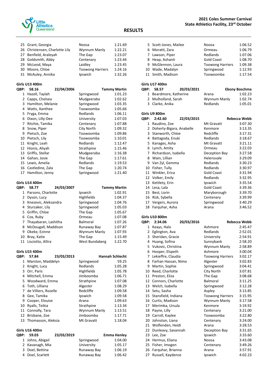

|             | 25 Grant, Georgia              | Noosa                   | 1:21.69                |
|-------------|--------------------------------|-------------------------|------------------------|
|             | 26 Christensen, Charlotte Lily | Wynnum Manly            | 1:22.21                |
|             | 27 Benfield, Araleyah          | The Gap                 | 1:23.07                |
|             | 28 Goldsmith, Abby             | Centenary               | 1:23.44                |
|             | 29 McLeod, Maya                | Laidley                 | 1:23.45                |
|             | 30 Moore, Chloe                | <b>Toowong Harriers</b> | 1:24.16                |
| 31          | McAuley, Annika                | Ipswich                 | 1:32.26                |
|             | Girls U13 400m                 |                         |                        |
| QBP:        | 58.16<br>22/04/2006            |                         | <b>Tammy Martin</b>    |
|             | 1 Hazell, Taylah               | Springwood              | 1:01.23                |
|             | 2 Capps, Chelsea               | Mudgeeraba              | 1:02.62                |
|             | 3 Hamilton, Melanie            | Springwood              | 1:03.35                |
|             | 4 Watts, Xanthee               | Toowoomba               | 1:05.66                |
|             | 5 Fryga, Emma                  | Redlands                | 1:06.11                |
| 6           | Dixon, Lilly-Dee               | University              | 1:07.03                |
|             | 7 Ritchie, Tamika              | Centenary               | 1:07.88                |
| 8           | Snow, Piper                    | City North              | 1:09.32                |
|             | 9 Pietsch, Zoe                 | Toowoomba               | 1:09.86                |
|             | 10 Pietsch, Lily               | Toowoomba               | 1:10.01                |
| 11          | Knight, Leah                   | Redlands                | 1:12.47                |
| 12          | Hionis, Aliyah                 | Strathpine              | 1:15.46                |
|             | 13 Griffis, Stellar            | Mudgeeraba              | 1:16.38                |
|             | 14 Gahan, Josie                | The Gap                 | 1:17.61                |
|             | 15 Lewis, Amelia               | Redlands                | 1:19.53                |
|             | 16 Castledine, Zala            | The Gap                 | 1:20.74                |
| 17          | Hamilton, Jenny                | Springwood              | 1:21.40                |
|             |                                |                         |                        |
|             | Girls U14 400m                 |                         |                        |
| QBP:        | 24/03/2007<br>58.77            |                         | Tammy Martin           |
| 1           | Parsons, Charlotte             | Ipswich                 | 1:02.91                |
|             | 2 Dyson, Lucy                  | Highfields              | 1:04.37                |
|             | 3 Knezevic, Aleksandra         | Springwood              | 1:04.76                |
|             | 4 Sturzaker, Lily              | Springwood              | 1:05.03                |
|             | 5 Griffin, Chloe               | The Gap                 | 1:05.67                |
|             | 6 Cox, Ruby                    | Ormeau                  | 1:07.08                |
|             | 7 Thayabaran, Lashitha         | Balmoral                | 1:07.26                |
|             | 8 McDougall, Maddison          | Runaway Bay             | 1:07.87                |
| 9           | Okeke, Ezinne                  | Wynnum Manly            | 1:07.93                |
| 10          | Bray, Katie                    | The Gap                 | 1:15.49                |
| 11          | Lisciotto, Allira              | West Bundaberg          | 1:22.70                |
|             | Girls U15 400m                 |                         |                        |
| QBP:        | 23/03/2013<br>57.84            |                         | <b>Hannah Schlecht</b> |
| $\mathbf 1$ | Marston, Maddelyn              | Springwood              | 59.25                  |
| 2           | Knight, Lucy                   | Redlands                | 1:05.28                |
|             | 3 Orr, Paris                   | Highfields              | 1:05.78                |
|             | 4 Mitchell, Emma               | Jimboomba               | 1:06.71                |
|             | 5 Woodward, Emma               | Strathpine              | 1:07.08                |
|             | 6 Toth, Lilliana               | Algester                | 1:08.29                |
| 7           | de Villiers, Rozelle           | Redcliffe               | 1:09.58                |
| 8           | Gee, Tamika                    | Ipswich                 | 1:09.58                |

|              | <b>Girls U17 400m</b>    |            |                   |                      |
|--------------|--------------------------|------------|-------------------|----------------------|
| QBP:         | 58.57                    | 20/03/2021 |                   | <b>Ebony Boschma</b> |
|              | 1 Beardmore, Katherine   |            | Arana             | 1:02.23              |
| $\mathbf{2}$ | Mulholland, Sarah        |            | Wynnum Manly      | 1:02.74              |
|              | 3 Clarke, Anika          |            | Redlands          | 1:05.01              |
|              | Girls U9 800m            |            |                   |                      |
| QBP:         | 2:42.60                  | 22/03/2015 |                   | <b>Rebecca Webb</b>  |
| $\mathbf{1}$ | Raudino, Zoe             |            | Mt Gravatt        | 3:07.30              |
| $\mathbf{2}$ | Doherty-Bigara, Anabelle |            | Kenmore           | 3:13.35              |
|              | 3 Stanworth, Chloe       |            | Redcliffe         | 3:17.31              |
| 4            | Battagoda, Enuki         |            | Redlands          | 3:18.67              |
| 5.           | Kanages, Asha            |            | Mt Gravatt        | 3:21.11              |
| 6            | Lynch, Amity             |            | Ormeau            | 3:22.03              |
|              | 7 Richardson, Isabella   |            | Deception Bay     | 3:27.58              |
|              | 8 Wain, Lillian          |            | Helensvale        | 3:29.09              |
|              | 9 Van Zyl, Gemma         |            | Redlands          | 3:30.23              |
| 10           | Fisher, Tully            |            | Redlands          | 3:30.97              |
|              | 11 Winkler, Erica        |            | Gold Coast        | 3:31.94              |
|              | 12 Volker, Emily         |            | Redlands          | 3:32.95              |
|              | 13 Kettlety, Erin        |            | Ipswich           | 3:35.54              |
|              | 14 Lesa, Lala            |            | <b>Gold Coast</b> | 3:39.36              |
| 15           | Best, Lorin              |            | Maryborough       | 3:39.70              |
|              | 16 Rizk, Sybella         |            | Centenary         | 3:39.99              |
|              | 17 Vergers, Aurora       |            | Springwood        | 3:40.29              |
| 18           | Farguhar, Asha           |            | Arana             | 3:46.52              |
|              | <b>Girls U10 800m</b>    |            |                   |                      |

 Scott-Jones, Mailee Noosa 1:06.52 Moratti, Zara Ormeau 1:06.79 7 Lawson, Piper Redlands 1:07.06 8 Heap, Ashanti Gold Coast 1:08.70 9 McGlennon, Laura Toowong Harriers 1:09.38 10 Wade, Madalyn Springwood 1:12.93 Smith, Madison Toowoomba 1:17.54

| QBP:           | 2:34.06             | 20/03/2016 |                         | Rebecca Webb |
|----------------|---------------------|------------|-------------------------|--------------|
| 1              | Keays, Halo         |            | Ashmore                 | 2:45.47      |
| $\overline{2}$ | Eglington, Ava      |            | Redlands                | 2:52.01      |
| 3              | Sheridan, Gracie    |            | University              | 2:54.91      |
| 4              | Huang, Sofina       |            | Sunnybank               | 2:58.20      |
| 5              | Vukovic, Christina  |            | Wynnum Manly            | 2:58.89      |
| 6              | Hooper, Elspeth     |            | Ashmore                 | 3:00.04      |
| 7              | Lekieffre, Claudia  |            | <b>Toowong Harriers</b> | 3:02.17      |
| 8              | Farhan Hassan, Nimo |            | Algester                | 3:02.83      |
| 9              | Martin, Sophie      |            | Springwood              | 3:04.41      |
| 10             | Reed, Charlotte     |            | City North              | 3:07.81      |
| 11             | Preston, Eliza      |            | The Gap                 | 3:08.68      |
| 12             | Connors, Charlotte  |            | Balmoral                | 3:11.25      |
| 13             | Welch, Isabella     |            | Springwood              | 3:12.28      |
| 14             | Setu, Sasha         |            | Aspley                  | 3:13.85      |
| 15             | Stansfield, Indiana |            | <b>Toowong Harriers</b> | 3:15.95      |
| 16             | Curtis, Madison     |            | Wynnum Manly            | 3:17.58      |
| 17             | Merimba, Ursula     |            | Kenmore                 | 3:19.92      |
| 18             | Payne, Lilly        |            | Centenary               | 3:21.00      |
| 19             | Carroll, Kaylee     |            | Toowoomba               | 3:22.80      |
| 20             | Johnston, Liana     |            | Centenary               | 3:24.00      |
| 21             | Wolfenden, Heidi    |            | Arana                   | 3:28.53      |
| 22             | Dunleavy, Savannah  |            | Deception Bay           | 3:31.65      |
| 23             | Lee, Zoe            |            | Ipswich                 | 3:33.60      |
| 24             | Hermus, Eliana      |            | Noosa                   | 3:43.08      |
| 25             | Fisher, Imogen      |            | Centenary               | 3:49.26      |
| 26             | Farquhar, Brianna   |            | Arana                   | 3:57.91      |
| 27             | Russell, Kaydence   |            | Ipswich                 | 4:02.23      |

11 Connolly, Tara

| 23/03/2019                                                                               |             | <b>Emma Henley</b> |
|------------------------------------------------------------------------------------------|-------------|--------------------|
|                                                                                          | Springwood  | 1:04.00            |
|                                                                                          | University  | 1:05.17            |
|                                                                                          | Runaway Bay | 1:06.19            |
|                                                                                          | Runaway Bay | 1:06.42            |
| QBP: 59.03<br>1 Johns, Abigail<br>2 Kavanagh, Mia<br>3 Doel, Bettina<br>4 Doel, Scarlett |             |                    |

9 Cooper, Elouise **Arana** 1:09.63 10 Ryalls, Teikia **1:13.34**<br>11 Connolly, Tara 11 Connolly, Tara 1:13.51

 Brisbane, Zoe Jimboomba 1:17.71 13 Thomasson, Aleksia Mt Gravatt 1:18.04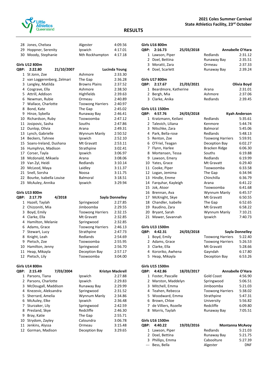

#### **2021 Coles Summer Carnival State Athletics Facility, 23rd October**

#### **RESULTS**

| 28 Jones, Chelsea     |            | Algester        | 4:09.56       |
|-----------------------|------------|-----------------|---------------|
| 29 Hoppner, Serenity  |            | Ipswich         | 4:17.01       |
| 30 Moody, Stephanie   |            | Nth Rockhampton | 4:17.18       |
| <b>Girls U12 800m</b> |            |                 |               |
| QBP: 2:22.80          | 21/10/2007 |                 | Lucinda Young |

|    | -------                   | 41/10/100 |                         | LUCHIUG TUUHA |
|----|---------------------------|-----------|-------------------------|---------------|
| 1  | St Jonn, Zoe              |           | Ashmore                 | 2:33.30       |
| 2  | van Loggerenberg, Zelmari |           | The Gap                 | 2:36.28       |
| 3  | Langley, Matilda          |           | <b>Browns Plains</b>    | 2:37.52       |
| 4  | Cosgrave, Ella            |           | Ashmore                 | 2:38.50       |
| 5  | Attrill, Addison          |           | Highfields              | 2:39.63       |
| 6  | Newman, Rubie             |           | Ormeau                  | 2:40.89       |
| 7  | Wallace, Charlotte        |           | <b>Toowong Harriers</b> | 2:40.97       |
| 8  | Bond, Kate                |           | The Gap                 | 2:45.02       |
| 9  | Hinze, Sybella            |           | Runaway Bay             | 2:46.41       |
| 10 | Richardson, Ruby          |           | Toowoomba               | 2:47.12       |
| 11 | Josipovic, Sasha          |           | Souths                  | 2:47.86       |
| 12 | Dunlop, Olivia            |           | Arana                   | 2:49.31       |
| 13 | Lynch, Gabrielle          |           | Wynnum Manly            | 2:50.52       |
| 14 | Beckers, Tahnee           |           | Ipswich                 | 2:52.10       |
| 15 | Soans-Ireland, Dushana    |           | Mt Gravatt              | 2:53.11       |
| 16 | Humphrys, Madison         |           | Strathpine              | 3:02.41       |
| 17 | Corser, Tayla             |           | Ipswich                 | 3:06.97       |
| 18 | Mcdonald, Mikaela         |           | Arana                   | 3:08.06       |
| 19 | Van Zyl, Heidi            |           | Redlands                | 3:10.14       |
| 20 | McLeod, Maya              |           | Laidley                 | 3:11.37       |
| 21 | Snell, Sorsha             |           | Noosa                   | 3:11.75       |
| 22 | Bourke, Isabella Louise   |           | <b>Balmoral</b>         | 3:18.51       |
| 23 | McAuley, Annika           |           | Ipswich                 | 3:29.94       |

#### **Girls U13 800m**

| <b>OBP:</b> | 2:17.79             | 4/2018 |                         | Sayla Donnelley |
|-------------|---------------------|--------|-------------------------|-----------------|
| 1           | Hazell, Taylah      |        | Springwood              | 2:27.85         |
|             | 2 Chizzoniti, Mia   |        | Jimboomba               | 2:29.55         |
| 3           | Boyd, Emily         |        | <b>Toowong Harriers</b> | 2:32.15         |
| 4           | Clarke, Ella        |        | Mt Gravatt              | 2:32.85         |
|             | 4 Hamilton, Melanie |        | Springwood              | 2:32.85         |
|             | 6 Adams, Grace      |        | <b>Toowong Harriers</b> | 2:46.13         |
|             | 7 Stewart, Lucy     |        | Strathpine              | 2:47.73         |
| 8           | Knight, Leah        |        | Redlands                | 2:54.69         |
| 9           | Pietsch, Zoe        |        | Toowoomba               | 2:55.95         |
| 10          | Hamilton, Jenny     |        | Springwood              | 2:56.70         |
| 11          | Heap, Mikayla       |        | Deception Bay           | 2:57.17         |
|             | 12 Pietsch, Lily    |        | Toowoomba               | 3:04.00         |
|             |                     |        |                         |                 |

#### **Girls U14 800m**

| <b>OBP:</b> | 2:15.49                | 7/03/2004 |               | <b>Kristyn Mackrell</b> |
|-------------|------------------------|-----------|---------------|-------------------------|
| 1           | Parsons, Tiana         |           | Ipswich       | 2:27.88                 |
|             | 2 Parsons, Charlotte   |           | Ipswich       | 2:29.83                 |
| 3           | McDougall, Maddison    |           | Runaway Bay   | 2:29.99                 |
|             | 4 Knezevic, Aleksandra |           | Springwood    | 2:31.52                 |
|             | 5 Sherrard, Amelia     |           | Wynnum Manly  | 2:34.86                 |
|             | 6 McAuley, Elke        |           | Ipswich       | 2:36.48                 |
|             | 7 Sturzaker, Lily      |           | Springwood    | 2:42.59                 |
| 8           | Presland, Skye         |           | Redcliffe     | 2:46.30                 |
| 9           | Bray, Katie            |           | The Gap       | 2:55.71                 |
|             | 10 Strydom, Zayley     |           | Caloundra     | 3:06.78                 |
| 11          | Jenkins, Alyssa        |           | Ormeau        | 3:15.48                 |
|             | 12 Gorman, Madison     |           | Deception Bay | 3:29.65                 |
|             |                        |           |               |                         |

|              | Girls U16 800m         |            |                         |                         |
|--------------|------------------------|------------|-------------------------|-------------------------|
| QBP:         | 2:16.73                | 25/03/2018 |                         | <b>Annabelle O'Hara</b> |
| 1            | Lawson, Piper          |            | Redlands                | 2:31.12                 |
|              | 2 Doel, Bettina        |            | Runaway Bay             | 2:35.51                 |
|              | 3 Moratti, Zara        |            | Ormeau                  | 2:37.33                 |
|              | 4 Doel, Scarlett       |            | Runaway Bay             | 2:39.24                 |
|              | Girls U17 800m         |            |                         |                         |
| QBP:         | 2:17.67                | 21/03/2021 |                         | Olivia Boyd             |
|              | 1 Beardmore, Katherine |            | Arana                   | 2:31.01                 |
|              | 2 Bergh, Mia           |            | Ashmore                 | 2:37.06                 |
|              | 3 Clarke, Anika        |            | Redlands                | 2:39.45                 |
|              | Girls U11 1500m        |            |                         |                         |
| QBP:         | 4:57.76                | 24/03/2018 |                         | <b>Kyah Anderson</b>    |
| $\mathbf{1}$ | Kratzmann, Keilani     |            | Redlands                | 5:35.61                 |
|              | 2 Talevich, Liliana    |            | Kenmore                 | 5:44.74                 |
|              | 3 Nitschke, Zara       |            | Balmoral                | 5:45.06                 |
| 4            | Park, Bella-rose       |            | Redlands                | 5:48.13                 |
| 5            | Renton, Zoe            |            | <b>Toowong Harriers</b> | 5:59.91                 |
| 6            | O'Friel, Teagan        |            | Deception Bay           | 6:02.27                 |
| 7            | Flynn, Harlee          |            | Bracken Ridge           | 6:06.30                 |
| 8            | Mortensen, Tessa       |            | Souths                  | 6:19.88                 |
| 9            | Lawson, Emery          |            | Redlands                | 6:19.99                 |
| 10           | Yates, Grace           |            | Mt Gravatt              | 6:29.40                 |
|              | 11 Cooke, Piper        |            | Toowoomba               | 6:33.58                 |
| 12           | Logan, Jemima          |            | The Gap                 | 6:34.94                 |
| 13           | Hindle, Emme           |            | Chinchilla              | 6:36.79                 |
| 14           | Farquhar, Kayleigh     |            | Arana                   | 6:41.22                 |
| 15           | Jok, Atoor             |            | Toowoomba               | 6:41.68                 |
| 16           | Brennan, Ava           |            | Wynnum Manly            | 6:45.57                 |
| 17           | McKnight, Skye         |            | Mt Gravatt              | 6:50.55                 |
| 18           | Chandler, Isabelle     |            | The Gap                 | 6:52.65                 |
| 19           | Raudino, Zara          |            | Mt Gravatt              | 6:58.22                 |
| 20           | Bryant, Sarah          |            | Wynnum Manly            | 7:10.21                 |
| 21           | Mawer, Savannah        |            | Ipswich                 | 7:40.73                 |
|              | Girls U13 1500m        |            |                         |                         |
| QBP:         | 4:42.31                | 24/03/2018 |                         | Sayla Donnelley         |
| 1            | Boyd, Emily            |            | <b>Toowong Harriers</b> | 5:22.40                 |
|              | 2 Adams Cross          |            | Toowang Harriarc        | $E \cdot 2C$ E 2        |

|                    | - ,, ,,, ,, ,,, |                         |         |
|--------------------|-----------------|-------------------------|---------|
| 1 Boyd, Emily      |                 | <b>Toowong Harriers</b> | 5:22.40 |
| 2 Adams, Grace     |                 | <b>Toowong Harriers</b> | 5:26.53 |
| 3 Clarke, Ella     |                 | Mt Gravatt              | 5:28.66 |
| 4 Kororiko, Awhena |                 | Gayndah                 | 6:17.80 |
| 5 Heap, Mikayla    |                 | Deception Bay           | 6:53.26 |
|                    |                 |                         |         |

#### **Girls U15 1500m**

| <b>OBP:</b>  | 4:42.86                | 18/03/2017 |                         | <b>Annabelle O'Hara</b> |
|--------------|------------------------|------------|-------------------------|-------------------------|
| $\mathbf{1}$ | Foster, Pascalle       |            | <b>Gold Coast</b>       | 4:56.90                 |
|              | 2 Marston, Maddelyn    |            | Springwood              | 5:06.51                 |
|              | 3 Mitchell, Emma       |            | Jimboomba               | 5:21.03                 |
|              | 4 Teahen, Rebecca      |            | <b>Toowong Harriers</b> | 5:38.02                 |
|              | 5 Woodward, Emma       |            | Strathpine              | 5:47.31                 |
|              | 6 Brown, Chloe         |            | University              | 5:56.82                 |
|              | 7 de Villiers, Rozelle |            | Redcliffe               | 6:09.80                 |
|              | 8 Morris, Taylah       |            | Runaway Bay             | 7:05.51                 |
|              |                        |            |                         |                         |

| Girls U16 1500m  |            |             |                        |  |  |
|------------------|------------|-------------|------------------------|--|--|
| QBP: 4:40.22     | 19/03/2016 |             | <b>Montanna McAvoy</b> |  |  |
| 1 Lawson, Piper  |            | Redlands    | 5:21.03                |  |  |
| 2 Doel, Bettina  |            | Runaway Bay | 5:21.75                |  |  |
| 3 Phillips, Emma |            | Caboolture  | 5:27.39                |  |  |
| --- Bess, Bella  |            | Algester    | <b>DNF</b>             |  |  |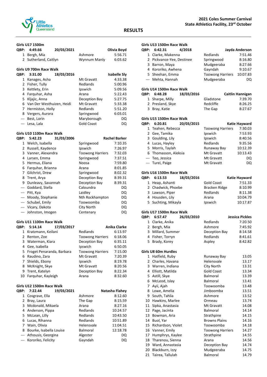

### **Girls U17 1500m**

|      | וווטטכב <i>ו</i> בט נוווט   |            |                         |                      |
|------|-----------------------------|------------|-------------------------|----------------------|
| QBP: | 4:49.66                     | 20/03/2021 |                         | Olivia Boyd          |
|      | 1 Bergh, Mia                |            | Ashmore                 | 5:56.71              |
|      | 2 Sutherland, Caitlyn       |            | Wynnum Manly            | 6:03.62              |
|      | Girls U9 700m Race Walk     |            |                         |                      |
| QBP: | 3:31.00                     | 18/03/2016 |                         | <b>Isabelle Sly</b>  |
| 1    | Kanages, Asha               |            | Mt Gravatt              | 4:33.38              |
|      | 2 Fisher, Tully             |            | Redlands                | 5:00.96              |
|      | 3 Kettlety, Erin            |            | Ipswich                 | 5:09.56              |
|      | 4 Farguhar, Asha            |            | Arana                   | 5:22.43              |
|      | 5 Kljajic, Anna             |            | Deception Bay           | 5:27.75              |
|      | 6 Van Der Westhuizen, Heidi |            | Mt Gravatt              | 5:33.38              |
|      | 7 Hermiston, Holly          |            | Redlands                | 5:51.20              |
| 8    | Vergers, Aurora             |            | Springwood              | 6:03.01              |
|      | --- Best, Lorin             |            | Maryborough             | DQ                   |
|      | --- Lesa, Lala              |            | <b>Gold Coast</b>       | DQ                   |
|      | Girls U10 1100m Race Walk   |            |                         |                      |
| QBP: | 5:42.23                     | 31/03/2006 |                         | <b>Rachel Barker</b> |
|      | 1 Welch, Isabella           |            | Springwood              | 7:10.35              |
|      | 2 Russell, Kaydence         |            | Ipswich                 | 7:26.97              |
|      | 3 Vanner, Alexandra         |            | <b>Toowong Harriers</b> | 7:32.03              |
|      | 4 Larsen, Emma              |            | Springwood              | 7:37.51              |
|      | 5 Hermus, Eliana            |            | Noosa                   | 7:59.80              |
|      | 6 Farquhar, Brianna         |            | Arana                   | 8:01.85              |
|      | 7 Gilchrist, Drew           |            | Springwood              | 8:02.32              |
| 8    | Trent, Arya                 |            | Deception Bay           | 8:39.31              |
| 9    | Dunleavy, Savannah          |            | Deception Bay           | 8:39.31              |
|      |                             |            |                         |                      |

| 9 Dunleavy, Savannah | Deception Bay   | 8:39.31 |
|----------------------|-----------------|---------|
| --- Goddard, Stella  | Caloundra       | DQ      |
| --- Pitt, Kya        | Laidley         | DQ      |
| --- Moody, Stephanie | Nth Rockhampton | DQ      |
| --- Schubel, Emily   | Toowoomba       | DQ      |
| --- Vicary, Dakota   | City North      | DQ      |
| --- Johnston, Imogen | Centenary       | DO      |

## **Girls U11 1100m Race Walk**

| <b>OBP:</b> | 5:14.14                     | 17/03/2017 |                         | <b>Anika Clarke</b> |
|-------------|-----------------------------|------------|-------------------------|---------------------|
|             | 1 Kratzmann, Keilani        |            | Redlands                | 6:13.97             |
|             | 2 Renton, Zoe               |            | <b>Toowong Harriers</b> | 6:18.06             |
|             | 3 Waterman, Kiara           |            | Deception Bay           | 6:35.11             |
|             | 4 Gee, Isabella             |            | Ipswich                 | 6:50.05             |
|             | 5 Froget Penaranda, Barbara |            | <b>Toowong Harriers</b> | 7:15.00             |
|             | 6 Raudino, Zara             |            | Mt Gravatt              | 7:20.39             |
|             | 7 Shields, Ebony            |            | Ipswich                 | 8:19.78             |
| 8           | McKnight, Skye              |            | Mt Gravatt              | 8:20.56             |
|             | 9 Trent, Katelyn            |            | Deception Bay           | 8:22.34             |
|             | 10 Farguhar, Kayleigh       |            | Arana                   | 8:32.60             |

#### **Girls U12 1500m Race Walk**

| <b>OBP:</b> | 7:22.44                 | 19/03/2021 |                 | Natasha Flahey |
|-------------|-------------------------|------------|-----------------|----------------|
|             | 1 Cosgrave, Ella        |            | Ashmore         | 8:12.60        |
|             | 2 Bray, Laura           |            | The Gap         | 8:15.59        |
|             | 3 Mcdonald, Mikaela     |            | Arana           | 8:27.16        |
|             | 4 Anderson, Pippa       |            | Redlands        | 10:24.57       |
|             | 5 McLean, Lilly         |            | Redlands        | 10:43.50       |
|             | 6 Lucas, Rihanna        |            | Redlands        | 10:51.89       |
|             | 7 Wain, Olivia          |            | Helensvale      | 11:04.51       |
| 8           | Bourke, Isabella Louise |            | <b>Balmoral</b> | 12:18.78       |
|             | --- Athousis, Georgina  |            | Algester        | DQ             |
|             | --- Kororiko, Felicity  |            | Gayndah         | DQ             |
|             |                         |            |                 |                |

|              | Girls U13 1500m Race Walk |            |                         |                  |
|--------------|---------------------------|------------|-------------------------|------------------|
| QBP:         | 6:42.31                   | 4/2018     |                         | Jayda Anderson   |
| $\mathbf{1}$ | Clarke, Makenna           |            | Redlands                | 7:51.46          |
|              | 2 Pickvance-Yee, Destinee |            | Springwood              | 8:16.80          |
|              | 3 Barron, Maya            |            | Mudgeeraba              | 8:27.66          |
|              | 4 Kororiko, Awhena        |            | Gayndah                 | 9:10.67          |
|              | 5 Sheehan, Emma           |            | <b>Toowong Harriers</b> | 10:07.83         |
|              | --- Mehta, Hannah         |            | Mudgeeraba              | DQ               |
|              | Girls U14 1500m Race Walk |            |                         |                  |
| QBP:         | 6:48.28                   | 18/03/2016 |                         | Caitlin Hannigan |
|              | 1 Sharpe, Milly           |            | Gladstone               | 7:39.70          |
|              | 2 Presland, Skye          |            | Redcliffe               | 8:26.25          |
|              | 3 Bray, Katie             |            | The Gap                 | 8:27.67          |
|              | Girls U15 1500m Race Walk |            |                         |                  |
|              |                           |            |                         |                  |
| QBP:         | 6:20.81                   | 20/03/2015 |                         | Katie Hayward    |
| 1            | Teahen, Rebecca           |            | <b>Toowong Harriers</b> | 7:30.03          |
|              | 2 Gee, Tamika             |            | Ipswich                 | 7:53.93          |
|              | 3 Goulding, Lily          |            | Ipswich                 | 8:40.56          |
|              | 4 Lucas, Hayley           |            | Redlands                | 9:35.56          |
|              | 5 Morris, Taylah          |            | Runaway Bay             | 10:12.39         |
|              | 6 Thomasson, Aleksia      |            | Mt Gravatt              | 10:13.43         |
|              | --- Teo, Jessica          |            | Mt Gravatt              | DQ               |
|              | --- Turei, Paige          |            | Mt Gravatt              | DQ               |
|              | Girls U16 1500m Race Walk |            |                         |                  |
| QBP:         | 6:13.53                   | 18/03/2016 |                         | Katie Hayward    |
|              | 1 Heap, Ashanti           |            | <b>Gold Coast</b>       | 7:51.33          |
|              | 2 Chadwick, Phoebe        |            | Bracken Ridge           | 8:10.99          |
| 3            | Lawson, Piper             |            | Redlands                | 8:11.38          |

#### **Girls U17 1500m Race Walk**

| <b>OBP:</b> | 6:57.47           | 26/03/2010 |               | Jessica Pickles |
|-------------|-------------------|------------|---------------|-----------------|
|             | 1 Clarke, Anika   |            | Redlands      | 7:20.50         |
|             | 2 Bergh, Mia      |            | Ashmore       | 7:45.92         |
|             | 3 Millard, Summer |            | Deception Bay | 8:14.58         |
|             | 4 Fisher, Torryn  |            | Redlands      | 8:41.61         |
|             | 5 Brady, Korey    |            | Aspley        | 8:42.82         |

5 Suchting, Mikayla Ipswich 10:17.87

#### **Girls U8 60m Hurdles**

| 1  | Hatfield, Ruby     | Runaway Bay             | 13.05 |
|----|--------------------|-------------------------|-------|
| 2  | Charles, Havana    | Helensvale              | 13.17 |
| 3  | Warren, Indiana    | City North              | 13.31 |
| 4  | Elliott, Matilda   | Gold Coast              | 13.34 |
| 5  | Astill, Skye       | Balmoral                | 13.39 |
| 6  | McLeod, Islay      | Balmoral                | 13.41 |
| 7  | Ayii, Ajah         | Toowoomba               | 13.48 |
| 8  | Lowe, Amelia       | Jimboomba               | 13.51 |
| 9  | South, Tahlia      | Ashmore                 | 13.52 |
| 10 | Hawkins, Marlee    | Ormeau                  | 13.74 |
| 11 | Sipka, Anastasia   | Mt Gravatt              | 14.08 |
| 12 | Page, Jacinta      | <b>Balmoral</b>         | 14.14 |
| 13 | Bowman, Aria       | Strathpine              | 14.15 |
| 14 | Buol, Yar          | <b>Browns Plains</b>    | 14.16 |
| 15 | Richardson, Violet | Toowoomba               | 14.18 |
| 16 | Vanner, Emily      | <b>Toowong Harriers</b> | 14.27 |
| 17 | Humphrys, Kaylee   | Strathpine              | 14.55 |
| 18 | Tharenou, Sienna   | Arana                   | 14.56 |
| 19 | Ward, Annastasia   | Deception Bay           | 14.74 |
| 20 | Blackburn, Izzy    | Mudgeeraba              | 14.75 |
| 21 | Tairea, Tallulah   | Balmoral                | 14.79 |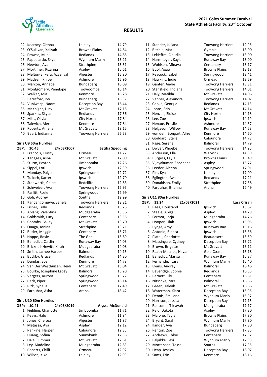

| 22             | Kearney, Cienna          | Laidley                 | 14.79            |
|----------------|--------------------------|-------------------------|------------------|
| 23             | O'Sullivan, Xaliyah      | <b>Browns Plains</b>    | 14.84            |
| 24             | Prowse, Mila             | Redlands                | 14.86            |
| 25             | Pappalardo, Skye         | Wynnum Manly            | 15.21            |
| 26             | Newton, Ava              | Strathpine              | 15.51            |
| 27             | Mortimer, Rizanna        | Aspley                  | 15.61            |
| 28             | Melton-Enkera, Azaeliyah | Algester                | 15.80            |
| 29             | Madsen, Khloe            | Ashmore                 | 15.96            |
| 30             | Marcon, Annabel          | <b>Bundaberg</b>        | 16.09            |
| 31             | Montgomery, Penelope     | Toowoomba               | 16.14            |
| 32             | Walker, Mia              | Kenmore                 | 16.28            |
| 33             | Beresford, Ivy           | <b>Bundaberg</b>        | 16.37            |
| 34             | Vuniwaga, Naomi          | Deception Bay           | 16.44            |
| 35             | McKnight, Lucy           | Mt Gravatt              | 17.15            |
| 36             | Sparkes, Skylar          | Redlands                | 17.56            |
| 37             | Mills, Olivia            | City North              | 17.84            |
| 38             | Talevich, Alexa          | Kenmore                 | 17.84            |
| 39             | Roberts, Amelia          | Mt Gravatt              | 18.15            |
| 40             | Baart, Indianna          | <b>Toowong Harriers</b> | 26.53            |
|                | Girls U9 60m Hurdles     |                         |                  |
| QBP:           | 10.45<br>24/03/2007      |                         | Letitia Spedding |
|                | 1 Francois, Trinity      | Ormeau                  | 11.72            |
|                | 2 Kanages, Asha          | Mt Gravatt              | 12.09            |
|                | 3 Sturm, Peyton          | Jimboomba               | 12.26            |
| 4              | Sippel, Lori             | Ipswich                 | 12.39            |
|                | 5 Munday, Paige          | Springwood              | 12.72            |
|                | 6 Tulloch, Karter        | Ipswich                 | 12.79            |
| $\overline{7}$ | Stanworth, Chloe         | Redcliffe               | 12.83            |
|                | 8 Schweizer, Ava         | <b>Toowong Harriers</b> | 12.95            |
|                | 9 Parfitt, Rosie         | Springwood              | 12.99            |
|                | 10 Goh, Audrey           | Souths                  | 12.99            |
| 11             | Kandangomuwe, Sanela     | <b>Toowong Harriers</b> | 13.21            |
|                | 12 Fisher, Tully         | Redlands                | 13.25            |
| 13             | Ablang, Valentina        | Mudgeeraba              | 13.36            |
| 14             | Goldsmith, Lucy          | Centenary               | 13.55            |
| 15             | Coombs, Bailey           | Mt Gravatt              | 13.70            |

16 Onaga, Jonina **Strathpine** 13.71 17 Butler, Maggie **Centenary** 13.71 18 Hoppe, Rosie **The Gap** 13.89 Benedict, Caitlin Runaway Bay 14.03 20 Bricknell-Hewitt, Kirah Mudgeeraba 14.08 21 Smith, Larnee Harper Balmoral 14.16 22 Buckby, Grace Redlands 14.30 23 Dundas, Eve **Kenmore** 14.78 24 Van Der Westhuizen, Heidi Mt Gravatt 15.04 25 Bourke, Josephine Lacey Balmoral 15.20 26 Vergers, Aurora **Springwood** 15.77 27 Beck, Piper Springwood 16.14 Rizk, Sybella Centenary 17.49 29 Farquhar, Asha Arana Arana 18.42

| 16 | Buol, Agaw               | <b>Browns Plains</b>    | 13.18 |
|----|--------------------------|-------------------------|-------|
| 17 | Peacock, Isabel          | Springwood              | 13.41 |
| 18 | Hawkins, Indie           | Ormeau                  | 13.59 |
| 19 | Ganter, Andie            | <b>Toowong Harriers</b> | 13.81 |
|    | 20 Stansfield, Indiana   | <b>Toowong Harriers</b> | 14.01 |
| 21 | Daly, Matilda            | Mt Gravatt              | 14.06 |
|    | 22 Vanner, Alexandra     | <b>Toowong Harriers</b> | 14.07 |
| 23 | Cooke, Georgia           | Redlands                | 14.13 |
| 24 | Johns, Erin              | Mt Gravatt              | 14.14 |
| 25 | Henzell, Eloise          | City North              | 14.18 |
| 26 | Lee, Zoe                 | Ipswich                 | 14.19 |
| 27 | Hercoe, Preslie          | Ashmore                 | 14.37 |
| 28 | Helgeson, Willow         | Runaway Bay             | 14.53 |
| 29 | von dem Bongart, Alize   | Kenmore                 | 14.60 |
| 30 | Goddard, Stella          | Caloundra               | 14.73 |
| 31 | Page, Serena             | Balmoral                | 14.79 |
|    | 32 Dwyer, Phoebe         | <b>Toowong Harriers</b> | 14.95 |
| 33 | Anderson, Ella           | Warwick                 | 14.99 |
| 34 | Burgess, Layla           | <b>Browns Plains</b>    | 15.49 |
|    | 35 Vijayakumar, Saadhana | Aspley                  | 15.77 |
| 36 | Leeder, Aleena           | Springwood              | 17.01 |
| 37 | Pitt, Kya                | Laidley                 | 17.09 |
| 38 | Eglington, Ava           | Redlands                | 17.21 |
| 39 | Donaldson, Emily         | Strathpine              | 17.38 |

40 Farquhar, Brianna **Arana** Arana 17.49

11 Stander, Juliana Toowong Harriers 12.96 Ritchie, Maci Gympie 13.00 Lekieffre, Claudia Toowong Harriers 13.00 14 Hansmeyer, Kayla **Runaway Bay** 13.00 Wohlsen, Minaya Centenary 13.17

**Girls U11 80m Hurdles**

| QBP:           | 13.24                   | 21/03/2021 |                         | Lara Crisafi |
|----------------|-------------------------|------------|-------------------------|--------------|
| $\mathbf{1}$   | Paea, Houstand          |            | Ipswich                 | 13.67        |
| $\overline{2}$ | Steele, Abigail         |            | Aspley                  | 14.29        |
| 3              | Fermor, Jorja           |            | Mudgeeraba              | 14.76        |
| 4              | Hooper, Lilah           |            | Ipswich                 | 15.05        |
| 5              | Bynge, Amy              |            | Runaway Bay             | 15.16        |
| 6              | Antonio, Bianca         |            | Ipswich                 | 15.36        |
| 7              | Platell, Charlotte      |            | <b>Beaudesert</b>       | 15.59        |
| 8              | Massingale, Cydney      |            | Deception Bay           | 15.71        |
| 9              | Brown, Brigette         |            | Mt Gravatt              | 16.11        |
| 10             | Raath-Miralles, Havanna |            | <b>Gold Coast</b>       | 16.18        |
| 11             | Benedict, Marisa        |            | Runaway Bay             | 16.37        |
|                | 12 Fernandez, Lara      |            | Wynnum Manly            | 16.40        |
|                | 13 Evans, Audrey        |            | Balmoral                | 16.46        |
| 14             | Beveridge, Sophie       |            | Redlands                | 16.55        |
| 15             | Barnett, Lily           |            | Centenary               | 16.61        |
| 16             | Nitschke, Zara          |            | Balmoral                | 16.66        |
| 17             | Green, Taleah           |            | Mt Gravatt              | 16.66        |
|                | 18 Waterman, Kiara      |            | Deception Bay           | 16.96        |
| 19             | Dennis, Emiliana        |            | Wynnum Manly            | 16.97        |
| 20             | Harrison, Jessica       |            | Deception Bay           | 17.15        |
| 21             | Ransome, Tileayah       |            | Mudgeeraba              | 17.17        |
| 22             | Reid, Dakota            |            | Aspley                  | 17.30        |
| 23             | Malone, Tayla           |            | <b>Browns Plains</b>    | 17.80        |
| 24             | Bryant, Sarah           |            | Wynnum Manly            | 17.80        |
| 24             | Ilander, Ava            |            | Bundaberg               | 17.80        |
| 26             | Renton, Zoe             |            | <b>Toowong Harriers</b> | 17.85        |
| 27             | Andrews, Chloe          |            | Centenary               | 17.92        |
| 28             | Paljakka, Lexi          |            | Wynnum Manly            | 17.93        |
| 29             | Mortensen, Tessa        |            | Souths                  | 17.95        |
| 30             | Heap, Jessica           |            | Deception Bay           | 18.07        |
| 31             | Sams, Erin              |            | Kenmore                 | 18.16        |

#### **Girls U10 60m Hurdles**

| <b>OBP:</b> | 10.41               | 24/03/2019 |            | <b>Alyssa McDonald</b> |
|-------------|---------------------|------------|------------|------------------------|
| 1           | Fielding, Charlotte |            | Jimboomba  | 11.71                  |
|             | 2 Keays, Halo       |            | Ashmore    | 11.84                  |
|             | 3 Jones, Chelsea    |            | Algester   | 11.87                  |
|             | 4 Metassa, Ava      |            | Aspley     | 12.12                  |
|             | 5 Rankine, Harper   |            | Caloundra  | 12.35                  |
|             | 6 Huang, Sofina     |            | Sunnybank  | 12.56                  |
|             | 7 Dale, Summer      |            | Mt Gravatt | 12.61                  |
|             | 8 Ley, Madeline     |            | Mudgeeraba | 12.83                  |
| 9           | Roberts, Chilli     |            | Ormeau     | 12.92                  |
| 10          | Wilson, Kiko        |            | Laidley    | 12.93                  |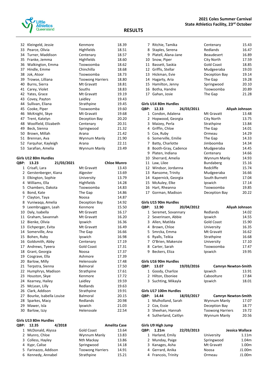

| 32 | Kleingeld, Jessie          | Kenmore                 | 18.39 |
|----|----------------------------|-------------------------|-------|
| 33 | Pearce, Olivia             | Highfields              | 18.51 |
|    | Turner, Maddison<br>34     | Centenary               | 18.57 |
|    | 35<br>Franke, Jemma        | <b>Highfields</b>       | 18.60 |
|    | 36<br>Walkington, Emma     | Toowoomba               | 18.62 |
| 37 | Hindle, Emme               | Chinchilla              | 18.68 |
|    | 38<br>Jok, Atoor           | Toowoomba               | 18.73 |
| 39 | Trowse, Lilliana           | <b>Toowong Harriers</b> | 18.80 |
| 40 | Burns, Sierra              | Mt Gravatt              | 18.81 |
| 41 | Carey, Violet              | Souths                  | 18.83 |
|    | 42<br>Yates, Grace         | Mt Gravatt              | 19.19 |
|    | 43<br>Covey, Payton        | Laidley                 | 19.43 |
| 44 | Sullivan, Eliana           | Strathpine              | 19.45 |
| 45 | Cooke, Piper               | Toowoomba               | 19.60 |
| 46 | McKnight, Skye             | Mt Gravatt              | 19.68 |
|    | 47<br>Trent, Katelyn       | Deception Bay           | 20.20 |
|    | Woolfield, Elizabeth<br>48 | Centenary               | 20.31 |
| 49 | Beck, Sienna               | Springwood              | 21.32 |
|    | 50<br>Brown, Millah        | Arana                   | 21.42 |
|    | 51<br>Brennan, Ava         | Wynnum Manly            | 21.90 |
|    | 52<br>Farguhar, Kayleigh   | Arana                   | 22.11 |
| 53 | Sarafian, Amelia           | Wynnum Manly            | 23.49 |
|    |                            |                         |       |

## **Girls U12 80m Hurdles**

| QBP:             | 13.23                   | 21/03/2021 |                   | <b>Chloe Munro</b> |
|------------------|-------------------------|------------|-------------------|--------------------|
| $\mathbf{1}$     | Crisafi, Lara           |            | Mt Gravatt        | 13.43              |
| $\overline{2}$   | Gerstenberger, Kiana    |            | Algester          | 13.69              |
| 3                | Elkington, Sophie       |            | University        | 13.79              |
| 4                | Williams, Ella          |            | Highfields        | 14.28              |
| 5                | Chambers, Dakota        |            | Toowoomba         | 14.83              |
| 6                | Bond, Kate              |            | The Gap           | 14.86              |
| 7                | Clayton, Taya           |            | Noosa             | 14.87              |
| 8                | Vuniwaga, Amelia        |            | Deception Bay     | 14.92              |
| 9                | Leembruggen, Leah       |            | Kenmore           | 15.50              |
| 10               | Daly, Isabella          |            | Mt Gravatt        | 16.17              |
|                  | 11 Graham, Savannah     |            | Mt Gravatt        | 16.20              |
| 12 <sup>12</sup> | Bienke, Olivia          |            | Ipswich           | 16.36              |
| 13               | Eichperger, Evita       |            | Mt Gravatt        | 16.49              |
| 14               | Somerville, Ana         |            | The Gap           | 16.66              |
| 15               | Bohen, Ruby             |            | Ipswich           | 16.98              |
| 16               | Goldsmith, Abby         |            | Centenary         | 17.19              |
|                  | 17 Andrews, Tyeera      |            | <b>Gold Coast</b> | 17.31              |
| 18               | Grant, Georgia          |            | Noosa             | 17.37              |
| 19               | Cosgrave, Ella          |            | Ashmore           | 17.39              |
| 20               | Barlow, Milly           |            | Helensvale        | 17.48              |
|                  | 21 Terpstra, Sienna     |            | <b>Balmoral</b>   | 17.50              |
|                  | 22 Humphrys, Madison    |            | Strathpine        | 17.61              |
| 23               | Houston, Skye           |            | Kenmore           | 17.72              |
| 24               | Kearney, Hailey         |            | Laidley           | 19.59              |
| 25               | McLean, Lilly           |            | Redlands          | 19.63              |
| 26               | Clark, Addison          |            | Strathpine        | 19.91              |
| 27               | Bourke, Isabella Louise |            | <b>Balmoral</b>   | 20.15              |
| 28               | Sparkes, Macy           |            | Redlands          | 20.98              |
| 29               | Mawer, Isla             |            | Ipswich           | 21.03              |
| 30               | Barlow, Izzy            |            | Helensvale        | 22.54              |

## **Girls U13 80m Hurdles**

| QBP: | 12.35                | 4/2018 |                         | <b>Amelita Case</b> |
|------|----------------------|--------|-------------------------|---------------------|
|      | 1 McDonald, Alyssa   |        | <b>Gold Coast</b>       | 13.64               |
|      | 2 Munro, Chloe       |        | Wynnum Manly            | 13.83               |
|      | 3 Colless, Hayley    |        | Nth Mackay              | 13.86               |
|      | 4 Kypr, Calise       |        | Springwood              | 14.18               |
|      | 5 Farinazzo, Addison |        | <b>Toowong Harriers</b> | 14.91               |
|      | 6 Kennedy, Annabel   |        | Strathpine              | 15.21               |

|   | 7 Ritchie, Tamika   | Centenary         | 15.43 |
|---|---------------------|-------------------|-------|
|   | 8 Staples, Serena   | Redlands          | 16.47 |
| 9 | Platell, Alana-Jane | <b>Beaudesert</b> | 16.89 |
|   | 10 Snow, Piper      | City North        | 17.59 |
|   | 11 Bassett, Saskia  | <b>Gold Coast</b> | 18.85 |
|   | 12 Griffis, Stellar | Mudgeeraba        | 19.03 |
|   | 13 Hickman, Evie    | Deception Bay     | 19.14 |
|   | 14 Hagarty, Aria    | The Gap           | 19.28 |
|   | 15 Hamilton, Jenny  | Springwood        | 20.10 |
|   | 16 Botha, Handre    | Toowoomba         | 20.89 |
|   | 17 Gahan, Josie     | The Gap           | 21.28 |
|   |                     |                   |       |

#### **Girls U14 80m Hurdles**

| QBP:         | 12.33                | 26/03/2011 |               | Aliyah Johnson |
|--------------|----------------------|------------|---------------|----------------|
| $\mathbf{1}$ | Condon, Adalena      |            | Mt Gravatt    | 13.48          |
| 2            | Hopwood, Georgia     |            | City North    | 13.75          |
| 3            | Maizey, Perla        |            | Strathpine    | 13.84          |
| 4            | Griffin, Chloe       |            | The Gap       | 14.01          |
| 5.           | Cox, Ruby            |            | Ormeau        | 14.29          |
| 6            | Somerville, Emilie   |            | The Gap       | 14.33          |
| 7            | Batty, Charlotte     |            | Jimboomba     | 14.34          |
| 8            | Booth-Gray, Cadence  |            | Mudgeeraba    | 14.45          |
| 9            | Platen, Indiana      |            | Centenary     | 14.66          |
| 10           | Sherrard, Amelia     |            | Wynnum Manly  | 14.93          |
| 11           | Law, Lilee           |            | Bundaberg     | 15.16          |
|              | 12 Windsor, Jordanna |            | Redcliffe     | 15.74          |
| 13           | Ransome, Trinity     |            | Mudgeeraba    | 16.66          |
| 14           | Kapernick, Georgia   |            | South Burnett | 17.04          |
| 15           | McAuley, Elke        |            | Ipswich       | 17.14          |
| 16           | Hart, Rheanna        |            | Toowoomba     | 19.85          |
| 17           | Gorman, Madison      |            | Deception Bay | 20.22          |

#### **Girls U15 90m Hurdles**

| <b>OBP:</b> | 12.90                | 20/04/2012 |                   | Aliyah Johnson |
|-------------|----------------------|------------|-------------------|----------------|
|             | 1 Seremet, Sovannary |            | Redlands          | 14.02          |
|             | 2 Severinsen, Abbie  |            | Ipswich           | 14.55          |
|             | 3 Allen, Matilda     |            | <b>Gold Coast</b> | 15.90          |
| 4           | Brown, Chloe         |            | University        | 16.35          |
|             | 5 Smrcka, Emma       |            | Mt Gravatt        | 16.62          |
| 6           | Ryalls, Teikia       |            | Strathpine        | 16.68          |
|             | 7 O'Brien, Makenzie  |            | University        | 17.10          |
| 8           | Carter, Sarah        |            | Toowoomba         | 17.47          |
| 9           | Beckers, Eliza       |            | Ipswich           | 19.95          |
|             |                      |            |                   |                |

#### **Girls U16 90m Hurdles**

| <b>OBP:</b>            | 13.07               | 19/03/2016 | <b>Camryn Newton-Smith</b> |       |
|------------------------|---------------------|------------|----------------------------|-------|
|                        | 1 Goody, Charlize   |            | Ipswich                    | 13.91 |
|                        | 2 Hilton, Eboniee   |            | Caboolture                 | 17.84 |
|                        | 3 Suchting, Mikayla |            | Ipswich                    | 18.01 |
| Girls U17 100m Hurdles |                     |            |                            |       |
|                        |                     |            |                            |       |
| QBP:                   | 14.44               | 18/03/2017 | <b>Camryn Newton-Smith</b> |       |
|                        | 1 Mulholland, Sarah |            | Wynnum Manly               | 17.07 |
|                        | 2 Cox, Essie        |            | Deception Bay              | 18.77 |

## Sutherland, Caitlyn Wynnum Manly 20.56 **Girls U9 High Jump**

| OBP: 1.21m          | 22/03/2013 |            | Jessica Wallace |
|---------------------|------------|------------|-----------------|
| 1 Harland, Emily    |            | University | 1.11m           |
| 2 Munday, Paige     |            | Springwood | 1.04m           |
| 3 Kanages, Asha     |            | Mt Gravatt | 1.00m           |
| 4 Gerrard, Anika    |            | Noosa      | J1.00m          |
| 4 Francois, Trinity |            | Ormeau     | J1.00m          |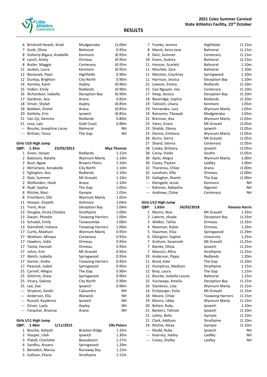

#### **RESULTS**

|                | 6 Bricknell-Hewitt, Kirah   | Mudgeeraba              | J1.00m            |
|----------------|-----------------------------|-------------------------|-------------------|
|                | 7 Scott, Olivia             | <b>Balmoral</b>         | 0.95m             |
| 8              | Doherty-Bigara, Anabelle    | Kenmore                 | J0.95m            |
| 8              | Lynch, Amity                | Ormeau                  | J0.95m            |
| 8              | Butler, Maggie              | Centenary               | J0.95m            |
| 11             | Jeuken, Laura               | Kenmore                 | J0.95m            |
|                | 12 Banaszek, Piper          | <b>Highfields</b>       | 0.90m             |
| 12             | Dunlop, Brighton            | City North              | 0.90 <sub>m</sub> |
| 14             | Aynsley, Karel              | Aspley                  | J0.90m            |
|                | 15 Volker, Emily            | Redlands                | J0.90m            |
| 16             | Richardson, Isabella        | Deception Bay           | J0.90m            |
|                | 17 Gardiner, Ava            | Arana                   | 0.85m             |
| 18             | Driver, Shylah              | Aspley                  | J0.85m            |
| 18             | Baldwin, Gretel             | Arana                   | J0.85m            |
|                | 20 Kettlety, Erin           | Ipswich                 | J0.85m            |
|                | 21 Van Zyl, Gemma           | Redlands                | 0.80m             |
|                | 21 Lesa, Lala               | <b>Gold Coast</b>       | 0.80m             |
|                | --- Bourke, Josephine Lacey | <b>Balmoral</b>         | NΗ                |
|                | --- Brittain, Tessa         | The Gap                 | NΗ                |
|                | Girls U10 High Jump         |                         |                   |
| QBP:           | 1.35m<br>23/03/2013         |                         | Mya Thomas        |
| $1 \quad$      | Greer, Harper               | Redlands                | 1.15m             |
| $\overline{2}$ | Babousis, Natalia           | Wynnum Manly            | 1.10m             |
| $\overline{2}$ | Buol, Agaw                  | <b>Browns Plains</b>    | 1.10m             |
| 2              | McFarlane, Annabelle        | City North              | 1.10m             |
| 2              | Eglington, Ava              | Redlands                | 1.10m             |
| $\overline{2}$ | Dale, Summer                | Mt Gravatt              | 1.10m             |
| $\overline{2}$ | Wolfenden, Heidi            | Arana                   | 1.10m             |
| 8              | Ryall, Sophia               | The Gap                 | 1.05m             |
| 8              | Ritchie, Maci               | Gympie                  | 1.05m             |
| 8              | Frischkorn, Elle            | Wynnum Manly            | 1.05m             |
| 11             | Hooper, Elspeth             | Ashmore                 | 1.04m             |
| 11             | Trent, Arya                 | Deception Bay           | 1.04m             |
| 13             | Douglas, Kirsty Chiedza     | Strathpine              | 1.00m             |
| 13             | Dwyer, Phoebe               | <b>Toowong Harriers</b> | 1.00m             |
| 13             | Schubel, Emily              | Toowoomba               | 1.00m             |
|                | 13 Stansfield, Indiana      | <b>Toowong Harriers</b> | 1.00m             |
|                | 17 Curtis, Madison          | Wynnum Manly            | 0.95m             |
| 17             | Wohlsen, Minaya             | Centenary               | 0.95m             |
|                |                             |                         |                   |

| 7   | Franke, Jemma      | Highfields      | J1.15m            |  |  |  |
|-----|--------------------|-----------------|-------------------|--|--|--|
| 8   | Marsh, Keira Jane  | <b>Balmoral</b> | J1.15m            |  |  |  |
| 8   | Dein, Summer       | Centenary       | J1.15m            |  |  |  |
| 10  | Evans, Audrey      | <b>Balmoral</b> | J1.15m            |  |  |  |
| 11  | Hanson, Scarlett   | <b>Balmoral</b> | 1.10m             |  |  |  |
| 11  | Nitschke, Zara     | <b>Balmoral</b> | 1.10 <sub>m</sub> |  |  |  |
| 11  | Marston, Courtney  | Springwood      | 1.10m             |  |  |  |
| 11  | Harrison, Jessica  | Deception Bay   | 1.10 <sub>m</sub> |  |  |  |
| 15  | Lawson, Emery      | Redlands        | J1.10m            |  |  |  |
| 15  | Cao-Nguyen, Isla   | Centenary       | J1.10m            |  |  |  |
| 17  | Heap, Jessica      | Deception Bay   | J1.10m            |  |  |  |
| 18  | Beveridge, Sophie  | Redlands        | J1.10m            |  |  |  |
| 19  | Talevich, Liliana  | Kenmore         | 1.05m             |  |  |  |
| 19  | Fernandez, Lara    | Wynnum Manly    | 1.05m             |  |  |  |
| 19  | Ransome, Tileayah  | Mudgeeraba      | 1.05m             |  |  |  |
| 22  | Brennan, Ava       | Wynnum Manly    | J1.05m            |  |  |  |
| 23  | Yates, Grace       | Mt Gravatt      | J1.05m            |  |  |  |
| 23  | Shields, Ebony     | Ipswich         | J1.05m            |  |  |  |
| 23  | Dennis, Emiliana   | Wynnum Manly    | J1.05m            |  |  |  |
| 26  | Burns, Sierra      | Mt Gravatt      | J1.05m            |  |  |  |
| 27  | Shand, Sienna      | Centenary       | J1.05m            |  |  |  |
| 28  | Cooke, Brittany    | Ipswich         | J1.05m            |  |  |  |
| 28  | Carey, Violet      | Souths          | J1.05m            |  |  |  |
| 30  | Apitz, Alegra      | Wynnum Manly    | 1.00m             |  |  |  |
| 30  | Covey, Payton      | Laidley         | 1.00m             |  |  |  |
| 32  | Tharenou, Chloe    | Arana           | J1.00m            |  |  |  |
| 32  | Leneham, Ellie     | Ormeau          | J1.00m            |  |  |  |
| 32  | Gallagher, Niamh   | The Gap         | J1.00m            |  |  |  |
| --- | Kleingeld, Jessie  | Kenmore         | NΗ                |  |  |  |
| --- | Rahman, Nabeeha    | Algester        | NΗ                |  |  |  |
| --- | Andrews, Chloe     | Centenary       | NΗ                |  |  |  |
|     | irls U12 High Jump |                 |                   |  |  |  |

#### **Girls**

| QBP:           | 1.65m                   | 24/03/2018 |                         | <b>Havana Harris</b> |
|----------------|-------------------------|------------|-------------------------|----------------------|
| 1              | Munro, Noa              |            | Mt Gravatt              | 1.33m                |
| 2              | Laterre, zihade         |            | Deception Bay           | J1.33m               |
| 3              | Walker, Tahlia          |            | Ormeau                  | J1.33m               |
| 4              | Newman, Rubie           |            | Ormeau                  | 1.29m                |
| 5.             | Staunton, Eliza         |            | Springwood              | J1.29m               |
| 6              | Elkington, Sophie       |            | University              | 1.25m                |
| 7              | Graham, Savannah        |            | Mt Gravatt              | J1.25m               |
| $7^{\circ}$    | Bienke, Olivia          |            | Ipswich                 | J1.25m               |
| 7              | Mancini, Allira         |            | Strathpine              | J1.25m               |
| 10             | Anderson, Pippa         |            | Redlands                | 1.20m                |
| 11             | Bond, Kate              |            | The Gap                 | J1.20m               |
| 12             | Humphrys, Madison       |            | Strathpine              | 1.15m                |
| 12             | Bray, Laura             |            | The Gap                 | 1.15m                |
| 12             | Bourke, Isabella Louise |            | Balmoral                | 1.15m                |
| 15             | Vuniwaga, Amelia        |            | Deception Bay           | J1.15m               |
| 16             | Stankovic, Lola         |            | Wynnum Manly            | J1.15m               |
| 16             | Eichperger, Evita       |            | Mt Gravatt              | J1.15m               |
| 18             | Moore, Chloe            |            | <b>Toowong Harriers</b> | J1.15m               |
| 19             | Munro, Libby            |            | Wynnum Manly            | J1.15m               |
| 20             | Bohen, Ruby             |            | Ipswich                 | 1.10m                |
| 21             | Beckers, Tahnee         |            | Ipswich                 | J1.10m               |
| 21             | Lahey, Bella            |            | Gympie                  | J1.10m               |
| 21             | Clark, Addison          |            | Strathpine              | J1.10m               |
| 24             | Ritchie, Alexa          |            | Gympie                  | J1.10m               |
| $\overline{a}$ | Mudd, Ruby              |            | Ipswich                 | NΗ                   |
| ---            | Kearney, Hailey         |            | Laidley                 | <b>NH</b>            |
| ---            | Covey, Shelby           |            | Laidley                 | NΗ                   |

#### **Girls U11 High Jump QBP: 1.46m 1/11/2015 Ella Peters**

--- Farquhar, Brianna

| 1 Bourke, Aaliyah    | <b>Bracken Ridge</b> | 1.33m             |
|----------------------|----------------------|-------------------|
| 2 Hooper, Lilah      | Ipswich              | 1.30m             |
| 3 Platell, Charlotte | <b>Beaudesert</b>    | 1.27m             |
| 4 Sandhu, Aryana     | Springwood           | 1.20 <sub>m</sub> |
| 5 Benedict, Marisa   | Runaway Bay          | 1.15m             |
| 5 Sullivan, Eliana   | Strathpine           | 1.15m             |
|                      |                      |                   |

 Hawkins, Indie Ormeau 0.95m Tavita, Hannah Ormeau 0.95m 17 Johns, Erin Mt Gravatt 0.95m 17 Welch, Isabella Springwood 0.95m Ganter, Andie Toowong Harriers 0.95m Peacock, Isabel Springwood 0.95m Carnell, Allegra The Gap 0.90m 25 Gilchrist, Drew Springwood 0.90m Vicary, Dakota City North 0.90m 25 Lee, Zoe **Ipswich** 0.90m --- Strydom, Zandri Caloundra Caloundra --- Anderson, Ella Warwick NH --- Russell, Kaydence **Ipswich** Ipswich --- Driver, Layla Aspley NH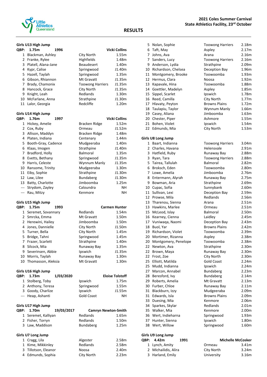

### **Girls U13 High Jump**

|             | Giris U13 Hign Jump           |                            |                        |
|-------------|-------------------------------|----------------------------|------------------------|
| QBP:        | 1.75m<br>1996                 |                            | <b>Vicki Collins</b>   |
| 1           | Blackman, Ashley              | City North                 | 1.55m                  |
|             | 2 Franke, Rylee               | Highfields                 | 1.48m                  |
| 3           | Platell, Alana-Jane           | <b>Beaudesert</b>          | 1.40m                  |
|             | 4 Kypr, Calise                | Springwood                 | J1.40m                 |
|             | 5 Hazell, Taylah              | Springwood                 | 1.35m                  |
|             | 6 Gibson, Rhiannon            | Mt Gravatt                 | J1.35m                 |
|             | 7 Brady, Chamonix             | <b>Toowong Harriers</b>    | J1.35m                 |
| 8           | Hancock, Grace                | <b>City North</b>          | J1.35m                 |
|             | 9 Knight, Leah                | Redlands                   | 1.30m                  |
|             | 10 McFarlane, Anna            | Strathpine                 | J1.30m                 |
|             | 11 Lalor, Georgia             | Redcliffe                  | 1.20m                  |
|             | Girls U14 High Jump           |                            |                        |
| QBP:        | 1.76m<br>1997                 |                            | <b>Vicki Collins</b>   |
| 1           | Hickey, Amelie                | Bracken Ridge              | 1.52m                  |
|             | 2 Cox, Ruby                   | Ormeau                     | J1.52m                 |
|             | 3 Allison, Maddyn             | Bracken Ridge              | 1.48m                  |
|             | 4 Platen, Indiana             | Centenary                  | 1.44m                  |
|             | 5 Booth-Gray, Cadence         | Mudgeeraba                 | 1.40m                  |
|             | 6 Klaas, Imogen               | Strathpine                 | J1.40m                 |
|             | 7 Bradford, Holly             | Balmoral                   | 1.35m                  |
| 8           | Evetts, Bethany               | Springwood                 | J1.35m                 |
|             | 9 Harris, Celeste             | Wynnum Manly               | J1.35m                 |
|             | 10 Ransome, Trinity           | Mudgeeraba                 | 1.30m                  |
|             | 11 Eiby, Sophie               | Strathpine                 | J1.30m                 |
|             | 12 Law, Lilee                 | Bundaberg                  | J1.30m                 |
|             | 13 Batty, Charlotte           | Jimboomba                  | 1.25m                  |
| $---$       |                               | Caloundra                  | NΗ                     |
| $---$       | Strydom, Zayley<br>Rau, Mitzy | Kenmore                    | NΗ                     |
|             | Girls U15 High Jump           |                            |                        |
| QBP:        | 1.75m<br>1993                 |                            | <b>Carmen Hunter</b>   |
|             | 1 Seremet, Sovannary          | Redlands                   | 1.54m                  |
|             | 2 Smrcka, Emma                | Mt Gravatt                 | 1.50m                  |
|             | 2 Herewini, Hailey            | Jimboomba                  | 1.50m                  |
|             |                               |                            |                        |
|             | 4 Jones, Dannielle            | City North                 | J1.50m                 |
|             | 5 Turner, Bella               | City North                 | 1.45m                  |
|             | 5 Bridge, Tahni               | Springwood                 | 1.45m                  |
|             | 7 Frazer, Scarlett            | Strathpine                 | 1.40m                  |
|             | 8 Silcock, Mia                | Runaway Bay                | 1.35m                  |
|             | 9 Severinsen, Abbie           | Ipswich                    | J1.35m                 |
|             | 10 Morris, Taylah             | Runaway Bay                | 1.30m                  |
|             | 10 Thomasson, Aleksia         | Mt Gravatt                 | 1.30m                  |
|             | Girls U16 High Jump           |                            |                        |
| <b>OBP:</b> | 1.73m<br><b>1/03/2020</b>     |                            | <b>Eloise Tolstoff</b> |
|             | 1 Stolberg, Toby              | Ipswich                    | 1.75m                  |
|             | 2 Anthony, Teresa             | Springwood                 | 1.55m                  |
|             | 3 Goody, Charlize             | Ipswich                    | J1.55m                 |
|             | --- Heap, Ashanti             | <b>Gold Coast</b>          | NH                     |
|             | Girls U17 High Jump           |                            |                        |
| QBP:        | 1.70m<br>19/03/2017           | <b>Camryn Newton-Smith</b> |                        |
|             | 1 Seremet, Kalliyan           | Redlands                   | 1.65m                  |
|             | 2 Fisher, Torryn              | Redlands                   | 1.50m                  |
|             | 3 Law, Maddison               | Bundaberg                  | 1.25m                  |

|  |  |  | Girls U7 Long Jump |
|--|--|--|--------------------|
|--|--|--|--------------------|

| 1 Cragg, Lila        | Algester   | 2.58m |
|----------------------|------------|-------|
| 1 Kime, Mikkinley    | Redlands   | 2.58m |
| 3 Tillotson, Eleanor | Noosa      | 2.40m |
| 4 Edmunds, Sophia    | City North | 2.23m |
|                      |            |       |

### **RESULTS**

|          | 5 Nolan, Sophie<br>6 Taft, May      | <b>Toowong Harriers</b><br>Aspley | 2.18m<br>2.17m    |
|----------|-------------------------------------|-----------------------------------|-------------------|
| 7        | Johns, Ava                          | Arana                             | 2.16m             |
| 7.       | Sanders, Lucy                       | <b>Toowong Harriers</b>           | 2.16m             |
| 9        | Anderson, Lydia                     | Strathpine                        | 2.09m             |
|          | 10 Richardson, Chelsea              | Deception Bay                     | 1.96m             |
| 11       | Montgomery, Brooke                  | Toowoomba                         | 1.93m             |
| 12       | Hermus, Clara                       | Noosa                             | 1.92m             |
| 13       | Kapavale, Hina                      | Toowoomba                         | 1.88m             |
| 14       | Goettler, Madelyn                   | Aspley                            | 1.85m             |
| 15       | Sippel, Scarlet                     | Ipswich                           | 1.78m             |
| 16       | Reed, Camilla                       | City North                        | 1.77m             |
|          | 17 Hlavaty, Peyton                  | <b>Browns Plains</b>              | 1.72m             |
|          | 18 Taulapiu, Taylor                 | Wynnum Manly                      | 1.66m             |
| 19       | Casey, Aliana                       | Jimboomba                         | 1.63m             |
| 20       | Chester, Piper                      | Ashmore                           | 1.55m             |
| 21       | Bohen, Violet                       | Ipswich                           | 1.54m             |
| 22       | Edmunds, Mia                        | City North                        | 1.53m             |
|          | Girls U8 Long Jump                  |                                   |                   |
| 1        | Baart, Indianna                     | <b>Toowong Harriers</b>           | 3.04 <sub>m</sub> |
| 2        | Charles, Havana                     | Helensvale                        | 2.91 <sub>m</sub> |
| 3        | Hatfield, Ruby                      | Runaway Bay                       | 2.88m             |
| 3        | Ryan, Tara                          | <b>Toowong Harriers</b>           | 2.88m             |
| 5        | Tairea, Tallulah                    | <b>Balmoral</b>                   | 2.82m             |
| 6        | Broksch, Eden                       | Toowoomba                         | 2.80m             |
| 7        | Lowe, Amelia                        | Jimboomba                         | 2.76m             |
| 8        | Entermann, Alyrah                   | Runaway Bay                       | 2.75m             |
| 9        | Bowman, Aria                        | Strathpine<br>Sunnybank           | 2.69m<br>2.60m    |
| 11       | 10 Cupac, Sofia<br>Sullivan, Lexi   | Deception Bay                     | 2.59m             |
|          | 12 Prowse, Mila                     | Redlands                          | 2.56m             |
| 13       | Tharenou, Sienna                    | Arana                             | 2.51 <sub>m</sub> |
| 13       | Hawkins, Marlee                     | Ormeau                            | 2.51 <sub>m</sub> |
| 15       | McLeod, Islay                       | <b>Balmoral</b>                   | 2.50m             |
| 16       | Kearney, Cienna                     | Laidley                           | 2.45m             |
|          | 17 Vuniwaqa, Naomi                  | Deception Bay                     | 2.43m             |
| 18       | Buol, Yar                           | <b>Browns Plains</b>              | 2.42 <sub>m</sub> |
| 19       | Richardson, Violet                  | Toowoomba                         | 2.39m             |
| 20       | Mortimer, Rizanna                   | Aspley                            | 2.38m             |
| 20       | Montgomery, Penelope                | Toowoomba                         | 2.38m             |
| 22       | Newton, Ava                         | Strathpine                        | 2.30m             |
| 22       | Brown, Maya                         | Runaway Bay                       | 2.30m             |
| 22       | Frost, Zoe                          | City North                        | 2.30m             |
| 25       | Elliott, Matilda                    | <b>Gold Coast</b>                 | 2.24m             |
| 25       | Mudd, Indianna                      | Ipswich                           | 2.24m             |
| 27       | Marcon, Annabel                     | Bundaberg                         | 2.23m             |
| 28<br>29 | Beresford, Ivy<br>Roberts, Amelia   | Bundaberg<br>Mt Gravatt           | 2.14m<br>2.13m    |
| 30       | Furber, Chloe                       | Runaway Bay                       | 2.11m             |
| 31       | Blackburn, Izzy                     | Mudgeeraba                        | 2.09m             |
| 31       | Edwards, Isla                       | <b>Browns Plains</b>              | 2.09m             |
| 33       | Duesing, Mia                        | Kenmore                           | 2.06m             |
| 34       | Sparkes, Skylar                     | Redlands                          | 2.01m             |
| 35       | Walker, Mia                         | Kenmore                           | 2.00m             |
| 36       | Wert, Indieharna                    | Springwood                        | 1.93m             |
| 37       | Hunter, Sienna                      | Ipswich                           | 1.80m             |
| 38       | Wert, Willow                        | Springwood                        | 1.60m             |
|          |                                     |                                   |                   |
| QBP:     | Girls U9 Long Jump<br>4.42m<br>1991 | <b>Michelle McCosker</b>          |                   |

| 3P: 4.42m            | 1991 |            | <b>Michelle McCosker</b> |
|----------------------|------|------------|--------------------------|
| 1 Lynch, Amity       |      | Ormeau     | 3.41m                    |
| 2 Michailidis, Alira |      | City North | 3.24m                    |
| 3 Harland, Emily     |      | University | 3.16m                    |
|                      |      |            |                          |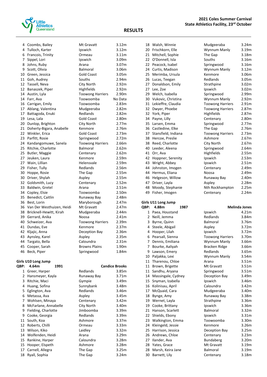

|          | 4 Coombs, Bailey                            | Mt Gravatt               | 3.12m                      |
|----------|---------------------------------------------|--------------------------|----------------------------|
|          | 4 Tulloch, Karter                           | Ipswich                  | 3.12 <sub>m</sub>          |
|          | 6 Francois, Trinity                         | Ormeau                   | 3.11m                      |
|          | 7 Sippel, Lori                              | Ipswich                  | 3.09m                      |
|          | 8 Johns, Ruby                               | Arana                    | 3.07m                      |
|          | 9 Scott, Olivia                             | <b>Balmoral</b>          | 3.06m                      |
|          | 10 Green, Jessica                           | <b>Gold Coast</b>        | 3.05m                      |
|          | 11 Goh, Audrey                              | Souths                   | 2.94m                      |
|          | 12 Tassell, Neva                            | City North               | 2.92m                      |
|          | 12 Banaszek, Piper                          | Highfields               | 2.92m                      |
|          | 14 Austin, Lyla                             | <b>Toowong Harriers</b>  | 2.90m                      |
| 14       | Farr, Ava                                   | Toowoomba                | No Data                    |
|          | 16 Carrigan, Emily                          | Toowoomba                | 2.83m                      |
| 17       | Ablang, Valentina                           | Mudgeeraba               | 2.82m                      |
| 17       | Battagoda, Enuki                            | Redlands                 | 2.82m                      |
| 19       | Lesa, Lala                                  | Gold Coast               | 2.80m                      |
| 20       | Dunlop, Brighton                            | City North               | 2.77m                      |
| 21       | Doherty-Bigara, Anabelle                    | Kenmore                  | 2.76m                      |
| 22       | Winkler, Erica                              | <b>Gold Coast</b>        | 2.73m                      |
| 23       | Parfitt, Rosie                              | Springwood               | 2.72m                      |
| 24       | Kandangomuwe, Sanela                        | <b>Toowong Harriers</b>  | 2.66m                      |
| 25       | Ritchie, Charlotte                          | Balmoral                 | 2.62m                      |
| 25       | Butler, Maggie                              | Centenary                | 2.62m                      |
| 27       | Jeuken, Laura                               | Kenmore                  | 2.59m                      |
|          | 27 Wain, Lillian                            | Helensvale               | 2.59m                      |
| 29       | Fisher, Tully                               | Redlands                 | 2.56m                      |
| 30       | Hoppe, Rosie                                | The Gap                  | 2.55m                      |
| 30       | Driver, Shylah                              | Aspley                   | 2.55m                      |
| 32<br>33 | Goldsmith, Lucy                             | Centenary                | 2.52m<br>2.51m             |
|          | Baldwin, Gretel                             | Arana                    | 2.50 <sub>m</sub>          |
| 35       | 34 Copley, Elsie<br>Benedict, Caitlin       | Toowoomba<br>Runaway Bay | 2.48m                      |
| 36       | Best, Lorin                                 | Maryborough              | 2.47m                      |
| 36       | Van Der Westhuizen, Heidi                   | Mt Gravatt               | 2.47m                      |
| 38       | Bricknell-Hewitt, Kirah                     | Mudgeeraba               | 2.44m                      |
|          | 39 Gerrard, Anika                           | Noosa                    | 2.41 <sub>m</sub>          |
|          | 40 Schweizer, Ava                           | <b>Toowong Harriers</b>  | 2.39m                      |
|          | 41 Dundas, Eve                              | Kenmore                  | 2.37m                      |
| 42       | Kljajic, Anna                               | Deception Bay            | 2.36m                      |
| 43       | Aynsley, Karel                              | Aspley                   | 2.35m                      |
| 44       | Targato, Bella                              | Caloundra                | 2.31m                      |
| 45       | Cooper, Sarah                               | <b>Browns Plains</b>     | 1.90m                      |
| 46       | Beck, Piper                                 | Springwood               | 1.84m                      |
|          |                                             |                          |                            |
|          | Girls U10 Long Jump                         |                          |                            |
| QBP:     | 4.64m<br>1991                               |                          | <b>Candice Brooks</b>      |
|          | 1 Greer, Harper                             | Redlands                 | 3.85m<br>3.71 <sub>m</sub> |
|          | 2 Hansmeyer, Kayla                          | Runaway Bay              |                            |
|          | 3 Ritchie, Maci<br>4 Huang, Sofina          | Gympie                   | 3.49m<br>3.48m             |
| 5        | Eglington, Ava                              | Sunnybank<br>Redlands    | 3.46m                      |
| 6        | Metassa, Ava                                |                          | 3.45m                      |
| 7        | Wohlsen, Minaya                             | Aspley<br>Centenary      | 3.42m                      |
|          |                                             |                          |                            |
| 8<br>9   | McFarlane, Annabelle<br>Fielding, Charlotte | City North<br>Jimboomba  | 3.40m<br>3.39m             |
| 9        | Cooke, Georgia                              | Redlands                 | 3.39m                      |
| 11       | South, Koa                                  | Ashmore                  | 3.37m                      |
| 12       | Roberts, Chilli                             | Ormeau                   | 3.33m                      |
| 13       | Wilson, Kiko                                | Laidley                  | 3.32m                      |
| 14       | Wolfenden, Heidi                            | Arana                    | 3.29m                      |
| 15       | Rankine, Harper                             | Caloundra                | 3.28m                      |
| 15       | Hooper, Elspeth                             | Ashmore                  | 3.28m                      |
|          |                                             |                          |                            |
| 17       | Carnell, Allegra                            | The Gap                  | 3.25m                      |

|      |                                      | $\cdot$ $\cdot$         |                      |
|------|--------------------------------------|-------------------------|----------------------|
| QBP: | Girls U11 Long Jump<br>4.88m<br>1987 |                         | <b>Melinda Jones</b> |
| 49   | Fisher, Imogen                       | Centenary               | 2.24m                |
| 48   | Moody, Stephanie                     | Nth Rockhampton         | 2.25m                |
| 47   | Driver, Layla                        | Aspley                  | 2.28m                |
| 46   | Helgeson, Willow                     | Runaway Bay             | 2.40m                |
| 44   | Hermus, Eliana                       | Noosa                   | 2.49m                |
| 44   | Johnston, Imogen                     | Centenary               | 2.49m                |
| 43   | Wright, Abbey                        | Ipswich                 | 2.51 <sub>m</sub>    |
| 42   | Hoppner, Serenity                    | Ipswich                 | 2.53m                |
| 41   | Orr, Ava                             | Highfields              | 2.55m                |
| 40   | Leeder, Aleena                       | Springwood              | 2.64m                |
| 38   | Reed, Charlotte                      | City North              | 2.67m                |
| 38   | Hercoe, Preslie                      | Ashmore                 | 2.67m                |
| 37   | Stansfield, Indiana                  | <b>Toowong Harriers</b> | 2.73m                |
| 36   | Castledine, Elke                     | The Gap                 | 2.76m                |
| 35   | Larsen, Emma                         | Springwood              | 2.77m                |
| 34   | Payne, Lilly                         | Centenary               | 2.80m                |
| 32   | York, Piper                          | Highfields              | 2.87m                |
| 32   | Dwyer, Phoebe                        | <b>Toowong Harriers</b> | 2.87m                |
| 31   | Lekieffre, Claudia                   | <b>Toowong Harriers</b> | 2.91m                |
| 30   | Vukovic, Christina                   | Wynnum Manly            | 2.92m                |
| 29   | Welch, Isabella                      | Springwood              | 2.99m                |
|      | 27 Lee, Zoe                          | Ipswich                 | 3.02m                |
| 27   | Donaldson, Emily                     | Strathpine              | 3.02m                |
| 26   | Lucas, Teegan                        | Redlands                | 3.05m                |
| 25   | Merimba, Ursula                      | Kenmore                 | 3.06m                |
| 24   | Curtis, Madison                      | Wynnum Manly            | 3.12m                |
| 22   | Peacock, Isabel                      | Springwood              | 3.16m                |
| 22   | O'Donnell, Isla                      | Souths                  | 3.16m                |
| 21   | Mitchell, Sophie                     | The Gap                 | 3.18m                |
| 20   | Frischkorn, Elle                     | Wynnum Manly            | 3.19m                |
|      | 18 Waish, Winnie                     | iviuugeeraba            | 3.Z4III              |

| BP:            | 4.88m              | 1987 |                         | <b>Melinda Jones</b> |
|----------------|--------------------|------|-------------------------|----------------------|
| $\mathbf{1}$   | Paea, Houstand     |      | Ipswich                 | 4.21m                |
| $\overline{2}$ | Neill, Jemma       |      | Redlands                | 3.84m                |
| 3              | Byrne, Quinn       |      | Balmoral                | 3.76m                |
| 4              | Steele, Abigail    |      | Aspley                  | 3.72m                |
| 4              | Hooper, Lilah      |      | Ipswich                 | 3.72m                |
| 6              | Pearsall, Sienna   |      | <b>Toowong Harriers</b> | 3.70m                |
| $\overline{7}$ | Dennis, Emiliana   |      | Wynnum Manly            | 3.66m                |
| 7              | Bourke, Aaliyah    |      | Bracken Ridge           | 3.66m                |
| 9              | Lawson, Emery      |      | Redlands                | 3.65m                |
| 10             | Paljakka, Lexi     |      | Wynnum Manly            | 3.54m                |
| 11             | Tharenou, Chloe    |      | Arana                   | 3.51m                |
| 11             | Brown, Brigette    |      | Mt Gravatt              | 3.51m                |
| 11             | Sandhu, Aryana     |      | Springwood              | 3.51m                |
| 14             | Massingale, Cydney |      | Deception Bay           | 3.49m                |
| 15             | Snyman, Izabella   |      | Ipswich                 | 3.46m                |
| 16             | Kolinisau, April   |      | Caloundra               | 3.42m                |
| 17             | McQuaid, Cara      |      | Mudgeeraba              | 3.40m                |
| 18             | Bynge, Amy         |      | Runaway Bay             | 3.38m                |
| 19             | Wernet, Layla      |      | Strathpine              | 3.36m                |
| 19             | Cooke, Brittany    |      | Ipswich                 | 3.36m                |
| 21             | Hanson, Scarlett   |      | Balmoral                | 3.32m                |
| 22             | Shields, Ebony     |      | Ipswich                 | 3.31m                |
| 23             | Walkington, Emma   |      | Toowoomba               | 3.30m                |
| 24             | Kleingeld, Jessie  |      | Kenmore                 | 3.26m                |
| 25             | Harrison, Jessica  |      | Deception Bay           | 3.25m                |
| 26             | Andrews, Chloe     |      | Centenary               | 3.23m                |
| 27             | Ilander, Ava       |      | Bundaberg               | 3.20m                |
| 28             | Yates, Grace       |      | Mt Gravatt              | 3.19m                |
| 28             | Marsh, Keira Jane  |      | <b>Balmoral</b>         | 3.19m                |
| 30             | Barnett, Lily      |      | Centenary               | 3.18m                |

| 18 | Walsh, Winnie       | Mudgeeraba              | 3.24m             |
|----|---------------------|-------------------------|-------------------|
| 20 | Frischkorn, Elle    | Wynnum Manly            | 3.19 <sub>m</sub> |
| 21 | Mitchell, Sophie    | The Gap                 | 3.18 <sub>m</sub> |
| 22 | O'Donnell, Isla     | Souths                  | 3.16m             |
| 22 | Peacock, Isabel     | Springwood              | 3.16m             |
| 24 | Curtis, Madison     | Wynnum Manly            | 3.12m             |
| 25 | Merimba, Ursula     | Kenmore                 | 3.06m             |
| 26 | Lucas, Teegan       | Redlands                | 3.05m             |
| 27 | Donaldson, Emily    | Strathpine              | 3.02 <sub>m</sub> |
| 27 | Lee, Zoe            | Ipswich                 | 3.02 <sub>m</sub> |
| 29 | Welch, Isabella     | Springwood              | 2.99m             |
| 30 | Vukovic, Christina  | Wynnum Manly            | 2.92m             |
| 31 | Lekieffre, Claudia  | <b>Toowong Harriers</b> | 2.91m             |
| 32 | Dwyer, Phoebe       | <b>Toowong Harriers</b> | 2.87m             |
| 32 | York, Piper         | Highfields              | 2.87m             |
| 34 | Payne, Lilly        | Centenary               | 2.80m             |
| 35 | Larsen, Emma        | Springwood              | 2.77m             |
| 36 | Castledine, Elke    | The Gap                 | 2.76m             |
| 37 | Stansfield, Indiana | <b>Toowong Harriers</b> | 2.73m             |
| 38 | Hercoe, Preslie     | Ashmore                 | 2.67m             |
| 38 | Reed, Charlotte     | City North              | 2.67m             |
| 40 | Leeder, Aleena      | Springwood              | 2.64m             |
| 41 | Orr, Ava            | Highfields              | 2.55m             |
| 42 | Hoppner, Serenity   | Ipswich                 | 2.53m             |
| 43 | Wright, Abbey       | Ipswich                 | 2.51 <sub>m</sub> |
| 44 | Johnston, Imogen    | Centenary               | 2.49m             |
| 44 | Hermus, Eliana      | Noosa                   | 2.49m             |
| 46 | Helgeson, Willow    | Runaway Bay             | 2.40m             |
| 47 | Driver, Layla       | Aspley                  | 2.28m             |
| 48 | Moody, Stephanie    | Nth Rockhampton         | 2.25m             |
| 49 | Fisher, Imogen      | Centenary               | 2.24m             |

|                      | <b>Melinda Jones</b> |
|----------------------|----------------------|
| pswich               | 4.21m                |
| edlands              | 3.84m                |
| almoral              | 3.76m                |
| <b>spley</b>         | 3.72m                |
| pswich               | 3.72m                |
| oowong Harriers      | 3.70m                |
| Vynnum Manly         | 3.66m                |
| <b>Bracken Ridge</b> | 3.66m                |
| <b>dlands</b>        | 3.65m                |
| Vynnum Manly         | 3.54m                |
| <b>Arana</b>         | 3.51m                |
| At Gravatt           | 3.51m                |
| pringwood            | 3.51m                |
| eception Bay         | 3.49m                |
| pswich               | 3.46m                |
| aloundra             | 3.42m                |
| <b>Audgeeraba</b>    | 3.40m                |
| lunaway Bay          | 3.38m                |
| trathpine            | 3.36m                |
| pswich               | 3.36m                |
| almoral              | 3.32m                |
| pswich               | 3.31m                |
| oowoomba             | 3.30m                |
| enmore)              | 3.26m                |
| eception Bay         | 3.25m                |
| centenary            | 3.23m                |
| undaberg             | 3.20m                |
| At Gravatt           | 3.19m                |
| almoral              | 3.19m                |
| centenary            | 3.18m                |
|                      |                      |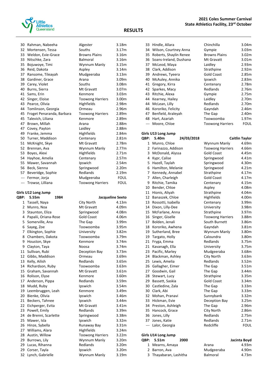

| 30    | Rahman, Nabeeha           | Algester                | 3.18m             |
|-------|---------------------------|-------------------------|-------------------|
| 32    | Mortensen, Tessa          | Souths                  | 3.17 <sub>m</sub> |
| 33    | Weldon, Evie-Grace        | <b>Browns Plains</b>    | 3.16m             |
| 33    | Nitschke, Zara            | <b>Balmoral</b>         | 3.16m             |
| 35    | Bojuwoye, Timi            | Wynnum Manly            | 3.15m             |
| 36    | Reid, Dakota              | Aspley                  | 3.14m             |
| 37    | Ransome, Tileayah         | Mudgeeraba              | 3.13m             |
| 38    | Gardiner, Grace           | Arana                   | 3.09m             |
| 39    | Carey, Violet             | Souths                  | 3.08m             |
| 40    | Burns, Sierra             | Mt Gravatt              | 3.07m             |
| 41    | Sams, Erin                | Kenmore                 | 3.03m             |
| 42    | Singer, Eloise            | <b>Toowong Harriers</b> | 3.00m             |
| 43    | Pearce, Olivia            | Highfields              | 2.98m             |
| 44    | Tomlinson, Georgia        | Ormeau                  | 2.96m             |
| 45    | Froget Penaranda, Barbara | <b>Toowong Harriers</b> | 2.89m             |
| 45    | Talevich, Liliana         | Kenmore                 | 2.89m             |
| 47    | Brown, Millah             | Arana                   | 2.88m             |
| 47    | Covey, Payton             | Laidley                 | 2.88m             |
| 49    | Franke, Jemma             | Highfields              | 2.84m             |
| 50    | Turner, Maddison          | Centenary               | 2.81m             |
| 51    | McKnight, Skye            | Mt Gravatt              | 2.78m             |
| 52    | Brennan, Ava              | Wynnum Manly            | 2.77m             |
| 53    | Boyes, Alexi              | Highfields              | 2.71m             |
| 54    | Hayhoe, Amelia            | Centenary               | 2.57m             |
| 55    | Mawer, Savannah           | Ipswich                 | 2.54m             |
| 56    | Beck, Sienna              | Springwood              | 2.20m             |
| 57    | Beveridge, Sophie         | Redlands                | 2.19m             |
| $---$ | Fermor, Jorja             | Mudgeeraba              | <b>FOUL</b>       |
| ---   | Trowse, Lilliana          | <b>Toowong Harriers</b> | <b>FOUL</b>       |
|       |                           |                         |                   |

| Girls U12 Long Jump |                      |                         |                   |  |  |
|---------------------|----------------------|-------------------------|-------------------|--|--|
| <b>QBP:</b>         | 5.55m<br>1984        |                         | Jacqueline Seeto  |  |  |
|                     | 1 Tassell, Naya      | City North              | 4.13m             |  |  |
| 2                   | Munro, Noa           | Mt Gravatt              | 4.09m             |  |  |
| 3                   | Staunton, Eliza      | Springwood              | 4.08m             |  |  |
| 4                   | Papalii, Oriana-Rose | <b>Gold Coast</b>       | 4.06m             |  |  |
| 5                   | Somerville, Ana      | The Gap                 | 3.99m             |  |  |
| 6                   | Sayeg, Zoe           | Toowoomba               | 3.95m             |  |  |
| 7                   | Elkington, Sophie    | University              | 3.82 <sub>m</sub> |  |  |
| 8                   | Chambers, Dakota     | Toowoomba               | 3.79m             |  |  |
| 9                   | Houston, Skye        | Kenmore                 | 3.74m             |  |  |
| 9                   | Clayton, Taya        | Noosa                   | 3.74m             |  |  |
| 11                  | Sullivan, Rubi       | Deception Bay           | 3.73m             |  |  |
|                     | 12 Gibbs, Maddison   | Ormeau                  | 3.69m             |  |  |
| 13                  | Kelly, Ailish        | Redlands                | 3.65m             |  |  |
| 14                  | Richardson, Ruby     | Toowoomba               | 3.63m             |  |  |
| 15                  | Graham, Savannah     | Mt Gravatt              | 3.61 <sub>m</sub> |  |  |
| 16                  | Rolison, Elyse       | Kenmore                 | 3.60m             |  |  |
| 17                  | Anderson, Pippa      | Redlands                | 3.59m             |  |  |
| 18                  | Mudd, Ruby           | Ipswich                 | 3.54m             |  |  |
| 19                  | Leembruggen, Leah    | Kenmore                 | 3.49m             |  |  |
| 20                  | Bienke, Olivia       | Ipswich                 | 3.46m             |  |  |
| 21                  | Beckers, Tahnee      | Ipswich                 | 3.44m             |  |  |
| 22 <sub>2</sub>     | Eichperger, Evita    | Mt Gravatt              | 3.41 <sub>m</sub> |  |  |
| 23                  | Powell, Emily        | Redlands                | 3.39m             |  |  |
| 24                  | de Brenni, Scarlette | Springwood              | 3.38m             |  |  |
| 25                  | Mawer, Isla          | Ipswich                 | 3.32m             |  |  |
| 26                  | Hinze, Sybella       | Runaway Bay             | 3.31m             |  |  |
| 27                  | Williams, Alara      | Highfields              | 3.24m             |  |  |
| 28                  | Austin, Willow       | <b>Toowong Harriers</b> | 3.22m             |  |  |
| 29                  | Burrows, Lily        | Wynnum Manly            | 3.20m             |  |  |
| 29                  | Lucas, Rihanna       | Redlands                | 3.20 <sub>m</sub> |  |  |
| 29                  | Corser, Tayla        | Ipswich                 | 3.20 <sub>m</sub> |  |  |
| 32                  | Lynch, Gabrielle     | Wynnum Manly            | 3.19m             |  |  |

| 33            | Hindle, Allara         | Chinchilla              | 3.04m                 |
|---------------|------------------------|-------------------------|-----------------------|
| 34            | Wilson, Courtney Anna  | Gympie                  | 3.03m                 |
| 35            | Roberts, Shaylin Renee | <b>Browns Plains</b>    | 3.02m                 |
| 36            | Soans-Ireland, Dushana | Mt Gravatt              | 3.01m                 |
| 37            | McLeod, Maya           | Laidley                 | 2.93m                 |
| 38            | Clark, Addison         | Strathpine              | 2.92m                 |
| 39            | Andrews, Tyeera        | <b>Gold Coast</b>       | 2.85m                 |
| 40            | McAuley, Annika        | Ipswich                 | 2.83m                 |
| 41            | Gregory, Kirra         | Centenary               | 2.78m                 |
| 42            | Sparkes, Macy          | Redlands                | 2.76m                 |
| 43            | Ritchie, Alexa         | Gympie                  | 2.75m                 |
| 44            | Kearney, Hailey        | Laidley                 | 2.70m                 |
| 44            | McLean, Lilly          | Redlands                | 2.70m                 |
| 46            | Kororiko, Felicity     | Gayndah                 | 2.46m                 |
| 47            | Benfield, Araleyah     | The Gap                 | 2.40m                 |
| 48            | Hart, Azariah          | Toowoomba               | 1.97m                 |
| $\frac{1}{2}$ | Moore, Chloe           | <b>Toowong Harriers</b> | <b>FOUL</b>           |
|               |                        |                         |                       |
|               | Girls U13 Long Jump    |                         |                       |
| QBP:          | 5.40m<br>24/03/2018    |                         | <b>Caitlin Taylor</b> |
| 1             | Munro, Chloe           | Wynnum Manly            | 4.69m                 |
| 2             | Farinazzo, Addison     | <b>Toowong Harriers</b> | 4.66m                 |
| 3             | McDonald, Alyssa       | <b>Gold Coast</b>       | 4.45m                 |
| 4             | Kypr, Calise           | Springwood              | 4.41m                 |
| 5             | Hazell, Taylah         | Springwood              | 4.30m                 |
| 6             | Hamilton, Melanie      | Springwood              | 4.21m                 |
|               | 7 Kennedy, Annabel     | Strathpine              | 4.17m                 |
| 7             | Allen, Charleigh       | <b>Gold Coast</b>       | 4.17m                 |
| 9             | Ritchie, Tamika        | Centenary               | 4.15m                 |
| 10            | Bender, Chloe          | Aspley                  | 4.08m                 |
| 11            | Hionis, Aliyah         | Strathpine              | 4.04m                 |
| 12            | Banaszek, Chloe        | Highfields              | 4.00m                 |
| 13            | Rossotti, Isabella     | Centenary               | 3.99m                 |
| 14            | Dixon, Lilly-Dee       | University              | 3.98m                 |
| 15            | McFarlane, Anna        | Strathpine              | 3.97m                 |
| 16            | Singer, Giselle        | <b>Toowong Harriers</b> | 3.88m                 |
| 17            | Bolden, Jenali         | South Burnett           | 3.86m                 |
| 18            | Kororiko, Awhena       | Gayndah                 | 3.81m                 |
| 19            | Sutherland, Bree       | Wynnum Manly            | 3.80m                 |
| 19            | Targato, Holly         | Caloundra               | 3.80m                 |
|               | 21 Fryga, Emma         | Redlands                | 3.75m                 |
|               | 21 Kavanagh, Ella      | University              | 3.75m                 |
| 23            | Pacific, Marley        | Mudgeeraba              | 3.68m                 |
|               | 24 Blackman, Ashley    | City North              | 3.63m                 |
|               | 25 Lewis, Amelia       | Redlands                | 3.52m                 |
|               | 26 Gallagher, Eimer    | The Gap                 | 3.51m                 |
|               | 27 Goodwin, Gail       | The Gap                 | 3.44m                 |
| 28            | Stewart, Lucy          | Strathpine              | 3.35m                 |
| 29            | Bassett, Saskia        | <b>Gold Coast</b>       | 3.34m                 |
| 30            | Castledine, Zala       | The Gap                 | 3.33m                 |
| 30            | Clark, Abi             | The Gap                 | 3.33m                 |
| 32            | Mohan, Pranavi         | Sunnybank               | 3.32m                 |
| 33            | Hickman, Evie          | Deception Bay           | 3.25m                 |
| 34            | Preston, Ashleigh      | The Gap                 | 2.96m                 |
| 35            | Hancock, Grace         | City North              | 2.86m                 |
| 36            | Jones, Lilly           | Redlands                | 2.75m                 |
| 37            | Jones, Katie           | Redlands                | 2.71m                 |
| $\sim$ $\sim$ | Lalor, Georgia         | Redcliffe               | <b>FOUL</b>           |
|               |                        |                         |                       |
|               | Girls U14 Long Jump    |                         |                       |
|               |                        |                         |                       |

| OBP: 5.51m             | 2000 |                 | Jacinta Boyd |
|------------------------|------|-----------------|--------------|
| 1 Mearns, Amaya        |      | Arana           | 4.93m        |
| 2 Barron, Ava          |      | Mudgeeraba      | 4.90m        |
| 3 Thayabaran, Lashitha |      | <b>Balmoral</b> | 4.73m        |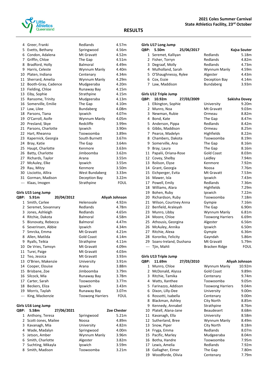

| 4   | Greer, Franki       | Redlands         | 4.57m       |
|-----|---------------------|------------------|-------------|
| 5.  | Evetts, Bethany     | Springwood       | 4.56m       |
|     | 6 Condon, Adalena   | Mt Gravatt       | 4.52m       |
| 7   | Griffin, Chloe      | The Gap          | 4.51m       |
| 8   | Bradford, Holly     | Balmoral         | 4.49m       |
| 9   | Harris, Celeste     | Wynnum Manly     | 4.40m       |
| 10  | Platen, Indiana     | Centenary        | 4.34m       |
| 11  | Sherrard, Amelia    | Wynnum Manly     | 4.29m       |
| 12  | Booth-Gray, Cadence | Mudgeeraba       | 4.20m       |
| 13  | Fielding, Chloe     | Runaway Bay      | 4.15m       |
| 13  | Eiby, Sophie        | Strathpine       | 4.15m       |
| 15  | Ransome, Trinity    | Mudgeeraba       | 4.13m       |
| 16  | Somerville, Emilie  | The Gap          | 4.10m       |
| 17  | Law, Lilee          | <b>Bundaberg</b> | 4.08m       |
| 18  | Parsons, Tiana      | Ipswich          | 4.07m       |
| 19  | O'Carroll, Aoife    | Wynnum Manly     | 4.05m       |
| 20  | Presland, Skye      | Redcliffe        | 3.99m       |
| 21  | Parsons, Charlotte  | Ipswich          | 3.90m       |
| 22  | Hart, Rheanna       | Toowoomba        | 3.89m       |
| 23  | Kapernick, Georgia  | South Burnett    | 3.67m       |
| 24  | Bray, Katie         | The Gap          | 3.64m       |
| 25  | Haupt, Charlotte    | Kenmore          | 3.63m       |
| 26  | Batty, Charlotte    | Jimboomba        | 3.62m       |
| 27  | Richards, Taylor    | Arana            | 3.55m       |
| 27  | McAuley, Elke       | Ipswich          | 3.55m       |
| 29  | Rau, Mitzy          | Kenmore          | 3.50m       |
| 30  | Lisciotto, Allira   | West Bundaberg   | 3.33m       |
| 31  | Gorman, Madison     | Deception Bay    | 3.22m       |
| --- | Klaas, Imogen       | Strathpine       | <b>FOUL</b> |

## **Girls U15 Long Jump**

| QBP: | 5.91m              | 20/04/2012 |                         | Aliyah Johnson |
|------|--------------------|------------|-------------------------|----------------|
| 1    | Smith, Carlee      |            | Helensvale              | 4.92m          |
| 2    | Seremet, Sovannary |            | Redlands                | 4.78m          |
| 3    | Jones, Ashleigh    |            | Redlands                | 4.65m          |
| 4    | Ritchie, Dakota    |            | <b>Balmoral</b>         | 4.58m          |
| 5    | Bisnovaty, Rebecca |            | <b>Balmoral</b>         | 4.47m          |
| 6    | Severinsen, Abbie  |            | Ipswich                 | 4.34m          |
| 7    | Smrcka, Emma       |            | Mt Gravatt              | 4.21m          |
| 8    | Allen, Matilda     |            | <b>Gold Coast</b>       | 4.14m          |
| 9    | Ryalls, Teikia     |            | Strathpine              | 4.11m          |
| 10   | De Vries, Tamsyn   |            | Mt Gravatt              | 4.09m          |
| 11   | Turei, Paige       |            | Mt Gravatt              | 4.03m          |
| 12   | Teo, Jessica       |            | Mt Gravatt              | 3.93m          |
| 13   | O'Brien, Makenzie  |            | University              | 3.91m          |
| 14   | Cooper, Elouise    |            | Arana                   | 3.88m          |
| 15   | Brisbane, Zoe      |            | Jimboomba               | 3.79m          |
| 16   | Silcock, Mia       |            | Runaway Bay             | 3.78m          |
| 17   | Carter, Sarah      |            | Toowoomba               | 3.77m          |
| 18   | Beckers, Eliza     |            | Ipswich                 | 3.43m          |
| 19   | Morris, Taylah     |            | Runaway Bay             | 3.07m          |
| ---  | King, Mackenzie    |            | <b>Toowong Harriers</b> | FOUL           |

## **Girls U16 Long Jump**

| <b>OBP:</b> | 5.58m                 | 27/06/2021 |              | <b>Zoe Chester</b> |
|-------------|-----------------------|------------|--------------|--------------------|
|             | 1 Anthony, Teresa     |            | Springwood   | 5.21m              |
|             | 2 Scott-Jones, Mailee |            | Noosa        | 4.89m              |
|             | 3 Kavanagh, Mia       |            | University   | 4.82m              |
|             | 4 Wade, Madalyn       |            | Springwood   | 4.00m              |
|             | 5 Jetson, Amber       |            | Wynnum Manly | 3.96m              |
|             | 6 Smith, Charlotte    |            | Algester     | 3.82m              |
|             | 7 Suchting, Mikayla   |            | Ipswich      | 3.59m              |
|             | 8 Smith, Madison      |            | Toowoomba    | 3.21 <sub>m</sub>  |

#### **Girls U17 Long Jump**

| <b>OBP:</b> | 5.50m                  | 25/06/2017 |               | Kajsa Souter |
|-------------|------------------------|------------|---------------|--------------|
|             | 1 Seremet, Kalliyan    |            | Redlands      | 5.18m        |
|             | 2 Fisher, Torryn       |            | Redlands      | 4.82m        |
|             | 3 Degraaf, Molly       |            | Redlands      | 4.73m        |
|             | 4 Mulholland, Sarah    |            | Wynnum Manly  | 4.59m        |
|             | 5 O'Shaughnessy, Rylee |            | Algester      | 4.43m        |
|             | 6 Cox, Essie           |            | Deception Bay | 4.14m        |
|             | 7 Law, Maddison        |            | Bundaberg     | 3.93m        |

### **Girls U12 Triple Jump**

|              | שווואל און וון אדס כוווה |                         |                   |
|--------------|--------------------------|-------------------------|-------------------|
| QBP:         | 10.92m<br>27/03/2009     |                         | Sakisha Dovey     |
| $\mathbf{1}$ | Elkington, Sophie        | University              | 9.20m             |
| 2            | Munro, Noa               | Mt Gravatt              | 9.03 <sub>m</sub> |
| 3            | Newman, Rubie            | Ormeau                  | 8.82m             |
| 4            | Bond, Kate               | The Gap                 | 8.47m             |
| 5            | Anderson, Pippa          | Redlands                | 8.42m             |
| 6            | Gibbs, Maddison          | Ormeau                  | 8.25m             |
| 7            | Pearce, Madelyn          | Highfields              | 8.22m             |
| 8            | Chambers, Dakota         | Toowoomba               | 8.19m             |
|              | 9 Somerville, Ana        | The Gap                 | 8.16m             |
| 9            | Bray, Laura              | The Gap                 | 8.16m             |
| 11           | Papalii, Oriana-Rose     | <b>Gold Coast</b>       | 8.03m             |
| 12           | Covey, Shelby            | Laidley                 | 7.94m             |
| 13           | Rolison, Elyse           | Kenmore                 | 7.92m             |
|              | 14 Grant, Georgia        | Noosa                   | 7.76m             |
|              | 15 Eichperger, Evita     | Mt Gravatt              | 7.53m             |
|              | 16 Mawer, Isla           | Ipswich                 | 7.43m             |
|              | 17 Powell, Emily         | Redlands                | 7.36m             |
| 18           | Williams, Alara          | Highfields              | 7.29m             |
| 19           | Bohen, Ruby              | Ipswich                 | 7.22m             |
|              | 20 Richardson, Ruby      | Toowoomba               | 7.18m             |
|              | 21 Wilson, Courtney Anna | Gympie                  | 7.16m             |
| 22           | Benfield, Araleyah       | The Gap                 | 6.90m             |
| 23           | Munro, Libby             | Wynnum Manly            | 6.81m             |
| 24           | Moore, Chloe             | <b>Toowong Harriers</b> | 6.69m             |
| 25           | Athousis, Georgina       | Algester                | 6.56m             |
| 26           | McAuley, Annika          | Ipswich                 | 6.50m             |
| 27           | Ritchie, Alexa           | Gympie                  | 6.36m             |
| 28           | Kororiko, Felicity       | Gayndah                 | 5.86m             |
| 29           | Soans-Ireland, Dushana   | Mt Gravatt              | 5.79m             |
| $---$        | Tjin, Mahli              | Bracken Ridge           | <b>FOUL</b>       |
|              |                          |                         |                   |

#### **Girls U13 Triple Jump**

| QBP: | 11.69m              | 27/03/2010 |                         | Aliyah Johnson |
|------|---------------------|------------|-------------------------|----------------|
| 1    | Munro, Chloe        |            | Wynnum Manly            | 10.92m         |
| 2    | McDonald, Alyssa    |            | <b>Gold Coast</b>       | 9.89m          |
| 3    | Ritchie, Tamika     |            | Centenary               | 9.74m          |
| 4    | Watts, Xanthee      |            | Toowoomba               | 9.05m          |
| 5    | Farinazzo, Addison  |            | <b>Toowong Harriers</b> | 9.04m          |
| 6    | Dixon, Lilly-Dee    |            | University              | 9.00m          |
| 6    | Rossotti, Isabella  |            | Centenary               | 9.00m          |
| 8    | Blackman, Ashley    |            | City North              | 8.85m          |
| 9    | Kennedy, Annabel    |            | Strathpine              | 8.76m          |
| 10   | Platell, Alana-Jane |            | <b>Beaudesert</b>       | 8.68m          |
| 11   | Kavanagh, Ella      |            | University              | 8.58m          |
| 12   | Sutherland, Bree    |            | Wynnum Manly            | 8.49m          |
| 13   | Snow, Piper         |            | City North              | 8.18m          |
| 14   | Fryga, Emma         |            | Redlands                | 8.07m          |
| 15   | Pacific, Marley     |            | Mudgeeraba              | 8.04m          |
| 16   | Botha, Handre       |            | Toowoomba               | 7.95m          |
| 17   | Lewis, Amelia       |            | Redlands                | 7.92m          |
| 18   | Gallagher, Eimer    |            | The Gap                 | 7.80m          |
| 19   | Woodforde, Olivia   |            | Centenary               | 7.79m          |

| Vynnum Manly          | 10.92m |
|-----------------------|--------|
| Gold Coast            | 9.89m  |
| Centenary             | 9.74m  |
| <sup>-</sup> oowoomba | 9.05m  |
| oowong Harriers       | 9.04m  |
| Jniversity            | 9.00m  |
| Centenary             | 9.00m  |
| City North            | 8.85m  |
| itrathpine            | 8.76m  |
| Beaudesert            | 8.68m  |
| Jniversity            | 8.58m  |
| Vynnum Manly          | 8.49m  |
| City North            | 8.18m  |
| edlands?              | 8.07m  |
| Audgeeraba            | 8.04m  |
| oowoomba              | 7.95m  |
| ≀edlands              | 7.92m  |
| he Gap                | 7.80m  |
| $\sim$ ntonomi        | 7.70m  |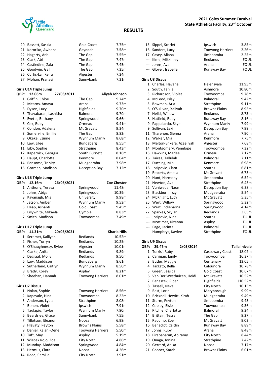

|                | 20 Bassett, Saskia     | Gold Coast              | 7.75m          |
|----------------|------------------------|-------------------------|----------------|
|                | 21 Kororiko, Awhena    | Gayndah                 | 7.58m          |
|                | 22 Hagarty, Aria       | The Gap                 | 7.55m          |
|                | 23 Clark, Abi          | The Gap                 | 7.47m          |
|                | 24 Castledine, Zala    | The Gap                 | 7.45m          |
|                | 25 Goodwin, Gail       | The Gap                 | 7.35m          |
|                | 26 Curtis-Lai, Keira   | Algester                | 7.24m          |
|                | 27 Mohan, Pranavi      | Sunnybank               | 7.21m          |
|                | Girls U14 Triple Jump  |                         |                |
| QBP:           | 12.06m<br>27/03/2011   |                         | Aliyah Johnson |
| 1              | Griffin, Chloe         | The Gap                 | 9.74m          |
|                | 2 Mearns, Amaya        | Arana                   | 9.73m          |
|                | 3 Dyson, Lucy          | Highfields              | 9.70m          |
|                | 3 Thayabaran, Lashitha | Balmoral                | 9.70m          |
| 5.             | Evetts, Bethany        | Springwood              | 9.66m          |
|                | 6 Cox, Ruby            | Ormeau                  | 9.41m          |
|                | 7 Condon, Adalena      | Mt Gravatt              | 9.34m          |
| 8              | Somerville, Emilie     | The Gap                 | 8.82m          |
|                | 9 Okeke, Ezinne        | Wynnum Manly            | 8.68m          |
| 10             | Law, Lilee             | Bundaberg               | 8.55m          |
|                | 11 Eiby, Sophie        | Strathpine              | 8.43m          |
|                | 12 Kapernick, Georgia  | South Burnett           | 8.16m          |
| 13             | Haupt, Charlotte       | Kenmore                 | 8.04m          |
|                | 14 Ransome, Trinity    | Mudgeeraba              | 7.98m          |
| 15             | Gorman, Madison        | Deception Bay           | 7.12m          |
|                |                        |                         |                |
|                | Girls U16 Triple Jump  |                         |                |
| QBP:           | 12.16m<br>26/06/2021   |                         | Zoe Chester    |
|                | 1 Anthony, Teresa      | Springwood              | 11.48m         |
|                | 2 Johns, Abigail       | Springwood              | 10.39m         |
|                | 3 Kavanagh, Mia        | University              | 9.98m          |
| 4              | Jetson, Amber          | Wynnum Manly            | 9.53m          |
|                | 5 Heap, Ashanti        | <b>Gold Coast</b>       | 9.45m          |
|                | 6 Lillywhite, Mikaela  | Gympie                  | 8.83m          |
| $\overline{7}$ | Smith, Madison         | Toowoomba               | 7.49m          |
|                | Girls U17 Triple Jump  |                         |                |
| QBP:           | 20/03/2021<br>11.31m   |                         | Kharla Hills   |
|                | 1 Seremet, Kalliyan    | Redlands                | 10.52m         |
| 2              | Fisher, Torryn         | Redlands                | 10.25m         |
| 3              | O'Shaughnessy, Rylee   | Algester                | 10.01m         |
| 4              | Clarke, Anika          | Redlands                | 9.89m          |
| 5              | Degraaf, Molly         | Redlands                | 9.50m          |
|                | 6 Law, Maddison        | Bundaberg               | 8.61m          |
| 7              | Sutherland, Caitlyn    | Wynnum Manly            | 8.50m          |
| 8              | Brady, Korey           | Aspley                  | 8.21m          |
| 9              | Sheehan, Hannah        | <b>Toowong Harriers</b> | 8.01m          |
|                |                        |                         |                |
|                | <b>Girls U7 Discus</b> |                         |                |
|                | 1 Nolan, Sophie        | <b>Toowong Harriers</b> | 8.56m          |
|                | 2 Kapavale, Hina       | Toowoomba               | 8.22m          |
|                | 3 Anderson, Lydia      | Strathpine              | 8.08m          |
| 4              | Bohen, Violet          | Ipswich                 | 7.91m          |
| 5.             | Taulapiu, Taylor       | Wynnum Manly            | 7.90m          |
| 6              | Beardsley, Grace       | Sunnybank               | 7.55m          |
|                | 7 Tillotson, Eleanor   | Noosa                   | 6.98m          |
| 8              | Hlavaty, Peyton        | <b>Browns Plains</b>    | 5.58m          |
| 9              | Daniel, Kalani-Dene    | <b>Toowong Harriers</b> | 5.50m          |
| 10             | Taft, May              | Aspley                  | 5.19m          |
| 11             | Wiecek Rojo, Zoe       | City North              | 4.86m          |
| 12             | Munday, Maddison       | Springwood              | 4.84m          |
| 13             | Hermus, Clara          | Noosa                   | 4.26m          |
| 14             | Reed, Camilla          | City North              | 3.91m          |

|              | 15 Sippel, Scarlet        | Ipswich                 | 3.85m                |
|--------------|---------------------------|-------------------------|----------------------|
|              | 16 Sanders, Lucy          | <b>Toowong Harriers</b> | 2.26m                |
|              | 17 Casey, Aliana          | Jimboomba               | 2.25m                |
|              | --- Kime, Mikkinley       | Redlands                | <b>FOUL</b>          |
|              | --- Johns, Ava            | Arana                   | <b>FOUL</b>          |
|              | --- Glover, Isabelle      | Runaway Bay             | FOUL                 |
|              | <b>Girls U8 Discus</b>    |                         |                      |
|              | 1 Charles, Havana         | Helensvale              | 11.95m               |
| $\mathbf{2}$ | South, Tahlia             | Ashmore                 | 10.80m               |
| 3            | Richardson, Violet        | Toowoomba               | 9.78m                |
| 4            | McLeod, Islay             | <b>Balmoral</b>         | 9.42m                |
| 5            | Bowman, Aria              | Strathpine              | 9.11m                |
| 6            | O'Sullivan, Xaliyah       | <b>Browns Plains</b>    | 8.92m                |
| 7            | Nelisi, Willow            | Redlands                | 8.73m                |
| 8            | Hatfield, Ruby            | Runaway Bay             | 8.16m                |
| 9            | Pappalardo, Skye          | Wynnum Manly            | 7.99m                |
| 9            | Sullivan, Lexi            | Deception Bay           | 7.99m                |
| 11           | Tharenou, Sienna          | Arana                   | 7.90m                |
|              | 12 Walker, Mia            | Kenmore                 | 7.75m                |
| 13           | Melton-Enkera, Azaeliyah  | Algester                | 7.68m                |
| 14           | Montgomery, Penelope      | Toowoomba               | 7.32m                |
| 15           | Hawkins, Marlee           | Ormeau                  | 7.17m                |
| 16           | Tairea, Tallulah          | Balmoral                | 7.11m                |
| 17           | Duesing, Mia              | Kenmore                 | 6.98m                |
| 18           | Josipovic, Clara          | Souths                  | 6.81m                |
| 19           | Roberts, Amelia           | Mt Gravatt              | 6.73m                |
| 20           | Hunt, Harmony             | Jimboomba               | 6.52m                |
| 21           | Newton, Ava               | Strathpine              | 6.43m                |
| 22           | Vuniwaqa, Naomi           | Deception Bay           | 6.38m                |
| 23           | Blackburn, Izzy           | Mudgeeraba              | 5.54m                |
| 24           | McKnight, Lucy            | Mt Gravatt              | 5.35m                |
| 25           | Wert, Willow              | Springwood              | 5.32m                |
| 26           | Wert, Indieharna          | Springwood              | 4.14m                |
| 27           | Sparkes, Skylar           | Redlands                | 3.65m                |
| $---$        | Josipovic, Nina           | Souths                  | FOUL                 |
|              | --- Mortimer, Rizanna     | Aspley                  | <b>FOUL</b>          |
|              | --- Page, Jacinta         | Balmoral                | <b>FOUL</b>          |
|              | --- Humphrys, Kaylee      | Strathpine              | FOUL                 |
|              | <b>Girls U9 Discus</b>    |                         |                      |
| QBP:         | 2/03/2014<br>29.47m       |                         | <b>Talia Inivale</b> |
| 1            | Torrisi, Ruby             | Cassowary Coast         | 18.02m               |
| 2            | Carrigan, Emily           | Toowoomba               | 16.37m               |
| 3            | Butler, Maggie            | Centenary               | 13.05m               |
| 4            | Targato, Bella            | Caloundra               | 10.78m               |
| 5            | Green, Jessica            | <b>Gold Coast</b>       | 10.67m               |
| 6            | Van Der Westhuizen, Heidi | Mt Gravatt              | 10.52m               |
| 7            | Banaszek, Piper           | Highfields              | J10.52m              |
| 8            | Tassell, Neva             | City North              | 10.15m               |
| 9            | Best, Lorin               | Maryborough             | 9.99m                |
| 10           | Bricknell-Hewitt, Kirah   | Mudgeeraba              | 9.49m                |
| 11           | Sturm, Peyton             | Jimboomba               | 9.43m                |
| 12           | Copley, Elsie             | Toowoomba               | 9.36m                |
| 13           | Ritchie, Charlotte        | Balmoral                | 9.34m                |
| 14           | Brittain, Tessa           | The Gap                 | 9.27m                |
| 15           | Raudino, Zoe              | Mt Gravatt              | 9.02m                |
| 16           | Benedict, Caitlin         | Runaway Bay             | 8.89m                |
|              |                           |                         |                      |

17 Johns, Ruby **Arana** 8.48m Pirabaharan, Abiramy City North 8.44m Onaga, Jonina Strathpine 7.42m Gerrard, Anika Noosa 7.17m

21 Cooper, Sarah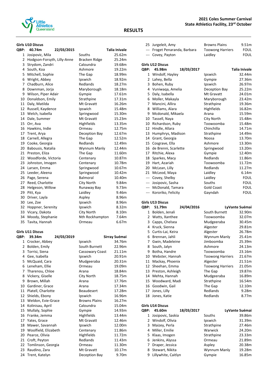

#### **Girls U10 Discus**

| QBP: | 40.74m                      | 22/03/2015 |                   | <b>Talia Inivale</b> |
|------|-----------------------------|------------|-------------------|----------------------|
| 1    | Josipovic, Mila             |            | Souths            | 25.62m               |
| 2    | Hodgson-Forsyth, Lilly-Anne |            | Bracken Ridge     | 25.24m               |
| 3    | Strydom, Zandri             |            | Caloundra         | 19.68m               |
| 4    | South, Koa                  |            | Ashmore           | 19.22m               |
| 5    | Mitchell, Sophie            |            | The Gap           | 18.99m               |
| 6    | Wright, Abbey               |            | Ipswich           | 18.92m               |
| 7    | Chadburn, Alice             |            | Redlands          | 18.27m               |
| 8    | Downman, Jorja              |            | Maryborough       | 18.18m               |
| 9    | Wilson, Piper Adair         |            | Gympie            | 17.61m               |
| 10   | Donaldson, Emily            |            | Strathpine        | 17.31m               |
| 11   | Daly, Matilda               |            | Mt Gravatt        | 16.26m               |
| 12   | Russell, Kaydence           |            | Ipswich           | 15.48m               |
| 13   | Welch, Isabella             |            | Springwood        | 15.30m               |
| 14   | Dale, Summer                |            | Mt Gravatt        | 15.23m               |
| 15   | Orr, Ava                    |            | <b>Highfields</b> | 13.35m               |
| 16   | Hawkins, Indie              |            | Ormeau            | 12.75m               |
| 17   | Trent, Arya                 |            | Deception Bay     | 12.67m               |
| 18   | Carnell, Allegra            |            | The Gap           | 12.52m               |
| 19   | Cooke, Georgia              |            | Redlands          | 12.49m               |
| 20   | Babousis, Natalia           |            | Wynnum Manly      | 12.44m               |
| 21   | Preston, Eliza              |            | The Gap           | 11.60m               |
| 22   | Woodforde, Victoria         |            | Centenary         | 10.87m               |
| 23   | Johnston, Imogen            |            | Centenary         | 10.78m               |
| 24   | Larsen, Emma                |            | Springwood        | 10.67m               |
| 25   | Leeder, Aleena              |            | Springwood        | 10.42m               |
| 26   | Page, Serena                |            | Balmoral          | 10.40m               |
| 27   | Reed, Charlotte             |            | City North        | 9.84m                |
| 28   | Helgeson, Willow            |            | Runaway Bay       | 9.73m                |
| 29   | Pitt, Kya                   |            | Laidley           | 9.46m                |
| 30   | Driver, Layla               |            | Aspley            | 8.96m                |
| 30   | Lee, Zoe                    |            | Ipswich           | 8.96m                |
| 32   | Hoppner, Serenity           |            | Ipswich           | 8.32m                |
|      | 33 Vicary, Dakota           |            | City North        | 8.10m                |
| 34   | Moody, Stephanie            |            | Nth Rockhampton   | 7.64m                |
| 35   | Tavita, Hannah              |            | Ormeau            | 6.67m                |

**RESULTS**

## **Girls U11 Discus**

| QBP: | 39.34m               | 24/03/2019 |                      | Sirray Suémai |
|------|----------------------|------------|----------------------|---------------|
| 1    | Crocker, Abbey       |            | Ipswich              | 34.76m        |
| 2    | Bolden, Emily        |            | South Burnett        | 22.96m        |
| 3    | Torrisi, Siena       |            | Cassowary Coast      | 21.11m        |
| 4    | Gee, Isabella        |            | Ipswich              | 20.91m        |
| 5    | McQuaid, Cara        |            | Mudgeeraba           | 20.31m        |
| 6    | Leneham, Ellie       |            | Ormeau               | 19.09m        |
| 7    | Tharenou, Chloe      |            | Arana                | 18.84m        |
| 8    | Vickery, Giselle     |            | City North           | 18.75m        |
| 9    | Brown, Millah        |            | Arana                | 17.76m        |
| 10   | Gardiner, Grace      |            | Arana                | 17.34m        |
| 11   | Platell, Charlotte   |            | <b>Beaudesert</b>    | 17.28m        |
| 12   | Shields, Ebony       |            | Ipswich              | 16.96m        |
| 13   | Weldon, Evie-Grace   |            | <b>Browns Plains</b> | 16.27m        |
| 14   | Kolinisau, April     |            | Caloundra            | 15.04m        |
| 15   | Mullaly, Sophie      |            | Gympie               | 14.93m        |
| 16   | Franke, Jemma        |            | Highfields           | 13.44m        |
| 17   | Yates, Grace         |            | Mt Gravatt           | 12.46m        |
| 18   | Mawer, Savannah      |            | Ipswich              | 12.00m        |
| 19   | Woolfield, Elizabeth |            | Centenary            | 11.86m        |
| 20   | Pearce, Olivia       |            | Highfields           | 11.72m        |
| 21   | Croft, Peyton        |            | Redlands             | 11.43m        |
| 22   | Tomlinson, Georgia   |            | Ormeau               | 11.30m        |
| 23   | Raudino, Zara        |            | Mt Gravatt           | 10.17m        |
| 24   | Trent, Katelyn       |            | Deception Bay        | 9.70m         |

#### **2021 Coles Summer Carnival State Athletics Facility, 23rd October**

|                                                                                                | 25 Jurgeleit, Amy             | <b>Browns Plains</b>    | 9.51m          |
|------------------------------------------------------------------------------------------------|-------------------------------|-------------------------|----------------|
|                                                                                                | --- Froget Penaranda, Barbara | <b>Toowong Harriers</b> | <b>FOUL</b>    |
|                                                                                                | --- Covey, Payton             | Laidley                 | <b>FOUL</b>    |
|                                                                                                |                               |                         |                |
|                                                                                                | <b>Girls U12 Discus</b>       |                         |                |
| QBP:                                                                                           | 18/03/2017<br>45.98m          |                         | Talia Inivale  |
|                                                                                                | 1 Windolf, Hayley             | Ipswich                 | 32.44m         |
| $\overline{2}$                                                                                 | Lahey, Bella                  | Gympie                  | 27.36m         |
|                                                                                                | 3 Bohen, Ruby                 | Ipswich                 | 26.97m         |
|                                                                                                | 4 Vuniwaqa, Amelia            | Deception Bay           | 25.22m         |
| 5                                                                                              | Daly, Isabella                | Mt Gravatt              | 24.01m         |
| 6                                                                                              | Moller, Makayla               | Maryborough             | 23.42m         |
| 7                                                                                              | Mancini, Allira               | Strathpine              | 19.36m         |
| 8                                                                                              | Williams, Alara               | Highfields              | 16.82m         |
| 9                                                                                              | Mcdonald, Mikaela             | Arana                   | 15.59m         |
| 10                                                                                             | Tassell, Naya                 | City North              | 15.48m         |
| 10                                                                                             | Richardson, Ruby              | Toowoomba               | 15.48m         |
| 12                                                                                             | Hindle, Allara                | Chinchilla              | 14.71m         |
| 13                                                                                             |                               |                         | 14.49m         |
| 14                                                                                             | Humphrys, Madison             | Strathpine              |                |
|                                                                                                | Grant, Georgia                | Noosa                   | 13.70m         |
| 15                                                                                             | Cosgrave, Ella                | Ashmore                 | 13.30m         |
| 16                                                                                             | de Brenni, Scarlette          | Springwood              | 13.20m         |
| 17                                                                                             | Ritchie, Alexa                | Gympie                  | 12.40m         |
| 18                                                                                             | Sparkes, Macy                 | Redlands                | 11.86m         |
| 19                                                                                             | Hart, Azariah                 | Toowoomba               | 11.72m         |
| 20                                                                                             | McLean, Lilly                 | Redlands                | 11.27m         |
| 21                                                                                             | McLeod, Maya                  | Laidley                 | 6.14m          |
| $\frac{1}{2} \left( \frac{1}{2} \right) \left( \frac{1}{2} \right) \left( \frac{1}{2} \right)$ | Covey, Shelby                 | Laidley                 | FOUL           |
| $\frac{1}{2} \left( \frac{1}{2} \right) \left( \frac{1}{2} \right) \left( \frac{1}{2} \right)$ | Josipovic, Sasha              | Souths                  | <b>FOUL</b>    |
|                                                                                                | --- McDonald, Tamara          | <b>Gold Coast</b>       | FOUL           |
|                                                                                                | --- Kororiko, Felicity        | Gayndah                 | <b>FOUL</b>    |
|                                                                                                | Girls U13 Discus              |                         |                |
| QBP:                                                                                           | 51.79m<br>24/04/2016          |                         | LyVante Suémai |
| 1                                                                                              | Bolden, Jenali                | South Burnett           | 32.90m         |
|                                                                                                | 2 Watts, Xanthee              | Toowoomba               | 32.07m         |
| 3                                                                                              | Capps, Chelsea                | Mudgeeraba              | 30.45m         |
|                                                                                                | 4 Kruck, Sienna               | Algester                | 29.81m         |
| 5.                                                                                             | Curtis-Lai, Keira             | Algester                | 26.78m         |
| 6                                                                                              | Brennan, Jahli                | Wynnum Manly            | 25.41m         |
| 7                                                                                              | Gwin, Madeleine               | Jimboomba               | 25.39m         |
| 8                                                                                              | South, Jalyn                  | Ashmore                 | 24.13m         |
| 9                                                                                              | Botha, Handre                 | Toowoomba               | 23.16m         |
| 10                                                                                             | Webster, Hannah               | <b>Toowong Harriers</b> | 21.67m         |
| 11                                                                                             | Mackay, Phoenix               | Algester                | 21.51m         |
| 12                                                                                             | Sheehan, Emma                 | <b>Toowong Harriers</b> | 21.05m         |
| 13                                                                                             | Preston, Ashleigh             | The Gap                 | 19.87m         |
| 14                                                                                             | Mehta, Hannah                 | Mudgeeraba              | 16.89m         |
|                                                                                                |                               |                         |                |
| 15                                                                                             | Woodward, Madi                | Strathpine              | 16.54m         |
| 16                                                                                             | Goodwin, Gail                 | The Gap                 | 12.10m         |
| 17                                                                                             | Jones, Lilly                  | Redlands                | 9.28m          |
| 18                                                                                             | Jones, Katie                  | Redlands                | 8.77m          |
|                                                                                                | <b>Girls U14 Discus</b>       |                         |                |
| QBP:                                                                                           | 45.60m<br>18/03/2017          |                         | LyVante Suémai |
| $\mathbf{1}$                                                                                   | Josipovic, Saskia             | Souths                  | 39.86m         |
|                                                                                                | 2 Windolf, Olivia             | Ipswich                 | 31.39m         |
| 3                                                                                              | Maizey, Perla                 | Strathpine              | 27.46m         |

3 Maizey, Perla **27.46m Strathpine** 

9 Lillywhite, Caitlyn

 Miller, Emilie Warwick 24.20m Klaas, Imogen Strathpine 23.33m Jenkins, Alyssa Ormeau 21.89m Draper, Jessica Aspley 20.38m Stewart, Nikita Wynnum Manly 19.28m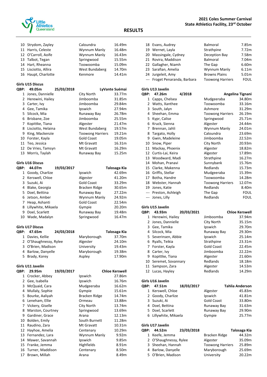

|              | 10 Strydom, Zayley      | Caloundra               | 16.49m                |
|--------------|-------------------------|-------------------------|-----------------------|
|              | 11 Harris, Celeste      | Wynnum Manly            | 16.48m                |
|              | 12 O'Carroll, Aoife     | Wynnum Manly            | 16.43m                |
|              | 13 Talbot, Tegan        | Springwood              | 15.55m                |
|              | 14 Hart, Rheanna        | Toowoomba               | 15.09m                |
|              | 15 Lisciotto, Allira    | West Bundaberg          | 14.70m                |
|              | 16 Haupt, Charlotte     | Kenmore                 | 14.41m                |
|              |                         |                         |                       |
|              | <b>Girls U15 Discus</b> |                         |                       |
|              | 49.05m                  |                         |                       |
| QBP:         | 25/03/2018              |                         | LyVante Suémai        |
|              | 1 Jones, Dannielle      | City North              | 33.77m                |
|              | 2 Herewini, Hailey      | Jimboomba               | 31.85m                |
|              | 3 Carter, Ivy           | Jimboomba               | 29.84m                |
|              | 4 Gee, Tamika           | Ipswich                 | 27.94m                |
|              | 5 Silcock, Mia          | Runaway Bay             | 26.78m                |
|              | 6 Brisbane, Zoe         | Jimboomba               | 25.55m                |
| 7            | Kopittke, Tiana         | Algester                | 21.47m                |
|              | 8 Lisciotto, Helaina    | West Bundaberg          | 19.57m                |
| 9            | King, Mackenzie         | <b>Toowong Harriers</b> | 19.21m                |
|              | 10 Forster, Kayla       | <b>Gold Coast</b>       | 19.05m                |
|              | 11 Teo, Jessica         | Mt Gravatt              | 16.31m                |
|              | 12 De Vries, Tamsyn     | Mt Gravatt              | 16.29m                |
|              | 13 Morris, Taylah       | Runaway Bay             | 15.25m                |
|              |                         |                         |                       |
|              | <b>Girls U16 Discus</b> |                         |                       |
| <b>OBP:</b>  | 44.07m<br>19/03/2017    |                         |                       |
|              |                         |                         | Talosaga Kia          |
|              | 1 Goody, Charlize       | Ipswich                 | 42.69m                |
|              | 2 Kerswell, Chloe       | Algester                | 41.20m                |
|              | 3 Suzuki, Ai            | <b>Gold Coast</b>       | 33.29m                |
|              | 4 Blake, Georgia        | Bracken Ridge           | 30.65m                |
|              | 5 Doel, Bettina         | Runaway Bay             | 27.22m                |
|              | 6 Jetson, Amber         | Wynnum Manly            | 24.92m                |
|              | 7 Heap, Ashanti         | <b>Gold Coast</b>       | 22.54m                |
|              | 8 Lillywhite, Mikaela   | Gympie                  | 20.20m                |
|              | 9 Doel, Scarlett        | Runaway Bay             | 19.48m                |
|              | 10 Wade, Madalyn        | Springwood              | 16.47m                |
|              |                         |                         |                       |
|              | <b>Girls U17 Discus</b> |                         |                       |
| QBP:         | 47.65m<br>24/03/2018    |                         | Talosaga Kia          |
|              | 1 Davies, Kellie        | Maryborough             | 37.70m                |
|              | 2 O'Shaughnessy, Rylee  | Algester                | 24.10m                |
|              | 3 O'Brien, Madison      | University              | 19.43m                |
|              | 4 Barlow, Danyelle      | Maryborough             | 19.38m                |
|              | 5 Brady, Korey          | Aspley                  | 17.90m                |
|              |                         |                         |                       |
|              | Girls U11 Javelin       |                         |                       |
|              |                         |                         | <b>Chloe Kerswell</b> |
| QBP:         | 29.95m<br>19/03/2017    |                         |                       |
| $\mathbf{1}$ | Crocker, Abbey          | Ipswich                 | 27.86m                |
| $\mathbf{2}$ | Gee, Isabella           | Ipswich                 | 16.76m                |
| 3            | McQuaid, Cara           | Mudgeeraba              | 16.62m                |
| 4            | Mullaly, Sophie         | Gympie                  | 15.61m                |
| 5            | Bourke, Aaliyah         | <b>Bracken Ridge</b>    | 14.74m                |
| 6            | Leneham, Ellie          | Ormeau                  | 13.88m                |
| 7            | Vickery, Giselle        | City North              | 13.74m                |
| 8            | Marston, Courtney       | Springwood              | 13.69m                |
| 9            | Gardiner, Grace         | Arana                   | 12.13m                |
| 10           | Bolden, Emily           | South Burnett           | 11.28m                |
| 11           | Raudino, Zara           | Mt Gravatt              | 10.31m                |
| 12           | Hayhoe, Amelia          | Centenary               | 10.29m                |
| 13           | Fernandez, Lara         | Wynnum Manly            | 9.92m                 |

 Fernandez, Lara Wynnum Manly 9.92m 14 Mawer, Savannah 19.85m<br>15 Franke, Jemma 15 Highfields 8.91m Franke, Jemma Highfields 8.91m 16 Turner, Maddison Centenary 8.50m<br>17 Brown, Millah Karana 17 Brown, Millah

17 Brown, Millah

| 18 Evans, Audrey              | <b>Balmoral</b>         | 7.85m       |
|-------------------------------|-------------------------|-------------|
| 19 Wernet, Layla              | Strathpine              | 7.72m       |
| 20 Massingale, Cydney         | Deception Bay           | 7.58m       |
| 21 Rovira, Maddison           | Balmoral                | 7.04m       |
| 22 Gallagher, Niamh           | The Gap                 | 6.60m       |
| 23 Sarafian, Amelia           | <b>Wynnum Manly</b>     | 6.11m       |
| 24 Jurgeleit, Amy             | <b>Browns Plains</b>    | 5.01m       |
| --- Froget Penaranda, Barbara | <b>Toowong Harriers</b> | <b>FOUL</b> |

#### **Girls U13 Javelin**

| QBP:  | 47.26m            | 4/2018 | Angelina Tignani        |             |
|-------|-------------------|--------|-------------------------|-------------|
| 1     | Capps, Chelsea    |        | Mudgeeraba              | 34.80m      |
| 2     | Watts, Xanthee    |        | Toowoomba               | 33.16m      |
| 3     | South, Jalyn      |        | Ashmore                 | 31.29m      |
| 4     | Sheehan, Emma     |        | <b>Toowong Harriers</b> | 26.19m      |
| 5     | Kypr, Calise      |        | Springwood              | 25.71m      |
| 6     | Kruck, Sienna     |        | Algester                | 24.44m      |
| 7     | Brennan, Jahli    |        | Wynnum Manly            | 24.01m      |
| 8     | Targato, Holly    |        | Caloundra               | 23.69m      |
| 9     | Gwin, Madeleine   |        | Jimboomba               | 22.52m      |
| 10    | Snow, Piper       |        | City North              | 20.93m      |
| 11    | Mackay, Phoenix   |        | Algester                | 18.82m      |
| 12    | Curtis-Lai, Keira |        | Algester                | 17.89m      |
| 13    | Woodward, Madi    |        | Strathpine              | 16.27m      |
| 14    | Mohan, Pranavi    |        | Sunnybank               | 15.76m      |
| 15    | Clarke, Makenna   |        | Redlands                | 15.73m      |
| 16    | Griffis, Stellar  |        | Mudgeeraba              | 15.39m      |
| 17    | Botha, Handre     |        | Toowoomba               | 14.28m      |
| 18    | Webster, Hannah   |        | <b>Toowong Harriers</b> | 12.07m      |
| 19    | Jones, Katie      |        | Redlands                | 8.40m       |
|       | Preston, Ashleigh |        | The Gap                 | <b>FOUL</b> |
| $---$ | Jones, Lilly      |        | Redlands                | <b>FOUL</b> |

#### **Girls U15 Javelin**

| QBP: | 43.93m                | 20/03/2021 |                   | <b>Chloe Kerswell</b> |
|------|-----------------------|------------|-------------------|-----------------------|
| 1    | Herewini, Hailey      |            | Jimboomba         | 37.94m                |
|      | Jones, Dannielle      |            | City North        | 35.15m                |
| 3.   | Gee, Tamika           |            | Ipswich           | 29.70m                |
|      | 4 Silcock, Mia        |            | Runaway Bay       | 29.30m                |
|      | 5 Severinsen, Abbie   |            | Ipswich           | 25.14m                |
| 6    | Ryalls, Teikia        |            | Strathpine        | 23.31m                |
|      | 7 Forster, Kayla      |            | <b>Gold Coast</b> | 22.45m                |
| 8    | Carter, Ivy           |            | Jimboomba         | 22.22m                |
| 9    | Kopittke, Tiana       |            | Algester          | 21.60m                |
|      | 10 Seremet, Sovannary |            | Redlands          | 18.18m                |
| 11   | Sampson, Zara         |            | Algester          | 14.53m                |
| 12   | Lucas, Hayley         |            | Redlands          | 14.29m                |
|      |                       |            |                   |                       |

#### **Girls U16 Javelin**

| <b>OBP:</b> | 47.51m                | 18/03/2017 |                   | <b>Tahlia Anderson</b> |
|-------------|-----------------------|------------|-------------------|------------------------|
|             | 1 Kerswell, Chloe     |            | Algester          | 45.83m                 |
|             | 2 Goody, Charlize     |            | Ipswich           | 41.81m                 |
|             | 3 Suzuki, Ai          |            | <b>Gold Coast</b> | 33.80m                 |
|             | 4 Doel, Bettina       |            | Runaway Bay       | 31.63m                 |
|             | 5 Doel, Scarlett      |            | Runaway Bay       | 29.90m                 |
|             | 6 Lillywhite, Mikaela |            | Gympie            | 25.77m                 |
|             |                       |            |                   |                        |

#### **Girls U17 Javelin**

| <b>OBP:</b> | 44.52m                 | 23/03/2018 |                         | Talosaga Kia |
|-------------|------------------------|------------|-------------------------|--------------|
|             | 1 Keefe, Jemma         |            | <b>Bracken Ridge</b>    | 44.32m       |
|             | 2 O'Shaughnessy, Rylee |            | Algester                | 35.09m       |
|             | 3 Sheehan, Hannah      |            | <b>Toowong Harriers</b> | 25.89m       |
|             | 4 Barlow, Danyelle     |            | Maryborough             | 25.69m       |
|             | 5 O'Brien, Madison     |            | University              | 20.22m       |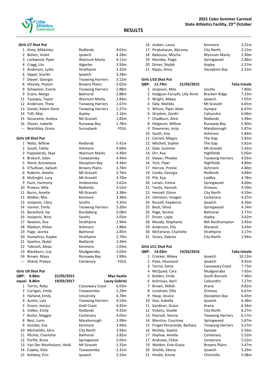

#### **Girls U7 Shot Put**

| 1     | Kime, Mikkinley          | Redlands                | 4.63m       |
|-------|--------------------------|-------------------------|-------------|
| 2     | Bohen, Violet            | Ipswich                 | 4.28m       |
| 3     | Lockwood, Piper          | Wynnum Manly            | 4.11m       |
| 4     | Cragg, Lila              | Algester                | 3.93m       |
| 5     | Anderson, Lydia          | Strathpine              | 3.32m       |
| 6     | Sippel, Scarlet          | Ipswich                 | 3.28m       |
| 7     | Dwyer, Georgia           | <b>Toowong Harriers</b> | 3.12m       |
| 8     | Hlavaty, Peyton          | <b>Browns Plains</b>    | 3.02m       |
| 9     | Schweizer, Everly        | <b>Toowong Harriers</b> | 2.88m       |
| 9     | Evans, Margo             | Balmoral                | 2.88m       |
| 11    | Taulapiu, Taylor         | Wynnum Manly            | 2.84m       |
| 12    | Anderson, Theia          | <b>Toowong Harriers</b> | 2.67m       |
|       | 13 Daniel, Kalani-Dene   | <b>Toowong Harriers</b> | 2.27m       |
| 14    | Taft, May                | Aspley                  | 2.16m       |
| 15    | Senaratne, Araliya       | Mt Gravatt              | 1.83m       |
| 16    | Glover, Isabelle         | Runaway Bay             | 1.78m       |
| $---$ | Beardsley, Grace         | Sunnybank               | <b>FOUL</b> |
|       | <b>Girls U8 Shot Put</b> |                         |             |
|       | 1 Nelisi, Willow         | Redlands                | 5.41m       |
| 2     | South, Tahlia            | Ashmore                 | 4.69m       |
| 3     | Pappalardo, Skye         | Wynnum Manly            | 4.49m       |
| 4     | Broksch, Eden            | Toowoomba               | 4.44m       |
| 5     | Ward, Annastasia         | Deception Bay           | 4.34m       |
| 6     | O'Sullivan, Xaliyah      | <b>Browns Plains</b>    | 3.74m       |
| 6     | Roberts, Amelia          | Mt Gravatt              | 3.74m       |
| 8     | McKnight, Lucy           | Mt Gravatt              | 3.70m       |
| 9     | Hunt, Harmony            | Jimboomba               | 3.62m       |
| 10    | Prowse, Mila             | Redlands                | 3.52m       |
| 11    | Burns, Amelie            | Mt Gravatt              | 3.38m       |
| 11    | Walker, Mia              | Kenmore                 | 3.38m       |
| 13    | Josipovic, Clara         | Souths                  | 3.35m       |
| 14    | Vanner, Emily            | <b>Toowong Harriers</b> | 3.20m       |
| 15    | Beresford, Ivy           | <b>Bundaberg</b>        | 3.08m       |
| 16    | Josipovic, Nina          | Souths                  | 3.05m       |
| 17    | Newton, Ava              | Strathpine              | 2.94m       |
| 18    | Madsen, Khloe            | Ashmore                 | 2.88m       |
| 19    | Page, Jacinta            | <b>Balmoral</b>         | 2.85m       |
| 20    | Humphrys, Kaylee         | Strathpine              | 2.70m       |
| 21    | Sparkes, Skylar          | Redlands                | 2.44m       |
|       | 22 Talevich, Alexa       | Kenmore                 | 2.05m       |
| 23    | Blackburn, Izzy          | Mudgeeraba              | 2.03m       |
| 24    | Brown, Maya              | Runaway Bay             | 1.99m       |
| ---   | Shand, Preeya            | Centenary               | <b>FOUL</b> |

#### **Girls U9 Shot Put**

| QBP: | 8.86m                        | 22/03/2015 |                         | Mya Sautia           |
|------|------------------------------|------------|-------------------------|----------------------|
|      | equal: 8.86m                 | 19/03/2017 |                         | <b>Lacey Gabriel</b> |
|      | 1 Torrisi, Ruby              |            | Cassowary Coast         | 6.03m                |
| 2    | Carrigan, Emily              |            | Toowoomba               | 5.29m                |
| 3    | Harland, Emily               |            | University              | 4.78m                |
| 4    | Austin, Lyla                 |            | <b>Toowong Harriers</b> | 4.53m                |
|      | 5 Green, Jessica             |            | <b>Gold Coast</b>       | 4.45m                |
| 6    | Volker, Emily                |            | Redlands                | 4.42m                |
| 7    | Butler, Maggie               |            | Centenary               | 4.05m                |
| 8    | Best, Lorin                  |            | Maryborough             | 3.99m                |
| 9    | Dundas, Eve                  |            | Kenmore                 | 3.94m                |
| 10   | Michailidis, Alira           |            | City North              | 3.93m                |
| 11   | Ritchie, Charlotte           |            | <b>Balmoral</b>         | 3.82m                |
| 12   | Parfitt, Rosie               |            | Springwood              | 3.65m                |
|      | 13 Van Der Westhuizen, Heidi |            | Mt Gravatt              | 3.33m                |
| 14   | Copley, Elsie                |            | Toowoomba               | 3.31 <sub>m</sub>    |
| 15   | Kettlety, Erin               |            | Ipswich                 | 3.24m                |

#### **2021 Coles Summer Carnival State Athletics Facility, 23rd October**

### **RESULTS**

|             | 16 Jeuken, Laura          |            | Kenmore       | 3.21 <sub>m</sub> |
|-------------|---------------------------|------------|---------------|-------------------|
|             | 17 Pirabaharan, Abiramy   |            | City North    | 3.15m             |
|             | 18 Babousis, Mischa       |            | Wynnum Manly  | 2.90m             |
|             | 19 Munday, Paige          |            | Springwood    | 2.86m             |
|             | 20 Driver, Shylah         |            | Aspley        | 2.57m             |
|             | 21 Kljajic, Anna          |            | Deception Bay | 2.52m             |
|             | <b>Girls U10 Shot Put</b> |            |               |                   |
| <b>QBP:</b> | 11.79m                    | 21/03/2015 |               | Talia Inivale     |
|             | Josipovic, Mila           |            | Souths        | 7.80m             |

| ┻  | <b>JUSIPUVIC, IVIIIA</b>    | วบนนาง                  | 7.0UIII |
|----|-----------------------------|-------------------------|---------|
| 2  | Hodgson-Forsyth, Lilly-Anne | Bracken Ridge           | 7.23m   |
| 3  | Wright, Abbey               | Ipswich                 | 7.07m   |
| 4  | Daly, Matilda               | Mt Gravatt              | 6.65m   |
| 5. | Wilson, Piper Adair         | Gympie                  | 6.47m   |
| 6  | Strydom, Zandri             | Caloundra               | 6.06m   |
| 7  | Chadburn, Alice             | Redlands                | 5.94m   |
| 8  | Helgeson, Willow            | Runaway Bay             | 5.90m   |
| 9  | Downman, Jorja              | Maryborough             | 5.87m   |
| 10 | South, Koa                  | Ashmore                 | 5.84m   |
| 11 | Carnell, Allegra            | The Gap                 | 5.82m   |
| 12 | Mitchell, Sophie            | The Gap                 | 5.81m   |
| 13 | Dale, Summer                | Mt Gravatt              | 5.42m   |
| 14 | Orr, Ava                    | Highfields              | 5.05m   |
| 15 | Dwyer, Phoebe               | <b>Toowong Harriers</b> | 4.93m   |
| 16 | York, Piper                 | Highfields              | 4.89m   |
| 17 | Hercoe, Preslie             | Ashmore                 | 4.86m   |
| 18 | Cooke, Georgia              | Redlands                | 4.84m   |
| 19 | Pitt, Kya                   | Laidley                 | 4.78m   |
| 20 | Larsen, Emma                | Springwood              | 4.60m   |
| 21 | Tavita, Hannah              | Ormeau                  | 4.59m   |
| 22 | Henzell, Eloise             | City North              | 4.55m   |
| 23 | Johnston, Imogen            | Centenary               | 4.37m   |
| 24 | Russell, Kaydence           | Ipswich                 | 4.26m   |
| 25 | Beck, Olivia                | Springwood              | 4.14m   |
| 26 | Page, Serena                | Balmoral                | 3.77m   |
| 27 | Driver, Layla               | Aspley                  | 3.62m   |
| 28 | Moody, Stephanie            | Nth Rockhampton         | 3.45m   |
| 29 | Anderson, Ella              | Warwick                 | 3.43m   |
| 30 | McFarlane, Charlotte        | Strathpine              | 3.17m   |
| 31 | Vicary, Dakota              | City North              | 2.94m   |

## **Girls U11 Shot Put**

| QBP: | 14.03m                    | 19/03/2016 |                         | Talia Inivale |
|------|---------------------------|------------|-------------------------|---------------|
| 1    | Crocker, Abbey            |            | Ipswich                 | 10.12m        |
| 2    | Paea, Houstand            |            | Ipswich                 | 9.92m         |
| 3    | Torrisi, Siena            |            | Cassowary Coast         | 7.75m         |
| 4    | McQuaid, Cara             |            | Mudgeeraba              | 7.65m         |
| 5    | Bolden, Emily             |            | South Burnett           | 7.46m         |
| 6    | Kolinisau, April          |            | Caloundra               | 7.27m         |
| 7    | Brown, Millah             |            | Arana                   | 6.82m         |
| 8    | Leneham, Ellie            |            | Ormeau                  | 6.67m         |
| 9    | Heap, Jessica             |            | Deception Bay           | 6.45m         |
| 10   | Gee, Isabella             |            | Ipswich                 | 6.38m         |
| 11   | Gardiner, Grace           |            | Arana                   | 6.34m         |
| 12   | Vickery, Giselle          |            | City North              | 6.27m         |
| 13   | Pearsall, Sienna          |            | <b>Toowong Harriers</b> | 6.17m         |
| 14   | Marston, Courtney         |            | Springwood              | 5.87m         |
| 15   | Froget Penaranda, Barbara |            | <b>Toowong Harriers</b> | 5.57m         |
| 16   | Mullaly, Sophie           |            | Gympie                  | 5.56m         |
| 17   | Hayhoe, Amelia            |            | Centenary               | 5.52m         |
| 17   | Andrews, Chloe            |            | Centenary               | 5.52m         |
| 19   | Weldon, Evie-Grace        |            | <b>Browns Plains</b>    | 5.47m         |
| 20   | Shields, Ebony            |            | Ipswich                 | 5.29m         |
| 21   | Hindle, Emme              |            | Chinchilla              | 5.08m         |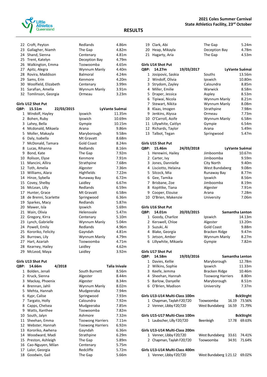

|      | 22 Croft, Peyton        | Redlands                | 4.86m          |
|------|-------------------------|-------------------------|----------------|
|      | 23 Gallagher, Niamh     | The Gap                 | 4.82m          |
|      | 24 Shand, Sienna        | Centenary               | 4.81m          |
|      | 25 Trent, Katelyn       | Deception Bay           | 4.79m          |
|      | 26 Walkington, Emma     | Toowoomba               | 4.65m          |
|      | 27 Apitz, Alegra        | Wynnum Manly            | 4.40m          |
|      | 28 Rovira, Maddison     | <b>Balmoral</b>         | 4.24m          |
|      | 29 Sams, Erin           | Kenmore                 | 4.20m          |
|      | 30 Woolfield, Elizabeth | Centenary               | 3.99m          |
|      | 31 Sarafian, Amelia     | Wynnum Manly            | 3.91m          |
|      | 32 Tomlinson, Georgia   | Ormeau                  | 3.23m          |
|      | Girls U12 Shot Put      |                         |                |
| QBP: | 15.51m<br>22/03/2015    |                         | LyVante Suémai |
|      | 1 Windolf, Hayley       | Ipswich                 | 11.35m         |
|      | 2 Bohen, Ruby           | Ipswich                 | 10.69m         |
|      | 3 Lahey, Bella          | Gympie                  | 10.15m         |
|      | 4 Mcdonald, Mikaela     | Arana                   | 9.86m          |
| 5    | Moller, Makayla         | Maryborough             | 9.58m          |
|      | 6 Daly, Isabella        | Mt Gravatt              | 8.68m          |
|      | 7 McDonald, Tamara      | <b>Gold Coast</b>       | 8.24m          |
| 8    | Lucas, Rihanna          | Redlands                | 8.16m          |
| 9    | Bond, Kate              | The Gap                 | 7.92m          |
|      | 10 Rolison, Elyse       | Kenmore                 | 7.91m          |
|      | 11 Mancini, Allira      | Strathpine              | 7.68m          |
|      | 12 Toth, Amelia         | Algester                | 7.36m          |
|      | 13 Williams, Alara      | Highfields              | 7.22m          |
|      | 14 Hinze, Sybella       | Runaway Bay             | 6.72m          |
|      | 15 Covey, Shelby        | Laidley                 | 6.67m          |
|      | 16 McLean, Lilly        | Redlands                | 6.59m          |
|      | 17 Hunter, Grace        | Mt Gravatt              | 6.58m          |
| 18   | de Brenni, Scarlette    | Springwood              | 6.36m          |
| 19   | Sparkes, Macy           | Redlands                | 5.87m          |
|      | 20 Mawer, Isla          | Ipswich                 | 5.69m          |
| 21   | Wain, Olivia            | Helensvale              | 5.47m          |
|      | 22 Gregory, Kirra       | Centenary               | 5.10m          |
|      | 23 Lynch, Gabrielle     | Wynnum Manly            | 5.04m          |
|      | 24 Powell, Emily        | Redlands                | 4.96m          |
|      | 25 Kororiko, Felicity   | Gayndah                 | 4.81m          |
| 26   | Burrows, Lily           | Wynnum Manly            | 4.79m          |
|      | 27 Hart, Azariah        | Toowoomba               | 4./1m          |
| 28   | Kearney, Hailey         | Laidley                 | 4.62m          |
| 29   | McLeod, Maya            | Laidley                 | 3.92m          |
|      | Girls U13 Shot Put      |                         |                |
| QBP: | 14.66m<br>4/2018        |                         | Talia Inivale  |
| 1    | Bolden, Jenali          | South Burnett           | 8.56m          |
|      | 2 Kruck, Sienna         | Algester                | 8.44m          |
| 3    | Mackay, Phoenix         | Algester                | 8.34m          |
| 4    | Brennan, Jahli          | Wynnum Manly            | 8.02m          |
| 5    | Mehta, Hannah           | Mudgeeraba              | 7.94m          |
| 6    | Kypr, Calise            | Springwood              | 7.93m          |
|      | 7 Targato, Holly        | Caloundra               | 7.92m          |
| 8    | Capps, Chelsea          | Mudgeeraba              | 7.85m          |
| 9    | Watts, Xanthee          | Toowoomba               | 7.82m          |
| 10   | South, Jalyn            | Ashmore                 | 7.32m          |
| 11   | Sheehan, Emma           | <b>Toowong Harriers</b> | 7.11m          |
| 12   | Webster, Hannah         | <b>Toowong Harriers</b> | 6.92m          |
| 13   | Kororiko, Awhena        | Gayndah                 | 6.36m          |
| 14   | Woodward, Madi          | Strathpine              | 6.29m          |
| 15   | Preston, Ashleigh       | The Gap                 | 5.89m          |
| 16   | Cao-Nguyen, Milan       | Centenary               | 5.75m          |
| 17   | Lalor, Georgia          | Redcliffe               | 5.72m          |
| 18   | Goodwin, Gail           | The Gap                 | 5.66m          |

|      | 19 Clark, Abi                  | The Gap                 | 5.24m            |
|------|--------------------------------|-------------------------|------------------|
|      | 20 Heap, Mikayla               | Deception Bay           | 4.78m            |
| 21   | Hagarty, Aria                  | The Gap                 | 4.53m            |
|      |                                |                         |                  |
|      | <b>Girls U14 Shot Put</b>      |                         |                  |
| QBP: | 14.27m<br>19/03/2017           |                         | LyVante Suémai   |
| 1    | Josipovic, Saskia              | Souths                  | 13.56m           |
|      | 2 Windolf, Olivia              | Ipswich                 | 10.80m           |
|      | 3 Strydom, Zayley              | Caloundra               | 8.85m            |
| 4    | Miller, Emilie                 | Warwick                 | 8.58m            |
| 5.   | Draper, Jessica                | Aspley                  | 8.53m            |
|      | 6 Tipiwai, Nicola              | Wynnum Manly            | 8.21m            |
| 7    | Stewart, Nikita                | Wynnum Manly            | 8.08m            |
|      | 8 Klaas, Imogen                | Strathpine              | 7.98m            |
| 9    | Jenkins, Alyssa                | Ormeau                  | 7.73m            |
|      | 10 O'Carroll, Aoife            | Wynnum Manly            | 6.58m            |
| 11   | Lillywhite, Caitlyn            | Gympie                  | 6.54m            |
| 12   | Richards, Taylor               | Arana                   | 5.49m            |
|      | 13 Talbot, Tegan               | Springwood              | 5.47m            |
|      |                                |                         |                  |
|      | <b>Girls U15 Shot Put</b>      |                         |                  |
| QBP: | 24/03/2018<br>15.46m           |                         | LyVante Suémai   |
| 1    | Herewini, Hailey               | Jimboomba               | 10.67m           |
|      | 2 Carter, Ivy                  | Jimboomba               | 9.59m            |
|      | 3 Jones, Dannielle             | City North              | 9.40m            |
|      | 4 Lisciotto, Helaina           | West Bundaberg          | 9.08m            |
|      | 5 Silcock, Mia                 | Runaway Bay             | 8.77m            |
|      | 6 Gee, Tamika                  | Ipswich                 | 8.56m            |
|      | 7 Brisbane, Zoe                | Jimboomba               | 8.19m            |
|      | 8 Kopittke, Tiana              | Algester                | 7.91m            |
|      | 9 Cooper, Elouise              | Arana                   | 7.28m            |
| 10   | O'Brien, Makenzie              | University              | 7.06m            |
|      |                                |                         |                  |
|      | Girls U16 Shot Put             |                         |                  |
| QBP: | 14.01m<br>20/03/2015           |                         | Samantha Lenton  |
|      | 1 Goody, Charlize              | Ipswich                 | 14.13m           |
|      | 2 Kerswell, Chloe              | Algester                | 13.20m           |
|      | 3 Suzuki, Ai                   | <b>Gold Coast</b>       | 9.88m            |
|      | 4 Blake, Georgia               | <b>Bracken Ridge</b>    | 9.47m            |
|      | 5 Jetson, Amber                | Wynnum Manly            | 8.27m            |
|      | 6 Lillywhite, Mikaela          | Gympie                  | 7.82m            |
|      |                                |                         |                  |
|      | <b>Girls U17 Shot Put</b>      |                         |                  |
| QBP: | 14.58m<br>19/03/2016           |                         | Samantha Lenton  |
| 1    | Davies, Kellie                 | Maryborough             | 12.78m           |
| 2    | Wilkins, Sophie                | Ipswich                 | 11.33m           |
| 3    | Keefe, Jemma                   | Bracken Ridge           | 10.46m           |
| 4    | Sheehan, Hannah                | <b>Toowong Harriers</b> | 8.80m            |
|      | 5 Barlow, Danyelle             | Maryborough             | 8.51m            |
|      | 6 O'Brien, Madison             | University              | 7.37m            |
|      |                                |                         |                  |
|      | Girls U13-U14 Multi-Class 100m |                         | <b>BckStrght</b> |
|      | 1 Chapman, Taylah F20;T20      | Toowoomba               | 16.19<br>73.56%  |
|      | 2 Venner, Libby F20;T20        | West Bundaberg          | 16.59<br>71.79%  |
|      |                                |                         |                  |
|      | Girls U15-U17 Multi-Class 100m |                         | <b>BckStrght</b> |
|      | 1 Laubscher, Lilly F20;T20     | Beenleigh               | 17.78<br>69.63%  |
|      |                                |                         |                  |
|      | Girls U13-U14 Multi-Class 200m |                         |                  |
|      | 1 Venner, Libby F20;T20        | West Bundaberg          | 33.61<br>74.41%  |
|      | 2 Chapman, Taylah F20;T20      | Toowoomba               | 34.91<br>71.64%  |
|      |                                |                         |                  |
|      | Girls U13-U14 Multi-Class 400m |                         |                  |
|      | 1 Venner, Libby F20;T20        | West Bundaberg 1:21.12  | 69.02%           |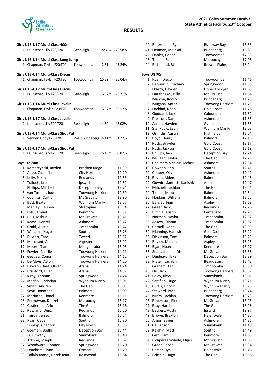

|          | Girls U15-U17 Multi-Class 400m<br>1 Laubscher, Lilly F20;T20          | Beenleigh                          | 1:23.64 | 72.58%         |
|----------|-----------------------------------------------------------------------|------------------------------------|---------|----------------|
|          | Girls U13-U14 Multi-Class Long Jump<br>1 Chapman, Taylah F20;T20      | Toowoomba                          | 2.81m   | 45.24%         |
|          | Girls U13-U14 Multi-Class Discus<br>1 Chapman, Taylah F20;T20         | Toowoomba                          | 15.29m  | 35.04%         |
|          | <b>Girls U15-U17 Multi-Class Discus</b><br>1 Laubscher, Lilly F20;T20 | Beenleigh                          | 16.52m  | 48.71%         |
|          | Girls U13-U14 Multi-Class Javelin<br>1 Chapman, Taylah F20;T20        | Toowoomba                          | 13.97m  | 35.12%         |
|          | Girls U15-U17 Multi-Class Javelin<br>1 Laubscher, Lilly F20;T20       | Beenleigh                          | 14.80m  | 45.02%         |
|          | Girls U13-U14 Multi-Class Shot Put                                    |                                    |         |                |
|          | 1 Venner, Libby F20;T20                                               | West Bundaberg 4.41m               |         | 31.27%         |
|          | Girls U15-U17 Multi-Class Shot Put                                    |                                    |         |                |
|          | 1 Laubscher, Lilly F20;T20                                            | Beenleigh                          | 6.40m   | 50.87%         |
|          |                                                                       |                                    |         |                |
|          | Boys U7 70m                                                           |                                    |         |                |
|          | 1 Komarzynski, Jayden<br>2 Appo, Zacharias                            | Bracken Ridge<br><b>City North</b> |         | 11.99<br>12.20 |
|          | 3 Kelly, Noah                                                         | Redlands                           |         | 12.53          |
|          | 4 Tulloch, Kru                                                        | Ipswich                            |         | 12.62          |
|          | 5 Phillips, Mitchell                                                  | Deception Bay                      |         | 12.74          |
|          | 6 van Tonder, Jude                                                    | <b>Toowong Harriers</b>            |         | 12.89          |
|          | 7 Coombs, Curtly                                                      | Mt Gravatt                         |         | 12.90          |
|          | 8 Bott, Baxter                                                        | Wynnum Manly                       |         | 13.07          |
|          | 9 Manley, Reuben                                                      | Strathpine                         |         | 13.34          |
|          | 10 Loli, Samuel                                                       | Kenmore                            |         | 13.37          |
|          | 11 Hills, Joshua                                                      | Mt Gravatt                         |         | 13.41          |
|          | 12 Keays, Denzel                                                      | Ashmore                            |         | 13.42          |
|          | 13 Grahl, Austin                                                      | Jimboomba                          |         | 13.47          |
|          | 14 Williams, Hugo                                                     | Souths                             |         | 13.78          |
|          | 15 Ruxton, Tate<br>16 Marchant, Austin                                | Tweed<br>Algester                  |         | 13.82<br>13.92 |
| 17       | Moore, Tiam                                                           | Mudgeeraba                         |         | 13.95          |
| 18       | Fowler, Charlie                                                       | <b>Toowong Harriers</b>            |         | 14.11          |
| 19       | Geagea, Conor                                                         | <b>Toowong Harriers</b>            |         | 14.12          |
| 20       | De Alwis, Aston                                                       | <b>Toowong Harriers</b>            |         | 14.20          |
| 21       | Payouw-Dare, Oliver                                                   | Arana                              |         | 14.24          |
| 22       | Branford, Elijah                                                      | Arana                              |         | 14.37          |
| 23       | Kirby, Thomas                                                         | Springwood                         |         | 14.74          |
| 24       | Machol, Christian                                                     | Wynnum Manly                       |         | 15.01          |
| 25       | Smith, Andrew                                                         | The Gap                            |         | 15.03          |
| 26<br>27 | Scott, Jonathan                                                       | <b>Balmoral</b><br>Kenmore         |         | 15.09<br>15.11 |
| 28       | Merimba, Lionel<br>Permewan, Denzel                                   | Maroochy                           |         | 15.17          |
| 29       | Castledine, Arlo                                                      | The Gap                            |         | 15.18          |
| 30       | Rowland, Denzil                                                       | Redlands                           |         | 15.20          |
| 31       | Tairea, Jersey                                                        | Balmoral                           |         | 15.24          |
| 32       | Ryan, Cade                                                            | Souths                             |         | 15.30          |
| 33       | Dunlop, Charlton                                                      | City North                         |         | 15.33          |
| 34       | Gorman, Bodhi                                                         | Deception Bay                      |         | 15.44          |
| 35       | Li, Timothy                                                           | Sunnybank                          |         | 15.48          |
| 36       | Krabbe, Joseph                                                        | Redlands                           |         | 15.62          |
|          | 37 Woodward, Connor                                                   | Springwood                         |         | 15.70          |
|          | 38 Leneham, Flynn                                                     | Ormeau                             |         | 15.79          |
| 39       | Tailalo faanoi, Derek Jean                                            | Rosewood                           |         | 15.84          |

|              | 40 Entermann, Ryan               | Runaway Bay                    | 16.33          |
|--------------|----------------------------------|--------------------------------|----------------|
|              | 41 Henman, Malakai               | Bundaberg                      | 16.83          |
| 42           | Dahler, Conor                    | Toowoomba                      | 17.35          |
|              | 43 Toolen, Sam                   | Maroochy                       | 17.96          |
|              | 44 Richmond, RJ                  | <b>Browns Plains</b>           | 18.24          |
|              | Boys U8 70m                      |                                |                |
|              | 1 Ryan, Diego                    | Toowoomba                      | 11.46          |
| $\mathbf{2}$ | Parravicini, Zachary             | Springwood                     | 11.58          |
| 3            | D'Arcy, Hayden                   | Upper Lockyer                  | 11.63          |
| 4            | Isarabhakdi, Billy               | Mt Gravatt                     | 11.64          |
| 5            | Marcon, Rocco                    | <b>Bundaberg</b>               | 11.75          |
| 6            | Mugaba, Anton                    | <b>Toowong Harriers</b>        | 11.75          |
| 7            | Haddad, Noah                     | <b>Gold Coast</b>              | 11.78          |
| 8            | Goddard, Jack                    | Caloundra                      | 11.82          |
| 9            | Prescott, Damon                  | Ashmore                        | 11.85          |
|              | 10 Austin, Hayden                | Gympie                         | 11.85          |
| 11           | Stankovic, Leon                  | Wynnum Manly                   | 12.02          |
| 12<br>13     | Griffiths, Austin<br>Boyd, Henry | Highfields<br>Balmoral         | 12.04<br>12.10 |
| 14           | Potts, Brayden                   | <b>Gold Coast</b>              | 12.17          |
| 15           | Potts, Jackson                   | <b>Gold Coast</b>              | 12.19          |
| 16           | Phillips, Jack                   | Deception Bay                  | 12.24          |
| 17           | Milligan, Taylor                 | The Gap                        | 12.25          |
| 18           | Chalmers-Sinclair, Archer        | Ashmore                        | 12.34          |
| 19           | Bowden, Ken                      | Souths                         | 12.41          |
| 20           | Couper, Oliver                   | Ashmore                        | 12.42          |
| 21           | Rovira, Aiden                    | <b>Balmoral</b>                | 12.46          |
| 22           | Gowdra Santosh, Kanishk          | Arana                          | 12.47          |
| 23           | Mitchell, Lachlan                | The Gap                        | 12.61          |
| 24           | Tindall, Maxx                    | Balmoral                       | 12.64          |
| 25           | Hopkins, William                 | <b>Balmoral</b>                | 12.65          |
| 26           | Barclay, Finn                    | Aspley                         | 12.68          |
| 27           | Greer, Jack                      | Redlands                       | 12.76          |
| 28           | Ritchie, Austin                  | Centenary                      | 12.79          |
| 29           | Norman, Naylor                   | Jimboomba                      | 12.82          |
|              | 30 Askew, Tristan                | Jimboomba                      | 13.02          |
| 31           | Carnell, Noah                    | The Gap                        | 13.03          |
| 32           | Manning, Hamish                  | <b>Gold Coast</b>              | 13.22          |
| 33           | Dickinson, Tom                   | <b>Balmoral</b>                | 13.23          |
| 34           | Bayley, Marcus                   | Aspley                         | 13.25          |
|              | 35 Egan, Noah                    | Kenmore                        | 13.27          |
| 36           | Soans-Ireland, Dishaan           | Mt Gravatt                     | 13.38          |
| 37           | Dunleavy, Jake                   | Deception Bay                  | 13.39          |
| 38<br>39     | Platell, Lachlan<br>Graham, Tait | <b>Beaudesert</b><br>Jimboomba | 13.43<br>13.50 |
| 40           | Hill, Jack                       | <b>Toowong Harriers</b>        | 13.57          |
| 41           | Foley, Rhys                      | Sunnybank                      | 13.61          |
| 42           | Sarafian, Hugo                   | Wynnum Manly                   | 13.71          |
| 43           | Curtis, Lincoln                  | Wynnum Manly                   | 13.73          |
| 44           | Steward, Pace                    | Bundaberg                      | 13.74          |
| 45           | Miers, Lachlan                   | <b>Toowong Harriers</b>        | 13.79          |
| 46           | Robertson, Pierce                | Mt Gravatt                     | 13.96          |
| 47           | Bray, Harrison                   | The Gap                        | 13.96          |
| 48           | Beckers, Austin                  | Ipswich                        | 13.97          |
| 49           | Brown, Braxton                   | Helensvale                     | 14.35          |
| 50           | Amos, Zavier                     | Ashmore                        | 14.36          |
| 51           | Cai, Anson                       | Sunnybank                      | 14.40          |
| 52           | Kaighin, Matt                    | Souths                         | 14.49          |
| 53           | Gist, Liam                       | Kenmore                        | 14.63          |
| 54           | Eichperger-whyte, Elijah         | Mt Gravatt                     | 14.65          |
| 55           | Green, Jacob                     | Mt Gravatt                     | 15.34          |
| 56           | Carson, Jye                      | Helensvale                     | 15.46          |
| 57           | Brittain, Hugo                   | The Gap                        | 15.68          |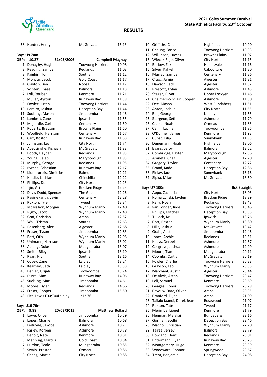

| Boys U9 70m      |  |
|------------------|--|
| .<br><b>ARR.</b> |  |

| QBP:         | 10.27                       | 31/03/2006 | <b>Campbell Magnay</b>  |       |
|--------------|-----------------------------|------------|-------------------------|-------|
| $\mathbf 1$  | Donaghy, Hugh               |            | <b>Toowong Harriers</b> | 10.98 |
| $\mathbf{2}$ | Reading, Samuel             |            | Redlands                | 11.03 |
|              | 3 Kaighin, Tom              |            | Souths                  | 11.12 |
|              | 4 Moncur, Jacob             |            | <b>Gold Coast</b>       | 11.17 |
|              | 4 Clayton, Ben              |            | Noosa                   | 11.17 |
|              | 6 Winter, Chase             |            | <b>Balmoral</b>         | 11.18 |
|              | 7 Loli, Reuben              |            | Kenmore                 | 11.21 |
| 8            | Muller, Ayrton              |            | Runaway Bay             | 11.39 |
|              | 9 Fowler, Justin            |            | <b>Toowong Harriers</b> | 11.44 |
|              | 10 Pereira, Joshua          |            | Deception Bay           | 11.44 |
| 11           | Suckling, Mason             |            | Jimboomba               | 11.46 |
|              | 12 Lambert, Zane            |            | Ipswich                 | 11.55 |
| 13           | Majendie, Carl              |            | Centenary               | 11.60 |
|              | 14 Roberts, Brayson         |            | <b>Browns Plains</b>    | 11.60 |
|              | 15 Woolfield, Harrison      |            | Centenary               | 11.67 |
|              | 16 Carr, Boston             |            | Runaway Bay             | 11.68 |
| 17           | Johnston, Levi              |            | City North              | 11.74 |
|              | 18 Abeysinghe, Kishaan      |            | Mt Gravatt              | 11.83 |
| 19           | Booth, Hayden               |            | Redlands                | 11.93 |
| 20           | Young, Caleb                |            | Maryborough             | 11.93 |
| 21           | Murphy, George              |            | Redlands                | 11.95 |
|              | 22 Byrnes, Sebastian        |            | Runaway Bay             | 12.17 |
|              | 23 Kiomourtzis, Dimitrios   |            | Balmoral                | 12.21 |
| 24           | Hindle, Lachlan             |            | Chinchilla              | 12.22 |
| 25           | Phillips, Don               |            | City North              | 12.23 |
| 26           | Tjin, Ari                   |            | <b>Bracken Ridge</b>    | 12.23 |
| 27           | Davis-Dodd, Spencer         |            | The Gap                 | 12.26 |
| 28           | Raginekanth, Lavin          |            | Centenary               | 12.28 |
| 29           | Ruxton, Tyler               |            | Tweed                   | 12.34 |
| 30           | McMahon, Morgan             |            | Wynnum Manly            | 12.40 |
| 31           | Rigby, Jacob                |            | Wynnum Manly            | 12.48 |
| 32           | Graf, Christian             |            | Arana                   | 12.52 |
| 33           | Wall, Tristan               |            | Souths                  | 12.63 |
|              | 34 Rosenberg, Alex          |            | Algester                | 12.68 |
|              | 35 Fraser, Tyson            |            | Jimboomba               | 12.83 |
|              | 36 Bott, Otis               |            | Wynnum Manly            | 12.98 |
| 37           | Uhlmann, Harrison           |            | Wynnum Manly            | 13.02 |
| 38           | Ablang, Duke                |            | Mudgeeraba              | 13.07 |
| 39           | Smith, Riley                |            | Ipswich                 | 13.10 |
| 40           | Ryan, Rio                   |            | Souths                  | 13.16 |
| 41           | Covey, Zane                 |            | Laidley                 | 13.24 |
| 42           | Kearney, Seth               |            | Laidley                 | 13.38 |
| 43           | Dahler, Urijah              |            | Toowoomba               | 13.74 |
| 44           | Durre, Max                  |            | Runaway Bay             | 14.06 |
| 45           | Suckling, Max               |            | Jimboomba               | 14.61 |
| 46           | Moore, Dylan                |            | Redlands                | 14.66 |
| 47           | Fraser, Cooper              |            | Jimboomba               | 15.50 |
| 48           | Pitt, Lewis F00; T00Laidley |            | 1:12.76                 |       |

58 Hunter, Henry Mt Gravatt 16.13

| <b>Boys U10 70m</b> |                        |            |                 |                        |  |
|---------------------|------------------------|------------|-----------------|------------------------|--|
| QBP:                | 9.88                   | 20/03/2015 |                 | <b>Matthew Bollard</b> |  |
| 1                   | Lowe, Oliver           |            | Jimboomba       | 10.59                  |  |
| 2                   | Lopes, Charlie         |            | <b>Balmoral</b> | 10.68                  |  |
|                     | 3 Leituvae, Jakobe     |            | Ashmore         | 10.71                  |  |
|                     | 4 Farley, Korben       |            | Ashmore         | 10.78                  |  |
| 5.                  | Benoit, Nate           |            | Kenmore         | 10.81                  |  |
| 6                   | <b>Manning, Marcus</b> |            | Gold Coast      | 10.84                  |  |
|                     | Purdon, Teale          |            | Mudgeeraba      | 10.85                  |  |
| 8                   | Swain, Preston         |            | Ormeau          | 10.86                  |  |
| 9                   | Chang, Martin          |            | City North      | 10.88                  |  |

|    | 10 Griffiths, Calan          | Highfields              | 10.90               |
|----|------------------------------|-------------------------|---------------------|
|    | 11 Cheung, Bosco             | <b>Toowong Harriers</b> | 10.93               |
|    | 12 Wilkinson, Luccas         | <b>Browns Plains</b>    | 11.07               |
|    | 13 Wiecek Rojo, Oliver       | City North              | 11.15               |
|    | 14 Barlow, Zak               | Helensvale              | 11.16               |
|    | 15 Silver, Kal-el            | Caboolture              | 11.20               |
|    | 16 Murray, Samuel            | Centenary               | 11.26               |
|    | 17 Cragg, Jamie              | Algester                | 11.31               |
| 18 | Dawson, Jack                 | Algester                | 11.32               |
|    | 19 Prescott, Dylan           | Ashmore                 | 11.45               |
|    | 20 Steger, Oliver            | Upper Lockyer           | 11.46               |
|    | 21 Chalmers-Sinclair, Cooper | Ashmore                 | 11.50               |
|    | 22 Dee, Mason                | West Bundaberg          | 11.51               |
|    | 23 Anton, Joshua             | City North              | 11.55               |
|    | 24 Bell, George              | Laidley                 | 11.56               |
|    | 25 Sturgeon, Seth            | Ashmore                 | 11.70               |
|    | 26 Clarke, Noah              | Ormeau                  | 11.83               |
|    | 27 Cahill, Lachlan           | Toowoomba               | 11.86               |
|    | 28 O'Donnell, James          | Kenmore                 | 11.92               |
|    | 29 Cupac, Filip              | Sunnybank               | 11.98               |
| 30 | Dunemann, Noah               | Highfields              | 12.06               |
|    | 31 Evans, Leroy              | <b>Balmoral</b>         | 12.52               |
|    | 32 Combridge, Baxter         | Maryborough             | 12.56               |
|    | 33 Araneta, Chaz             | Algester                | 12.70               |
|    | 34 Gregory, Taylor           | Centenary               | 12.72               |
|    | 35 Brand, Kade               | Deception Bay           | 12.86               |
|    | 36 Finlay, Jack              | Sunnybank               | 13.16               |
| 37 | Sipka, Milan                 | Mt Gravatt              | 13.50               |
|    | <b>Boys U7 100m</b>          |                         | <b>Bck Straight</b> |
|    | 1 Appo, Zacharias            | City North              | 18.05               |
|    | 2 Komarzynski, Jayden        | Bracken Ridge           | 18.39               |
|    | 3 Kelly, Noah                | Redlands                | 18.43               |
|    | 4 van Tonder, Jude           | <b>Toowong Harriers</b> | 18.46               |
|    | 5 Phillips, Mitchell         | Deception Bay           | 18.55               |
|    | 6 Tulloch, Kru               | Ipswich                 | 18.76               |
|    | 7 Bott, Baxter               | Wynnum Manly            | 18.80               |
| 8  | Hills, Joshua                | Mt Gravatt              | 19.42               |
|    | 9 Grahl, Austin              | Jimboomba               | 19.46               |
|    | 10 Jones, Archie             | Redlands                | 19.51               |
| 11 | Keays, Denzel                | Ashmore                 | 19.67               |
|    | 12 Cosgrave, Joshua          | Ashmore                 | 19.99               |
| 13 | Moore, Tiam                  | Mudgeeraba              | 20.11               |
|    | 14 Coombs, Curtly            | Mt Gravatt              | 20.19               |
| 15 | Fowler, Charlie              | <b>Toowong Harriers</b> | 20.23               |
| 16 | Grayson, Leo                 | Wynnum Manly            | 20.35               |
| 17 | Marchant, Austin             | Algester                | 20.44               |
| 18 | De Alwis, Aston              | <b>Toowong Harriers</b> | 20.47               |
| 19 | Loli, Samuel                 | Kenmore                 | 20.69               |
| 20 | Geagea, Conor                | <b>Toowong Harriers</b> | 20.79               |
| 21 | Payouw-Dare, Oliver          | Arana                   | 20.95               |
| 22 | Branford, Elijah             | Arana                   | 21.00               |
| 23 | Tailalo faanoi, Derek Jean   | Rosewood                | 21.07               |
| 24 | Ruxton, Tate                 | Tweed                   | 21.17               |
| 25 | Merimba, Lionel              | Kenmore                 | 21.79               |
| 26 | Henman, Malakai              | <b>Bundaberg</b>        | 22.16               |
| 27 | Gorman, Bodhi                | Deception Bay           | 22.46               |
| 28 | Machol, Christian            | Wynnum Manly            | 22.70               |
| 29 | Tairea, Jersey               | Balmoral                | 22.79               |
| 30 | Rowland, Denzil              | Redlands                | 23.01               |
| 31 | Entermann, Ryan              | Runaway Bay             | 23.25               |
| 32 | Montgomery, Hugo             | Kenmore                 | 23.39               |
| 33 | Woodward, Connor             | Springwood              | 23.67               |
|    |                              |                         |                     |

33 Woodward, Connor Springwood 23.67<br>34 Trent, Benjamin Deception Bay 24.08

34 Trent, Benjamin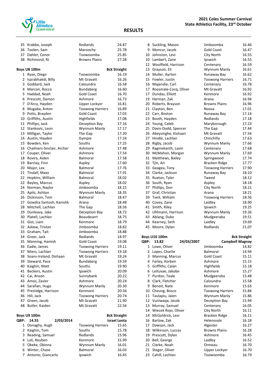

| 35   | Krabbe, Joseph               | Redlands                | 24.87               |
|------|------------------------------|-------------------------|---------------------|
|      | 36 Toolen, Sam               | Maroochy                | 25.78               |
|      | 37 Dahler, Conor             | Toowoomba               | 25.85               |
| 38   | Richmond, RJ                 | <b>Browns Plains</b>    | 27.28               |
|      |                              |                         |                     |
|      | <b>Boys U8 100m</b>          |                         | <b>Bck Straight</b> |
|      | 1 Ryan, Diego                | Toowoomba               | 16.19               |
|      | 2 Isarabhakdi, Billy         | Mt Gravatt              | 16.26               |
|      | 3 Goddard, Jack              | Caloundra               | 16.58               |
|      | 4 Marcon, Rocco              | Bundaberg               | 16.60               |
| 5.   | Haddad, Noah                 | <b>Gold Coast</b>       | 16.70               |
|      | 6 Prescott, Damon            | Ashmore                 | 16.73               |
|      | 7 D'Arcy, Hayden             | Upper Lockyer           | 16.81               |
|      | 8 Mugaba, Anton              | <b>Toowong Harriers</b> | 16.89               |
| 9    | Potts, Brayden               | <b>Gold Coast</b>       | 17.03               |
|      | 10 Griffiths, Austin         | Highfields              | 17.08               |
|      | 11 Phillips, Jack            | Deception Bay           | 17.16               |
|      | 12 Stankovic, Leon           | Wynnum Manly            | 17.17               |
|      | 13 Milligan, Taylor          | The Gap                 | 17.20               |
|      | 14 Austin, Hayden            | Gympie                  | 17.24               |
|      | 15 Bowden, Ken               | Souths                  | 17.25               |
|      | 16 Chalmers-Sinclair, Archer | Ashmore                 | 17.48               |
|      | 17 Couper, Oliver            | Ashmore                 | 17.54               |
|      | 18 Rovira, Aiden             | <b>Balmoral</b>         | 17.58               |
| 19   | Barclay, Finn                | Aspley                  | 17.60               |
|      | 20 Major, Lex                | <b>Balmoral</b>         | 17.76               |
|      | 21 Tindall, Maxx             | <b>Balmoral</b>         | 17.91               |
| 22   | Hopkins, William             | <b>Balmoral</b>         | 18.02               |
| 22   | Bayley, Marcus               | Aspley                  | 18.02               |
| 24   | Norman, Naylor               | Jimboomba               | 18.15               |
| 25   | Apitz, Ashton                | Wynnum Manly            | 18.35               |
|      | 26 Dickinson, Tom            | <b>Balmoral</b>         | 18.47               |
|      | 27 Gowdra Santosh, Kanishk   | Arana                   | 18.48               |
| 28   | Mitchell, Lachlan            | The Gap                 | 18.56               |
| 29   | Dunleavy, Jake               | Deception Bay           | 18.72               |
| 30   | Platell, Lachlan             | <b>Beaudesert</b>       | 18.75               |
|      | 31 Gist, Liam                | Kenmore                 | 18.79               |
|      | 32 Askew, Tristan            | Jimboomba               | 18.82               |
|      | 33 Graham, Tait              | Jimboomba               | 18.88               |
|      | 34 Greer, Jack               | Redlands                | 18.97               |
|      | 35 Manning, Hamish           | Gold Coast              | 19.08               |
|      | 36 Eadie, James              | <b>Toowong Harriers</b> | 19.11               |
|      | 37 Miers, Lachlan            | <b>Toowong Harriers</b> | 19.18               |
| 38   | Soans-Ireland, Dishaan       | Mt Gravatt              | 19.24               |
|      | 39 Steward, Pace             | Bundaberg               | 19.59               |
|      | 40 Kaighin, Matt             | Souths                  | 19.90               |
| 41   | Beckers, Austin              | Ipswich                 | 20.09               |
|      | 42 Cai, Anson                | Sunnybank               | 20.22               |
|      | 43 Amos, Zavier              | Ashmore                 | 20.24               |
|      | 44 Sarafian, Hugo            | Wynnum Manly            | 20.30               |
|      | 45 Prestidge, Harrison       | Kenmore                 | 20.56               |
| 46   | Hill, Jack                   | <b>Toowong Harriers</b> | 20.74               |
|      | 47 Green, Jacob              | Mt Gravatt              | 21.90               |
| 48   | Butler, Kaiden               | Mt Gravatt              | 22.56               |
|      |                              |                         |                     |
|      | <b>Boys U9 100m</b>          |                         | <b>Bck Straight</b> |
| QBP: | 14.55<br>2/03/2014           |                         | <b>Israel Leota</b> |
|      | 1 Donaghy, Hugh              | <b>Toowong Harriers</b> | 15.65               |
| 2    | Kaighin, Tom                 | Souths                  | 15.78               |
| 3    | Reading, Samuel              | Redlands                | 15.96               |
|      | 4 Loli, Reuben               | Kenmore                 | 15.99               |
|      | 5 Okeke, Obinna              | Wynnum Manly            | 16.01               |
|      | 6 Winter, Chase              | <b>Balmoral</b>         | 16.03               |
| 7    | Antonio, Giancarlo           | Ipswich                 | 16.45               |

|          | 8 Suckling, Mason                 | Jimboomba                  | 16.46               |
|----------|-----------------------------------|----------------------------|---------------------|
|          | 9 Moncur, Jacob                   | <b>Gold Coast</b>          | 16.47               |
|          | 10 Johnston, Levi                 | City North                 | 16.55               |
|          | 10 Lambert, Zane                  | Ipswich                    | 16.55               |
|          | 12 Woolfield, Harrison            | Centenary                  | 16.59               |
|          | 13 Grayson, Eli                   | Wynnum Manly               | 16.61               |
|          | 14 Muller, Ayrton                 | Runaway Bay                | 16.62               |
| 15       | Fowler, Justin                    | <b>Toowong Harriers</b>    | 16.71               |
|          | 16 Majendie, Carl                 | Centenary                  | 16.78               |
|          | 17 Roosmale-Cocq, Oliver          | Mt Gravatt                 | 16.92               |
|          | 17 Dundas, Elliott                | Kenmore                    | 16.92               |
| 19       | Harman, Zak                       | Arana                      | 16.94               |
| 20       | Roberts, Brayson                  | <b>Browns Plains</b>       | 16.96               |
| 21       | Clayton, Ben                      | Noosa                      | 17.01               |
| 22       | Carr, Boston                      | Runaway Bay                | 17.14               |
|          | 23 Booth, Hayden                  | Redlands                   | 17.18               |
|          | 24 Young, Caleb                   | Maryborough                | 17.23               |
| 25       | Davis-Dodd, Spencer               | The Gap                    | 17.44               |
| 26       | Abeysinghe, Kishaan               | Mt Gravatt                 | 17.54               |
|          | 27 Hindle, Lachlan                | Chinchilla                 | 17.63               |
| 28       | Rigby, Jacob                      | Wynnum Manly               | 17.66               |
| 29       | Raginekanth, Lavin                | Centenary                  | 17.68               |
|          | 30 McMahon, Morgan                | Wynnum Manly               | 17.69               |
| 31       | Matthews, Bailey                  | Springwood                 | 17.74               |
| 32       | Tjin, Ari                         | Bracken Ridge              | 17.77               |
| 33       | Geagea, Tony                      | <b>Toowong Harriers</b>    | 17.90               |
| 34       | Clarke, Jackson                   | Runaway Bay                | 18.10               |
|          | 35 Ruxton, Tyler                  | Tweed                      | 18.12               |
| 36       | South, Ryan                       | Aspley                     | 18.18               |
|          | 37 Phillips, Don                  | City North                 | 18.21               |
|          | 37 Graf, Christian                | Arana                      | 18.21               |
| 39       | Tveit, William                    | <b>Toowong Harriers</b>    | 18.56               |
| 40       | Covey, Zane                       | Laidley                    | 18.90               |
| 41       | Smith, Riley                      | Ipswich                    | 19.25               |
| 42       | Uhlmann, Harrison                 | Wynnum Manly               | 19.26               |
| 43       | Ablang, Duke                      | Mudgeeraba                 | 19.51               |
|          | 44 Kearney, Seth                  | Laidley                    | 19.69               |
| 45       | Moore, Dylan                      | Redlands                   | 21.07               |
|          | <b>Boys U10 100m</b>              |                            | <b>Bck Straight</b> |
|          | 24/03/2007<br>QBP: 13.82          | <b>Campbell Magnay</b>     |                     |
| 1        | Lowe, Oliver                      | Jimboomba                  | 14.82               |
| 2        | Lopes, Charlie                    | Balmoral                   | 14.94               |
| 3        | Manning, Marcus                   | <b>Gold Coast</b>          | 15.11               |
| 4        | Farley, Korben                    | Ashmore                    | 15.15               |
| 5        | Griffiths, Calan                  | Highfields                 | 15.18               |
| 6        | Leituvae, Jakobe                  | Ashmore                    | 15.27               |
| 7        | Purdon, Teale                     | Mudgeeraba                 | 15.48               |
| 8        | Clark, Fletcher                   | Caloundra                  | 15.58               |
| 9        | Benoit, Nate                      | Kenmore                    | 15.63               |
| 10       | Cheung, Bosco                     | <b>Toowong Harriers</b>    | 15.84               |
|          | 11 Taulapiu, Jalen                | Wynnum Manly               | 15.86               |
| 12       | Vuniwaqa, Jacob                   | Deception Bay              | 15.94               |
| 13       | Murray, Samuel                    | Centenary                  | 16.05               |
| 14       | Wiecek Rojo, Oliver               | City North                 | 16.11               |
| 14       | McGoldrick, Levi                  | Bracken Ridge              | 16.11               |
| 16       | Barlow, Zak                       | Helensvale                 | 16.18               |
|          | 17 Dawson, Jack                   | Algester                   | 16.27               |
| 18       | Wilkinson, Luccas                 | <b>Browns Plains</b>       | 16.28               |
| 19       | Prescott, Dylan                   | Ashmore                    | 16.45               |
| 20       | Bell, George                      | Laidley                    | 16.52<br>16.70      |
| 21       |                                   |                            |                     |
|          | Clarke, Noah                      | Ormeau                     |                     |
| 21<br>23 | Steger, Oliver<br>Cahill, Lachlan | Upper Lockyer<br>Toowoomba | 16.70<br>16.79      |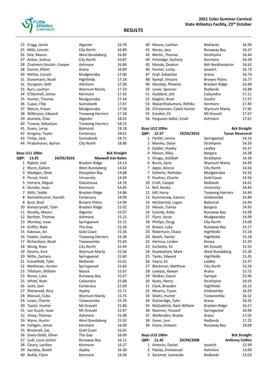

|    | 23 Cragg, Jamie           | Algester                | 16.79 |
|----|---------------------------|-------------------------|-------|
| 25 | Mills, Lincoln            | City North              | 16.80 |
| 26 | Dee, Mason                | West Bundaberg          | 16.83 |
| 27 | Anton, Joshua             | City North              | 16.87 |
| 28 | Chalmers-Sinclair, Cooper | Ashmore                 | 16.89 |
| 28 | Dunne, Elliott            | Arana                   | 16.89 |
| 30 | Mehta, Lincoln            | Mudgeeraba              | 17.06 |
| 31 | Dunemann, Noah            | <b>Highfields</b>       | 17.18 |
| 32 | Sturgeon, Seth            | Ashmore                 | 17.30 |
| 33 | Byrn, Lachlan             | Wynnum Manly            | 17.33 |
| 34 | O'Donnell, James          | Kenmore                 | 17.42 |
| 35 | Hunter, Thomas            | Mudgeeraba              | 17.44 |
| 36 | Cupac, Filip              | Sunnybank               | 17.47 |
| 37 | Moore, Fraser             | Mudgeeraba              | 17.54 |
| 38 | Wilkinson, Edward         | <b>Toowong Harriers</b> | 17.58 |
| 39 | Araneta, Chaz             | Algester                | 18.01 |
| 40 | Trowse, Sebastian         | <b>Toowong Harriers</b> | 18.15 |
| 41 | Evans, Leroy              | Balmoral                | 18.18 |
| 42 | Gregory, Taylor           | Centenary               | 18.61 |
| 43 | Finlay, Jack              | Sunnybank               | 18.75 |
|    | 44 Pirabaharan, Apiran    | City North              | 18.86 |

#### **Boys U11 100m Bck Straight**

| QBP: | 13.35                | 24/03/2018 | <b>Maxwell Van Balen</b> |       |
|------|----------------------|------------|--------------------------|-------|
| 1    | Rajesh, Joel         |            | Bracken Ridge            | 14.13 |
|      | 2 Wynn, Kallam       |            | West Bundaberg           | 14.62 |
| 3    | Madigan, Dewi        |            | Deception Bay            | 14.68 |
|      | 4 Persal, Yoshi      |            | University               | 14.69 |
| 5    | Herrera, Miguel      |            | Glasshouse               | 14.76 |
|      | 6 Dundas, Isaac      |            | Kenmore                  | 14.83 |
| 7    | Mills, Teddy         |            | Bracken Ridge            | 14.86 |
| 8    | Rameshkumar, Harsith |            | Centenary                | 14.99 |
| 8    | Buol, Buol           |            | <b>Browns Plains</b>     | 14.99 |
| 10   | Komarzynski, Tyler   |            | Bracken Ridge            | 15.02 |
| 11   | Revelly, Mason       |            | Algester                 | 15.07 |
| 12   | Bartlett, Thomas     |            | Ashmore                  | 15.12 |
| 13   | Munday, Isaac        |            | Springwood               | 15.15 |
| 14   | Griffin, Nate        |            | The Gap                  | 15.26 |
| 15   | Kakavas, Ari         |            | <b>Gold Coast</b>        | 15.36 |
| 16   | Fowler, Joshua       |            | <b>Toowong Harriers</b>  | 15.38 |
| 17   | Richardson, Noah     |            | Toowoomba                | 15.43 |
| 18   | Wong, Ryan           |            | City North               | 15.49 |
| 19   | Devine, Ezra         |            | Wynnum Manly             | 15.56 |
| 20   | Willis, Zachary      |            | Springwood               | 15.60 |
| 21   | Cranefield, Tyler    |            | Redlands                 | 15.61 |
| 22   | Matthews, Hunter     |            | Springwood               | 15.66 |
| 23   | Tillotson, William   |            | Noosa                    | 15.67 |
| 23   | Renac, Luka          |            | Runaway Bay              | 15.67 |
| 25   | White, Ryan          |            | Caloundra                | 15.68 |
| 26   | Issitt, Sam          |            | Centenary                | 15.69 |
| 27   | Sherwood, Azra       |            | Aspley                   | 15.71 |
| 28   | Manuel, Cuba         |            | Wynnum Manly             | 15.75 |
| 29   | Lowis, Charlie       |            | Toowoomba                | 15.76 |
| 30   | Taylor, Hunter       |            | Mt Gravatt               | 15.86 |
| 31   | van Kuyck, Isaac     |            | Mt Gravatt               | 15.87 |
| 32   | Viney, Thomas        |            | Ashmore                  | 15.90 |
| 33   | Wynn, Austin         |            | West Bundaberg           | 15.92 |
| 34   | Forkgen, James       |            | Kenmore                  | 16.00 |
| 35   | Brazenall, Zac       |            | <b>Gold Coast</b>        | 16.01 |
| 36   | Davis-Dodd, Oliver   |            | The Gap                  | 16.09 |
| 37   | Ludi, Louis zichen   |            | Runaway Bay              | 16.11 |
| 38   | Cleary, Lachlan      |            | Kenmore                  | 16.27 |
| 39   | Aynsley, Braith      |            | Aspley                   | 16.30 |
| 40   | Noble, Flynn         |            | Kenmore                  | 16.34 |

| 40 | Moore, Lachlan            | Redlands             | 16.34 |
|----|---------------------------|----------------------|-------|
| 42 | Renac, Jacy               | Runaway Bay          | 16.37 |
| 43 | Merlin, Thomas            | Strathpine           | 16.44 |
| 44 | Prestidge, Zachary        | Kenmore              | 16.58 |
|    | 45 Moody, Deakon          | Nth Rockhampton      | 16.62 |
| 46 | Hunter, Locky             | Ipswich              | 16.73 |
| 47 | Graf, Sebastian           | Arana                | 16.74 |
| 48 | Kampf, Vincent            | <b>Browns Plains</b> | 16.77 |
| 49 | Munday, Phoenix           | Bracken Ridge        | 16.84 |
| 50 | Lewis, Spencer            | Redlands             | 16.88 |
| 51 | Goddard, Jett             | Caloundra            | 17.21 |
| 52 | Kaighin, Brad             | Souths               | 17.27 |
| 53 | Wasanthakumara, Rithika   | Kenmore              | 17.40 |
| 54 | Christensen, Caleb Hunter | Wynnum Manly         | 17.45 |
| 55 | Condon, Eli               | Mt Gravatt           | 17.57 |
|    | 56 Ferguson-Salkic, Eziah | Ashmore              | 17.61 |
|    |                           |                      |       |

|      | <b>Boys U12 100m</b>     |            |                         | <b>Bck Straight</b> |
|------|--------------------------|------------|-------------------------|---------------------|
| QBP: | 12.57                    | 19/03/2016 | <b>Tynan Neveceral</b>  |                     |
| 1    | Parfitt, Lennix          |            | Springwood              | 14.16               |
| 2    | Manley, Dylan            |            | Strathpine              | 14.26               |
| 3    | Golder, Huxley           |            | Laidley                 | 14.37               |
| 4    | Mason, Riley             |            | <b>Bargara</b>          | 14.38               |
| 5    | Onaga, Jedidiah          |            | Strathpine              | 14.39               |
| 6    | Burns, Zane              |            | Wynnum Manly            | 14.49               |
| 7    | Appo, Aitorai            |            | City North              | 14.54               |
| 7    | Doherty, Nicholas        |            | Mudgeeraba              | 14.54               |
| 9    | Poulton, Charlie         |            | <b>Gold Coast</b>       | 14.56               |
| 10   | Croft, Cooper            |            | Redlands                | 14.61               |
| 11   | Bell, Booka              |            | University              | 14.83               |
| 12   | Hill, Harry              |            | <b>Toowong Harriers</b> | 14.84               |
| 13   | Kummerow, Eamon          |            | Jimboomba               | 14.89               |
| 14   | McDiarmid, Logan         |            | Balmoral                | 14.94               |
| 15   | Mason, Tomas             |            | <b>Bargara</b>          | 14.95               |
| 16   | Cassidy, Koby            |            | Runaway Bay             | 14.98               |
| 17   | Flynn, Jesse             |            | Mudgeeraba              | 14.99               |
| 18   | Phillips, Doug           |            | City North              | 15.08               |
| 19   | Brown, Luka              |            | Runaway Bay             | 15.17               |
| 20   | Robertson, Chase         |            | Highfields              | 15.18               |
| 20   | Booth, Daniel            |            | Highfields              | 15.18               |
| 22   | Hermus, Linden           |            | Noosa                   | 15.20               |
| 23   | Corbette, Eli            |            | Mt Gravatt              | 15.25               |
| 24   | Rowbottom, Mark          |            | West Bundaberg          | 15.26               |
| 25   | Tanks, Edward            |            | Highfields              | 15.35               |
| 26   | Vayro, Eli               |            | Laidley                 | 15.37               |
| 27   | Blackman, Matthew        |            | City North              | 15.59               |
| 28   | Lovejoy, Rowan           |            | Arana                   | 15.72               |
| 29   | Walker, Saxon            |            | Gympie                  | 15.96               |
| 30   | Keats, Henry             |            | Strathpine              | 16.03               |
| 31   | Clark, Braeden           |            | Highfields              | 16.13               |
| 32   | Mearns, Tyson            |            | Jimboomba               | 16.29               |
| 33   | Watts, Hunter            |            | Toowoomba               | 16.52               |
| 34   | Outteridge, Tyler        |            | Arana                   | 16.55               |
| 35   | McGoldrick, Nate William |            | Bracken Ridge           | 16.57               |
| 36   | Naaman, Youssef          |            | Springwood              | 16.98               |
| 37   | Wolfenden, Brodie        |            | Arana                   | 17.05               |
| 38   | Greer, Levi              |            | Redlands                | 17.22               |
| 39   | Evans, Antwon            |            | Runaway Bay             | 19.08               |

| <b>Boys U13 100m</b> |                     |            |          | <b>Bck Straight</b>    |
|----------------------|---------------------|------------|----------|------------------------|
|                      | OBP: 11.42          | 24/04/2008 |          | <b>Anthony Collins</b> |
|                      | 1 Antonio, Daniel   |            | Ipswich  | 12.99                  |
|                      | 2 Paelay, Emmanuel  |            | Ashmore  | 13.00                  |
|                      | 3 Seremet, Leonardo |            | Redlands | 13.03                  |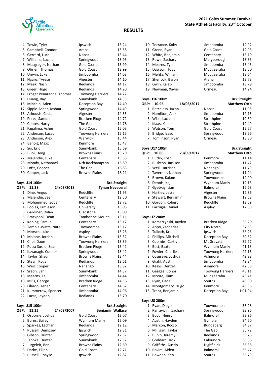

|      | OBP: 11.25<br>24/03/2007                   | <b>Benjamin Wallace</b>                |                     |
|------|--------------------------------------------|----------------------------------------|---------------------|
|      | <b>Boys U15 100m</b>                       |                                        | <b>Bck Straight</b> |
| 22   | Lucas, Jaydon                              | Redlands                               | 15.70               |
|      | 21 Kummerow, Spencer                       | Jimboomba                              | 14.96               |
|      | 20 Filardo, Asher                          | Centenary                              | 14.62               |
|      | 19 Mills, George                           | Bracken Ridge                          | 14.56               |
|      |                                            |                                        |                     |
|      | 18 Mearns, Taj                             | Jimboomba                              | 14.44               |
|      | 16 Weil, Cooper<br>17 Sraon, Sahil         | Nanango<br>Sunnybank                   | 14.37               |
|      | 15 Steyn, Rogan                            | Redlands                               | 13.61<br>13.92      |
|      | 14 Taylor, Shaun                           | <b>Browns Plains</b>                   | 13.44               |
|      | 12 Kavanagh, Connor                        | Springwood                             | 13.42               |
|      | 12 Putra Susilo, Sean                      | Bracken Ridge                          | 13.42               |
|      | 11 Choi, Daon                              | Toowong Harriers                       | 13.39               |
|      | 10 Malone, Jordan                          | <b>Browns Plains</b>                   | 13.32               |
|      | Morsch, Luke                               | Aspley                                 | 13.26               |
| 9    |                                            |                                        |                     |
| 8    | Temple-Watts, Nate                         | Toowoomba                              | 13.17               |
|      | 7 Koning, Samuel                           | Centenary                              | 13.12               |
|      | 6 Brackpool, Dean                          | <b>Tamborine Mount</b>                 | 13.11               |
|      | 5 Gardiner, Dylan                          | Gladstone                              | 13.09               |
| 4    | Pooles, Jamieson                           | University                             | 13.05               |
| 3    | Mohammed, Zobair                           | Redcliffe                              | 12.72               |
|      | 2 Majendie, Sean                           | Centenary                              | 12.50               |
|      | 1 Dine, Angus                              | Redcliffe                              | 11.95               |
| QBP: | 11.38<br>24/03/2018                        | <b>Tynan Neveceral</b>                 |                     |
|      | <b>Boys U14 100m</b>                       |                                        | <b>Bck Straight</b> |
| 30   | Cooper, Jack                               | <b>Browns Plains</b>                   | 18.21               |
|      | 29 Lofts, Cooper                           | The Gap                                | 16.83               |
|      | 28 Moody, Nathanael                        | Nth Rockhampton                        | 15.89               |
|      | 27 Majendie, Luke                          | Centenary                              | 15.83               |
|      | 26 Buol, Deng                              | <b>Browns Plains</b>                   | 15.79               |
|      | 25 Sui, Eric                               | Sunnybank                              | 15.69               |
|      | 24 Benoit, Maxx                            | Kenmore                                | 15.47               |
|      | 23 Anderson, Alex                          | Warwick                                | 15.44               |
|      | 22 Anderson, Lucas                         | <b>Toowong Harriers</b>                | 15.15               |
|      | 21 Fagalima, Asher                         | <b>Gold Coast</b>                      | 15.03               |
|      | 20 Cootes, Harry                           | The Gap                                | 14.78               |
|      | 19 Perez, Samuel                           | Bracken Ridge                          | 14.72               |
|      |                                            |                                        |                     |
| 18   | 17 Sipple-Asher, Joshua<br>Athousis, Costa | Springwood<br>Algester                 | 14.65               |
|      |                                            | Deception Bay                          | 14.49               |
|      | 16 Minchin, Aden                           |                                        | 14.40               |
|      | 15 Huang, Ray                              | Sunnybank                              | 14.35               |
|      | 14 Froget Penaranda, Thomas                | <b>Toowong Harriers</b>                | 14.22               |
|      | 13 Greer, Hugo                             | Redlands                               | 14.20               |
|      | 12 Meek, Nash                              | Redlands                               | 14.17               |
|      | 11 Ngaru, Tyrese                           | Algester                               | 14.10               |
|      | 8 Obrien, Thomas<br>10 Unwin, Luke         | Jimboomba                              | 13.99<br>14.03      |
| 8    | Macgregor, Nathan                          | <b>Gold Coast</b><br><b>Gold Coast</b> | 13.99               |
|      | 7 Williams, Lachlan                        | Springwood                             | 13.93               |
|      | 6 Gerrard, Luca                            | Noosa                                  | 13.44               |
|      | 5 Campbell, Connor                         | Arana                                  | 13.38               |
|      | 4 Towle, Tyler                             | Ipswich                                | 13.24               |
|      |                                            |                                        |                     |

| <b>OBP:</b> | 11.25              | 24/03/2007 |                      | <b>Benjamin Wallace</b> |
|-------------|--------------------|------------|----------------------|-------------------------|
|             | 1 Osborne, Joshua  |            | <b>Gold Coast</b>    | 12.07                   |
|             | 2 Burns, Bailey    |            | Wynnum Manly         | 12.09                   |
|             | 3 Sparkes, Lachlan |            | Redlands             | 12.12                   |
|             | 4 Russell, Dempsey |            | Ipswich              | 12.31                   |
|             | 5 Gibson, Hunter   |            | Springwood           | 12.57                   |
|             | 5 Jahnke, Hunter   |            | Sunnybank            | 12.57                   |
|             | 7 Jurgeleit, Ben   |            | <b>Browns Plains</b> | 12.60                   |
| 8           | Darke, Elijah      |            | <b>Gold Coast</b>    | 12.71                   |
| 9           | Russell, Chayse    |            | Ipswich              | 12.82                   |
|             |                    |            |                      |                         |

| 10 Torrance, Koby  | Jimboomba         | 12.92 |
|--------------------|-------------------|-------|
| 11 Green, Ryan     | <b>Gold Coast</b> | 12.93 |
| 12 White, Benjamin | Centenary         | 13.19 |
| 13 Rowe, Zachary   | Maryborough       | 13.33 |
| 14 Mearns, Tyler   | Jimboomba         | 13.43 |
| 15 Dawson, Toby    | Mudgeeraba        | 13.50 |
| 16 Mehta, William  | Mudgeeraba        | 13.64 |
| 17 Sherlock, Byron | Arana             | 13.73 |
| 18 Gwin, Kaleb     | Jimboomba         | 13.79 |
| 19 Newman, Xavier  | Ormeau            | 14.24 |
|                    |                   |       |

|              | <b>Boys U16 100m</b> |            |                   | <b>Bck Straight</b> |
|--------------|----------------------|------------|-------------------|---------------------|
| <b>OBP:</b>  | 10.96                | 18/03/2017 |                   | <b>Matthew Otto</b> |
| $\mathbf{1}$ | Retchless, Jaxon     |            | Noosa             | 11.95               |
|              | 2 Hamilton, Alex     |            | Jimboomba         | 12.16               |
|              | 3 Wise, Lachlan      |            | Strathpine        | 12.39               |
|              | 4 Klaas, Kailen      |            | Strathpine        | 12.49               |
|              | 5 Watson, Tom        |            | <b>Gold Coast</b> | 12.67               |
|              | 6 Bridge, Izaac      |            | Springwood        | 13.26               |
|              | 7 Tomlinson, Ryan    |            | Ormeau            | 13.30               |
|              |                      |            |                   |                     |

#### **Boys U17 100m Bck Straight**

| <b>OBP:</b> | 10.86               | 23/09/2017 |                      | <b>Matthew Otto</b> |
|-------------|---------------------|------------|----------------------|---------------------|
| 1           | Butlin, Toshi       |            | Kenmore              | 11.14               |
|             | 2 Rushton, Jackson  |            | Jimboomba            | 11.42               |
|             | 3 Weil, Harrison    |            | Nanango              | 11.79               |
|             | 4 Taverner, Nathan  |            | Springwood           | 11.94               |
|             | 5 Brown, Kalum      |            | Toowoomba            | 12.00               |
| 6           | Dennis, Kaj         |            | Wynnum Manly         | 12.13               |
|             | 7 Gyetvay, Liam     |            | <b>Balmoral</b>      | 12.23               |
| 8           | Hartley, Jesse      |            | Algester             | 12.36               |
|             | 9 Stewart, Benjamin |            | <b>Browns Plains</b> | 12.58               |
|             | 10 Gordon, Robert   |            | Redcliffe            | 12.59               |
|             | 11 Farrugia, Daniel |            | Aspley               | 12.68               |
|             |                     |            |                      |                     |

#### **Boys U7 200m**

11 Bowden, Ken

| 1            | Komarzynski, Jayden  | Bracken Ridge           | 36.20   |
|--------------|----------------------|-------------------------|---------|
| 2            | Appo, Zacharias      | City North              | 37.63   |
|              | 3 Tulloch, Kru       | Ipswich                 | 38.26   |
| 4            | Phillips, Mitchell   | Deception Bay           | 39.62   |
| 5            | Coombs, Curtly       | Mt Gravatt              | 39.77   |
| 6            | Bott, Baxter         | Wynnum Manly            | 41.13   |
| 7            | Fowler, Charlie      | <b>Toowong Harriers</b> | 42.15   |
| 8            | Cosgrave, Joshua     | Ashmore                 | 42.28   |
| 9            | Grahl, Austin        | Jimboomba               | 42.34   |
| 10           | Keays, Denzel        | Ashmore                 | 42.68   |
| 11           | Geagea, Conor        | <b>Toowong Harriers</b> | 43.11   |
| 12           | Moore, Tiam          | Mudgeeraba              | 45.41   |
| 13           | Ryan, Cade           | Souths                  | 48.90   |
| 14           | Montgomery, Hugo     | Kenmore                 | 48.96   |
| 15           | Trent, Benjamin      | Deception Bay           | 1:01.04 |
|              | <b>Boys U8 200m</b>  |                         |         |
| $\mathbf{1}$ | Ryan, Diego          | Toowoomba               | 33.28   |
| $\mathbf{2}$ | Parravicini, Zachary | Springwood              | 33.96   |
| 3            | Boyd, Henry          | <b>Balmoral</b>         | 33.96   |
| 4            | Austin, Hayden       | Gympie                  | 34.60   |
| 5            | Marcon, Rocco        | Bundaberg               | 34.87   |
| 6            | Milligan, Taylor     | The Gap                 | 35.72   |
| 7            | Bunin, Jeremy        | Redlands                | 35.76   |
| 8            | Goddard, Jack        | Caloundra               | 36.06   |
| 9            | Griffiths, Austin    | Highfields              | 36.38   |
| 10           | Rovira, Aiden        | <b>Balmoral</b>         | 36.47   |

10 Rovira, Aiden Balmoral 36.47<br>11 Bowden, Ken Souths 36.79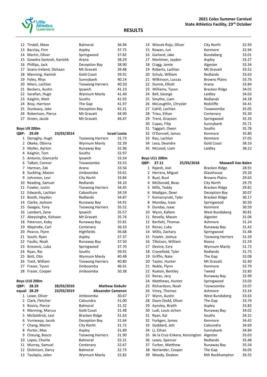

|    | 12 Tindall, Maxx           | Balmoral                | 36.94 |
|----|----------------------------|-------------------------|-------|
| 13 | Barclay, Finn              | Aspley                  | 37.75 |
| 14 | Martin, Oliver             | Springwood              | 37.82 |
|    | 15 Gowdra Santosh, Kanishk | Arana                   | 38.29 |
| 16 | Phillips, Jack             | Deception Bay           | 38.90 |
| 17 | Soans-Ireland, Dishaan     | Mt Gravatt              | 39.48 |
|    | 18 Manning, Hamish         | <b>Gold Coast</b>       | 39.91 |
| 19 | Foley, Rhys                | Sunnybank               | 40.14 |
| 20 | Miers, Lachlan             | <b>Toowong Harriers</b> | 40.50 |
| 21 | Beckers, Austin            | Ipswich                 | 41.23 |
|    | 22 Sarafian, Hugo          | Wynnum Manly            | 41.40 |
| 23 | Kaighin, Matt              | Souths                  | 41.93 |
| 24 | Bray, Harrison             | The Gap                 | 41.97 |
| 25 | Dunleavy, Jake             | Deception Bay           | 42.31 |
|    | 26 Robertson, Pierce       | Mt Gravatt              | 44.90 |
| 27 | Green, Jacob               | Mt Gravatt              | 46.47 |
|    |                            |                         |       |

#### **Boys U9 200m**

| QBP: | 29.09               | 23/03/2014 |                         | <b>Israel Leota</b> |
|------|---------------------|------------|-------------------------|---------------------|
| 1    | Donaghy, Hugh       |            | <b>Toowong Harriers</b> | 31.73               |
| 2    | Okeke, Obinna       |            | Wynnum Manly            | 32.39               |
| 3    | Muller, Ayrton      |            | Runaway Bay             | 32.96               |
| 4    | Kaighin, Tom        |            | Souths                  | 32.97               |
| 5    | Antonio, Giancarlo  |            | Ipswich                 | 33.54               |
| 6    | Talbot, Connor      |            | Toowoomba               | 33.55               |
| 7    | Harman, Zak         |            | Arana                   | 33.56               |
| 8    | Suckling, Mason     |            | Jimboomba               | 33.61               |
| 9    | Johnston, Levi      |            | City North              | 33.84               |
| 10   | Reading, Samuel     |            | Redlands                | 34.10               |
| 11   | Fowler, Justin      |            | <b>Toowong Harriers</b> | 34.45               |
| 12   | Edwards, Lachlan    |            | Caboolture              | 34.59               |
| 13   | Booth, Hayden       |            | Redlands                | 34.87               |
| 14   | Clarke, Jackson     |            | Runaway Bay             | 34.91               |
| 15   | Geagea, Tony        |            | <b>Toowong Harriers</b> | 35.52               |
| 16   | Lambert, Zane       |            | Ipswich                 | 35.57               |
| 17   | Abeysinghe, Kishaan |            | Mt Gravatt              | 35.76               |
| 18   | Paterson, Koby      |            | Runaway Bay             | 35.81               |
| 19   | Majendie, Carl      |            | Centenary               | 36.33               |
| 20   | Pearce, Flynn       |            | Highfields              | 36.68               |
| 21   | South, Ryan         |            | Aspley                  | 37.37               |
| 22   | Faulks, Noah        |            | Runaway Bay             | 37.50               |
| 23   | Knezevic, Luka      |            | Springwood              | 37.70               |
| 24   | Ryan, Rio           |            | Souths                  | 39.91               |
| 25   | Bott, Otis          |            | Wynnum Manly            | 40.48               |
| 26   | Tveit, William      |            | <b>Toowong Harriers</b> | 40.80               |
| 27   | Fraser, Tyson       |            | Jimboomba               | 46.61               |
| 28   | Fraser, Cooper      |            | Jimboomba               | 50.38               |

#### **Boys U10 200m**

| <b>OBP:</b> | 28.29                  | 28/03/2010 | <b>Mathew Siebuhr</b>    |       |
|-------------|------------------------|------------|--------------------------|-------|
|             | equal: 28.29           | 23/03/2019 | <b>Alexander Cameron</b> |       |
| 1           | Lowe, Oliver           |            | Jimboomba                | 30.67 |
|             | 2 Clark, Fletcher      |            | Caloundra                | 31.00 |
| 3           | Rovira, Pierce         |            | <b>Balmoral</b>          | 31.32 |
| 4           | <b>Manning, Marcus</b> |            | Gold Coast               | 31.48 |
|             | 5 McGoldrick, Levi     |            | Bracken Ridge            | 31.63 |
| 6           | Vuniwaga, Jacob        |            | Deception Bay            | 31.64 |
| 7           | Chang, Martin          |            | City North               | 31.72 |
| 8           | Porter, Max            |            | Aspley                   | 31.89 |
| 9           | Cheung, Bosco          |            | <b>Toowong Harriers</b>  | 31.90 |
| 10          | Lopes, Charlie         |            | <b>Balmoral</b>          | 32.31 |
| 11          | Murray, Samuel         |            | Centenary                | 32.67 |
| 12          | Dickinson, Darcy       |            | <b>Balmoral</b>          | 32.73 |
|             | 13 Taulapiu, Jalen     |            | Wynnum Manly             | 32.82 |

| 14 | Wiecek Rojo, Oliver  | City North           | 32.93 |
|----|----------------------|----------------------|-------|
| 15 | Rowan, Jun           | Kenmore              | 32.94 |
| 16 | Garland, Jake        | Bundaberg            | 33.01 |
| 17 | Mortimer, Jayden     | Aspley               | 33.27 |
| 18 | Cragg, Jamie         | Algester             | 33.34 |
| 19 | Roberts, Lachlan     | Mt Gravatt           | 33.52 |
| 20 | Schulz, William      | Redlands             | 33.63 |
| 21 | Wilkinson, Luccas    | <b>Browns Plains</b> | 33.76 |
| 22 | Dunne, Elliott       | Arana                | 33.84 |
| 23 | Williams, Tyson      | Bracken Ridge        | 34.01 |
| 24 | Bell, George         | Laidley              | 34.03 |
| 25 | Smythe, Liam         | Redlands             | 34.28 |
| 26 | McLoughlin, Chrysler | Redcliffe            | 34.41 |
| 27 | Cahill, Lachlan      | Toowoomba            | 35.05 |
| 28 | Trieu, Ethan         | Centenary            | 35.30 |
| 29 | Trent, Grayson       | Springwood           | 35.33 |
| 30 | Cupac, Filip         | Sunnybank            | 35.71 |
| 31 | Taggart, Owen        | Souths               | 35.78 |
| 32 | O'Donnell, James     | Kenmore              | 35.80 |
| 33 | Rau, Lachlan         | Kenmore              | 37.05 |
| 34 | Lesa, Deandre        | <b>Gold Coast</b>    | 38.16 |
| 35 | McLeod, Liam         | Laidley              | 38.22 |

|                | <b>Boys U11 200m</b>             |            |                          |       |
|----------------|----------------------------------|------------|--------------------------|-------|
| QBP:           | 27.11                            | 25/03/2018 | <b>Maxwell Van Balen</b> |       |
| $\mathbf{1}$   | Rajesh, Joel                     |            | <b>Bracken Ridge</b>     | 28.91 |
| $\overline{2}$ | Herrera, Miguel                  |            | Glasshouse               | 29.26 |
| 3              | Buol, Buol                       |            | <b>Browns Plains</b>     | 29.65 |
| 4              | McDonald, Beau                   |            | City North               | 29.79 |
| 5              | Mills, Teddy                     |            | Bracken Ridge            | 29.81 |
| 6              | Madigan, Dewi                    |            | Deception Bay            | 30.07 |
| 7              | Komarzynski, Tyler               |            | Bracken Ridge            | 30.17 |
| 8              | Munday, Isaac                    |            | Springwood               | 30.50 |
| 9              | Dundas, Isaac                    |            | Kenmore                  | 30.59 |
| 10             | Wynn, Kallam                     |            | West Bundaberg           | 30.81 |
| 11             | Revelly, Mason                   |            | Algester                 | 31.04 |
|                | 12 Bartlett, Thomas              |            | Ashmore                  | 31.24 |
| 13             | Renac, Luka                      |            | Runaway Bay              | 31.42 |
| 14             | Willis, Zachary                  |            | Springwood               | 31.48 |
| 15             | Fowler, Joshua                   |            | <b>Toowong Harriers</b>  | 31.59 |
| 16             | Tillotson, William               |            | Noosa                    | 31.59 |
|                | 17 Devine, Ezra                  |            | Wynnum Manly             | 31.72 |
|                | 18 Cranefield, Tyler             |            | Redlands                 | 31.75 |
| 19             | Griffin, Nate                    |            | The Gap                  | 32.08 |
| 20             | Taylor, Hunter                   |            | Mt Gravatt               | 32.40 |
| 21             | Noble, Flynn                     |            | Kenmore                  | 32.70 |
| 22             | Ruxton, Bentley                  |            | Tweed                    | 32.83 |
| 23             | Renac, Jacy                      |            | Runaway Bay              | 32.99 |
| 24             | Matthews, Hunter                 |            | Springwood               | 33.03 |
| 25             | Richardson, Noah                 |            | Toowoomba                | 33.07 |
| 26             | Viney, Thomas                    |            | Ashmore                  | 33.24 |
| 27             | Wynn, Austin                     |            | West Bundaberg           | 33.63 |
| 28             | Davis-Dodd, Oliver               |            | The Gap                  | 33.74 |
| 29             | Aynsley, Braith                  |            | Aspley                   | 33.83 |
| 30             | Ludi, Louis zichen               |            | Runaway Bay              | 34.02 |
| 31             | Ryan, Kai                        |            | Souths                   | 34.31 |
| 32             | Forkgen, James                   |            | Kenmore                  | 34.42 |
| 33             | Goddard, Jett                    |            | Caloundra                | 34.69 |
| 34             | Li, Ethan                        |            | Sunnybank                | 34.84 |
|                | 35 de la Cruz-Enkera, Kenzington |            | Algester                 | 35.03 |
| 36             | Lewis, Spencer                   |            | Redlands                 | 35.48 |
| 37             | Furber, Matthew                  |            | Runaway Bay              | 35.54 |
| 38             | Norlander, Cooper                |            | The Gap                  | 36.05 |
| 39             | Moody, Deakon                    |            | Nth Rockhampton          | 36.55 |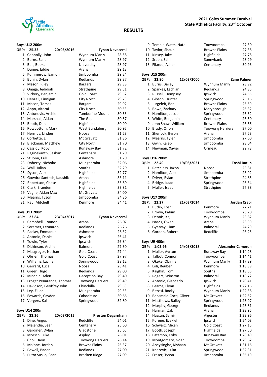

#### **2021 Coles Summer Carnival State Athletics Facility, 23rd October**

#### **RESULTS**

## **Boys U12 200m**

| QBP: | 25.33                   | 20/03/2016 | <b>Tynan Neveceral</b> |       |
|------|-------------------------|------------|------------------------|-------|
| 1    | Connolly, John          |            | Wynnum Manly           | 28.58 |
| 2    | Burns, Zane             |            | Wynnum Manly           | 28.97 |
| 3    | Bell, Booka             |            | University             | 28.97 |
| 4    | Dunne, Eddie            |            | Arana                  | 29.13 |
| 5    | Kummerow, Eamon         |            | Jimboomba              | 29.24 |
| 6    | Bunin, Dylan            |            | Redlands               | 29.37 |
| 7    | Mason, Riley            |            | <b>Bargara</b>         | 29.38 |
| 8    | Onaga, Jedidiah         |            | Strathpine             | 29.51 |
| 9    | Vickery, Benjamin       |            | <b>Gold Coast</b>      | 29.52 |
| 10   | Henzell, Finnigan       |            | City North             | 29.73 |
| 11   | Mason, Tomas            |            | <b>Bargara</b>         | 29.92 |
|      | 12 Appo, Aitorai        |            | City North             | 30.53 |
|      | 13 Antunovic, Archie    |            | <b>Tamborine Mount</b> | 30.63 |
|      | 14 Marshall, Aidan      |            | The Gap                | 30.67 |
| 15   | Booth, Daniel           |            | Highfields             | 30.90 |
| 16   | Rowbottom, Mark         |            | West Bundaberg         | 30.95 |
| 17   | Hermus, Linden          |            | Noosa                  | 31.23 |
| 18   | Corbette, Eli           |            | Mt Gravatt             | 31.36 |
| 19   | Blackman, Matthew       |            | City North             | 31.70 |
|      | 20 Cassidy, Koby        |            | Runaway Bay            | 31.72 |
| 21   | Raginekanth, Seshan     |            | Centenary              | 31.79 |
| 22   | St Jonn, Erik           |            | Ashmore                | 31.79 |
| 23   | Doherty, Nicholas       |            | Mudgeeraba             | 32.06 |
| 24   | Wall, Julian            |            | Souths                 | 32.29 |
| 25   | Dyson, Alex             |            | Highfields             | 32.77 |
| 26   | Gowdra Santosh, Kaushik |            | Arana                  | 33.11 |
| 27   | Robertson, Chase        |            | Highfields             | 33.69 |
| 28   | Clark, Braeden          |            | Highfields             | 33.81 |
|      | 29 Vagne, Aidan Max     |            | Mt Gravatt             | 34.00 |
| 30   | Mearns, Tyson           |            | Jimboomba              | 34.36 |
| 31   | Rau, Mitchell           |            | Kenmore                | 34.41 |

#### **Boys U13 200m**

| QBP: | 23.84                    | 23/04/2017 |                         | <b>Tynan Neveceral</b> |
|------|--------------------------|------------|-------------------------|------------------------|
| 1    | Campbell, Connor         |            | Arana                   | 26.07                  |
| 2    | Seremet, Leonardo        |            | Redlands                | 26.26                  |
| 3    | Paelay, Emmanuel         |            | Ashmore                 | 26.32                  |
| 4    | Antonio, Daniel          |            | Ipswich                 | 26.41                  |
|      | 5 Towle, Tyler           |            | Ipswich                 | 26.84                  |
| 6    | Dickinson, Archie        |            | <b>Balmoral</b>         | 27.30                  |
| 7    | Macgregor, Nathan        |            | <b>Gold Coast</b>       | 27.44                  |
| 8    | Obrien, Thomas           |            | <b>Gold Coast</b>       | 27.97                  |
| 9    | Williams, Lachlan        |            | Springwood              | 28.12                  |
| 10   | Gerrard, Luca            |            | Noosa                   | 28.41                  |
| 11   | Greer, Hugo              |            | Redlands                | 29.00                  |
| 12   | Minchin, Aden            |            | Deception Bay           | 29.40                  |
| 13   | Froget Penaranda, Thomas |            | <b>Toowong Harriers</b> | 29.49                  |
| 14   | Davidson, Geoffrey John  |            | Chinchilla              | 29.53                  |
| 15   | Ley, Elliot              |            | Mudgeeraba              | 29.53                  |
| 16   | Edwards, Cayden          |            | Caboolture              | 30.66                  |
| 17   | Vergers, Kai             |            | Springwood              | 32.80                  |
|      |                          |            |                         |                        |

#### **Boys U14 200m**

| QBP:         | 23.26              | 20/03/2015 | <b>Preston Degarnham</b> |       |
|--------------|--------------------|------------|--------------------------|-------|
| $\mathbf{1}$ | Dine, Angus        |            | Redcliffe                | 24.01 |
|              | 2 Majendie, Sean   |            | Centenary                | 25.60 |
|              | 3 Gardiner, Dylan  |            | Gladstone                | 25.65 |
|              | 4 Morsch, Luke     |            | Aspley                   | 26.01 |
|              | 5 Choi, Daon       |            | <b>Toowong Harriers</b>  | 26.14 |
|              | 6 Malone, Jordan   |            | <b>Browns Plains</b>     | 26.37 |
|              | 7 Powell, Baden    |            | Redlands                 | 27.00 |
| 8            | Putra Susilo, Sean |            | <b>Bracken Ridge</b>     | 27.09 |

| 9    | Temple-Watts, Nate   | Toowoomba               | 27.30       |
|------|----------------------|-------------------------|-------------|
| 10   | Taylor, Shaun        | <b>Browns Plains</b>    | 27.38       |
| 11   | Kinsey, Jake         | Highfields              | 27.78       |
| 12   | Sraon, Sahil         | Sunnybank               | 28.29       |
| 13   | Filardo, Asher       | Centenary               | 30.93       |
|      | <b>Boys U15 200m</b> |                         |             |
| QBP: | 12/03/2000<br>22.90  |                         | Zane Palmer |
| 1    | Burns, Bailey        | Wynnum Manly            | 23.92       |
| 2    | Sparkes, Lachlan     | Redlands                | 24.35       |
| 3    | Russell, Dempsey     | Ipswich                 | 24.55       |
| 4    | Gibson, Hunter       | Springwood              | 25.16       |
| 5.   | Jurgeleit, Ben       | <b>Browns Plains</b>    | 25.59       |
| 6    | Rowe, Zachary        | Maryborough             | 26.32       |
| 6    | Hamilton, Jacob      | Springwood              | 26.32       |
| 8    | White, Benjamin      | Centenary               | 26.50       |
| 9    | John Shaw, William   | <b>Browns Plains</b>    | 26.66       |
| 10   | Brady, Orion         | <b>Toowong Harriers</b> | 27.00       |
| 11   | Sherlock, Byron      | Arana                   | 27.23       |
| 12   | Mearns, Tyler        | Jimboomba               | 27.60       |
| 13   | Gwin, Kaleb          | Jimboomba               | 28.04       |
|      |                      |                         |             |

Newman, Xavier Ormeau 29.73

## **Boys U16 200m**

| <b>OBP:</b> | 22.49                 | 19/03/2021 |            | <b>Toshi Butlin</b> |
|-------------|-----------------------|------------|------------|---------------------|
|             | 1 Retchless, Jaxon    |            | Noosa      | 23.81               |
|             | 2 Hamilton, Alex      |            | Jimboomba  | 23.92               |
|             | 3 Driver, Rylan       |            | Strathpine | 24.85               |
|             | 4 Bridge, Izaac       |            | Springwood | 26.34               |
|             | 5 Muller, Isaac       |            | Strathpine | 27.38               |
|             |                       |            |            |                     |
|             | <b>Rove 1117 200m</b> |            |            |                     |

### **Boys U17 200m**

| <b>OBP:</b> | 22.27            | 21/03/2014 |              | Jordan Csabi |
|-------------|------------------|------------|--------------|--------------|
|             | 1 Butlin, Toshi  |            | Kenmore      | 22.21        |
|             | 2 Brown, Kalum   |            | Toowoomba    | 23.70        |
|             | 3 Dennis, Kaj    |            | Wynnum Manly | 23.82        |
|             | 4 Isaacs, Owen   |            | Arana        | 23.99        |
|             | 5 Gyetvay, Liam  |            | Balmoral     | 24.29        |
|             | 6 Gordon, Robert |            | Redcliffe    | 26.25        |

#### **Boys U9 400m**

| QBP: | 1:05.96               | 24/03/2018 | <b>Alexander Cameron</b> |         |
|------|-----------------------|------------|--------------------------|---------|
| 1    | Muller, Ayrton        |            | Runaway Bay              | 1:14.28 |
| 2    | Talbot, Connor        |            | Toowoomba                | 1:14.41 |
| 3    | Okeke, Obinna         |            | Wynnum Manly             | 1:17.39 |
| 4    | Loli, Reuben          |            | Kenmore                  | 1:18.39 |
| 5    | Kaighin, Tom          |            | Souths                   | 1:18.65 |
| 6    | Rogers, Winston       |            | <b>Balmoral</b>          | 1:18.72 |
| 7    | Antonio, Giancarlo    |            | Ipswich                  | 1:20.41 |
| 8    | Pearce, Flynn         |            | Highfields               | 1:22.16 |
| 9    | Bitossi, Rocky        |            | Wynnum Manly             | 1:22.38 |
| 10   | Roosmale-Cocq, Oliver |            | Mt Gravatt               | 1:22.52 |
| 11   | Matthews, Bailey      |            | Springwood               | 1:23.07 |
| 12   | Murphy, George        |            | Redlands                 | 1:23.81 |
| 13   | Harman, Zak           |            | Arana                    | 1:23.95 |
| 14   | Hassan, Samir         |            | Algester                 | 1:23.96 |
| 15   | Kurene, Ezekiel       |            | Ipswich                  | 1:24.03 |
| 16   | Schwarz, Micah        |            | <b>Gold Coast</b>        | 1:27.15 |
| 17   | Booth, Joseph         |            | Highfields               | 1:27.50 |
| 18   | Paterson, Koby        |            | Runaway Bay              | 1:28.49 |
| 19   | Montgomery, Noah      |            | Toowoomba                | 1:29.62 |
| 20   | Abeysinghe, Kishaan   |            | Mt Gravatt               | 1:31.16 |
| 21   | Knezevic, Luka        |            | Springwood               | 1:32.31 |
| 22   | Fraser, Tyson         |            | Jimboomba                | 1:36.19 |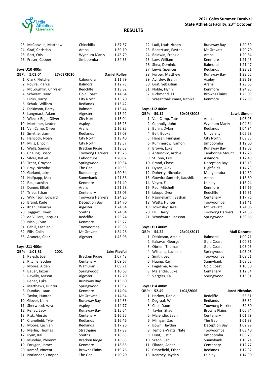

|                | 23 McConville, Matthew  | Chinchilla              | 1:37.57              |
|----------------|-------------------------|-------------------------|----------------------|
|                | 24 Graf, Christian      | Arana                   | 1:39.10              |
|                | 25 Bott, Otis           | Wynnum Manly            | 1:46.79              |
|                | 26 Fraser, Cooper       | Jimboomba               | 1:54.55              |
|                |                         |                         |                      |
|                | <b>Boys U10 400m</b>    |                         |                      |
| QBP:           | 27/03/2010<br>1:03.04   |                         | <b>Daniel Rolley</b> |
| 1              | Clark, Fletcher         | Caloundra               | 1:11.79              |
|                | 2 Rovira, Pierce        | Balmoral                | 1:12.73              |
|                | 3 McLoughlin, Chrysler  | Redcliffe               | 1:13.82              |
|                | 4 Schwarz, Isaac        | <b>Gold Coast</b>       | 1:14.64              |
| 5.             | Hicks, Harry            | City North              | 1:15.20              |
| 6              | Schulz, William         | Redlands                | 1:15.42              |
| 7              | Dickinson, Darcy        | <b>Balmoral</b>         | 1:15.44              |
| 8              | Langmack, Adam          | Algester                | 1:15.92              |
|                | 9 Wiecek Rojo, Oliver   | City North              | 1:16.04              |
|                | 10 Mortimer, Jayden     | Aspley                  | 1:16.23              |
|                | 11 Van Camp, Oliver     | Arana                   | 1:16.95              |
|                | 12 Smythe, Liam         | Redlands                | 1:17.08              |
|                | 13 Hancock, Noah        | City North              | 1:18.40              |
|                | 14 Mills, Lincoln       | City North              | 1:18.57              |
|                | 15 Wells, Samuel        | Bracken Ridge           | 1:18.68              |
|                | 16 Cheung, Bosco        | <b>Toowong Harriers</b> | 1:19.78              |
|                | 17 Silver, Kal-el       | Caboolture              | 1:20.02              |
|                | 18 Trent, Grayson       | Springwood              | 1:20.34              |
|                | 19 Bray, Nicholas       | The Gap                 | 1:20.35              |
|                | 20 Garland, Jake        | <b>Bundaberg</b>        | 1:20.54              |
|                | 21 Halfpapp, Max        | Sunnybank               | 1:21.36              |
|                | 22 Rau, Lachlan         | Kenmore                 | 1:21.49              |
|                | 23 Dunne, Elliott       | Arana                   | 1:21.58              |
|                | 24 Trieu, Ethan         | Centenary               | 1:23.06              |
|                | 25 Wilkinson, Edward    | <b>Toowong Harriers</b> | 1:24.26              |
|                | 26 Brand, Kade          | Deception Bay           | 1:24.70              |
|                | 27 Khan, Zakariya       | Algester                | 1:24.94              |
|                | 28 Taggart, Owen        | Souths                  | 1:24.94              |
|                | 29 de Villiers, Jacques | Redcliffe               | 1:25.24              |
|                | 30 Nicoll, Evan         | Kenmore                 | 1:25.27              |
|                | 31 Cahill, Lachlan      | Toowoomba               | 1:29.38              |
|                | 32 Ellis, Colin         | Mt Gravatt              | 1:34.26              |
| 33             | Araneta, Chaz           | Algester                | 1:43.96              |
|                | <b>Boys U11 400m</b>    |                         |                      |
| <b>OBP:</b>    | 1:01.81<br>2001         |                         | Jake Playful         |
| 1              | Rajesh, Joel            | Bracken Ridge           | 1:07.43              |
| $\overline{2}$ | Ritchie, Boden          | Centenary               | 1:09.67              |
| 3              | Moore, Aiden            | Wamuran                 | 1:09.71              |
| 4              | Bauer, Jaxon            | Springwood              | 1:10.68              |
| 5.             | Revelly, Mason          | Algester                | 1:12.20              |
| 6              | Renac, Luka             | Runaway Bay             | 1:13.60              |
| 7              | Matthews, Hunter        | Springwood              | 1:13.97              |
|                | 8 Dundas, Isaac         | Kenmore                 | 1:14.04              |

9 Taylor, Hunter Mt Gravatt 1:14.64 10 Glover, Liam Runaway Bay 1:14.66 11 Sherwood, Azra Aspley 1:14.77<br>12 Renac, Jacy Runaway Bay 1:15.64

13 Rizk, Alessio Centenary 1:16.25 14 Cranefield, Tyler Redlands 1:16.46 15 Moore, Lachlan Redlands 1:17.26 16 Merlin, Thomas Strathpine 1:17.88 17 Ryan, Kai Souths 1:18.63 18 Munday, Phoenix Bracken Ridge 1:18.65 19 Forkgen, James Kenmore 1:18.65<br>20 Kampf, Vincent Browns Plains 1:19.76 20 Kampf, Vincent Browns Plains 1:19.76<br>21 Norlander, Cooper The Gap 1:20.20

12 Renac, Jacy

21 Norlander, Cooper

| 22 Ludi, Louis zichen      | Runaway Bay          | 1:20.59 |
|----------------------------|----------------------|---------|
| 23 Robertson, Payten       | Mt Gravatt           | 1:20.70 |
| 24 Baldwin, Frankie        | Arana                | 1:20.84 |
| 25 Law, William            | Kenmore              | 1:21.45 |
| 26 Shea, Dominic           | Balmoral             | 1:21.47 |
| 27 Lewis, Spencer          | Redlands             | 1:22.21 |
| 28 Furber, Matthew         | Runaway Bay          | 1:22.55 |
| 29 Aynsley, Braith         | Aspley               | 1:23.19 |
| 30 Graf, Sebastian         | Arana                | 1:23.65 |
| 31 Noble, Flynn            | Kenmore              | 1:24.95 |
| 32 Richmond, TJ            | <b>Browns Plains</b> | 1:25.09 |
| 33 Wasanthakumara, Rithika | Kenmore              | 1:27.89 |
|                            |                      |         |

#### **Boys U12 400m**

| QBP: | 59.12                   | 30/03/2008 |                         | <b>Lewis Simon</b>  |
|------|-------------------------|------------|-------------------------|---------------------|
| 1    | Van Camp, Tate          |            | Arana                   | 1:03.95             |
| 2    | Connolly, John          |            | Wynnum Manly            | 1:04.34             |
| 3    | Bunin, Dylan            |            | Redlands                | 1:04.94             |
| 4    | Bell, Booka             |            | University              | 1:05.58             |
| 5    | Henzell, Finnigan       |            | City North              | 1:09.35             |
| 6    | Kummerow, Eamon         |            | Jimboomba               | 1:12.00             |
| 7    | Brown, Luka             |            | Runaway Bay             | 1:12.03             |
| 8    | Antunovic, Archie       |            | <b>Tamborine Mount</b>  | 1:12.28             |
| 9    | St Jonn, Erik           |            | Ashmore                 | 1:12.48             |
| 10   | Brand, Chase            |            | Deception Bay           | 1:13.13             |
| 11   | Dyson, Alex             |            | Highfields              | 1:14.73             |
| 12   | Doherty, Nicholas       |            | Mudgeeraba              | 1:14.89             |
| 13   | Gowdra Santosh, Kaushik |            | Arana                   | 1:15.80             |
| 14   | Vayro, Eli              |            | Laidley                 | 1:16.24             |
| 15   | Rau, Mitchell           |            | Kenmore                 | 1:17.15             |
| 16   | lakopo, Zyon            |            | Redcliffe               | 1:17.31             |
| 17   | Raginekanth, Seshan     |            | Centenary               | 1:17.76             |
| 18   | Watts, Hunter           |            | Toowoomba               | 1:21.41             |
| 19   | Townsley, Jake          |            | Mt Gravatt              | 1:24.06             |
| 20   | Hill, Harry             |            | <b>Toowong Harriers</b> | 1:24.56             |
| 21   | Woodward, Jackson       |            | Springwood              | 1:30.66             |
|      | <b>Boys U13 400m</b>    |            |                         |                     |
| QBP: | 54.22                   | 23/04/2017 |                         | <b>Mali Dorante</b> |

| BP:          | 54.22               | 23/04/2017 |                   | Mali Dorante |
|--------------|---------------------|------------|-------------------|--------------|
| $\mathbf{1}$ | Dickinson, Archie   |            | <b>Balmoral</b>   | 1:00.71      |
|              | 2 Kakavas, George   |            | <b>Gold Coast</b> | 1:00.81      |
|              | 3 Obrien, Thomas    |            | <b>Gold Coast</b> | 1:03.05      |
|              | 4 Williams, Lachlan |            | Springwood        | 1:05.08      |
|              | 5 Smith, Leon       |            | Toowoomba         | 1:08.51      |
|              | 6 Huang, Ray        |            | Sunnybank         | 1:08.52      |
|              | 7 Fagalima, Asher   |            | <b>Gold Coast</b> | 1:10.00      |
| 8            | Majendie, Luke      |            | Centenary         | 1:12.54      |
| 9            | Vergers, Kai        |            | Springwood        | 1:13.81      |

### **Boys U14 400m QBP: 52.49 1/04/2006 Jared Nicholas**

| 1. | Harlow, Daniel       | Redcliffe               | 55.81   |
|----|----------------------|-------------------------|---------|
| 2  | Degraaf, Will        | Redlands                | 58.82   |
| 3  | Choi, Daon           | <b>Toowong Harriers</b> | 59.80   |
| 4  | Taylor, Shaun        | <b>Browns Plains</b>    | 1:00.74 |
|    | 5 Majendie, Sean     | Centenary               | 1:01.79 |
| 6  | Milligan, Zac        | The Gap                 | 1:01.88 |
| 7  | Bown, Hayden         | Deception Bay           | 1:02.99 |
|    | 8 Temple-Watts, Nate | Toowoomba               | 1:03.40 |
| 9  | Hunt, Justin         | Jimboomba               | 1:03.73 |
|    | 10 Sraon, Sahil      | Sunnybank               | 1:10.21 |
| 11 | Filardo, Asher       | Centenary               | 1:12.77 |
|    | 12 Cranefield, Ethan | Redlands                | 1:12.92 |
|    | 13 Kearney, Jayden   | Laidley                 | 1:14.00 |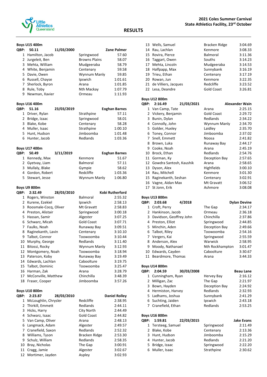

#### **Boys U15 400m**

| QBP: | 50.11             | 11/03/2000 |                      | <b>Zane Palmer</b> |
|------|-------------------|------------|----------------------|--------------------|
|      | 1 Hamilton, Jacob |            | Springwood           | 57.60              |
|      | 2 Jurgeleit, Ben  |            | <b>Browns Plains</b> | 58.07              |
|      | 3 Mehta, William  |            | Mudgeeraba           | 58.79              |
|      | 4 White, Benjamin |            | Centenary            | 59.58              |
|      | 5 Davie, Owen     |            | Wynnum Manly         | 59.85              |
|      | 6 Russell, Chayse |            | Ipswich              | 1:01.61            |
|      | 7 Sherlock, Byron |            | Arana                | 1:01.85            |
| 8    | Rule, Toby        |            | Nth Mackay           | 1:07.79            |
| q    | Newman, Xavier    |            | Ormeau               | 1:11.93            |
|      |                   |            |                      |                    |

#### **Boys U16 400m**

| OBP: | 51.16           | 23/03/2019 |            | <b>Eoghan Barnes</b> |
|------|-----------------|------------|------------|----------------------|
|      | 1 Driver, Rylan |            | Strathpine | 57.11                |
|      | 2 Bridge, Izaac |            | Springwood | 58.01                |
|      | 3 Blake, Kobe   |            | Centenary  | 58.28                |
|      | 4 Muller, Isaac |            | Strathpine | 1:00.10              |
|      | 5 Hunt, Hudson  |            | Jimboomba  | 1:01.48              |
|      | 6 Hunter, Jacob |            | Redlands   | 1:03.36              |
|      |                 |            |            |                      |

#### **Boys U17 400m**

| OBP: 50.49       | 3/11/2019 |                 | <b>Eoghan Barnes</b> |
|------------------|-----------|-----------------|----------------------|
| 1 Kennedy, Max   |           | Kenmore         | 51.67                |
| 2 Gyetvay, Liam  |           | <b>Balmoral</b> | 57.11                |
| 3 Mullaly, Blake |           | Gympie          | 58.62                |
| 4 Gordon, Robert |           | Redcliffe       | 1:03.36              |
| 5 Stewart, Jesse |           | Wynnum Manly    | 1:06.80              |

#### **Boys U9 800m**

| QBP: | 2:32.49               | 28/03/2010 |                   | Kobi Rutherford |
|------|-----------------------|------------|-------------------|-----------------|
| 1    | Rogers, Winston       |            | <b>Balmoral</b>   | 2:55.32         |
| 2    | Kurene, Ezekiel       |            | Ipswich           | 2:58.13         |
| 3    | Roosmale-Cocq, Oliver |            | Mt Gravatt        | 2:58.83         |
| 4    | Preston, Alistair     |            | Springwood        | 3:00.18         |
| 5.   | Hassan, Samir         |            | Algester          | 3:07.25         |
| 6    | Schwarz, Micah        |            | <b>Gold Coast</b> | 3:07.71         |
| 7    | Faulks, Noah          |            | Runaway Bay       | 3:09.51         |
| 8    | Raginekanth, Lavin    |            | Centenary         | 3:10.10         |
| 9    | Talbot, Connor        |            | Toowoomba         | 3:10.44         |
| 10   | Murphy, George        |            | Redlands          | 3:11.40         |
| 11   | Bitossi, Rocky        |            | Wynnum Manly      | 3:12.93         |
| 12   | Montgomery, Noah      |            | Toowoomba         | 3:18.94         |
| 13   | Paterson, Koby        |            | Runaway Bay       | 3:19.49         |
| 14   | Edwards, Lachlan      |            | Caboolture        | 3:19.75         |
| 15   | Talbot, Dominic       |            | Toowoomba         | 3:25.47         |
| 16   | Harman, Zak           |            | Arana             | 3:28.79         |
| 17   | McConville, Matthew   |            | Chinchilla        | 3:48.39         |
| 18   | Fraser, Cooper        |            | Jimboomba         | 3:57.26         |

#### **Boys U10 800m**

| <b>OBP:</b> | 2:23.87              | 28/03/2010 |               | <b>Daniel Rolley</b> |
|-------------|----------------------|------------|---------------|----------------------|
| 1           | McLoughlin, Chrysler |            | Redcliffe     | 2:38.95              |
|             | 2 Thirkill, Emmett   |            | Redlands      | 2:44.11              |
|             | 3 Hicks, Harry       |            | City North    | 2:44.49              |
|             | 4 Schwarz, Isaac     |            | Gold Coast    | 2:44.82              |
|             | 5 Van Camp, Oliver   |            | Arana         | 2:48.13              |
| 6           | Langmack, Adam       |            | Algester      | 2:49.57              |
|             | 7 Cranefield, Saxon  |            | Redlands      | 2:52.32              |
|             | 8 Williams, Tyson    |            | Bracken Ridge | 2:53.30              |
|             | 9 Schulz, William    |            | Redlands      | 2:58.35              |
|             | 10 Bray, Nicholas    |            | The Gap       | 3:00.91              |
| 11          | Cragg, Jamie         |            | Algester      | 3:02.67              |
|             | 12 Mortimer, Jayden  |            | Aspley        | 3:02.93              |

| 13 Wells, Samuel        | Bracken Ridge     | 3:04.69 |
|-------------------------|-------------------|---------|
| 14 Rau, Lachlan         | Kenmore           | 3:08.33 |
| 15 Rovira, Pierce       | Balmoral          | 3:11.36 |
| 16 Taggart, Owen        | Souths            | 3:14.23 |
| 17 Mehta, Lincoln       | Mudgeeraba        | 3:14.53 |
| 18 Halfpapp, Max        | Sunnybank         | 3:16.19 |
| 19 Trieu, Ethan         | Centenary         | 3:17.19 |
| 20 Rowan, Jun           | Kenmore           | 3:22.35 |
| 21 de Villiers, Jacques | Redcliffe         | 3:23.52 |
| 22 Lesa, Deandre        | <b>Gold Coast</b> | 3:26.81 |

#### **Boys U12 800m**

| QBP: | 2:16.49                 | 21/03/2021 |                   | <b>Alexander Wain</b> |
|------|-------------------------|------------|-------------------|-----------------------|
| 1    | Van Camp, Tate          |            | Arana             | 2:25.15               |
| 2    | Vickery, Benjamin       |            | <b>Gold Coast</b> | 2:29.72               |
| 3    | Bunin, Dylan            |            | Redlands          | 2:34.22               |
| 4    | Connolly, John          |            | Wynnum Manly      | 2:34.70               |
| 5    | Golder, Huxley          |            | Laidley           | 2:35.70               |
| 6    | Toney, Connor           |            | Jimboomba         | 2:37.02               |
| 7    | Snell, Emmett           |            | Noosa             | 2:41.82               |
| 8    | Brown, Luka             |            | Runaway Bay       | 2:44.17               |
| 9    | Cooke, Noah             |            | Arana             | 2:45.19               |
| 10   | Brock, Ethan            |            | Redlands          | 2:54.76               |
| 11   | Gorman, Ky              |            | Deception Bay     | 2:57.65               |
| 12   | Gowdra Santosh, Kaushik |            | Arana             | 2:58.65               |
| 13   | Dyson, Alex             |            | Highfields        | 3:00.10               |
| 14   | Rau, Mitchell           |            | Kenmore           | 3:01.30               |
| 15   | Raginekanth, Seshan     |            | Centenary         | 3:02.91               |
| 16   | Vagne, Aidan Max        |            | Mt Gravatt        | 3:06.52               |
| 17   | St Jonn, Erik           |            | Ashmore           | 3:08.08               |
|      | <b>Boys U13 800m</b>    |            |                   |                       |

#### **QBP: 2:03.68 4/2018 Dylan Devine** Croft, Perry The Gap 2:34.17 Hankinson, Jacob Ormeau 2:36.18 Davidson, Geoffrey John Chinchilla 2:37.86 4 Preston, Elliot Springwood 2:44.85 Minchin, Aden Deception Bay 2:49.66 Talbot, Riley Toowoomba 2:54.16 7 Vergers, Kai Springwood 2:55.59 8 Anderson, Alex Warwick 2:58.95 9 Moody, Nathanael **Nth Rockhampton** 3:01.47 Edwards, Cayden Caboolture 3:30.67 11 Beardmore, Thomas Arana 3:44.33

#### **Boys U14 800m**

| <b>OBP:</b> | 2:04.59             | 30/03/2008 |               | <b>Beau Lane</b> |
|-------------|---------------------|------------|---------------|------------------|
|             | 1 Cunningham, Ryan  |            | Hervey Bay    | 2:16.12          |
|             | 2 Milligan, Zac     |            | The Gap       | 2:21.97          |
|             | 3 Bown, Hayden      |            | Deception Bay | 2:24.92          |
|             | 4 Hermiston, Harvey |            | Redlands      | 2:32.93          |
|             | 5 Ladhams, Joshua   |            | Sunnybank     | 2:41.29          |
|             | 6 Suchting, Jaiden  |            | Ipswich       | 2:43.18          |
|             | 7 Cranefield, Ethan |            | Redlands      | 2:53.25          |

**Boys U16 800m**

| <b>OBP:</b> | 1:59.81            | 22/03/2015 |            | <b>Jake Evans</b> |
|-------------|--------------------|------------|------------|-------------------|
|             | 1 Tersteeg, Samuel |            | Springwood | 2:11.49           |
|             | 2 Blake, Kobe      |            | Centenary  | 2:13.36           |
|             | 3 Hunt, Hudson     |            | Jimboomba  | 2:15.29           |
|             | 4 Hunter, Jacob    |            | Redlands   | 2:21.20           |
|             | 5 Bridge, Izaac    |            | Springwood | 2:22.20           |
|             | 6 Muller, Isaac    |            | Strathpine | 2:30.62           |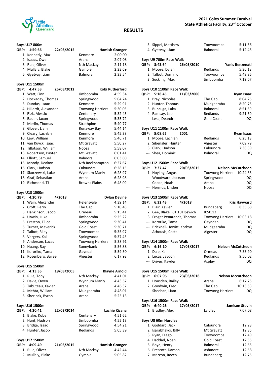

|                | <b>Boys U17 800m</b>           |            |                         |                       |
|----------------|--------------------------------|------------|-------------------------|-----------------------|
| QBP:           | 1:59.66                        | 22/03/2015 |                         | <b>Hamish Granger</b> |
| $1 \quad$      | Kennedy, Max                   |            | Kenmore                 | 2:00.00               |
| $\overline{2}$ | Isaacs, Owen                   |            | Arana                   | 2:07.08               |
|                | 3 Rule, Oliver                 |            | Nth Mackay              | 2:11.18               |
| 4              | Mullaly, Blake                 |            | Gympie                  | 2:22.69               |
| 5.             | Gyetvay, Liam                  |            | <b>Balmoral</b>         | 2:32.54               |
|                | Boys U11 1500m                 |            |                         |                       |
| QBP:           | 4:47.53                        | 25/03/2012 |                         | Kobi Rutherford       |
| 1              | Watt, Finn                     |            | Jimboomba               | 4:59.34               |
| 2              | Hockaday, Thomas               |            | Springwood              | 5:04.74               |
| 3              | Dundas, Isaac                  |            | Kenmore                 | 5:29.91               |
| 4              | Hillardt, Alexander            |            | <b>Toowong Harriers</b> | 5:30.05               |
| 5              | Rizk, Alessio                  |            | Centenary               | 5:32.45               |
| 6              | Bauer, Jaxon                   |            | Springwood              | 5:35.72               |
| 7              | Merlin, Thomas                 |            | Strathpine              | 5:40.77               |
| 8              | Glover, Liam                   |            | Runaway Bay             | 5:44.14               |
| 9              | Cleary, Lachlan                |            | Kenmore                 | 5:45.38               |
| 10             | Law, William                   |            | Kenmore                 | 5:46.71               |
|                | 11 van Kuyck, Isaac            |            | Mt Gravatt              | 5:50.27               |
|                | 12 Tillotson, William          |            | Noosa                   | 5:58.07               |
| 13             | Robertson, Payten              |            | Mt Gravatt              | 6:01.41               |
| 14             | Elliott, Samuel                |            | Balmoral                | 6:03.80               |
| 15             | Moody, Deakon                  |            | Nth Rockhampton         | 6:27.67               |
| 16             | Clark, Hudson                  |            | Caloundra               | 6:28.15               |
|                | 17 Skorzewski, Luke            |            | Wynnum Manly            | 6:28.97               |
| 18             | Graf, Sebastian                |            | Arana                   | 6:28.98               |
| 19             | Richmond, TJ                   |            | <b>Browns Plains</b>    | 6:48.09               |
|                |                                |            |                         |                       |
|                | Boys U13 1500m                 |            |                         |                       |
| QBP:           | 4:20.79                        | 4/2018     |                         | <b>Dylan Devine</b>   |
| 1              | Wain, Alexander                |            | Helensvale              | 4:39.14               |
| $\mathbf{2}$   | Croft, Perry                   |            | The Gap                 | 5:10.48               |
| 3              | Hankinson, Jacob               |            | Ormeau                  | 5:15.41               |
| 4              | Unwin, Luke                    |            | Jimboomba               | 5:25.22               |
| 5              | Preston, Elliot                |            | Springwood              | 5:30.41               |
| 6              | Turner, Maverick               |            | <b>Gold Coast</b>       | 5:30.71               |
| 7              | Talbot, Riley                  |            | Toowoomba               | 5:35.97               |
| 8              | Vergers, Kai                   |            | Springwood              | 5:37.45               |
|                | 9 Anderson, Lucas              |            | <b>Toowong Harriers</b> | 5:38.91               |
|                | 10 Huang, Ray                  |            | Sunnybank               | 5:56.88               |
| 11             | Kororiko, Tama                 |            | Gayndah                 | 5:59.30               |
| 12             | Rosenberg, Bailee              |            | Algester                | 6:17.93               |
|                | Boys U15 1500m                 |            |                         |                       |
| QBP:           | 4:13.35                        | 19/03/2005 |                         | <b>Blayne Arnold</b>  |
| $\mathbf{1}$   | Rule, Toby                     |            | Nth Mackay              | 4:41.01               |
| $\mathbf{2}$   | Davie, Owen                    |            | Wynnum Manly            | 4:43.57               |
|                | 3 Tabuteau, Xavier             |            | Arana                   | 4:46.37               |
|                | 4 Mehta, William               |            | Mudgeeraba              | 4:48.01               |
| 5              | Sherlock, Byron                |            | Arana                   | 5:25.13               |
|                | Boys U16 1500m                 |            |                         |                       |
| QBP:           | 4:20.41                        | 22/03/2014 |                         | Lachie Kizana         |
|                | 1 Blake, Kobe                  |            | Centenary               | 4:51.62               |
| 2              | Hunt, Hudson                   |            | Jimboomba               | 4:52.13               |
| 3              | Bridge, Izaac<br>Hunter, Jacob |            | Springwood<br>Redlands  | 4:54.21<br>5:05.39    |

## **Boys U17 1500m**

| QBP: 4:09.49     | 21/03/2015 |            | <b>Hamish Granger</b> |
|------------------|------------|------------|-----------------------|
| 1 Rule, Oliver   |            | Nth Mackay | 4:42.44               |
| 2 Mullaly, Blake |            | Gympie     | 5:05.82               |

#### **RESULTS**

|      | 3 Sippel, Matthew            |            | Toowoomba               | 5:11.56                  |
|------|------------------------------|------------|-------------------------|--------------------------|
|      | 4 Gyetvay, Liam              |            | <b>Balmoral</b>         | 5:12.45                  |
|      |                              |            |                         |                          |
|      | Boys U9 700m Race Walk       |            |                         |                          |
| QBP: | 3:43.64                      | 26/03/2010 |                         | Yanis Benzenati          |
|      | 1 Moore, Dylan               |            | Redlands                | 5:36.13                  |
|      | 2 Talbot, Dominic            |            | Toowoomba               | 5:48.86                  |
|      | 3 Suckling, Max              |            | Jimboomba               | 7:19.07                  |
|      |                              |            |                         |                          |
|      | Boys U10 1100m Race Walk     |            |                         |                          |
| QBP: | 5:18.45                      | 11/03/2000 |                         | Ryan Isaac               |
|      | 1 Bray, Nicholas             |            | The Gap                 | 8:04.26                  |
|      | 2 Hunter, Thomas             |            | Mudgeeraba              | 8:20.75                  |
|      | 3 Buncuga, Luka              |            | Balmoral                | 8:51.59                  |
|      | 4 Ramsay, Leo                |            | Redlands                | 9:21.60                  |
|      | --- Lesa, Deandre            |            | Gold Coast              | DQ.                      |
|      |                              |            |                         |                          |
|      | Boys U11 1100m Race Walk     |            |                         |                          |
|      | QBP: 5:08.65                 | 2001       |                         | <b>Ryan Isaac</b>        |
|      | 1 Moore, Lachlan             |            | Redlands                | 6:25.13                  |
|      | 2 Sibenaler, Hunter          |            | Algester                | 7:09.79                  |
|      | 3 Clark, Hudson              |            | Caloundra               | 7:38.39                  |
|      | --- Shea, Dominic            |            | Balmoral                | DO                       |
|      |                              |            |                         |                          |
|      | Boys U12 1500m Race Walk     |            |                         |                          |
| QBP: | 7:37.47                      | 20/03/2015 |                         | <b>Nelson McCutcheon</b> |
|      | 1 Hoyling, Angus             |            | <b>Toowong Harriers</b> | 10:24.33                 |
|      | --- Woodward, Jackson        |            | Springwood              | DQ                       |
|      | --- Cooke, Noah              |            | Arana                   | DQ                       |
|      | --- Hermus, Linden           |            | Noosa                   | DQ                       |
|      |                              |            |                         |                          |
|      | Boys U13 1500m Race Walk     |            |                         |                          |
| QBP: | 6:32.43                      | 4/2018     |                         | <b>Kris Hayward</b>      |
|      | 1 Blair, Xavier              |            | <b>Bundaberg</b>        | 8:35.68                  |
|      | 2 Gee, Blake F01;T01Ipswich  |            | 8:50.13                 |                          |
|      | 3 Froget Penaranda, Thomas   |            | <b>Toowong Harriers</b> | 10:03.18                 |
|      | --- Kororiko, Tama           |            | Gayndah                 | DO                       |
|      | --- Bricknell-Hewitt, Korbyn |            | Mudgeeraba              | DQ                       |
|      | --- Athousis, Costa          |            | Algester                | DQ                       |
|      |                              |            |                         |                          |
|      | Boys U14 1500m Race Walk     |            |                         |                          |
| QBP: | 6:16.10                      | 17/03/2017 |                         | <b>Nelson McCutcheon</b> |
|      | 1 Dale, Kai                  |            | Ormeau                  | 7:33.90                  |
|      | 2 Lucas, Jaydon              |            | Redlands                | 9:50.02                  |
|      | --- Driver, Kayden           |            | Aspley                  | DQ                       |
|      |                              |            |                         |                          |
|      | Boys U15 1500m Race Walk     |            |                         |                          |
| QBP: | 6:07.96                      | 23/03/2018 |                         | <b>Nelson Mccutcheon</b> |
|      | 1 Housden, Bailey            |            | Arana                   | 6:17.75                  |
|      | 2 Goodwin, Fred              |            | The Gap                 | 10:13.53                 |
|      | --- Sheehan, Liam            |            | <b>Toowong Harriers</b> | DQ                       |
|      |                              |            |                         |                          |
|      | Boys U16 1500m Race Walk     |            |                         |                          |
| QBP: | 6:40.26                      | 17/03/2017 |                         | <b>Jamison Stovin</b>    |
| 1    | Bradley, Alex                |            | Laidley                 | 7:07.08                  |
|      |                              |            |                         |                          |
|      | Boys U8 60m Hurdles          |            |                         |                          |
|      | 1 Goddard, Jack              |            | Caloundra               | 12.23                    |
|      | 2 Isarabhakdi, Billy         |            | Mt Gravatt              | 12.35                    |
|      | 3 Ryan, Diego                |            | Toowoomba               | 12.49                    |
|      | 4 Haddad, Noah               |            | <b>Gold Coast</b>       | 12.55                    |
|      |                              |            |                         |                          |
|      | 5 Boyd, Henry                |            | Balmoral                | 12.65                    |
|      | 6 Prescott, Damon            |            | Ashmore                 | 12.68                    |
|      | 7 Marcon, Rocco              |            | Bundaberg               | 12.75                    |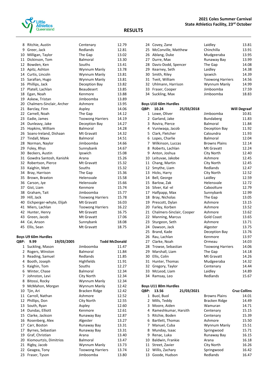

| 8  | Ritchie, Austin           | Centenary               | 12.79 |
|----|---------------------------|-------------------------|-------|
| 9  | Greer, Jack               | Redlands                | 12.81 |
| 10 | Milligan, Taylor          | The Gap                 | 13.02 |
| 11 | Dickinson, Tom            | <b>Balmoral</b>         | 13.30 |
| 12 | Bowden, Ken               | Souths                  | 13.41 |
| 13 | Apitz, Ashton             | Wynnum Manly            | 13.78 |
| 14 | Curtis, Lincoln           | Wynnum Manly            | 13.81 |
| 15 | Sarafian, Hugo            | Wynnum Manly            | 13.81 |
| 16 | Phillips, Jack            | Deception Bay           | 13.82 |
| 17 | Platell, Lachlan          | Beaudesert              | 13.85 |
| 18 | Egan, Noah                | Kenmore                 | 13.88 |
| 19 | Askew, Tristan            | Jimboomba               | 13.89 |
| 20 | Chalmers-Sinclair, Archer | Ashmore                 | 13.95 |
| 21 | Barclay, Finn             | Aspley                  | 14.06 |
| 22 | Carnell, Noah             | The Gap                 | 14.12 |
| 23 | Eadie, James              | <b>Toowong Harriers</b> | 14.19 |
| 24 | Dunleavy, Jake            | Deception Bay           | 14.27 |
| 25 | Hopkins, William          | Balmoral                | 14.28 |
| 26 | Soans-Ireland, Dishaan    | Mt Gravatt              | 14.32 |
| 27 | Tindall, Maxx             | <b>Balmoral</b>         | 14.51 |
| 28 | Norman, Naylor            | Jimboomba               | 14.66 |
| 29 | Foley, Rhys               | Sunnybank               | 14.67 |
| 30 | Beckers, Austin           | Ipswich                 | 15.08 |
| 31 | Gowdra Santosh, Kanishk   | Arana                   | 15.26 |
| 32 | Robertson, Pierce         | Mt Gravatt              | 15.32 |
| 33 | Kaighin, Matt             | Souths                  | 15.32 |
| 34 | Bray, Harrison            | The Gap                 | 15.36 |
| 35 | Brown, Braxton            | Helensvale              | 15.58 |
| 36 | Carson, Jye               | Helensvale              | 15.66 |
| 37 | Gist, Liam                | Kenmore                 | 15.74 |
| 38 | Graham, Tait              | Jimboomba               | 15.77 |
| 39 | Hill, Jack                | <b>Toowong Harriers</b> | 15.78 |
| 40 | Eichperger-whyte, Elijah  | Mt Gravatt              | 16.03 |
| 41 | Miers, Lachlan            | <b>Toowong Harriers</b> | 16.22 |
| 42 | Hunter, Henry             | Mt Gravatt              | 16.75 |
| 43 | Green, Jacob              | Mt Gravatt              | 17.06 |
| 44 | Cai, Anson                | Sunnybank               | 18.08 |
| 45 | Ellis, Sean               | Mt Gravatt              | 18.75 |
|    |                           |                         |       |

## **Boys U9 60m Hurdles**

| QBP: | 9.99                   | 19/03/2005 | <b>Todd McDonald</b>    |       |
|------|------------------------|------------|-------------------------|-------|
| 1    | Suckling, Mason        |            | Jimboomba               | 11.47 |
| 2    | Rogers, Winston        |            | <b>Balmoral</b>         | 11.84 |
| 3    | Reading, Samuel        |            | Redlands                | 11.85 |
| 4    | Booth, Joseph          |            | Highfields              | 11.91 |
| 5    | Kaighin, Tom           |            | Souths                  | 12.27 |
| 6    | Winter, Chase          |            | Balmoral                | 12.34 |
| 7    | Johnston, Levi         |            | City North              | 12.34 |
| 8    | Bitossi, Rocky         |            | Wynnum Manly            | 12.34 |
| 9    | McMahon, Morgan        |            | Wynnum Manly            | 12.42 |
| 10   | Tjin, Ari              |            | Bracken Ridge           | 12.42 |
| 11   | Carroll, Nathan        |            | Ashmore                 | 12.52 |
| 12   | Phillips, Don          |            | City North              | 12.55 |
| 13   | South, Ryan            |            | Aspley                  | 12.60 |
| 14   | Dundas, Elliott        |            | Kenmore                 | 12.61 |
| 15   | Clarke, Jackson        |            | Runaway Bay             | 12.87 |
| 16   | Rosenberg, Alex        |            | Algester                | 13.27 |
| 17   | Carr, Boston           |            | Runaway Bay             | 13.31 |
| 17   | Byrnes, Sebastian      |            | Runaway Bay             | 13.31 |
| 19   | Graf, Christian        |            | Arana                   | 13.40 |
| 20   | Kiomourtzis, Dimitrios |            | <b>Balmoral</b>         | 13.47 |
| 21   | Rigby, Jacob           |            | Wynnum Manly            | 13.73 |
| 22   | Geagea, Tony           |            | <b>Toowong Harriers</b> | 13.74 |
| 23   | Fraser, Tyson          |            | Jimboomba               | 13.80 |

| 24 Covey, Zane         | Laidley                 | 13.81 |
|------------------------|-------------------------|-------|
| 25 McConville, Matthew | Chinchilla              | 13.91 |
| 26 Ablang, Duke        | Mudgeeraba              | 13.95 |
| 27 Durre, Max          | Runaway Bay             | 13.99 |
| 28 Davis-Dodd, Spencer | The Gap                 | 14.08 |
| 29 Kearney, Seth       | Laidley                 | 14.38 |
| 30 Smith, Riley        | Ipswich                 | 14.39 |
| 31 Tveit, William      | <b>Toowong Harriers</b> | 14.56 |
| 32 Uhlmann, Harrison   | Wynnum Manly            | 14.99 |
| 33 Fraser, Cooper      | Jimboomba               | 17.59 |
| 34 Suckling, Max       | Jimboomba               | 18.83 |

#### **Boys U10 60m Hurdles**

| QBP:           | 10.24                     | 25/03/2018 |                         | <b>Will Degraaf</b> |
|----------------|---------------------------|------------|-------------------------|---------------------|
| 1              | Lowe, Oliver              |            | Jimboomba               | 10.81               |
| $\overline{2}$ | Garland, Jake             |            | Bundaberg               | 11.83               |
| 3              | Rovira, Pierce            |            | <b>Balmoral</b>         | 11.84               |
| 4              | Vuniwaga, Jacob           |            | Deception Bay           | 11.92               |
|                | 5 Clark, Fletcher         |            | Caloundra               | 11.93               |
|                | 6 Lopes, Charlie          |            | <b>Balmoral</b>         | 12.04               |
|                | 7 Wilkinson, Luccas       |            | <b>Browns Plains</b>    | 12.14               |
| 8              | Roberts, Lachlan          |            | Mt Gravatt              | 12.24               |
| 9              | Anton, Joshua             |            | City North              | 12.40               |
| 10             | Leituvae, Jakobe          |            | Ashmore                 | 12.45               |
|                | 11 Chang, Martin          |            | City North              | 12.45               |
|                | 12 Smythe, Liam           |            | Redlands                | 12.47               |
| 13             | Hicks, Harry              |            | City North              | 12.52               |
| 14             | Bell, George              |            | Laidley                 | 12.59               |
|                | 15 Barlow, Zak            |            | Helensvale              | 12.72               |
| 16             | Silver, Kal-el            |            | Caboolture              | 12.79               |
| 17             | Halfpapp, Max             |            | Sunnybank               | 12.99               |
| 18             | Bray, Nicholas            |            | The Gap                 | 13.05               |
| 19             | Prescott, Dylan           |            | Ashmore                 | 13.15               |
| 20             | Farley, Korben            |            | Ashmore                 | 13.52               |
| 21             | Chalmers-Sinclair, Cooper |            | Ashmore                 | 13.62               |
| 22             | Manning, Marcus           |            | <b>Gold Coast</b>       | 13.65               |
| 23             | Sturgeon, Seth            |            | Ashmore                 | 13.71               |
| 24             | Dawson, Jack              |            | Algester                | 13.75               |
| 25             | Brand, Kade               |            | Deception Bay           | 13.76               |
| 26             | Rau, Lachlan              |            | Kenmore                 | 13.97               |
|                | 27 Clarke, Noah           |            | Ormeau                  | 14.03               |
| 28             | Trowse, Sebastian         |            | <b>Toowong Harriers</b> | 14.06               |
| 29             | Marshall, Liam            |            | The Gap                 | 14.18               |
| 30             | Ellis, Colin              |            | Mt Gravatt              | 14.26               |
| 31             | Hunter, Thomas            |            | Mudgeeraba              | 14.32               |
| 32             | Gregory, Taylor           |            | Centenary               | 14.44               |
| 33             | McLeod, Liam              |            | Laidley                 | 14.89               |
| 34             | Ramsay, Leo               |            | Redlands                | 15.67               |

## **Boys U11 80m Hurdles**

| <b>OBP:</b> | 13.56                | 21/03/2021 |                      | <b>Cruz Collins</b> |
|-------------|----------------------|------------|----------------------|---------------------|
| 1           | Buol, Buol           |            | <b>Browns Plains</b> | 14.01               |
| 2           | Mills, Teddy         |            | Bracken Ridge        | 14.49               |
| 3           | Moore, Aiden         |            | Wamuran              | 14.71               |
| 4           | Rameshkumar, Harsith |            | Centenary            | 15.15               |
| 5.          | Ritchie, Boden       |            | Centenary            | 15.39               |
| 6           | Bartlett, Thomas     |            | Ashmore              | 15.50               |
| 7           | Manuel, Cuba         |            | Wynnum Manly         | 15.51               |
| 8           | Munday, Isaac        |            | Springwood           | 15.71               |
| 9           | Renac, Luka          |            | Runaway Bay          | 16.15               |
| 10          | Baldwin, Frankie     |            | Arana                | 16.18               |
|             | 11 Street, Zavier    |            | City North           | 16.26               |
|             | 12 Willis, Zachary   |            | Springwood           | 16.42               |
| 13          | Goode, Hudson        |            | Redlands             | 16.47               |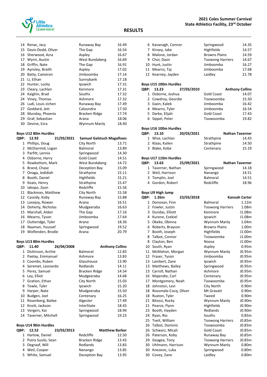

|    | 14 Renac, Jacy        | Runaway Bay    | 16.49 |
|----|-----------------------|----------------|-------|
|    | 15 Davis-Dodd, Oliver | The Gap        | 16.54 |
|    | 16 Sherwood, Azra     | Aspley         | 16.67 |
| 17 | Wynn, Austin          | West Bundaberg | 16.69 |
| 18 | Griffin, Nate         | The Gap        | 16.91 |
|    | 19 Aynsley, Braith    | Aspley         | 17.02 |
|    | 20 Batty, Cameron     | Jimboomba      | 17.14 |
| 21 | Li, Ethan             | Sunnybank      | 17.18 |
|    | 22 Hunter, Locky      | Ipswich        | 17.31 |
|    | 23 Cleary, Lachlan    | Kenmore        | 17.31 |
|    | 24 Kaighin, Brad      | Souths         | 17.32 |
|    | 24 Viney, Thomas      | Ashmore        | 17.32 |
| 26 | Ludi, Louis zichen    | Runaway Bay    | 17.49 |
|    | 27 Goddard, Jett      | Caloundra      | 17.50 |
|    | 28 Munday, Phoenix    | Bracken Ridge  | 17.74 |
|    | 29 Graf, Sebastian    | Arana          | 18.06 |
|    | 30 Devine, Ezra       | Wynnum Manly   | 18.40 |

## **Boys U12 80m Hurdles**

| ìBΡ: | 12.92                | 21/03/2021 | <b>Samuel Galstuch Magalhaes</b> |       |
|------|----------------------|------------|----------------------------------|-------|
| 1    | Phillips, Doug       |            | City North                       | 13.71 |
| 2    | McDiarmid, Logan     |            | <b>Balmoral</b>                  | 13.89 |
| 3    | Parfitt, Lennix      |            | Springwood                       | 14.30 |
| 4    | Osborne, Harry       |            | <b>Gold Coast</b>                | 14.51 |
| 5.   | Rowbottom, Mark      |            | West Bundaberg                   | 14.72 |
| 6    | Brand, Chase         |            | Deception Bay                    | 15.09 |
| 7    | Onaga, Jedidiah      |            | Strathpine                       | 15.11 |
| 8    | Booth, Daniel        |            | Highfields                       | 15.21 |
| 9    | Keats, Henry         |            | Strathpine                       | 15.47 |
| 10   | lakopo, Zyon         |            | Redcliffe                        | 15.56 |
| 11   | Blackman, Matthew    |            | City North                       | 15.58 |
| 12   | Cassidy, Koby        |            | Runaway Bay                      | 15.88 |
| 13   | Lovejoy, Rowan       |            | Arana                            | 16.51 |
| 14   | Doherty, Nicholas    |            | Mudgeeraba                       | 16.63 |
| 15   | Marshall, Aidan      |            | The Gap                          | 17.16 |
| 16   | Mearns, Tyson        |            | Jimboomba                        | 17.64 |
| 17   | Outteridge, Tyler    |            | Arana                            | 18.36 |
| 18   | Naaman, Youssef      |            | Springwood                       | 19.52 |
|      | 19 Wolfenden, Brodie |            | Arana                            | 20.79 |

#### **Boys U13 80m Hurdles**

| QBP: | 11.40                 | 26/04/2008 |                   | <b>Anthony Collins</b> |       |
|------|-----------------------|------------|-------------------|------------------------|-------|
| 1    | Dickinson, Archie     |            | <b>Balmoral</b>   |                        | 12.83 |
|      | 2 Paelay, Emmanuel    |            | Ashmore           |                        | 13.83 |
|      | 3 Coombs, Ruben       |            | Glasshouse        |                        | 13.90 |
| 4    | Seremet, Leonardo     |            | Redlands          |                        | 14.11 |
|      | 5 Perez, Samuel       |            | Bracken Ridge     |                        | 14.54 |
| 6    | Ley, Elliot           |            | Mudgeeraba        |                        | 14.68 |
|      | 7 Gration, Ethan      |            | City North        |                        | 15.03 |
|      | 8 Towle, Tyler        |            | Ipswich           |                        | 15.20 |
| 9    | Harper, Nate          |            | Mudgeeraba        |                        | 15.50 |
| 10   | Budgen, Joel          |            | Centenary         |                        | 16.25 |
| 11   | Rosenberg, Bailee     |            | Algester          |                        | 17.49 |
|      | 12 Knott, Jackson     |            | <b>InterState</b> |                        | 18.43 |
| 13   | Vergers, Kai          |            | Springwood        |                        | 18.94 |
|      | 14 Taverner, Mitchell |            | Springwood        |                        | 19.23 |

#### **Boys U14 90m Hurdles**

| OBP: 12.52           | 23/03/2013 |               | <b>Matthew Barker</b> |
|----------------------|------------|---------------|-----------------------|
| 1 Harlow, Daniel     |            | Redcliffe     | 12.50                 |
| 2 Putra Susilo, Sean |            | Bracken Ridge | 13.43                 |
| 3 Degraaf, Will      |            | Redlands      | 13.83                 |
| 4 Weil, Cooper       |            | Nanango       | 13.85                 |
| 5 White, Samuel      |            | Deception Bay | 13.95                 |

#### **2021 Coles Summer Carnival State Athletics Facility, 23rd October**

#### **RESULTS**

| э           |                                               |            |                         |                        |
|-------------|-----------------------------------------------|------------|-------------------------|------------------------|
|             |                                               |            |                         |                        |
|             | 6 Kavanagh, Connor                            |            | Springwood              | 14.35                  |
|             | 7 Kinsey, Jake                                |            | Highfields              | 14.57                  |
|             | 8 Malone, Jordan                              |            | <b>Browns Plains</b>    | 14.59                  |
|             | 9 Choi, Daon                                  |            | <b>Toowong Harriers</b> | 14.67                  |
|             | 10 Hunt, Justin                               |            | Jimboomba               | 16.27                  |
|             | 11 Mearns, Taj                                |            | Jimboomba               | 17.68                  |
|             | 12 Kearney, Jayden                            |            | Laidley                 | 21.78                  |
|             | Boys U15 100m Hurdles                         |            |                         |                        |
| <b>QBP:</b> | 13.23                                         | 27/03/2010 |                         | <b>Anthony Collins</b> |
|             | 1 Osborne, Joshua                             |            | <b>Gold Coast</b>       | 14.07                  |
|             | 2 Cowdroy, Geordie                            |            | Toowoomba               | 15.50                  |
|             | 3 Gwin, Kaleb                                 |            | Jimboomba               | 16.42                  |
|             | 4 Mearns, Tyler                               |            | Jimboomba               | 16.54                  |
|             | 5 Darke, Elijah                               |            | <b>Gold Coast</b>       | 17.43                  |
|             | 6 Sippel, Peter                               |            | Toowoomba               | 19.82                  |
|             | Boys U16 100m Hurdles                         |            |                         |                        |
| QBP:        | 13.10                                         | 20/03/2021 |                         | Nathan Taverner        |
|             | 1 Wise, Lachlan                               |            | Strathpine              | 14.43                  |
|             | 2 Klaas, Kailen                               |            | Strathpine              | 14.50                  |
|             | 3 Blake, Kobe                                 |            | Centenary               | 15.19                  |
|             |                                               |            |                         |                        |
| QBP:        | Boys U17 110m Hurdles<br>13.63                | 25/09/2021 |                         | Nathan Taverner        |
|             | 1 Taverner, Nathan                            |            | Springwood              | 14.18                  |
|             | 2 Weil, Harrison                              |            | Nanango                 | 14.51                  |
|             | 3 Templin, Joel                               |            | Balmoral                | 14.51                  |
|             | 4 Gordon, Robert                              |            | Redcliffe               | 18.96                  |
|             |                                               |            |                         |                        |
| QBP:        | <b>Boys U9 High Jump</b><br>1.26 <sub>m</sub> | 23/03/2018 |                         | Kanoah Carter          |
|             | 1 Donovan, Finn                               |            | Balmoral                | 1.12m                  |
|             | 2 Fowler, Justin                              |            | <b>Toowong Harriers</b> | 1.08m                  |
|             | 3 Dundas, Elliott                             |            | Kenmore                 | J1.08m                 |
|             | 4 Kurene, Ezekiel                             |            | Ipswich                 | J1.08m                 |
|             | 5 Okeke, Obinna                               |            | Wynnum Manly            | 1.04m                  |
|             | 6 Roberts, Brayson                            |            | <b>Browns Plains</b>    | 1.00m                  |
|             | 7 Booth, Joseph                               |            | Highfields              | J1.00m                 |
| 8           | Talbot, Connor                                |            | Toowoomba               | J1.00m                 |
| 8           | Clayton, Ben                                  |            | Noosa                   | J1.00m                 |
| 10          | South, Ryan                                   |            | Aspley                  | 0.95m                  |
| 11          | McMahon, Morgan                               |            | Wynnum Manly            | J0.95m                 |
| 12          | Fraser, Tyson                                 |            | Jimboomba               | J0.95m                 |
| 13          | Lambert, Zane                                 |            | Ipswich                 | J0.95m                 |
| 13          | Matthews, Bailey                              |            | Springwood              | J0.95m                 |
| 13          | Carroll, Nathan                               |            | Ashmore                 | J0.95m                 |
| 16          | Majendie, Carl                                |            | Centenary               | J0.95m                 |
| 17          | Montgomery, Noah                              |            | Toowoomba               | J0.95m                 |
| 18          | Johnston, Levi                                |            | City North              | 0.90 <sub>m</sub>      |
| 18          | Roosmale-Cocq, Oliver                         |            | Mt Gravatt              | 0.90 <sub>m</sub>      |
| 18          | Ruxton, Tyler                                 |            | Tweed                   | 0.90 <sub>m</sub>      |
| 21          | Bitossi, Rocky                                |            | Wynnum Manly            | J0.90m                 |
| 21          | Pearce, Flynn                                 |            | Highfields              | J0.90m                 |
| 23          | Booth, Hayden                                 |            | Redlands                | J0.90m                 |
| 24          | Ryan, Rio                                     |            | Souths                  | 0.85m                  |
| 25          | Tveit, William                                |            | <b>Toowong Harriers</b> | J0.85m                 |
| 26          | Talbot, Dominic                               |            | Toowoomba               | J0.85m                 |

26 Schwarz, Micah Gold Coast 10.85m<br>26 Paterson, Koby 10.85m 26 Paterson, Koby **Runaway Bay** J0.85m<br>29 Geagea, Tony **COLLET Toowong Harriers** J0.85m Geagea, Tony Toowong Harriers J0.85m Uhlmann, Harrison Wynnum Manly 0.80m Knezevic, Luka Springwood 0.80m

30 Covey, Zane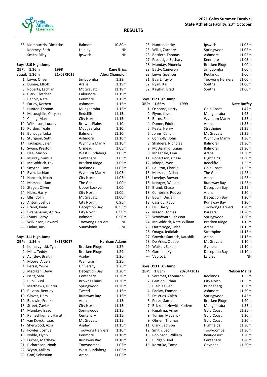

#### **RESULTS**

| 33 Kiomourtzis, Dimitrios | <b>Balmoral</b> | J0.80m |
|---------------------------|-----------------|--------|
| --- Kearney, Seth         | Laidley         | ΝH     |
| --- Smith, Riley          | Ipswich         | ΝH     |

#### **Boys U10 High Jump**

| QBP:           | 1.36m                | 1998       |                         | <b>Kane Brigg</b>     |
|----------------|----------------------|------------|-------------------------|-----------------------|
| equal:         | 1.36m                | 21/03/2015 |                         | <b>Alexi Champion</b> |
| $\mathbf{1}$   | Lowe, Oliver         |            | Jimboomba               | 1.23m                 |
| $\overline{2}$ | Dunne, Elliott       |            | Arana                   | 1.19m                 |
| 3              | Roberts, Lachlan     |            | Mt Gravatt              | J1.19m                |
| 4              | Clark, Fletcher      |            | Caloundra               | J1.19m                |
| 5.             | Benoit, Nate         |            | Kenmore                 | 1.15m                 |
| 5              | Farley, Korben       |            | Ashmore                 | 1.15m                 |
| 5              | Hunter, Thomas       |            | Mudgeeraba              | 1.15m                 |
| 8              | McLoughlin, Chrysler |            | Redcliffe               | J1.15m                |
| 9              | Chang, Martin        |            | City North              | J1.15m                |
| 10             | Wilkinson, Luccas    |            | <b>Browns Plains</b>    | 1.10m                 |
| 10             | Purdon, Teale        |            | Mudgeeraba              | 1.10m                 |
| 12             | Buncuga, Luka        |            | Balmoral                | J1.10m                |
| 13             | Sturgeon, Seth       |            | Ashmore                 | J1.10m                |
| 14             | Taulapiu, Jalen      |            | Wynnum Manly            | J1.10m                |
| 15             | Swain, Preston       |            | Ormeau                  | 1.05m                 |
| 15             | Dee, Mason           |            | West Bundaberg          | 1.05m                 |
| 15             | Murray, Samuel       |            | Centenary               | 1.05m                 |
| 15             | McGoldrick, Levi     |            | Bracken Ridge           | 1.05m                 |
| 19             | Smythe, Liam         |            | Redlands                | J1.05m                |
| 19             | Byrn, Lachlan        |            | Wynnum Manly            | J1.05m                |
| 21             | Hancock, Noah        |            | City North              | J1.05m                |
| 22             | Marshall, Liam       |            | The Gap                 | 1.00m                 |
| 22             | Steger, Oliver       |            | Upper Lockyer           | 1.00m                 |
| 24             | Hicks, Harry         |            | City North              | J1.00m                |
| 25             | Ellis, Colin         |            | Mt Gravatt              | J1.00m                |
| 26             | Anton, Joshua        |            | City North              | 0.95m                 |
| 27             | Brand, Kade          |            | Deception Bay           | J0.95m                |
| 28             | Pirabaharan, Apiran  |            | City North              | 0.90 <sub>m</sub>     |
| 28             | Evans, Leroy         |            | <b>Balmoral</b>         | 0.90 <sub>m</sub>     |
| ---            | Wilkinson, Edward    |            | <b>Toowong Harriers</b> | <b>NH</b>             |
| $---$          | Finlay, Jack         |            | Sunnybank               | <b>JNH</b>            |

|             | Boys U11 High Jump   |           |                         |                       |  |
|-------------|----------------------|-----------|-------------------------|-----------------------|--|
| <b>OBP:</b> | 1.56m                | 5/11/2017 |                         | <b>Harrison Adams</b> |  |
| 1           | Komarzynski, Tyler   |           | Bracken Ridge           | 1.37m                 |  |
| 2           | Mills, Teddy         |           | Bracken Ridge           | 1.29m                 |  |
| 3           | Aynsley, Braith      |           | Aspley                  | 1.26m                 |  |
| 4           | Moore, Aiden         |           | Wamuran                 | 1.25m                 |  |
| 4           | Persal, Yoshi        |           | University              | 1.25m                 |  |
| 6           | Madigan, Dewi        |           | Deception Bay           | 1.20m                 |  |
| 7           | Issitt, Sam          |           | Centenary               | J1.20m                |  |
| 8           | Buol, Buol           |           | <b>Browns Plains</b>    | J1.20m                |  |
| 9           | Matthews, Hunter     |           | Springwood              | J1.20m                |  |
| 10          | Ruxton, Bentley      |           | Tweed                   | 1.15m                 |  |
| 10          | Glover, Liam         |           | Runaway Bay             | 1.15m                 |  |
| 10          | Baldwin, Frankie     |           | Arana                   | 1.15m                 |  |
| 13          | Street, Zavier       |           | City North              | J1.15m                |  |
| 14          | Munday, Isaac        |           | Springwood              | J1.15m                |  |
| 14          | Rameshkumar, Harsith |           | Centenary               | J1.15m                |  |
| 14          | van Kuyck, Isaac     |           | Mt Gravatt              | J1.15m                |  |
| 17          | Sherwood, Azra       |           | Aspley                  | J1.15m                |  |
| 18          | Fowler, Joshua       |           | <b>Toowong Harriers</b> | 1.10m                 |  |
| 19          | Noble, Flynn         |           | Kenmore                 | J1.10m                |  |
| 20          | Furber, Matthew      |           | Runaway Bay             | J1.10m                |  |
| 21          | Richardson, Noah     |           | Toowoomba               | 1.05m                 |  |
| 22          | Wynn, Kallam         |           | West Bundaberg          | J1.05m                |  |
| 23          | Graf, Sebastian      |           | Arana                   | J1.05m                |  |

| 23 Hunter, Locky      | Ipswich                 | J1.05m |
|-----------------------|-------------------------|--------|
| 23 Willis, Zachary    | Springwood              | J1.05m |
| 23 Bartlett, Thomas   | Ashmore                 | J1.05m |
| 27 Prestidge, Zachary | Kenmore                 | J1.05m |
| 28 Munday, Phoenix    | Bracken Ridge           | 1.00m  |
| 28 Batty, Cameron     | Jimboomba               | 1.00m  |
| 28 Lewis, Spencer     | Redlands                | 1.00m  |
| 31 Baart, Taylor      | <b>Toowong Harriers</b> | J1.00m |
| 32 Ryan, Kai          | Souths                  | J1.00m |
| 32 Kaighin, Brad      | Souths                  | J1.00m |
|                       |                         |        |

### **Boys U12 High Jump**

| QBP:           | 1.66m                    | 1999 |                         | <b>Nate Roffey</b> |
|----------------|--------------------------|------|-------------------------|--------------------|
| $\mathbf{1}$   | Osborne, Harry           |      | <b>Gold Coast</b>       | 1.47m              |
| 2              | Flynn, Jesse             |      | Mudgeeraba              | 1.43m              |
| 3              | Burns, Zane              |      | Wynnum Manly            | 1.35m              |
| 4              | Dunne, Eddie             |      | Arana                   | J1.35m             |
| 5              | Keats, Henry             |      | Strathpine              | J1.35m             |
| 6              | Johns, Callum            |      | Mt Gravatt              | J1.35m             |
| $\overline{7}$ | Connolly, John           |      | Wynnum Manly            | 1.30m              |
| 8              | Shalders, Nicholas       |      | Balmoral                | J1.30m             |
| 9              | McDiarmid, Logan         |      | Balmoral                | J1.30m             |
| 9              | McKenzie, Finn           |      | Arana                   | J1.30m             |
| 11             | Robertson, Chase         |      | <b>Highfields</b>       | J1.30m             |
| 12             | lakopo, Zyon             |      | Redcliffe               | 1.25m              |
| 13             | Poulton, Charlie         |      | <b>Gold Coast</b>       | J1.25m             |
| 13             | Marshall, Aidan          |      | The Gap                 | J1.25m             |
| 15             | Lovejoy, Rowan           |      | Arana                   | J1.25m             |
| 16             | Kreuger, William         |      | Runaway Bay             | J1.25m             |
| 17             | Brand, Chase             |      | Deception Bay           | J1.25m             |
| 18             | Combrink, Reuven         |      | Arana                   | 1.20m              |
| 18             | Bown, Declan             |      | Deception Bay           | 1.20m              |
| 18             | Cassidy, Koby            |      | Runaway Bay             | 1.20m              |
| 18             | Hill, Harry              |      | <b>Toowong Harriers</b> | 1.20m              |
| 22             | Mason, Tomas             |      | <b>Bargara</b>          | J1.20m             |
| 23             | Woodward, Jackson        |      | Springwood              | J1.20m             |
| 24             | McGoldrick, Nate William |      | Bracken Ridge           | 1.15m              |
| 25             | Outteridge, Tyler        |      | Arana                   | J1.15m             |
| 26             | Onaga, Jedidiah          |      | Strathpine              | J1.15m             |
| 27             | Gowdra Santosh, Kaushik  |      | Arana                   | J1.15m             |
| 28             | De Vries, Quade          |      | Mt Gravatt              | 1.10m              |
| 29             | Walker, Saxon            |      | Gympie                  | J1.10m             |
| 29             | Gorman, Ky               |      | Deception Bay           | J1.10m             |
| ---            | Vayro, Eli               |      | Laidley                 | NΗ                 |

#### **Boys U13 High Jump**

| <b>OBP:</b> | 1.83 <sub>m</sub>        | 20/04/2012 |                   | <b>Nelson Maina</b> |
|-------------|--------------------------|------------|-------------------|---------------------|
| 1           | Seremet, Leonardo        |            | Redlands          | 1.55m               |
| 2           | Gration, Ethan           |            | City North        | J1.55m              |
| 3           | Blair, Xavier            |            | <b>Bundaberg</b>  | 1.50 <sub>m</sub>   |
| 4           | Paelay, Emmanuel         |            | Ashmore           | J1.50m              |
| 5.          | De Vries, Caleb          |            | Springwood        | 1.45m               |
| 6           | Perez, Samuel            |            | Bracken Ridge     | 1.40m               |
| 7           | Bricknell-Hewitt, Korbyn |            | Mudgeeraba        | 1.35m               |
| 8           | Fagalima, Asher          |            | <b>Gold Coast</b> | J1.35m              |
| 9           | Turner, Maverick         |            | <b>Gold Coast</b> | 1.30m               |
| 9           | Obrien, Thomas           |            | <b>Gold Coast</b> | 1.30m               |
| 11          | Clark, Jackson           |            | <b>Highfields</b> | J1.30m              |
|             | 12 Smith, Leon           |            | Toowoomba         | J1.30m              |
| 13          | Robinson, William        |            | <b>Beaudesert</b> | 1.20 <sub>m</sub>   |
| 13          | Budgen, Joel             |            | Centenary         | 1.20m               |
| 15          | Kororiko, Tama           |            | Gayndah           | J1.20m              |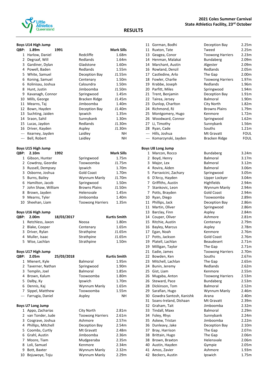

### **2021 Coles Summer Carnival State Athletics Facility, 23rd October**

### **RESULTS**

|  | Boys U14 High Jump |
|--|--------------------|
|  |                    |

|                                                                                                | Boys U14 High Jump                      |            |                         |                     |
|------------------------------------------------------------------------------------------------|-----------------------------------------|------------|-------------------------|---------------------|
| QBP:                                                                                           | 1.89m                                   | 1991       |                         | Mark Sills          |
| 1                                                                                              | Harlow, Daniel                          |            | Redcliffe               | 1.68m               |
| 2                                                                                              | Degraaf, Will                           |            | Redlands                | 1.64m               |
| 3                                                                                              | Gardiner, Dylan                         |            | Gladstone               | 1.60m               |
| 4                                                                                              | Powell, Baden                           |            | Redlands                | 1.55m               |
| 5.                                                                                             | White, Samuel                           |            | Deception Bay           | J1.55m              |
| 6                                                                                              | Koning, Samuel                          |            | Centenary               | 1.50m               |
| 6                                                                                              | Kolinisau, Joshua                       |            | Caloundra               | 1.50m               |
| 8                                                                                              | Hunt, Justin                            |            | Jimboomba               | J1.50m              |
| 9                                                                                              | Kavanagh, Connor                        |            | Springwood              | 1.45m               |
| 10                                                                                             | Mills, George                           |            | Bracken Ridge           | J1.45m              |
| 11                                                                                             | Mearns, Taj                             |            | Jimboomba               | 1.40m               |
|                                                                                                | 12 Bown, Hayden                         |            | Deception Bay           | J1.40m              |
| 13                                                                                             | Suchting, Jaiden                        |            | Ipswich                 | 1.35m               |
|                                                                                                | 14 Sraon, Sahil                         |            | Sunnybank               | 1.30m               |
|                                                                                                | 15 Lucas, Jaydon                        |            | Redlands                | J1.30m              |
|                                                                                                | 16 Driver, Kayden                       |            | Aspley                  | J1.30m              |
|                                                                                                | --- Kearney, Jayden                     |            | Laidley                 | NΗ                  |
| $\frac{1}{2} \left( \frac{1}{2} \right) \left( \frac{1}{2} \right) \left( \frac{1}{2} \right)$ | Bell, Robert                            |            | Laidley                 | NΗ                  |
| QBP:                                                                                           | Boys U15 High Jump<br>2.10 <sub>m</sub> | 1992       |                         | Mark Sills          |
| $\mathbf{1}$                                                                                   | Gibson, Hunter                          |            | Springwood              | 1.75m               |
|                                                                                                | 2 Cowdroy, Geordie                      |            | Toowoomba               | J1.75m              |
|                                                                                                | 3 Russell, Dempsey                      |            | Ipswich                 | 1.70m               |
|                                                                                                | 3 Osborne, Joshua                       |            | <b>Gold Coast</b>       | 1.70m               |
| 5.                                                                                             | Burns, Bailey                           |            | Wynnum Manly            | J1.70m              |
| 6                                                                                              | Hamilton, Jacob                         |            | Springwood              | 1.50m               |
| 7                                                                                              | John Shaw, William                      |            | <b>Browns Plains</b>    | J1.50m              |
| 8                                                                                              | Brown, Jayden                           |            | Helensvale              | 1.45m               |
|                                                                                                | 9 Mearns, Tyler                         |            | Jimboomba               | 1.40m               |
| 10                                                                                             | Sheehan, Liam                           |            | <b>Toowong Harriers</b> | 1.35m               |
|                                                                                                | Boys U16 High Jump                      |            |                         |                     |
| QBP:                                                                                           | 2.00 <sub>m</sub>                       | 18/03/2017 |                         | <b>Kurtis Smith</b> |
|                                                                                                | 1 Retchless, Jaxon                      |            | Noosa                   | 1.80m               |
|                                                                                                | 2 Blake, Cooper                         |            | Centenary               | 1.65m               |
| 3                                                                                              | Driver, Rylan                           |            | Strathpine              | J1.65m              |
| 4                                                                                              | Muller, Isaac                           |            | Strathpine              | J1.65m              |
|                                                                                                | 5 Wise, Lachlan                         |            | Strathpine              | 1.50m               |
|                                                                                                | Boys U17 High Jump                      |            |                         |                     |
| QBP:                                                                                           | 2.05m                                   | 25/03/2018 |                         | Kurtis Smith        |
| 1                                                                                              | Mienert, Kyle                           |            | Balmoral                | 1.95m               |
| 2                                                                                              | Taverner, Nathan                        |            | Springwood              | 1.90m               |
| 3                                                                                              | Templin, Joel                           |            | Balmoral                | 1.85m               |
| 4                                                                                              | Brown, Kalum                            |            | Toowoomba               | 1.80m               |
| 5.                                                                                             | Dalby, Ky                               |            | Ipswich                 | 1.70m               |
| 6                                                                                              | Dennis, Kaj                             |            | Wynnum Manly            | 1.65m               |
|                                                                                                | 7 Sippel, Matthew                       |            | Toowoomba               | 1.55m               |
|                                                                                                | --- Farrugia, Daniel                    |            | Aspley                  | NΗ                  |
|                                                                                                | <b>Boys U7 Long Jump</b>                |            |                         |                     |
| 1                                                                                              | Appo, Zacharias                         |            | City North              | 2.81m               |
|                                                                                                | 2 van Tonder, Jude                      |            | <b>Toowong Harriers</b> | 2.61m               |
|                                                                                                | 3 Cosgrave, Joshua                      |            | Ashmore                 | 2.57m               |
| 4                                                                                              | Phillips, Mitchell                      |            | Deception Bay           | 2.54m               |
| 5                                                                                              | Coombs, Curtly                          |            | Mt Gravatt              | 2.48m               |
|                                                                                                | 6 Grahl, Austin                         |            | Jimboomba               | 2.36m               |
| 7                                                                                              | Moore, Tiam                             |            | Mudgeeraba              | 2.35m               |
| 8                                                                                              | Loli, Samuel                            |            | Kenmore                 | 2.34m               |
| 9                                                                                              | Bott, Baxter                            |            | Wynnum Manly            | 2.32m               |
| 10                                                                                             | Bojuwoye, Toju                          |            | Wynnum Manly            | 2.29m               |

|       | 11 Gorman, Bodhi         | Deception Bay           | 2.25m       |
|-------|--------------------------|-------------------------|-------------|
| 11    | Ruxton, Tate             | Tweed                   | 2.25m       |
| 13    | Geagea, Conor            | <b>Toowong Harriers</b> | 2.23m       |
|       | 14 Henman, Malakai       | <b>Bundaberg</b>        | 2.09m       |
| 14    | Marchant, Austin         | Algester                | 2.09m       |
|       | 16 Rowland, Denzil       | Redlands                | 2.05m       |
| 17    | Castledine, Arlo         | The Gap                 | 2.00m       |
|       | 18 Fowler, Charlie       | <b>Toowong Harriers</b> | 1.97m       |
|       | 19 Krabbe, Joseph        | Redlands                | 1.96m       |
|       | 20 Parfitt, Miles        | Springwood              | 1.94m       |
|       | 21 Trent, Benjamin       | Deception Bay           | 1.91m       |
|       | 22 Tairea, Jersey        | <b>Balmoral</b>         | 1.90m       |
| 23    | Dunlop, Charlton         | City North              | 1.82m       |
| 24    | Richmond, RJ             | <b>Browns Plains</b>    | 1.79m       |
| 25    | Montgomery, Hugo         | Kenmore                 | 1.72m       |
| 26    | Woodward, Connor         | Springwood              | 1.62m       |
|       | 27 Li, Timothy           | Sunnybank               | 1.56m       |
|       | 28 Ryan, Cade            | Souths                  | 1.21m       |
| ---   | Hills, Joshua            | Mt Gravatt              | <b>FOUL</b> |
| $---$ | Komarzynski, Jayden      | Bracken Ridge           | FOUL        |
|       |                          |                         |             |
|       | <b>Boys U8 Long Jump</b> |                         |             |
| 1     | Marcon, Rocco            | <b>Bundaberg</b>        | 3.24m       |
| 2     | Boyd, Henry              | Balmoral                | 3.17m       |
| 3     | Major, Lex               | <b>Balmoral</b>         | 3.12m       |
| 4     | Rovira, Aiden            | <b>Balmoral</b>         | 3.06m       |
| 5     | Parravicini, Zachary     | Springwood              | 3.05m       |
| 6     | D'Arcy, Hayden           | Upper Lockyer           | 3.04m       |
| 7     | Griffiths, Austin        | Highfields              | 2.94m       |
| 7     | Stankovic, Leon          | Wynnum Manly            | 2.94m       |
| 7     | Potts, Brayden           | <b>Gold Coast</b>       | 2.94m       |
| 10    | Ryan, Diego              | Toowoomba               | 2.89m       |
| 11    | Phillips, Jack           | Deception Bay           | 2.86m       |
| 11    | Martin, Oliver           | Springwood              | 2.86m       |
|       | 13 Barclay, Finn         | Aspley                  | 2.84m       |
|       | 14 Couper, Oliver        | Ashmore                 | 2.81m       |
|       | 15 Ritchie, Austin       | Centenary               | 2.79m       |
|       | 16 Bayley, Marcus        | Aspley                  | 2.78m       |
| 17    | Egan, Noah               | Kenmore                 | 2.76m       |
| 17    | Potts, Jackson           | <b>Gold Coast</b>       | 2.76m       |
|       | 19 Platell, Lachlan      | Beaudesert              | 2.71m       |
|       | 19 Milligan, Taylor      | The Gap                 | 2.71m       |
| 21    | Eadie, James             | <b>Toowong Harriers</b> | 2.70m       |
| 22    | Bowden, Ken              | Souths                  | 2.67m       |
| 23    | Mitchell, Lachlan        | The Gap                 | 2.65m       |
| 24    | Bunin, Jeremy            | Redlands                | 2.62m       |
| 25    | Gist, Liam               | Kenmore                 | 2.55m       |
| 26    | Mugaba, Anton            | <b>Toowong Harriers</b> | 2.53m       |
| 26    | Steward, Pace            | Bundaberg               | 2.53m       |
| 28    | Dickinson, Tom           | <b>Balmoral</b>         | 2.52m       |
| 29    | Sarafian, Hugo           | Wynnum Manly            | 2.46m       |
| 30    | Gowdra Santosh, Kanishk  | Arana                   | 2.40m       |
| 31    | Soans-Ireland, Dishaan   | Mt Gravatt              | 2.39m       |
| 32    | Graham, Tait             | Jimboomba               | 2.32m       |
| 33    | Tindall, Maxx            | Balmoral                | 2.29m       |
| 34    | Foley, Rhys              | Sunnybank               | 2.24m       |
| 35    | Askew, Tristan           | Jimboomba               | 2.22m       |
| 36    | Dunleavy, Jake           | Deception Bay           | 2.10m       |
| 37    | Bray, Harrison           | The Gap                 | 2.07m       |
| 38    | Brittain, Hugo           | The Gap                 | 2.06m       |
| 38    | Brown, Braxton           | Helensvale              | 2.06m       |
| 40    | Austin, Hayden           | Gympie                  | 2.05m       |
| 41    | Amos, Zavier             | Ashmore                 | 1.93m       |
| 42    | Beckers, Austin          | Ipswich                 | 1.75m       |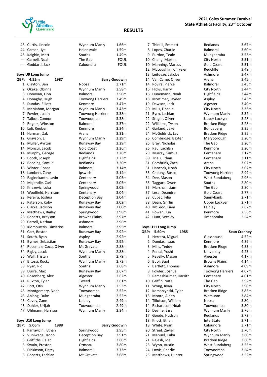

| 43 Curtis, Lincoln | Wynnum Manly | 1.66m       |
|--------------------|--------------|-------------|
| 44 Carson, Jye     | Helensvale   | 1.59m       |
| 45 Kaighin, Matt   | Souths       | 1.49m       |
| --- Carnell, Noah  | The Gap      | FOUL        |
| --- Goddard, Jack  | Caloundra    | <b>FOUL</b> |

#### **Boys U9 Long Jump**

| QBP:         | 4.55m                     | 1987                  |                         | <b>Barry Goodwin</b> |
|--------------|---------------------------|-----------------------|-------------------------|----------------------|
| $\mathbf{1}$ | Clayton, Ben              |                       | Noosa                   | 3.71 <sub>m</sub>    |
| 2            | Okeke, Obinna             |                       | Wynnum Manly            | 3.58m                |
| 3            | Donovan, Finn             |                       | Balmoral                | 3.50m                |
| 4            | Donaghy, Hugh             |                       | <b>Toowong Harriers</b> | 3.49m                |
| 5            | Dundas, Elliott           |                       | Kenmore                 | 3.47m                |
| 6            | McMahon, Morgan           |                       | Wynnum Manly            | 3.43m                |
| 7            | Fowler, Justin            |                       | <b>Toowong Harriers</b> | 3.38m                |
| 7            | Talbot, Connor            |                       | Toowoomba               | 3.38m                |
| 9            | Rogers, Winston           |                       | Balmoral                | 3.37 <sub>m</sub>    |
| 10           | Loli, Reuben              |                       | Kenmore                 | 3.34m                |
| 11           | Harman, Zak               |                       | Arana                   | 3.31 <sub>m</sub>    |
| 12           | Grayson, Eli              |                       | Wynnum Manly            | 3.29m                |
| 12           | Muller, Ayrton            |                       | Runaway Bay             | 3.29m                |
| 14           | Moncur, Jacob             |                       | <b>Gold Coast</b>       | 3.26m                |
| 14           | Murphy, George            |                       | Redlands                | 3.26m                |
| 16           | Booth, Joseph             |                       | Highfields              | 3.23m                |
| 17           | Reading, Samuel           |                       | Redlands                | 3.20m                |
| 18           | Winter, Chase             |                       | Balmoral                | 3.14m                |
| 18           | Lambert, Zane             |                       | Ipswich                 | 3.14m                |
| 20           | Raginekanth, Lavin        |                       | Centenary               | 3.05m                |
| 20           | Majendie, Carl            |                       | Centenary               | 3.05m                |
| 20           | Knezevic, Luka            |                       | Springwood              | 3.05m                |
| 23           | Woolfield, Harrison       |                       | Centenary               | 3.04m                |
| 23           | Pereira, Joshua           |                       | Deception Bay           | 3.04m                |
| 25           | Paterson, Koby            |                       | Runaway Bay             | 3.02 <sub>m</sub>    |
| 26           | Clarke, Jackson           |                       | Runaway Bay             | 3.00m                |
| 27           | Matthews, Bailey          |                       | Springwood              | 2.98m                |
| 28           | Roberts, Brayson          |                       | <b>Browns Plains</b>    | 2.97m                |
| 29           | Carroll, Nathan           |                       | Ashmore                 | 2.96m                |
| 30           | Kiomourtzis, Dimitrios    |                       | <b>Balmoral</b>         | 2.95m                |
| 31           | Carr, Boston              |                       | Runaway Bay             | 2.92m                |
| 31           | South, Ryan               |                       | Aspley                  | 2.92m                |
| 31           | Byrnes, Sebastian         |                       | Runaway Bay             | 2.92m                |
| 34           |                           | Roosmale-Cocq, Oliver | Mt Gravatt              | 2.88m                |
| 34           | Rigby, Jacob              |                       | Wynnum Manly            | 2.88m                |
| 36           | Wall, Tristan             |                       | Souths                  | 2.79m                |
| 37           | Bitossi, Rocky            |                       | Wynnum Manly            | 2.73m                |
| 38           | Ryan, Rio                 |                       | Souths                  | 2.68m                |
| 39           | Durre, Max                |                       | Runaway Bay             | 2.67m                |
| 40           | Rosenberg, Alex           |                       | Algester                | 2.62m                |
| 41           | Ruxton, Tyler             |                       | Tweed                   | 2.61m                |
| 42           | Bott, Otis                |                       | Wynnum Manly            | 2.53m                |
| 43           | Montgomery, Noah          |                       | Toowoomba               | 2.52m                |
| 43           | Ablang, Duke              |                       | Mudgeeraba              | 2.52m                |
| 45           | Covey, Zane               |                       | Laidley                 | 2.49m                |
| 45           | Dahler, Urijah            |                       | Toowoomba               | 2.49m                |
| 47           | Uhlmann, Harrison         |                       | Wynnum Manly            | 2.34m                |
|              |                           |                       |                         |                      |
|              | <b>Boys U10 Long Jump</b> |                       |                         |                      |
| QBP:         | 5.06m                     | 1988                  |                         | <b>Barry Goodwin</b> |
| 1            | Parravicini, Ethan        |                       | Springwood              | 3.95m                |
|              | 2 Vuniwaqa, Jacob         |                       | Deception Bay           | 3.91m                |

| 30  | Kiomourtzis, Dimitrios |      | Balmoral        | 2.95m             |
|-----|------------------------|------|-----------------|-------------------|
| 31  | Carr, Boston           |      | Runaway Bay     | 2.92m             |
| 31  | South, Ryan            |      | Aspley          | 2.92m             |
| 31  | Byrnes, Sebastian      |      | Runaway Bay     | 2.92m             |
| 34  | Roosmale-Cocq, Oliver  |      | Mt Gravatt      | 2.88m             |
| 34  | Rigby, Jacob           |      | Wynnum Manly    | 2.88m             |
| 36  | Wall, Tristan          |      | Souths          | 2.79m             |
| 37  | Bitossi, Rocky         |      | Wynnum Manly    | 2.73m             |
| 38  | Ryan, Rio              |      | Souths          | 2.68m             |
| 39  | Durre, Max             |      | Runaway Bay     | 2.67m             |
| 10  | Rosenberg, Alex        |      | Algester        | 2.62m             |
| 11  | Ruxton, Tyler          |      | Tweed           | 2.61m             |
| 12  | Bott, Otis             |      | Wynnum Manly    | 2.53m             |
| 13  | Montgomery, Noah       |      | Toowoomba       | 2.52m             |
| 13  | Ablang, Duke           |      | Mudgeeraba      | 2.52m             |
| 15  | Covey, Zane            |      | Laidley         | 2.49m             |
| 15. | Dahler, Urijah         |      | Toowoomba       | 2.49m             |
| 17  | Uhlmann, Harrison      |      | Wynnum Manly    | 2.34m             |
|     | ys U10 Long Jump       |      |                 |                   |
| Þ.  | 5.06m                  | 1988 | Barry Goodwin   |                   |
| 1   | Parravicini, Ethan     |      | Springwood      | 3.95m             |
| 2   | Vuniwaqa, Jacob        |      | Deception Bay   | 3.91 <sub>m</sub> |
| 3   | Griffiths, Calan       |      | Highfields      | 3.80m             |
| 3   | Swain, Preston         |      | Ormeau          | 3.80m             |
| 5   | Dickinson, Darcy       |      | <b>Balmoral</b> | 3.73m             |
| 6   | Roberts, Lachlan       |      | Mt Gravatt      | 3.68m             |

| 9    | Purdon, Teale      |
|------|--------------------|
| 10   | Chang, Martin      |
| 10   | Manning, Marcu     |
| 12   | McLoughlin, Chi    |
| 13   | Leituvae, Jakob    |
| 14   | Van Camp, Olive    |
| 14   | Rovira, Pierce     |
| 16   | Hicks, Harry       |
| 16   | Dunemann, Noa      |
| 18   | Mortimer, Jayde    |
| 19   | Dawson, Jack       |
| 20   | Mills, Lincoln     |
|      | 21 Byrn, Lachlan   |
| 22   | Steger, Oliver     |
| 22   | Williams, Tyson    |
| 24   | Garland, Jake      |
| 24   | McGoldrick, Lev    |
| 26   | Combridge, Bax     |
| 26   | Bray, Nicholas     |
| 26   | Rau, Lachlan       |
| 29   | Murray, Samuel     |
| 30   | Trieu, Ethan       |
| 31   | Combrink, Zach     |
| 31   | Hancock, Noah      |
| 33   | Cheung, Bosco      |
| 34   | Dee, Mason         |
| 35   | Taggart, Owen      |
| 35   | Marshall, Liam     |
| 37   | Lesa, Deandre      |
| 38   | Cupac, Filip       |
| 38   | Dean, Griffin      |
| 40   | McLeod, Liam       |
| 41   | Rowan, Jun         |
| 42   | Hunt, Wesley       |
|      | Boys U11 Long Jump |
| QBP: | 5.60m              |

| IBP:         | 5.60m<br>1985        | <b>Sean Cranney</b>              |
|--------------|----------------------|----------------------------------|
| 1            | Herrera, Miguel      | 4.52m<br>Glasshouse              |
| $\mathbf{2}$ | Dundas, Isaac        | Kenmore<br>4.39m                 |
| 3            | Mills, Teddy         | Bracken Ridge<br>4.33m           |
|              | 4 Persal, Yoshi      | University<br>4.25m              |
| 5.           | Revelly, Mason       | Algester<br>4.17m                |
| 6            | Buol, Buol           | <b>Browns Plains</b><br>4.14m    |
| 7            | Bartlett, Thomas     | Ashmore<br>4.09m                 |
| 8            | Fowler, Joshua       | 4.07m<br><b>Toowong Harriers</b> |
| 9            | Rameshkumar, Harsith | Centenary<br>4.01m               |
| 10           | Griffin, Nate        | The Gap<br>3.92m                 |
| 11           | Wong, Ryan           | City North<br>3.90m              |
| 12           | Komarzynski, Tyler   | Bracken Ridge<br>3.85m           |
| 13           | Moore, Aiden         | 3.84m<br>Wamuran                 |
| 14           | Tillotson, William   | 3.80m<br>Noosa                   |
| 14           | Richardson, Noah     | 3.80m<br>Toowoomba               |
| 16           | Devine, Ezra         | Wynnum Manly<br>3.76m            |
| 17           | Goode, Hudson        | Redlands<br>3.72m                |
| 18           | Knott, Ethan         | InterState<br>3.71m              |
| 18           | White, Ryan          | Caloundra<br>3.71m               |
| 20           | Street, Zavier       | City North<br>3.70m              |
| 21           | Manuel, Cuba         | Wynnum Manly<br>3.60m            |
| 21           | Rajesh, Joel         | 3.60m<br>Bracken Ridge           |
|              | 23 Wynn, Austin      | West Bundaberg<br>3.55m          |
| 24           | Lowis, Charlie       | Toowoomba<br>3.54m               |
| 25           | Matthews, Hunter     | Springwood<br>3.52m              |

| 7  | Thirkill, Emmett     | Redlands                | 3.67m |
|----|----------------------|-------------------------|-------|
| 8  | Lopes, Charlie       | <b>Balmoral</b>         | 3.60m |
| 9  | Purdon, Teale        | Mudgeeraba              | 3.53m |
| 10 | Chang, Martin        | City North              | 3.51m |
| 10 | Manning, Marcus      | <b>Gold Coast</b>       | 3.51m |
| 12 | McLoughlin, Chrysler | Redcliffe               | 3.49m |
| 13 | Leituvae, Jakobe     | Ashmore                 | 3.47m |
| 14 | Van Camp, Oliver     | Arana                   | 3.45m |
| 14 | Rovira, Pierce       | <b>Balmoral</b>         | 3.45m |
| 16 | Hicks, Harry         | City North              | 3.44m |
| 16 | Dunemann, Noah       | Highfields              | 3.44m |
| 18 | Mortimer, Jayden     | Aspley                  | 3.43m |
| 19 | Dawson, Jack         | Algester                | 3.40m |
| 20 | Mills, Lincoln       | City North              | 3.36m |
| 21 | Byrn, Lachlan        | Wynnum Manly            | 3.32m |
| 22 | Steger, Oliver       | Upper Lockyer           | 3.28m |
| 22 | Williams, Tyson      | <b>Bracken Ridge</b>    | 3.28m |
| 24 | Garland, Jake        | Bundaberg               | 3.25m |
| 24 | McGoldrick, Levi     | Bracken Ridge           | 3.25m |
| 26 | Combridge, Baxter    | Maryborough             | 3.20m |
| 26 | Bray, Nicholas       | The Gap                 | 3.20m |
| 26 | Rau, Lachlan         | Kenmore                 | 3.20m |
| 29 | Murray, Samuel       | Centenary               | 3.17m |
| 30 | Trieu, Ethan         | Centenary               | 3.11m |
| 31 | Combrink, Zach       | Arana                   | 3.07m |
| 31 | Hancock, Noah        | City North              | 3.07m |
| 33 | Cheung, Bosco        | <b>Toowong Harriers</b> | 2.99m |
| 34 | Dee, Mason           | West Bundaberg          | 2.96m |
| 35 | Taggart, Owen        | Souths                  | 2.80m |
| 35 | Marshall, Liam       | The Gap                 | 2.80m |
| 37 | Lesa, Deandre        | <b>Gold Coast</b>       | 2.77m |
| 38 | Cupac, Filip         | Sunnybank               | 2.71m |
| 38 | Dean, Griffin        | Upper Lockyer           | 2.71m |
| 40 | McLeod, Liam         | Laidley                 | 2.62m |
| 41 | Rowan, Jun           | Kenmore                 | 2.56m |
| 42 | Hunt, Wesley         | Jimboomba               | 2.54m |

### **QBP: 5.60m 1985 Sean Cranney**

| 4.52m |
|-------|
| 4.39m |
| 4.33m |
| 4.25m |
| 4.17m |
| 4.14m |
| 4.09m |
| 4.07m |
| 4.01m |
| 3.92m |
| 3.90m |
| 3.85m |
| 3.84m |
| 3.80m |
| 3.80m |
| 3.76m |
| 3.72m |
| 3.71m |
| 3.71m |
| 3.70m |
| 3.60m |
| 3.60m |
| 3.55m |
| 3.54m |
| 3.52m |
|       |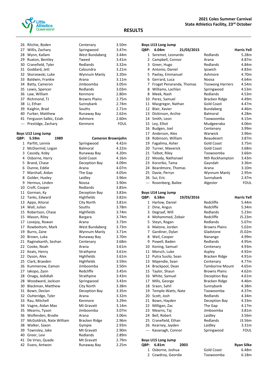

|           | 26 Ritchie, Boden                  | Centenary               | 3.50m             |
|-----------|------------------------------------|-------------------------|-------------------|
| 27        | Willis, Zachary                    | Springwood              | 3.47m             |
| 28        | Wynn, Kallam                       | West Bundaberg          | 3.44m             |
| 29        | Ruxton, Bentley                    | Tweed                   | 3.41m             |
| 30        | Cranefield, Tyler                  | Redlands                | 3.32m             |
| 31        | Goddard, Jett                      | Caloundra               | 3.21 <sub>m</sub> |
| 32        | Skorzewski, Luke                   | Wynnum Manly            | 3.20m             |
| 33        | Baldwin, Frankie                   | Arana                   | 3.11 <sub>m</sub> |
| 34        | Batty, Cameron                     | Jimboomba               | 3.05m             |
| 35        | Lewis, Spencer                     | Redlands                | 3.03m             |
| 36        | Law, William                       | Kenmore                 | 2.80m             |
| 37        | Richmond, TJ                       | <b>Browns Plains</b>    | 2.75m             |
| 38        | Li. Ethan                          | Sunnybank               | 2.74m             |
| 39        | Kaighin, Brad                      | Souths                  | 2.71m             |
| 40        | Furber, Matthew                    | Runaway Bay             | 2.62m             |
| 41        | Ferguson-Salkic, Eziah             | Ashmore                 | 2.60m             |
| $---$     | Prestidge, Zachary                 | Kenmore                 | <b>FOUL</b>       |
|           |                                    |                         |                   |
|           | Boys U12 Long Jump                 |                         |                   |
| QBP:      | 5.59m<br>1989                      | Cameron Brownjohn       |                   |
| $1 \quad$ | Parfitt, Lennix                    | Springwood              | 4.42m             |
| 2         | McDiarmid, Logan                   | Balmoral                | 4.22m             |
| 3         | Cassidy, Koby                      | Runaway Bay             | 4.20m             |
| 4         | Osborne, Harry                     | <b>Gold Coast</b>       | 4.16m             |
| 5         | Brand, Chase                       | Deception Bay           | 4.09m             |
| 6         | Dunne, Eddie                       | Arana                   | 4.07m             |
| 7         | Marshall, Aidan                    | The Gap                 | 4.05m             |
| 8         | Golder, Huxley                     | Laidley                 | 3.96m             |
| 9         | Hermus, Linden                     | Noosa                   | 3.90m             |
|           | 10 Croft, Cooper                   | Redlands                | 3.85m             |
| 11        | Gorman, Ky                         | Deception Bay           | 3.83m             |
|           | 12 Tanks, Edward                   | Highfields              | 3.82m             |
| 13        | Appo, Aitorai                      | City North              | 3.81m             |
| 14        | Wall, Julian                       | Souths                  | 3.78m             |
| 15        | Robertson, Chase                   | Highfields              | 3.74m             |
|           | 15 Mason, Riley                    | <b>Bargara</b>          | 3.74m             |
| 17        | Lovejoy, Rowan                     | Arana                   | 3.73m             |
| 17        | Rowbottom, Mark                    | West Bundaberg          | 3.73m             |
| 19        | Burns, Zane                        | Wynnum Manly            | 3.71m             |
| 20        | Brown, Luka                        | Runaway Bay             | 3.70m             |
|           |                                    |                         |                   |
| 21<br>22  | Raginekanth, Seshan<br>Cooke, Noah | Centenary<br>Arana      | 3.68m<br>3.61m    |
| 22        | Keats, Henry                       | Strathpine              | 3.61m             |
| 22        | Dyson, Alex                        | Highfields              | 3.61m             |
| 25        | Clark, Braeden                     | Highfields              | 3.59m             |
| 26        | Kummerow, Eamon                    | Jimboomba               | 3.50m             |
| 27        | lakopo, Zyon                       | Redcliffe               | 3.45m             |
| 28        | Onaga, Jedidiah                    | Strathpine              | 3.43m             |
| 28        | Woodward, Jackson                  | Springwood              | 3.43m             |
| 30        | Blackman, Matthew                  | City North              | 3.38m             |
| 31        | Bown, Declan                       | Deception Bay           | 3.35m             |
| 32        |                                    | Arana                   | 3.32m             |
| 33        | Outteridge, Tyler<br>Rau, Mitchell | Kenmore                 | 3.29m             |
| 34        |                                    | Mt Gravatt              | 3.14m             |
| 35        | Vagne, Aidan Max<br>Mearns, Tyson  | Jimboomba               | 3.07 <sub>m</sub> |
| 36        | Wolfenden, Brodie                  | Arana                   | 3.06m             |
| 37        | McGoldrick, Nate William           |                         | 2.96m             |
| 38        | Walker, Saxon                      | Bracken Ridge<br>Gympie | 2.93m             |
| 39        | Townsley, Jake                     | Mt Gravatt              | 2.90m             |
|           |                                    |                         |                   |

40 Greer, Levi **Redlands** 2.89m 41 De Vries, Quade Mt Gravatt 2.79m Evans, Antwon Runaway Bay 2.25m

#### **RESULTS**

|                | <b>Boys U13 Long Jump</b> |                         |                    |  |  |
|----------------|---------------------------|-------------------------|--------------------|--|--|
| QBP:           | 6.04m<br>21/03/2015       |                         | <b>Harris Yell</b> |  |  |
| 1              | Seremet, Leonardo         | Redlands                | 5.28m              |  |  |
|                | 2 Campbell, Connor        | Arana                   | 4.87m              |  |  |
|                | 3 Greer, Hugo             | Redlands                | 4.84m              |  |  |
| 4              | Antonio, Daniel           | Ipswich                 | 4.83m              |  |  |
| 5.             | Paelay, Emmanuel          | Ashmore                 | 4.70m              |  |  |
| 6              | Gerrard, Luca             | Noosa                   | 4.64m              |  |  |
| $\overline{7}$ | Froget Penaranda, Thomas  | <b>Toowong Harriers</b> | 4.54m              |  |  |
| 8              | Williams, Lachlan         | Springwood              | 4.53m              |  |  |
| 8              | Meek, Nash                | Redlands                | 4.53m              |  |  |
| 10             | Perez, Samuel             | Bracken Ridge           | 4.49m              |  |  |
| 11             | Macgregor, Nathan         | <b>Gold Coast</b>       | 4.47m              |  |  |
| 12             | Blair, Xavier             | Bundaberg               | 4.46m              |  |  |
| 13             | Dickinson, Archie         | Balmoral                | 4.28m              |  |  |
| 14             | Smith, Leon               | Toowoomba               | 4.15m              |  |  |
| 15             | Ley, Elliot               | Mudgeeraba              | 4.06m              |  |  |
| 16             | Budgen, Joel              | Centenary               | 3.99m              |  |  |
| 17             | Anderson, Alex            | Warwick                 | 3.96m              |  |  |
| 18             | Robinson, William         | <b>Beaudesert</b>       | 3.87m              |  |  |
| 19             | Fagalima, Asher           | <b>Gold Coast</b>       | 3.75m              |  |  |
| 20             | Turner, Maverick          | <b>Gold Coast</b>       | 3.68m              |  |  |
| 21             | Talbot, Riley             | Toowoomba               | 3.66m              |  |  |
| 22             | Moody, Nathanael          | Nth Rockhampton         | 3.43m              |  |  |
| 23             | Kororiko, Tama            | Gayndah                 | 3.36m              |  |  |
| 24             | Beardmore, Thomas         | Arana                   | 3.10m              |  |  |
| 25             | Davie, Perryn             | Wynnum Manly            | 2.95m              |  |  |
| 26             | Sui, Eric                 | Sunnybank               | 2.47m              |  |  |
| ---            | Rosenberg, Bailee         | Algester                | <b>FOUL</b>        |  |  |
|                | Boys U14 Long Jump        |                         |                    |  |  |
| QBP:           | 6.58m<br>19/03/2016       |                         | <b>Harris Yell</b> |  |  |
| 1              | Harlow, Daniel            | Redcliffe               | 5.44m              |  |  |
| 2              | Dine, Angus               | Redcliffe               | 5.34m              |  |  |
| 3              | Degraaf, Will             | Redlands                | 5.23m              |  |  |
| 4              | Mohammed, Zobair          | Redcliffe               | J5.23m             |  |  |

|       | 3 Degraaf, Will                          | Redlands               | 5.23m       |
|-------|------------------------------------------|------------------------|-------------|
| 4     | Mohammed, Zobair                         | Redcliffe              | J5.23m      |
|       | 5 Steyn, Rogan                           | Redlands               | 5.07m       |
| 6     | Malone, Jordan                           | <b>Browns Plains</b>   | 5.02m       |
| 7     | Gardiner, Dylan                          | Gladstone              | J5.02m      |
|       | 8 Weil, Cooper                           | Nanango                | 4.99m       |
|       | 9 Powell, Baden                          | Redlands               | 4.95m       |
| 10    | Koning, Samuel                           | Centenary              | 4.93m       |
|       | 11 Morsch, Luke                          | Aspley                 | 4.92m       |
|       | 12 Putra Susilo, Sean                    | Bracken Ridge          | 4.91m       |
|       | 13 Majendie, Sean                        | Centenary              | 4.77m       |
|       | 14 Brackpool, Dean                       | <b>Tamborine Mount</b> | 4.65m       |
|       | 15 Taylor, Shaun                         | <b>Browns Plains</b>   | 4.62m       |
|       | 16 White, Samuel                         | Deception Bay          | 4.61m       |
|       | 17 Mills, George                         | Bracken Ridge          | 4.46m       |
|       | 18 Sraon, Sahil                          | Sunnybank              | 4.38m       |
|       | 19 Temple-Watts, Nate                    | Toowoomba              | 4.37m       |
|       | 20 Scott, Josh                           | Redlands               | 4.34m       |
| 21    | Bown, Hayden                             | Deception Bay          | 4.33m       |
| 22    | Milligan, Zac                            | The Gap                | 4.17m       |
| 23    | Mearns, Taj                              | Jimboomba              | 3.81m       |
| 24    | Bell, Robert                             | Laidley                | 3.56m       |
|       | 25 Cranefield, Ethan                     | Redlands               | J3.56m      |
|       | 26 Kearney, Jayden                       | Laidley                | 3.31m       |
| $---$ | Kavanagh, Connor                         | Springwood             | <b>FOUL</b> |
|       | Boys U15 Long Jump                       |                        |             |
|       | $\Omega$ <sub>RD</sub> . $6.91m$<br>つののつ |                        | Dyan Cilka  |

2 Cowdroy, Geordie

## **QBP: 6.81m 2003 Ryan Silke** Osborne, Joshua Gold Coast 6.48m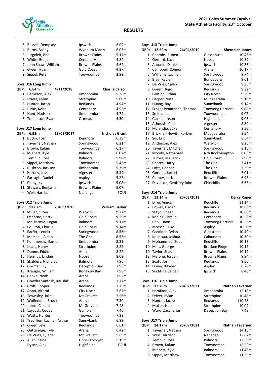

| 3           | Russell, Dempsey   |           | Ipswich              | 6.09m                  |
|-------------|--------------------|-----------|----------------------|------------------------|
| 4           | Burns, Bailey      |           | Wynnum Manly         | 6.03m                  |
| 5           | Jurgeleit, Ben     |           | <b>Browns Plains</b> | 5.17m                  |
| 6           | White, Benjamin    |           | Centenary            | 4.84m                  |
| 7           | John Shaw, William |           | <b>Browns Plains</b> | 4.64m                  |
| 8           | Green, Ryan        |           | <b>Gold Coast</b>    | 4.37m                  |
| 9           | Sippel, Peter      |           | Toowoomba            | 3.99m                  |
|             |                    |           |                      |                        |
|             |                    |           |                      |                        |
|             | Boys U16 Long Jump |           |                      |                        |
| <b>QBP:</b> | 6.84m              | 4/11/2018 |                      | <b>Charlie Carroll</b> |
| 1           | Hamilton, Alex     |           | Jimboomba            | 5.38m                  |
| 2           | Driver, Rylan      |           | Strathpine           | 5.00m                  |
| 3           | Hunter, Jacob      |           | Redlands             | 4.94m                  |
| 4           | Blake, Kobe        |           | Centenary            | 4.92m                  |
| 5           | Hunt, Hudson       |           | Jimboomba            | 4.74m                  |

#### **Boys U17 Long Jump**

| <b>OBP:</b> | 6.93m                | 18/03/2017 |                      | <b>Nicholas Grant</b> |
|-------------|----------------------|------------|----------------------|-----------------------|
| 1           | Butlin, Toshi        |            | Kenmore              | 6.38m                 |
|             | 2 Taverner, Nathan   |            | Springwood           | 6.21m                 |
|             | 3 Brown, Kalum       |            | Toowoomba            | 6.17m                 |
|             | 4 Mienert, Kyle      |            | <b>Balmoral</b>      | 6.07m                 |
|             | 5 Templin, Joel      |            | <b>Balmoral</b>      | 5.96m                 |
|             | 6 Sippel, Matthew    |            | Toowoomba            | 5.42m                 |
|             | Rushton, Jackson     |            | Jimboomba            | 5.39m                 |
|             | 8 Hartley, Jesse     |            | Algester             | 5.34m                 |
| 9           | Farrugia, Daniel     |            | Aspley               | 5.22m                 |
|             | 10 Dalby, Ky         |            | Ipswich              | 5.08m                 |
|             | 11 Stewart, Benjamin |            | <b>Browns Plains</b> | 5.07m                 |
|             | Weil, Harrison       |            | Nanango              | <b>FOUL</b>           |
|             |                      |            |                      |                       |

#### **Boys U12 Triple Jump**

| QBP:         | 11.62m                     | 20/03/2015 |                   | <b>William Barker</b> |
|--------------|----------------------------|------------|-------------------|-----------------------|
| $\mathbf{1}$ | Miller, Oliver             |            | Warwick           | 9.77m                 |
| 2            | Osborne, Harry             |            | <b>Gold Coast</b> | 9.25m                 |
| 3            | McDiarmid, Logan           |            | <b>Balmoral</b>   | 9.17m                 |
| 4            | Poulton, Charlie           |            | <b>Gold Coast</b> | 9.14m                 |
| 5            | Parfitt, Lennix            |            | Springwood        | 8.56m                 |
| 6            | Marshall, Aidan            |            | The Gap           | 8.52m                 |
| 7            | Kummerow, Eamon            |            | Jimboomba         | 8.31m                 |
| 8            | Keats, Henry               |            | Strathpine        | 8.22m                 |
| 8            | Dunne, Eddie               |            | Arana             | 8.22m                 |
| 10           | Hermus, Linden             |            | Noosa             | 8.03m                 |
| 11           | Shalders, Nicholas         |            | <b>Balmoral</b>   | 7.96m                 |
| 12           | Gorman, Ky                 |            | Deception Bay     | 7.95m                 |
| 13           | Kreuger, William           |            | Runaway Bay       | 7.93m                 |
| 14           | Cooke, Noah                |            | Arana             | 7.92m                 |
| 15           | Gowdra Santosh, Kaushik    |            | Arana             | 7.77m                 |
| 16           | Croft, Cooper              |            | Redlands          | 7.75m                 |
| 17           | Appo, Aitorai              |            | City North        | 7.67m                 |
| 18           | Townsley, Jake             |            | Mt Gravatt        | 7.56m                 |
| 19           | Wolfenden, Brodie          |            | Arana             | 7.50m                 |
| 20           | Johns, Callum              |            | Mt Gravatt        | 7.48m                 |
| 21           | Laycock, Cooper            |            | Gympie            | 7.46m                 |
| 22           | Watts, Hunter              |            | Toowoomba         | 7.28m                 |
| 23           | Trevillien, Lachlan Arthur |            | Sunnybank         | 6.89m                 |
| 24           | Greer, Levi                |            | Redlands          | 6.61m                 |
| 25           | Outteridge, Tyler          |            | Arana             | 6.42m                 |
| 26           | De Vries, Quade            |            | Mt Gravatt        | 5.89m                 |
| 27           | Allen, Zaine               |            | Upper Lockyer     | 5.19m                 |
| ---          | Dyson, Alex                |            | Highfields        | <b>FOUL</b>           |

|              | <b>Boys U13 Triple Jump</b> |            |                         |                       |
|--------------|-----------------------------|------------|-------------------------|-----------------------|
| QBP:         | 12.69m                      | 24/04/2010 |                         | <b>Shemaiah James</b> |
| $\mathbf{1}$ | Coombs, Ruben               |            | Glasshouse              | 10.48m                |
| 2            | Gerrard, Luca               |            | Noosa                   | 10.39m                |
| 3            | Antonio, Daniel             |            | Ipswich                 | 10.38m                |
| 4            | Campbell, Connor            |            | Arana                   | 10.17m                |
| 5            | Williams, Lachlan           |            | Springwood              | 9.74m                 |
| 6            | Blair, Xavier               |            | Bundaberg               | 9.61m                 |
| 7            | De Vries, Caleb             |            | Springwood              | 9.35m                 |
| 8            | Greer, Hugo                 |            | Redlands                | 9.32m                 |
| 9            | Gration, Ethan              |            | City North              | 9.20m                 |
| 10           | Harper, Nate                |            | Mudgeeraba              | 9.19m                 |
| 11           | Huang, Ray                  |            | Sunnybank               | 9.14m                 |
| 12           | Froget Penaranda, Thomas    |            | <b>Toowong Harriers</b> | 9.08m                 |
| 13           | Smith, Leon                 |            | Toowoomba               | 9.07m                 |
| 14           | Clark, Jackson              |            | Highfields              | 9.05m                 |
| 15           | Athousis, Costa             |            | Algester                | 8.84m                 |
| 16           | Majendie, Luke              |            | Centenary               | 8.56m                 |
| 17           | Bricknell-Hewitt, Korbyn    |            | Mudgeeraba              | 8.54m                 |
| 17           | Sui, Eric                   |            | Sunnybank               | 8.54m                 |
| 19           | Anderson, Alex              |            | Warwick                 | 8.26m                 |
|              | 20 Taverner, Mitchell       |            | Springwood              | 8.16m                 |
| 21           | Moody, Nathanael            |            | Nth Rockhampton         | 8.06m                 |
|              | 22 Turner, Maverick         |            | <b>Gold Coast</b>       | 7.90m                 |
| 23           | Cootes, Harry               |            | The Gap                 | 7.41m                 |
| 24           | Lofts, Cooper               |            | The Gap                 | 7.32m                 |
| 25           | Gordon, Jarrod              |            | Redcliffe               | 7.01m                 |
| 26           | Cooper, Jack                |            | <b>Browns Plains</b>    | 6.98m                 |
| 27           | Davidson, Geoffrey John     |            | Chinchilla              | 6.63m                 |

#### **Boys U14 Triple Jump**

| <b>OBP:</b> | 13.14m            | 25/03/2012 |                         | Darcy Roper |
|-------------|-------------------|------------|-------------------------|-------------|
| 1           | Dine, Angus       |            | Redcliffe               | 11.14m      |
| 2           | Powell, Baden     |            | Redlands                | 10.86m      |
| 3           | Steyn, Rogan      |            | Redlands                | 10.80m      |
| 4           | Koning, Samuel    |            | Centenary               | 10.56m      |
|             | 5 Choi, Daon      |            | <b>Toowong Harriers</b> | 10.53m      |
| 6           | Morsch, Luke      |            | Aspley                  | 10.50m      |
| 7           | Gardiner, Dylan   |            | Gladstone               | 10.40m      |
| 8           | Kolinisau, Joshua |            | Caloundra               | 10.30m      |
| 9           | Mohammed, Zobair  |            | Redcliffe               | 10.18m      |
| 10          | Mills, George     |            | Bracken Ridge           | 10.12m      |
| 10          | Taylor, Shaun     |            | <b>Browns Plains</b>    | 10.12m      |
| 12          | Malone, Jordan    |            | <b>Browns Plains</b>    | 9.94m       |
| 13          | Scott, Josh       |            | Redlands                | 9.56m       |
| 14          | Driver, Kayden    |            | Aspley                  | 8.70m       |
| 15          | Suchting, Jaiden  |            | Ipswich                 | 8.46m       |
|             |                   |            |                         |             |

|      | <b>Boys U16 Triple Jump</b> |            |               |                        |         |  |
|------|-----------------------------|------------|---------------|------------------------|---------|--|
| QBP: | 13.70m                      | 28/02/2021 |               | <b>Nathan Taverner</b> |         |  |
|      | 1 Hamilton, Alex            |            | Jimboomba     |                        | 12.18m  |  |
|      | 2 Driver, Rylan             |            | Strathpine    |                        | 10.48m  |  |
|      | 3 Hunter, Jacob             |            | Redlands      |                        | J10.48m |  |
|      | 4 Muller, Isaac             |            | Strathpine    |                        | 10.09m  |  |
|      | 5 Ward, Zaccharius          |            | Deception Bay |                        | 7.48m   |  |

| <b>Boys U17 Triple Jump</b> |                    |            |                 |                        |  |
|-----------------------------|--------------------|------------|-----------------|------------------------|--|
| QBP:                        | 14.17m             | 25/09/2021 |                 | <b>Nathan Taverner</b> |  |
|                             | 1 Taverner, Nathan |            | Springwood      | 14.16m                 |  |
|                             | 2 Weil, Harrison   |            | Nanango         | 12.67m                 |  |
|                             | 3 Templin, Joel    |            | Balmoral        | 12.59m                 |  |
|                             | 4 Brown, Kalum     |            | Toowoomba       | 12.52m                 |  |
|                             | 5 Mienert, Kyle    |            | <b>Balmoral</b> | 11.46m                 |  |
|                             | 6 Sippel, Matthew  |            | Toowoomba       | 11.36m                 |  |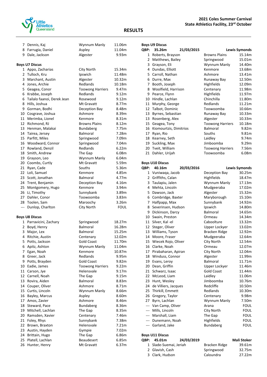

**Boys U9 Discus**

|       | 7 Dennis, Kaj                | Wynnum Manly            | 11.06m            |
|-------|------------------------------|-------------------------|-------------------|
|       | 8 Farrugia, Daniel           | Aspley                  | 11.04m            |
| 9     | Dale, Jackson                | Algester                | 9.93m             |
|       |                              |                         |                   |
|       | <b>Boys U7 Discus</b>        |                         |                   |
|       | 1 Appo, Zacharias            | City North              | 15.34m            |
|       | 2 Tulloch, Kru               | Ipswich                 | 11.48m            |
|       | 3 Marchant, Austin           | Algester                | 10.32m            |
| 4     | Jones, Archie                | Redlands                | 10.18m            |
| 5.    | Geagea, Conor                | <b>Toowong Harriers</b> | 9.47m             |
| 6     | Krabbe, Joseph               | Redlands                | 9.12m             |
|       | 6 Tailalo faanoi, Derek Jean | Rosewood                | 9.12 <sub>m</sub> |
|       | 8 Hills, Joshua              | Mt Gravatt              | 8.77m             |
|       | 9 Gorman, Bodhi              | Deception Bay           | 8.48m             |
|       | 10 Cosgrave, Joshua          | Ashmore                 | 8.39m             |
| 11    | Merimba, Lionel              | Kenmore                 | 8.31m             |
|       | 12 Richmond, RJ              | <b>Browns Plains</b>    | 8.12m             |
|       | 13 Henman, Malakai           | Bundaberg               | 7.75m             |
|       | 14 Tairea, Jersey            | Balmoral                | 7.28m             |
|       | 15 Parfitt, Miles            | Springwood              | 7.09m             |
|       | 16 Woodward, Connor          | Springwood              | 7.04m             |
| 17    | Rowland, Denzil              | Redlands                | 6.22m             |
| 18    | Smith, Andrew                | The Gap                 | 6.08m             |
| 19    | Grayson, Leo                 | Wynnum Manly            | 6.04m             |
|       | 20 Coombs, Curtly            | Mt Gravatt              | 5.59m             |
|       | 21 Ryan, Cade                | Souths                  | 5.36m             |
|       | 22 Loli, Samuel              | Kenmore                 | 4.85m             |
|       | 23 Scott, Jonathan           | Balmoral                | 4.77m             |
|       | 24 Trent, Benjamin           | Deception Bay           | 4.16m             |
|       | 25 Montgomery, Hugo          | Kenmore                 | 3.94m             |
|       | 26 Li, Timothy               | Sunnybank               | 3.89m             |
|       | 27 Dahler, Conor             | Toowoomba               | 3.83m             |
|       | 28 Toolen, Sam               | Maroochy                | 3.26m             |
| $---$ | Dunlop, Charlton             | City North              | <b>FOUL</b>       |
|       |                              |                         |                   |
|       | <b>Boys U8 Discus</b>        |                         |                   |
|       | 1 Parravicini, Zachary       | Springwood              | 18.27m            |
|       | 2 Boyd, Henry                | Balmoral                | 16.28m            |
| 3     | Major, Lex                   | <b>Balmoral</b>         | 15.25m            |
| 4     | Ritchie, Austin              | Centenary               | 12.02m            |
| 5     | Potts, Jackson               | <b>Gold Coast</b>       | 11.70m            |
| 6     | Apitz, Ashton                | Wynnum Manly            | 11.04m            |
|       | 7 Egan, Noah                 | Kenmore                 | 10.87m            |
|       | 8 Greer, Jack                | Redlands                | 9.95m             |
| 9     | Potts, Brayden               | <b>Gold Coast</b>       | 9.82m             |
| 10    | Eadie, James                 | <b>Toowong Harriers</b> | 9.22m             |
| 11    | Carson, Jye                  | Helensvale              | 9.17m             |
| 12    | Carnell, Noah                | The Gap                 | 9.15m             |
| 13    | Rovira, Aiden                | Balmoral                | 8.83m             |
| 14    | Couper, Oliver               | Ashmore                 | 8.71m             |
| 15    | Curtis, Lincoln              | Wynnum Manly            | 8.66m             |
| 16    | Bayley, Marcus               | Aspley                  | 8.60m             |
| 17    | Amos, Zavier                 | Ashmore                 | 8.46m             |
| 18    | Steward, Pace                | Bundaberg               | 8.36m             |
| 19    | Mitchell, Lachlan            | The Gap                 | 8.35m             |
| 20    | Ramsden, Xavier              | Centenary               | 7.46m             |
| 21    | Foley, Rhys                  | Sunnybank               | 7.38m             |
| 22    | Brown, Braxton               | Helensvale              | 7.21m             |
| 23    | Austin, Hayden               | Gympie                  | 7.02m             |
| 24    | Brittain, Hugo               | The Gap                 | 6.86m             |
| 25    | Platell, Lachlan             | Beaudesert              | 6.85m             |
| 26    | Hunter, Henry                | Mt Gravatt              | 6.37m             |
|       |                              |                         |                   |

| QBP:     | 35.26m                          | 21/03/2015 |                                      | <b>Lewis Symonds</b> |
|----------|---------------------------------|------------|--------------------------------------|----------------------|
| 1        | Roberts, Brayson                |            | <b>Browns Plains</b>                 | 15.14m               |
| 2        | Matthews, Bailey                |            | Springwood                           | 15.01m               |
| 3        | Grayson, Eli                    |            | Wynnum Manly                         | 14.40m               |
| 4        | Dundas, Elliott                 |            | Kenmore                              | 13.68m               |
| 5        | Carroll, Nathan                 |            | Ashmore                              | 13.41m               |
| 6        | Durre, Max                      |            | Runaway Bay                          | 12.50m               |
| 7        | Booth, Joseph                   |            | Highfields                           | 12.09m               |
| 8        | Woolfield, Harrison             |            | Centenary                            | 11.98m               |
| 9        | Pearce, Flynn                   |            | Highfields                           | 11.97m               |
| 10       | Hindle, Lachlan                 |            | Chinchilla                           | 11.80m               |
| 11       | Murphy, George                  |            | Redlands                             | 11.21m               |
| 12       | Talbot, Dominic                 |            | Toowoomba                            | 10.66m               |
| 13       | Byrnes, Sebastian               |            | Runaway Bay                          | 10.33m               |
| 13       | Rosenberg, Alex                 |            | Algester                             | 10.33m               |
| 15       | Geagea, Tony                    |            | <b>Toowong Harriers</b>              | 10.18m               |
| 16       | Kiomourtzis, Dimitrios          |            | Balmoral                             | 9.82m                |
| 17       | Ryan, Rio                       |            | Souths                               | 9.81m                |
| 18       | Kearney, Seth                   |            | Laidley                              | 9.74m                |
| 19<br>20 | Suckling, Max<br>Tveit, William |            | Jimboomba                            | 9.29m<br>7.56m       |
| 21       | Dahler, Urijah                  |            | <b>Toowong Harriers</b><br>Toowoomba | 6.08m                |
|          |                                 |            |                                      |                      |
|          | <b>Boys U10 Discus</b>          |            |                                      |                      |
| QBP:     | 40.16m                          | 20/03/2016 |                                      | <b>Lewis Symonds</b> |
| 1        | Vuniwaqa, Jacob                 |            | Deception Bay                        | 30.25m               |
| 2        | Griffiths, Calan                |            | Highfields                           | 18.47m               |
| 3        | Taulapiu, Jalen                 |            | Wynnum Manly                         | 17.13m               |
| 4        | Mehta, Lincoln                  |            | Mudgeeraba                           | 17.02m               |
| 5        | Dawson, Jack                    |            | Algester                             | 15.32m               |
| 6        | Combridge, Baxter               |            | Maryborough                          | 15.10m               |
| 7        | Halfpapp, Max                   |            | Sunnybank                            | 14.92m               |
| 8        | Severinsen, Hudson              |            | Ipswich                              | 14.80m               |
| 9        | Dickinson, Darcy                |            | Balmoral                             | 14.65m               |
| 10       | Swain, Preston                  |            | Ormeau                               | 14.34m               |
|          | 11 Silver, Kal-el               |            | Caboolture                           | 13.32m               |
| 12       | Steger, Oliver                  |            | Upper Lockyer                        | 13.02m               |
| 13       | Williams, Tyson                 |            | Bracken Ridge                        | 12.92m               |
|          | 14 Moore, Fraser                |            | Mudgeeraba                           | 12.64m               |
| 15       | Wiecek Rojo, Oliver             |            | <b>City North</b>                    | 12.54m               |
| 16       | Clarke, Noah                    |            | Ormeau                               | 12.07m               |
|          | 17 Pirabaharan, Apiran          |            | City North                           | 12.04m               |
| 18       | Winduss, Connor                 |            | Algester                             | 11.99m               |
| 19       | Evans, Leroy                    |            | Balmoral                             | 11.71m               |
| 20       | Dean, Griffin                   |            | Upper Lockyer                        | 11.46m               |
| 21       | Schwarz, Isaac                  |            | <b>Gold Coast</b>                    | 11.44m               |
| 22       | McLeod, Liam                    |            | Laidley                              | 11.06m               |
| 23       | Hunt, Wesley                    |            | Jimboomba                            | 10.76m               |
| 24       | de Villiers, Jacques            |            | Redcliffe                            | 10.50m               |
| 25       | Thirkill, Emmett                |            | Redlands                             | 10.30m               |
| 26       | Gregory, Taylor                 |            | Centenary                            | 9.98m                |
| 27       | Byrn, Lachlan                   |            | Wynnum Manly                         | 7.50m                |
|          | --- Van Camp, Oliver            |            | Arana                                | <b>FOUL</b>          |
|          | --- Mills, Lincoln              |            | City North                           | <b>FOUL</b>          |
|          | --- Marshall, Liam              |            | The Gap                              | <b>FOUL</b>          |
|          | --- Dunemann, Noah              |            | Highfields                           | <b>FOUL</b>          |
|          | --- Garland, Jake               |            | Bundaberg                            | <b>FOUL</b>          |
|          |                                 |            |                                      |                      |

| <b>Boys U11 Discus</b> |                        |            |               |                    |
|------------------------|------------------------|------------|---------------|--------------------|
|                        | QBP: 45.01m            | 24/03/2019 |               | <b>Mali Stoker</b> |
|                        | 1 Slade-Suemai, Jeriah |            | Bracken Ridge | 39.61m             |
|                        | 2 Glavish, Cash        |            | Springwood    | 32.75m             |
|                        | 3 Clark, Hudson        |            | Caloundra     | 27.22m             |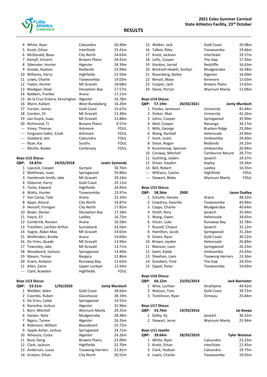

| 4             | White, Ryan                   | Caloundra            | 26.40m      |
|---------------|-------------------------------|----------------------|-------------|
| 5             | Knott, Ethan                  | InterState           | 25.41m      |
| 6             | McDonald, Beau                | City North           | 24.63m      |
| 7             | Kampf, Vincent                | <b>Browns Plains</b> | 24.41m      |
| 8             | Sibenaler, Hunter             | Algester             | 24.39m      |
| 9             | Goode, Hudson                 | Redlands             | 23.94m      |
| 10            | Williams, Harry               | Highfields           | 21.50m      |
| 11            | Lowis, Charlie                | Toowoomba            | 19.03m      |
| 12            | Taylor, Hunter                | Mt Gravatt           | 18.68m      |
| 13            | Madigan, Dewi                 | Deception Bay        | 17.57m      |
| 14            | Baldwin, Frankie              | Arana                | 17.15m      |
| 15            | de la Cruz-Enkera, Kenzington | Algester             | 16.78m      |
| 16            | Wynn, Kallam                  | West Bundaberg       | 16.20m      |
| 17            | Forster, James                | <b>Gold Coast</b>    | 15.67m      |
| 18            | Condon, Eli                   | Mt Gravatt           | 13.30m      |
| 19            | van Kuyck, Isaac              | Mt Gravatt           | 12.88m      |
| 20            | Richmond, TJ                  | <b>Browns Plains</b> | 9.57m       |
| $\sim$ $\sim$ | Viney, Thomas                 | Ashmore              | <b>FOUL</b> |
| $\sim$ $\sim$ | Ferguson-Salkic, Eziah        | Ashmore              | <b>FOUL</b> |
| ---           | Goddard, Jett                 | Caloundra            | <b>FOUL</b> |
| ---           | Ryan, Kai                     | Souths               | <b>FOUL</b> |
| $\cdots$      | Ritchie, Boden                | Centenary            | <b>FOUL</b> |

## **Boys U12 Discus**

| QBP:  | 54.87m                     | 24/03/2018 |                   | <b>Lewis Symonds</b> |
|-------|----------------------------|------------|-------------------|----------------------|
| 1     | Laycock, Cooper            |            | Gympie            | 30.76m               |
| 2     | Matthews, Isaac            |            | Springwood        | 29.80m               |
| 3     | Hambrook-Smith, Jake       |            | Mt Gravatt        | 29.24m               |
| 4     | Osborne, Harry             |            | <b>Gold Coast</b> | 25.11m               |
| 5     | Tanks, Edward              |            | Highfields        | 24.95m               |
| 6     | Watts, Hunter              |            | Toowoomba         | 23.97m               |
| 7     | Van Camp, Tate             |            | Arana             | 22.10m               |
| 8     | Appo, Aitorai              |            | City North        | 19.87m               |
| 9     | Henzell, Finnigan          |            | City North        | 17.85m               |
| 10    | Bown, Declan               |            | Deception Bay     | 17.18m               |
| 11    | Vayro, Eli                 |            | Laidley           | 16.73m               |
| 12    | Combrink, Reuven           |            | Arana             | 16.58m               |
| 13    | Trevillien, Lachlan Arthur |            | Sunnybank         | 16.56m               |
| 14    | Vagne, Aidan Max           |            | Mt Gravatt        | 14.65m               |
| 15    | Wolfenden, Brodie          |            | Arana             | 14.60m               |
| 16    | De Vries, Quade            |            | Mt Gravatt        | 13.96m               |
| 17    | Townsley, Jake             |            | Mt Gravatt        | 13.71m               |
| 18    | Woodward, Jackson          |            | Springwood        | 13.40m               |
| 19    | Mason, Tomas               |            | <b>Bargara</b>    | 12.86m               |
| 20    | Evans, Antwon              |            | Runaway Bay       | 12.63m               |
| 21    | Allen, Zaine               |            | Upper Lockyer     | 12.54m               |
| $---$ | Clark, Braeden             |            | Highfields        | <b>FOUL</b>          |

## **Boys U13 Discus**

| <b>OBP:</b>  | 53.51m               | 1/03/2020 |                         | <b>Jonty Murdoch</b> |
|--------------|----------------------|-----------|-------------------------|----------------------|
| 1            | Webber, Aden         |           | <b>Gold Coast</b>       | 38.64m               |
| $\mathbf{2}$ | Coombs, Ruben        |           | Glasshouse              | 38.19m               |
| 3            | De Vries, Caleb      |           | Springwood              | 33.55m               |
| 4            | Noronha, Joshua      |           | Algester                | 31.96m               |
| 5.           | Byrn, Mitchell       |           | Wynnum Manly            | 29.25m               |
| 6            | Harper, Nate         |           | Mudgeeraba              | 28.38m               |
| 7            | Ngaru, Tyrese        |           | Algester                | 26.26m               |
| 8            | Robinson, William    |           | <b>Beaudesert</b>       | 25.72m               |
| 9            | Sipple-Asher, Joshua |           | Springwood              | 24.71m               |
| 10           | Athousis, Costa      |           | Algester                | 24.26m               |
| 11           | Buol, Deng           |           | <b>Browns Plains</b>    | 23.09m               |
| 12           | Clark, Jackson       |           | <b>Highfields</b>       | 22.70m               |
| 13           | Anderson, Lucas      |           | <b>Toowong Harriers</b> | 21.81m               |
|              | 14 Gration, Ethan    |           | City North              | 20.55m               |

| 15 Walker, Jack             | Gold Coast           | 20.08m |
|-----------------------------|----------------------|--------|
| 16 Talbot, Riley            | Toowoomba            | 19.66m |
| 17 Knott, Jackson           | <b>InterState</b>    | 19.57m |
| 18 Lofts, Cooper            | The Gap              | 17.50m |
| 19 Gordon, Jarrod           | Redcliffe            | 16.63m |
| 20 Bricknell-Hewitt, Korbyn | Mudgeeraba           | 16.58m |
| 21 Rosenberg, Bailee        | Algester             | 16.00m |
| 22 Benoit, Maxx             | Kenmore              | 15.63m |
| 23 Cooper, Jack             | <b>Browns Plains</b> | 13.65m |
| 24 Davie, Perryn            | Wynnum Manly         | 13.06m |
|                             |                      |        |

|             | <b>Boys U14 Discus</b> |            |                        |                      |  |
|-------------|------------------------|------------|------------------------|----------------------|--|
| <b>OBP:</b> | 57.19m                 | 20/03/2021 |                        | <b>Jonty Murdoch</b> |  |
| 1           | Pooles, Jamieson       |            | University             | 42.44m               |  |
|             | 2 Stoker, Mali         |            | University             | 42.26m               |  |
| 3           | Johns, Cooper          |            | Springwood             | 35.90m               |  |
| 4           | Weil, Cooper           |            | Nanango                | 34.17m               |  |
| 5.          | Mills, George          |            | Bracken Ridge          | 25.06m               |  |
| 6           | Wang, Randall          |            | Helensvale             | 24.96m               |  |
| 7           | Hunt, Justin           |            | Jimboomba              | 24.40m               |  |
| 8           | Steyn, Rogan           |            | Redlands               | 24.23m               |  |
| 9           | Kummerow, Spencer      |            | Jimboomba              | 20.94m               |  |
| 10          | Conway, Mitchell       |            | <b>Tamborine Mount</b> | 20.77m               |  |
| 11          | Suchting, Jaiden       |            | Ipswich                | 19.37m               |  |
| 12          | Driver, Kayden         |            | Aspley                 | 19.34m               |  |
| 13          | Bell, Robert           |            | Laidley                | 16.55m               |  |
|             | --- Williams, Caelan   |            | Highfields             | <b>FOUL</b>          |  |
|             | Stewart, Blake         |            | Wynnum Manly           | <b>FOUL</b>          |  |

#### **Boys U15 Discus**

| <b>OBP:</b> | 58.56m           | 2000 |                         | <b>Jason Dudley</b> |
|-------------|------------------|------|-------------------------|---------------------|
| 1           | Schutte, Harvey  |      | Arana                   | 48.32m              |
| 2           | Cowdroy, Geordie |      | Toowoomba               | 43.96m              |
| 3           | Capps, Charlie   |      | Mudgeeraba              | 40.64m              |
| 4           | Smith, Rory      |      | Ipswich                 | 35.44m              |
|             | 5 Wang, Owen     |      | Helensvale              | 34.65m              |
| 6           | Visser, Luke     |      | Runaway Bay             | 32.78m              |
| 7           | Russell, Chayse  |      | Ipswich                 | 32.12m              |
| 8           | Hamilton, Jacob  |      | Springwood              | 31.26m              |
| 9           | Green, Ryan      |      | <b>Gold Coast</b>       | 30.52m              |
| 10          | Brown, Jayden    |      | Helensvale              | 26.89m              |
| 11          | Manson, Liam     |      | Springwood              | 26.23m              |
| 12          | Gwin, Kaleb      |      | Jimboomba               | 25.43m              |
| 13          | Sheehan, Liam    |      | <b>Toowong Harriers</b> | 23.36m              |
| 14          | Goodwin, Fred    |      | The Gap                 | 20.35m              |
| 15          | Sippel, Peter    |      | Toowoomba               | 19.69m              |

**Boys U16 Discus**

| <b>OBP:</b>  | 64.12m                  | 23/03/2014 |                   | <b>Jack Bannister</b> |
|--------------|-------------------------|------------|-------------------|-----------------------|
|              | 1 Wise, Lachlan         |            | Strathpine        | 49.42m                |
| $\mathbf{2}$ | Watson, Tom             |            | <b>Gold Coast</b> | 39.72m                |
|              | 3 Tomlinson, Ryan       |            | Ormeau            | 25.84m                |
|              | <b>Boys U17 Discus</b>  |            |                   |                       |
| QBP:         | 53.76m                  | 19/03/2016 |                   | Jai Keepa             |
| 1            | Dalby, Ky               |            | Ipswich           | 36.32m                |
|              | 2 Stewart, Jesse        |            | Wynnum Manly      | 25.94m                |
|              | <b>Boys U11 Javelin</b> |            |                   |                       |
| <b>OBP:</b>  | 39.64m                  | 28/03/2010 |                   | <b>Tyler Wostear</b>  |
|              | 1 White, Ryan           |            | Caloundra         | 23.25m                |
|              | 2 Knott, Ethan          |            | <b>InterState</b> | 21.45m                |
|              | 3 Clark, Hudson         |            | Caloundra         | 19.75m                |

Lowis, Charlie Toowoomba 19.05m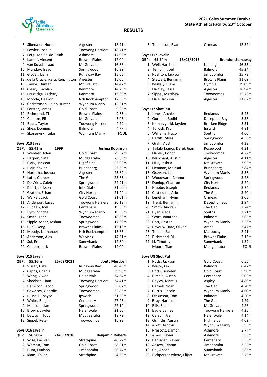

| 5             | Sibenaler, Hunter             | Algester                 | 18.91m               |
|---------------|-------------------------------|--------------------------|----------------------|
| 6             | Fowler, Joshua                | <b>Toowong Harriers</b>  | 18.71m               |
| 7             | Ferguson-Salkic, Eziah        | Ashmore                  | 17.95m               |
| 8             | Kampf, Vincent                | <b>Browns Plains</b>     | 17.04m               |
| 9             | van Kuyck, Isaac              | Mt Gravatt               | 16.88m               |
| 10            | Munday, Isaac                 | Springwood               | 16.39m               |
| 11            | Glover, Liam                  | Runaway Bay              | 15.65m               |
| 12            | de la Cruz-Enkera, Kenzington | Algester                 | 15.06m               |
| 13            | Taylor, Hunter                | Mt Gravatt               | 14.47m               |
| 14            | Cleary, Lachlan               | Kenmore                  | 14.25m               |
| 15            | Prestidge, Zachary            | Kenmore                  | 13.39m               |
| 16            | Moody, Deakon                 | Nth Rockhampton          | 12.58m               |
| 17            | Christensen, Caleb Hunter     | Wynnum Manly             | 12.31m               |
| 18            | Forster, James                | <b>Gold Coast</b>        | 9.85m                |
| 19            | Richmond, TJ                  | <b>Browns Plains</b>     | 9.65m                |
| 20            | Condon, Eli                   | Mt Gravatt               | 5.03m                |
| 21            | Baart, Taylor                 | <b>Toowong Harriers</b>  | 4.79m                |
| 22            | Shea, Dominic                 | <b>Balmoral</b>          | 4.77m                |
| $\sim$ $\sim$ | Skorzewski, Luke              | Wynnum Manly             | <b>FOUL</b>          |
|               |                               |                          |                      |
|               | <b>Boys U13 Javelin</b>       |                          |                      |
| <b>QBP:</b>   | 55.43m<br>1999                |                          | Joshua Robinson      |
| 1             | Webber, Aden                  | <b>Gold Coast</b>        | 29.37m               |
| 2             | Harper, Nate                  | Mudgeeraba               | 28.69m               |
| 3             | Clark, Jackson                | Highfields               | 26.88m               |
| 4             | Blair, Xavier                 | Bundaberg                | 26.69m               |
| 5             | Noronha, Joshua               | Algester                 | 23.82m               |
| 6             | Lofts, Cooper                 | The Gap                  | 23.63m               |
| 7             | De Vries, Caleb               | Springwood               | 22.21m               |
| 8             | Knott, Jackson                | InterState               | 21.55m               |
| 9             | Gration, Ethan                | City North               | 21.24m               |
| 10            | Walker, Jack                  | <b>Gold Coast</b>        | 21.01m               |
| 11            | Anderson, Lucas               | <b>Toowong Harriers</b>  | 20.18m               |
| 12            | Budgen, Joel                  | Centenary                | 19.63m               |
| 13            | Byrn, Mitchell                | Wynnum Manly             | 19.53m               |
| 14            | Smith, Leon                   | Toowoomba                | 18.69m               |
| 15            | Sipple-Asher, Joshua          | Springwood               | 17.39m               |
| 16            | Buol, Deng                    | <b>Browns Plains</b>     | 16.18m               |
| 17            | Moody, Nathanael              | Nth Rockhampton          | 15.63m               |
|               | 18 Anderson, Alex             | Warwick                  | 14.61m               |
| 19            | Sui, Eric                     | Sunnybank                | 12.84m               |
| 20            | Cooper, Jack                  | <b>Browns Plains</b>     | 12.00m               |
|               | <b>Boys U15 Javelin</b>       |                          |                      |
| QBP:          | 55.36m<br>25/09/2021          |                          | <b>Jonty Murdoch</b> |
| 1             | Visser, Luke                  | Runaway Bay              | 40.46m               |
| 2             |                               |                          | 39.90m               |
| 3             | Capps, Charlie                | Mudgeeraba<br>Helensvale | 34.64m               |
| 4             | Wang, Owen                    | <b>Toowong Harriers</b>  | 34.41m               |
|               | Sheehan, Liam                 |                          |                      |
| 5             | Hamilton, Jacob               | Springwood               | 33.07m               |
| 6             | Cowdroy, Geordie              | Toowoomba                | 32.86m               |
| 7             | Russell, Chayse               | Ipswich                  | 31.53m               |
| 8             | White, Benjamin               | Centenary                | 27.45m               |
| 9             | Manson, Liam                  | Springwood               | 22.14m               |
| 10            | Brown, Jayden                 | Helensvale               | 21.50m               |
| 11            | Dawson, Toby                  | Mudgeeraba               | 18.72m               |
| 12            | Sippel, Peter                 | Toowoomba                | 16.93m               |
|               | <b>Boys U16 Javelin</b>       |                          |                      |
| QBP:          | 56.50m<br>24/03/2018          | <b>Benjamin Roberts</b>  |                      |
|               | 1 Wise, Lachlan               | Strathpine               | 40.27m               |
| 2             | Watson, Tom                   | <b>Gold Coast</b>        | 28.51m               |
| 3             | Hunt, Hudson                  | Jimboomba                | 26.74m               |
| 4             | Klaas, Kailen                 | Strathpine               | 24.69m               |

| 5              | Tomlinson, Ryan              |            | Ormeau                  | 12.32m      |
|----------------|------------------------------|------------|-------------------------|-------------|
|                | <b>Boys U17 Javelin</b>      |            |                         |             |
| QBP:           | 65.74m                       | 18/03/2016 | <b>Brandon Stanaway</b> |             |
|                | 1 Weil, Harrison             |            | Nanango                 | 46.55m      |
|                | 2 Templin, Joel              |            | <b>Balmoral</b>         | 45.24m      |
| 3              | Rushton, Jackson             |            | Jimboomba               | 35.73m      |
|                | 4 Stewart, Benjamin          |            | <b>Browns Plains</b>    | 31.69m      |
|                | 5 Mullaly, Blake             |            | Gympie                  | 29.09m      |
|                | 6 Hartley, Jesse             |            | Algester                | 26.94m      |
|                | 7 Sippel, Matthew            |            | Toowoomba               | 25.28m      |
| 8              | Dale, Jackson                |            | Algester                | 21.62m      |
|                | <b>Boys U7 Shot Put</b>      |            |                         |             |
|                | 1 Jones, Archie              |            | Redlands                | 5.45m       |
|                | 2 Gorman, Bodhi              |            | Deception Bay           | 5.38m       |
|                | 3 Komarzynski, Jayden        |            | Bracken Ridge           | 5.31m       |
|                | 4 Tulloch, Kru               |            | Ipswich                 | 4.81m       |
| 5              | Williams, Hugo               |            | Souths                  | 4.60m       |
|                | 6 Parfitt, Miles             |            | Springwood              | 4.58m       |
|                | 7 Grahl, Austin              |            | Jimboomba               | 4.38m       |
|                | 8 Tailalo faanoi, Derek Jean |            | Rosewood                | 4.31m       |
|                | 9 Dahler, Conor              |            | Toowoomba               | 4.22m       |
|                | 10 Marchant, Austin          |            | Algester                | 4.11m       |
|                | 11 Hills, Joshua             |            | Mt Gravatt              | 3.95m       |
|                | 12 Henman, Malakai           |            | Bundaberg               | 3.84m       |
|                | 13 Grayson, Leo              |            | Wynnum Manly            | 3.56m       |
|                | 14 Woodward, Connor          |            | Springwood              | 3.28m       |
|                | 15 Dunlop, Charlton          |            | City North              | 3.24m       |
|                | 15 Krabbe, Joseph            |            | Redlands                | 3.24m       |
|                | 17 Castledine, Arlo          |            | The Gap                 | 3.20m       |
|                | 18 Leneham, Flynn            |            | Ormeau                  | 3.05m       |
|                | 19 Trent, Benjamin           |            | Deception Bay           | 2.94m       |
|                | 20 Smith, Andrew             |            | The Gap                 | 2.74m       |
|                | 21 Ryan, Cade                |            | Souths                  | 2.71m       |
|                | 22 Scott, Jonathan           |            | Balmoral                | 2.62m       |
|                | 23 Bott, Baxter              |            | Wynnum Manly            | 2.53m       |
|                | 24 Payouw-Dare, Oliver       |            | Arana                   | 2.47m       |
|                | 25 Toolen, Sam               |            | Maroochy                | 2.41m       |
|                | 26 Richmond, RJ              |            | <b>Browns Plains</b>    | 2.13m       |
| 27             | Li, Timothy                  |            | Sunnybank               | 1.39m       |
| ---            | Moore, Tiam                  |            | Mudgeeraba              | <b>FOUL</b> |
|                | <b>Boys U8 Shot Put</b>      |            |                         |             |
|                | 1 Potts, Jackson             |            | Gold Coast              | 6.55m       |
| $\overline{2}$ | Major, Lex                   |            | <b>Balmoral</b>         | 6.47m       |
|                | 3 Potts, Brayden             |            | <b>Gold Coast</b>       | 5.90m       |
| 4              | Ritchie, Austin              |            | Centenary               | 5.02m       |
| 5              | Bayley, Marcus               |            | Aspley                  | 4.86m       |
| 6              | Carnell, Noah                |            | The Gap                 | 4.70m       |
|                | 7 Curtis, Lincoln            |            | Wynnum Manly            | 4.60m       |
| 8              | Dickinson, Tom               |            | Balmoral                | 4.50m       |
| 9              | Bray, Harrison               |            | The Gap                 | 4.29m       |
| 10             | Ellis, Sean                  |            | Mt Gravatt              | 4.26m       |
| 11             | Eadie, James                 |            | <b>Toowong Harriers</b> | 4.25m       |
|                | 12 Carson, Jye               |            | Helensvale              | 4.14m       |
| 13             | Griffiths, Austin            |            | Highfields              | 4.02m       |
| 14             | Apitz, Ashton                |            | Wynnum Manly            | 3.93m       |
| 15             | Prescott, Damon              |            | Ashmore                 | 3.74m       |
| 16             | Amos, Zavier                 |            | Ashmore                 | 3.68m       |
|                | 17 Ramsden, Xavier           |            | Centenary               | 3.53m       |
| 18             | Askew, Tristan               |            | Jimboomba               | 3.22m       |
| 19             | Cai, Anson                   |            | Sunnybank               | 2.86m       |
| 20             | Eichperger-whyte, Elijah     |            | Mt Gravatt              | 2.75m       |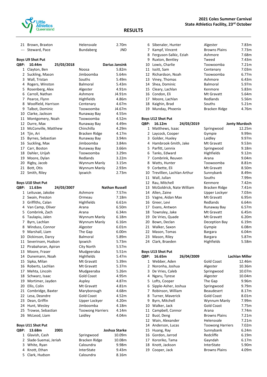

| 21 Brown, Braxton | Helensvale | 2.70m |
|-------------------|------------|-------|
| --- Steward, Pace | Bundaberg  | JND   |

## **Boys U9 Shot Put**

| QBP: | 10.44m              | 25/03/2018 |               | Darius Jansink |
|------|---------------------|------------|---------------|----------------|
| 1    | Clayton, Ben        |            | Noosa         | 5.82m          |
| 2    | Suckling, Mason     |            | Jimboomba     | 5.64m          |
| 3    | Wall, Tristan       |            | Souths        | 5.49m          |
| 4    | Rogers, Winston     |            | Balmoral      | 5.43m          |
| 5    | Rosenberg, Alex     |            | Algester      | 4.91m          |
| 6    | Carroll, Nathan     |            | Ashmore       | J4.91m         |
| 7    | Pearce, Flynn       |            | Highfields    | 4.86m          |
| 8    | Woolfield, Harrison |            | Centenary     | 4.67m          |
| 9    | Talbot, Dominic     |            | Toowoomba     | J4.67m         |
| 10   | Clarke, Jackson     |            | Runaway Bay   | 4.55m          |
| 11   | Montgomery, Noah    |            | Toowoomba     | 4.52m          |
| 12   | Durre, Max          |            | Runaway Bay   | 4.49m          |
| 13   | McConville, Matthew |            | Chinchilla    | 4.29m          |
| 14   | Tjin, Ari           |            | Bracken Ridge | 4.17m          |
| 15   | Byrnes, Sebastian   |            | Runaway Bay   | 3.94m          |
| 16   | Suckling, Max       |            | Jimboomba     | 3.84m          |
| 17   | Carr, Boston        |            | Runaway Bay   | 3.66m          |
| 18   | Dahler, Urijah      |            | Toowoomba     | 3.29m          |
| 19   | Moore, Dylan        |            | Redlands      | 3.22m          |
| 20   | Rigby, Jacob        |            | Wynnum Manly  | 3.15m          |
| 21   | Bott, Otis          |            | Wynnum Manly  | 2.93m          |
| 22   | Smith, Riley        |            | Ipswich       | 2.73m          |

#### **Boys U10 Shot Put**

| QBP:           | 11.63m                   | 24/03/2007 |                         | <b>Nathan Russell</b> |
|----------------|--------------------------|------------|-------------------------|-----------------------|
| $\mathbf{1}$   | Leituvae, Jakobe         |            | Ashmore                 | 7.57m                 |
| $\overline{2}$ | Swain, Preston           |            | Ormeau                  | 7.18m                 |
|                | 3 Griffiths, Calan       |            | Highfields              | 6.61m                 |
| 4              | Van Camp, Oliver         |            | Arana                   | 6.50m                 |
|                | 5 Combrink, Zach         |            | Arana                   | 6.34m                 |
| 6              | Taulapiu, Jalen          |            | Wynnum Manly            | 6.18m                 |
| 7              | Byrn, Lachlan            |            | Wynnum Manly            | 6.16m                 |
|                | 8 Winduss, Connor        |            | Algester                | 6.01m                 |
| 9              | Marshall, Liam           |            | The Gap                 | 6.00m                 |
| 10             | Dickinson, Darcy         |            | <b>Balmoral</b>         | 5.89m                 |
| 11             | Severinsen, Hudson       |            | Ipswich                 | 5.73m                 |
| 12             | Pirabaharan, Apiran      |            | City North              | 5.57m                 |
| 13             | Moore, Fraser            |            | Mudgeeraba              | 5.51m                 |
| 14             | Dunemann, Noah           |            | Highfields              | 5.47m                 |
| 15             | Sipka, Milan             |            | Mt Gravatt              | 5.39m                 |
| 16             | Roberts, Lachlan         |            | Mt Gravatt              | 5.37m                 |
| 17             | Mehta, Lincoln           |            | Mudgeeraba              | 5.26m                 |
| 18             | Schwarz, Isaac           |            | <b>Gold Coast</b>       | 4.95m                 |
| 19             | Mortimer, Jayden         |            | Aspley                  | 4.87m                 |
| 20             | Ellis, Colin             |            | Mt Gravatt              | 4.81m                 |
| 21             | Combridge, Baxter        |            | Maryborough             | 4.68m                 |
| 22             | Lesa, Deandre            |            | <b>Gold Coast</b>       | 4.52m                 |
|                | 23 Dean, Griffin         |            | Upper Lockyer           | 4.20m                 |
| 24             | Hunt, Wesley             |            | Jimboomba               | 4.18m                 |
| 25             | Trowse, Sebastian        |            | <b>Toowong Harriers</b> | 4.14m                 |
| 26             | McLeod, Liam             |            | Laidley                 | 4.04m                 |
|                | <b>Boys U11 Shot Put</b> |            |                         |                       |
| QBP:           | 13.68m                   | 2001       |                         | Joshua Starke         |
| 1              | Glavish, Cash            |            | Springwood              | 10.09m                |

| $\sim$ 13.000.         | ---- |                   | JUJIIWU JUJIIL |
|------------------------|------|-------------------|----------------|
| 1 Glavish, Cash        |      | Springwood        | 10.09m         |
| 2 Slade-Suemai, Jeriah |      | Bracken Ridge     | 10.08m         |
| 3 White, Ryan          |      | Caloundra         | 9.98m          |
| 4 Knott, Ethan         |      | <b>InterState</b> | 9.43m          |
| 5 Clark, Hudson        |      | Caloundra         | 8.16m          |
|                        |      |                   |                |

|    | 6 Sibenaler, Hunter    | Algester             | 7.83m             |
|----|------------------------|----------------------|-------------------|
| 7  | Kampf, Vincent         | <b>Browns Plains</b> | 7.73m             |
| 8  | Ferguson-Salkic, Eziah | Ashmore              | 7.68m             |
| 9  | Ruxton, Bentley        | Tweed                | 7.43m             |
| 10 | Lowis, Charlie         | Toowoomba            | 7.21m             |
| 11 | Issitt, Sam            | Centenary            | 7.03 <sub>m</sub> |
|    | 12 Richardson, Noah    | Toowoomba            | 6.77m             |
|    | 13 Viney, Thomas       | Ashmore              | 6.43m             |
|    | 14 Shea, Dominic       | <b>Balmoral</b>      | 5.97m             |
|    | 15 Cleary, Lachlan     | Kenmore              | 5.83m             |
|    | 16 Condon, Eli         | Mt Gravatt           | 5.64m             |
|    | 17 Moore, Lachlan      | Redlands             | 5.56m             |
| 18 | Kaighin, Brad          | Souths               | 5.21m             |
|    | 19 Munday, Phoenix     | Bracken Ridge        | 4.76m             |

|      | <b>Boys U12 Shot Put</b>   |            |                |                   |  |
|------|----------------------------|------------|----------------|-------------------|--|
| QBP: | 16.12m                     | 24/03/2019 |                | Jonty Murdoch     |  |
| 1    | Matthews, Isaac            |            | Springwood     | 12.25m            |  |
| 2    | Laycock, Cooper            |            | Gympie         | 9.99m             |  |
| 3    | Golder, Huxley             |            | Laidley        | 9.97m             |  |
| 4    | Hambrook-Smith, Jake       |            | Mt Gravatt     | 9.53m             |  |
| 5    | Parfitt, Lennix            |            | Springwood     | 9.18 <sub>m</sub> |  |
| 6    | Tanks, Edward              |            | Highfields     | 9.12 <sub>m</sub> |  |
| 7    | Combrink, Reuven           |            | Arana          | 9.04m             |  |
| 8    | Watts, Hunter              |            | Toowoomba      | 8.81m             |  |
| 9    | Corbette, Eli              |            | Mt Gravatt     | 8.50m             |  |
| 10   | Trevillien, Lachlan Arthur |            | Sunnybank      | 8.49m             |  |
| 11   | Wall, Julian               |            | Souths         | 7.99m             |  |
| 12   | Rau, Mitchell              |            | Kenmore        | 7.42m             |  |
| 13   | McGoldrick, Nate William   |            | Bracken Ridge  | 7.41m             |  |
| 14   | Allen, Zaine               |            | Upper Lockyer  | 7.03m             |  |
|      | 15 Vagne, Aidan Max        |            | Mt Gravatt     | 6.95m             |  |
| 16   | Greer, Levi                |            | Redlands       | 6.64m             |  |
| 17   | Evans, Antwon              |            | Runaway Bay    | 6.57m             |  |
| 18   | Townsley, Jake             |            | Mt Gravatt     | 6.45m             |  |
| 19   | De Vries, Quade            |            | Mt Gravatt     | 6.20m             |  |
| 20   | Bown, Declan               |            | Deception Bay  | 6.19m             |  |
|      | 21 Walker, Saxon           |            | Gympie         | 6.08m             |  |
| 22   | Mason, Tomas               |            | <b>Bargara</b> | 6.04m             |  |
| 23   | Mason, Riley               |            | <b>Bargara</b> | 5.87m             |  |
| 24   | Clark, Braeden             |            | Highfields     | 5.58m             |  |

### **Boys U13 Shot Put**

| QBP: | 16.65m               | 26/04/2009 |                         | <b>Lachlan Miller</b> |
|------|----------------------|------------|-------------------------|-----------------------|
| 1    | Webber, Aden         |            | <b>Gold Coast</b>       | 12.46m                |
| 2    | Noronha, Joshua      |            | Algester                | 10.36m                |
| 3    | De Vries, Caleb      |            | Springwood              | 10.07m                |
| 4    | Ngaru, Tyrese        |            | Algester                | 10.04m                |
| 5    | Lofts, Cooper        |            | The Gap                 | 9.96m                 |
| 6    | Sipple-Asher, Joshua |            | Springwood              | 9.79m                 |
| 7    | Robinson, William    |            | <b>Beaudesert</b>       | 8.17m                 |
| 8    | Turner, Maverick     |            | <b>Gold Coast</b>       | 8.01m                 |
| 9    | Byrn, Mitchell       |            | Wynnum Manly            | 7.99m                 |
| 10   | Walker, Jack         |            | <b>Gold Coast</b>       | 7.75m                 |
| 11   | Campbell, Connor     |            | Arana                   | 7.74m                 |
| 12   | Buol, Deng           |            | <b>Browns Plains</b>    | 7.21m                 |
| 12   | Wain, Alexander      |            | Helensvale              | 7.21m                 |
| 14   | Anderson, Lucas      |            | <b>Toowong Harriers</b> | 7.02m                 |
| 15   | Huang, Ray           |            | Sunnybank               | 6.24m                 |
| 16   | Gordon, Jarrod       |            | Redcliffe               | 6.19m                 |
| 17   | Kororiko, Tama       |            | Gayndah                 | 6.17m                 |
| 18   | Knott, Jackson       |            | InterState              | 5.90m                 |
| 19   | Cooper, Jack         |            | <b>Browns Plains</b>    | 4.09m                 |
|      |                      |            |                         |                       |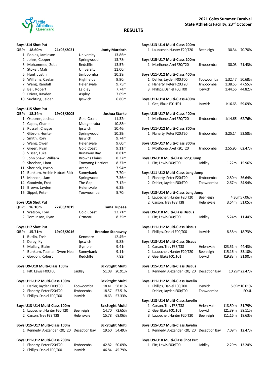

#### **Boys U14 Shot Put**

| 18.60m         | 21/03/2021 |                                                                                                                                               | <b>Jonty Murdoch</b> |
|----------------|------------|-----------------------------------------------------------------------------------------------------------------------------------------------|----------------------|
|                |            | University                                                                                                                                    | 13.86m               |
|                |            | Springwood                                                                                                                                    | 13.78m               |
|                |            | Redcliffe                                                                                                                                     | 13.57m               |
| 4 Stoker, Mali |            | University                                                                                                                                    | 11.00m               |
| 5 Hunt, Justin |            | Jimboomba                                                                                                                                     | 10.28m               |
|                |            | <b>Highfields</b>                                                                                                                             | 9.90m                |
|                |            | Helensvale                                                                                                                                    | 9.75m                |
| Bell, Robert   |            | Laidley                                                                                                                                       | 7.74m                |
|                |            | Aspley                                                                                                                                        | 7.69m                |
|                |            | Ipswich                                                                                                                                       | 6.80m                |
|                |            | 1 Pooles, Jamieson<br>2 Johns, Cooper<br>3 Mohammed, Zobair<br>6 Williams, Caelan<br>7 Wang, Randall<br>Driver, Kayden<br>10 Suchting, Jaiden |                      |

## **Boys U15 Shot Put**

| QBP: | 18.34m                     | 19/03/2005 |                         | Joshua Starke |
|------|----------------------------|------------|-------------------------|---------------|
| 1    | Osborne, Joshua            |            | <b>Gold Coast</b>       | 11.32m        |
| 2    | Capps, Charlie             |            | Mudgeeraba              | 10.88m        |
| 3    | Russell, Chayse            |            | Ipswich                 | 10.46m        |
| 4    | Gibson, Hunter             |            | Springwood              | 10.29m        |
| 5    | Smith, Rory                |            | Ipswich                 | 9.74m         |
| 6    | Wang, Owen                 |            | Helensvale              | 9.60m         |
| 7    | Green, Ryan                |            | <b>Gold Coast</b>       | 9.11m         |
| 8    | Visser, Luke               |            | Runaway Bay             | 8.81m         |
| 9    | John Shaw, William         |            | <b>Browns Plains</b>    | 8.37m         |
| 9    | Sheehan, Liam              |            | <b>Toowong Harriers</b> | 8.37m         |
| 11   | Sherlock, Byron            |            | Arana                   | 7.94m         |
| 12   | Bunkum, Archie Hobart Rick |            | Sunnybank               | 7.70m         |
| 13   | Manson, Liam               |            | Springwood              | 7.36m         |
| 14   | Goodwin, Fred              |            | The Gap                 | 7.12m         |
| 15   | Brown, Jayden              |            | Helensvale              | 6.35m         |
| 16   | Sippel, Peter              |            | Toowoomba               | 5.70m         |
|      | <b>Boys U16 Shot Put</b>   |            |                         |               |
| QBP: | 16.10m                     | 22/03/2019 |                         | Tama Tupaea   |

| 1 Watson, Tom            |            | Gold Coast | 12.71m                  |
|--------------------------|------------|------------|-------------------------|
| 2 Tomlinson, Ryan        |            | Ormeau     | 8.35m                   |
| <b>Boys U17 Shot Put</b> |            |            |                         |
| QBP: 15.71m              | 19/03/2016 |            | <b>Brandon Stanaway</b> |
| 1 Butlin, Toshi          |            | Kenmore    | 12.45m                  |

| 2 Dalby, Ky                   | Ipswich       |                        | 9.83m        |
|-------------------------------|---------------|------------------------|--------------|
| 3 Mullaly, Blake              | Gympie        |                        | 9.41m        |
| 4 Bunkum, Tasman Owen Neal    | Sunnybank     |                        | 9.11m        |
| 5 Gordon, Robert              | Redcliffe     |                        | 7.82m        |
| Boys U9-U10 Multi-Class 100m  |               | <b>BckStrght Multi</b> |              |
| 1 Pitt, Lewis F00;T00         | Laidley       |                        | 51.08 20.91% |
| Boys U11-U12 Multi-Class 100m |               | <b>BckStrght Multi</b> |              |
| 1 Dahler, Jayden F00;T00      | Toowoomba     |                        | 18.41 58.01% |
| 2 Flaherty, Peter F20;T20     | Jimboomba     |                        | 18.57 57.51% |
| 3 Phillips, Daniel F00;T00    | Ipswich       |                        | 18.63 57.33% |
| Boys U13-U14 Multi-Class 100m |               | <b>BckStrght Multi</b> |              |
| 1 Laubscher, Hunter F20;T20   | Beenleigh     | 14.70                  | 72.65%       |
| 2 Carson, Trey F38;T38        | Helensvale    | 15.78                  | 68.06%       |
| Boys U15-U17 Multi-Class 100m |               | <b>BckStrght Multi</b> |              |
| 1 Kennedy, Alexander F20;T20  | Deception Bay |                        | 19.60 54.49% |
|                               |               |                        |              |

### **Boys U11-U12 Multi-Class 200m**

| 1 Flaherty, Peter F20;T20  | Jimboomba | 42.82 50.09% |
|----------------------------|-----------|--------------|
| 2 Phillips, Daniel F00;T00 | Ipswich   | 46.84 45.79% |

| Boys U13-U14 Multi-Class 200m              |               |                |              |
|--------------------------------------------|---------------|----------------|--------------|
| 1 Laubscher, Hunter F20;T20                | Beenleigh     | 30.34          | 70.70%       |
|                                            |               |                |              |
| Boys U15-U17 Multi-Class 200m              |               |                |              |
|                                            |               |                |              |
| 1 Mcelhone, Axel F20;T20                   | Jimboomba     | 30.03          | 71.43%       |
|                                            |               |                |              |
| Boys U11-U12 Multi-Class 400m              |               |                |              |
| 1 Dahler, Jayden F00;T00                   | Toowoomba     | 1:32.47        | 50.68%       |
| 2 Flaherty, Peter F20;T20                  | Jimboomba     | 1:38.55        | 47.55%       |
| 3 Phillips, Daniel F00;T00                 | Ipswich       | 1:44.56        | 44.82%       |
|                                            |               |                |              |
| Boys U13-U14 Multi-Class 400m              |               |                |              |
| 1 Gee, Blake F01;T01                       | Ipswich       | 1:16.65        | 59.09%       |
|                                            |               |                |              |
|                                            |               |                |              |
| Boys U15-U17 Multi-Class 400m              |               |                |              |
| 1 Mcelhone, Axel F20;T20                   | Jimboomba     | 1:14.66        | 62.76%       |
|                                            |               |                |              |
| Boys U11-U12 Multi-Class 800m              |               |                |              |
| 1 Flaherty, Peter F20;T20                  | Jimboomba     | 3:25.14 53.58% |              |
|                                            |               |                |              |
| Boys U15-U17 Multi-Class 800m              |               |                |              |
| 1 Mcelhone, Axel F20;T20                   | Jimboomba     | 2:55.95        | 62.47%       |
|                                            |               |                |              |
| Boys U9-U10 Multi-Class Long Jump          |               |                |              |
|                                            |               |                |              |
| 1 Pitt, Lewis F00;T00                      | Laidley       | 1.22m          | 15.96%       |
|                                            |               |                |              |
| Boys U11-U12 Multi-Class Long Jump         |               |                |              |
| 1 Flaherty, Peter F20;T20                  | Jimboomba     | 2.80m          | 36.64%       |
| 2 Dahler, Jayden F00;T00                   | Toowoomba     | 2.67m          | 34.94%       |
|                                            |               |                |              |
| Boys U13-U14 Multi-Class Long Jump         |               |                |              |
| 1 Laubscher, Hunter F20;T20                | Beenleigh     |                | 4.36m57.06%  |
|                                            | Helensvale    |                |              |
| 2 Carson, Trey F38;T38                     |               |                | 3.64m 51.05% |
|                                            |               |                |              |
| <b>Boys U9-U10 Multi-Class Discus</b>      |               |                |              |
| 1 Pitt, Lewis F00;T00                      | Laidley       | 5.24m          | 11.44%       |
|                                            |               |                |              |
| <b>Boys U11-U12 Multi-Class Discus</b>     |               |                |              |
| 1 Phillips, Daniel F00;T00                 | Ipswich       | 8.58m          | 18.73%       |
|                                            |               |                |              |
| <b>Boys U13-U14 Multi-Class Discus</b>     |               |                |              |
| 1 Carson, Trey F38;T38                     | Helensvale    | J23.51m        | 44.43%       |
| 2 Laubscher, Hunter F20;T20                |               | J15.16m        | 33.10%       |
|                                            | Beenleigh     |                |              |
| 3 Gee, Blake F01;T01                       | Ipswich       | J19.83m        | 31.90%       |
|                                            |               |                |              |
| <b>Boys U15-U17 Multi-Class Discus</b>     |               |                |              |
| 1 Kennedy, Alexander F20;T20               | Deception Bay |                | 10.29m22.47% |
|                                            |               |                |              |
| Boys U11-U12 Multi-Class Javelin           |               |                |              |
| 1 Phillips, Daniel F00;T00                 | Ipswich       |                | 5.69m10.01%  |
| --- Dahler, Jayden F00;T00                 | Toowoomba     |                | <b>FOUL</b>  |
|                                            |               |                |              |
|                                            |               |                |              |
| Boys U13-U14 Multi-Class Javelin           |               |                |              |
| 1 Carson, Trey F38;T38                     | Helensvale    | J18.50m        | 31.79%       |
| 2 Gee, Blake F01;T01                       | Ipswich       | J21.39m        | 29.11%       |
| 3 Laubscher, Hunter F20;T20                | Beenleigh     | J11.16m        | 19.63%       |
|                                            |               |                |              |
| Boys U15-U17 Multi-Class Javelin           |               |                |              |
| 1 Kennedy, Alexander F20;T20 Deception Bay |               | 7.09m          | 12.47%       |
|                                            |               |                |              |
| Boys U9-U10 Multi-Class Shot Put           |               |                |              |
|                                            |               |                |              |

Pitt, Lewis F00;T00 Laidley 2.29m 13.24%